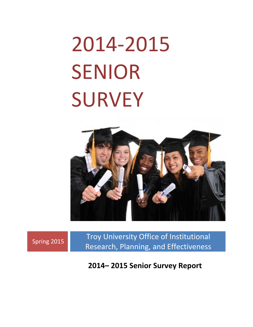# 2014‐2015 SENIOR **SURVEY**



Spring 2015 Troy University Office of Institutional Research, Planning, and Effectiveness

**2014– 2015 Senior Survey Report**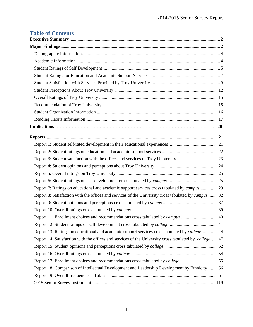# **Table of Contents**

| Report 7: Ratings on educational and academic support services cross tabulated by campus  29               |
|------------------------------------------------------------------------------------------------------------|
| Report 8: Satisfaction with the offices and services of the University cross tabulated by <i>campus</i> 32 |
|                                                                                                            |
|                                                                                                            |
| Report 11: Enrollment choices and recommendations cross tabulated by campus  40                            |
|                                                                                                            |
| Report 13: Ratings on educational and academic support services cross tabulated by college  44             |
| Report 14: Satisfaction with the offices and services of the University cross tabulated by college  47     |
|                                                                                                            |
|                                                                                                            |
| Report 17: Enrollment choices and recommendations cross tabulated by <i>college</i> 55                     |
| Report 18: Comparison of Intellectual Development and Leadership Development by Ethnicity  56              |
|                                                                                                            |
|                                                                                                            |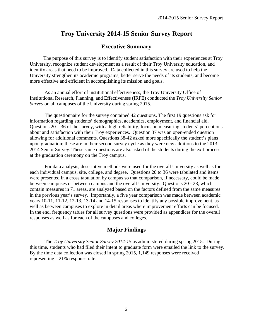# **Executive Summary**

 The purpose of this survey is to identify student satisfaction with their experiences at Troy University, recognize student development as a result of their Troy University education, and identify areas that need to be improved. Data collected in this survey are used to help the University strengthen its academic programs, better serve the needs of its students, and become more effective and efficient in accomplishing its mission and goals.

 As an annual effort of institutional effectiveness, the Troy University Office of Institutional Research, Planning, and Effectiveness (IRPE) conducted the *Troy University Senior Survey* on all campuses of the University during spring 2015.

 The questionnaire for the survey contained 42 questions. The first 19 questions ask for information regarding students' demographics, academics, employment, and financial aid. Questions  $20 - 36$  of the survey, with a high reliability, focus on measuring students' perceptions about and satisfaction with their Troy experiences. Question 37 was an open-ended question allowing for additional comments. Questions 38-42 asked more specifically the student's plans upon graduation; these are in their second survey cycle as they were new additions to the 2013- 2014 Senior Survey. These same questions are also asked of the students during the exit process at the graduation ceremony on the Troy campus.

 For data analysis, descriptive methods were used for the overall University as well as for each individual campus, site, college, and degree. Questions 20 to 36 were tabulated and items were presented in a cross tabulation by campus so that comparison, if necessary, could be made between campuses or between campus and the overall University. Questions 20 - 23, which contain measures in 71 areas, are analyzed based on the factors defined from the same measures in the previous year's survey. Importantly, a five year comparison was made between academic years 10-11, 11-12, 12-13, 13-14 and 14-15 responses to identify any possible improvement, as well as between campuses to explore in detail areas where improvement efforts can be focused. In the end, frequency tables for all survey questions were provided as appendices for the overall responses as well as for each of the campuses and colleges.

## **Major Findings**

 The *Troy University Senior Survey 2014-15* as administered during spring 2015. During this time, students who had filed their intent to graduate form were emailed the link to the survey. By the time data collection was closed in spring 2015, 1,149 responses were received representing a 21% response rate.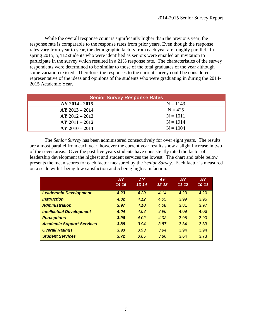While the overall response count is significantly higher than the previous year, the response rate is comparable to the response rates from prior years. Even though the response rates vary from year to year, the demographic factors from each year are roughly parallel. In spring 2015, 5,412 students who were identified as seniors were emailed an invitation to participate in the survey which resulted in a 21% response rate. The characteristics of the survey respondents were determined to be similar to those of the total graduates of the year although some variation existed. Therefore, the responses to the current survey could be considered representative of the ideas and opinions of the students who were graduating in during the 2014- 2015 Academic Year.

| <b>Senior Survey Response Rates</b> |            |  |  |  |  |  |  |  |
|-------------------------------------|------------|--|--|--|--|--|--|--|
| AY 2014 - 2015                      | $N = 1149$ |  |  |  |  |  |  |  |
| $AY 2013 - 2014$                    | $N = 425$  |  |  |  |  |  |  |  |
| $AY 2012 - 2013$                    | $N = 1011$ |  |  |  |  |  |  |  |
| $AY 2011 - 2012$                    | $N = 1914$ |  |  |  |  |  |  |  |
| $AY 2010 - 2011$                    | $N = 1904$ |  |  |  |  |  |  |  |

 The *Senior Survey* has been administered consecutively for over eight years. The results are almost parallel from each year, however the current year results show a slight increase in two of the seven areas. Over the past five years students have consistently rated the factor of leadership development the highest and student services the lowest. The chart and table below presents the mean scores for each factor measured by the *Senior Survey*. Each factor is measured on a scale with 1 being low satisfaction and 5 being high satisfaction.

|                                  | <b>AY</b><br>$14 - 15$ | <b>AY</b><br>$13 - 14$ | <b>AY</b><br>$12 - 13$ | <b>AY</b><br>$11 - 12$ | <b>AY</b><br>$10 - 11$ |
|----------------------------------|------------------------|------------------------|------------------------|------------------------|------------------------|
| <b>Leadership Development</b>    | 4.23                   | 4.20                   | 4.14                   | 4.23                   | 4.20                   |
| <i><u><b>Instruction</b></u></i> | 4.02                   | 4.12                   | 4.05                   | 3.99                   | 3.95                   |
| <b>Administration</b>            | 3.97                   | 4.10                   | 4.08                   | 3.81                   | 3.97                   |
| <b>Intellectual Development</b>  | 4.04                   | 4.03                   | 3.96                   | 4.09                   | 4.06                   |
| <b>Perceptions</b>               | 3.96                   | 4.02                   | 4.02                   | 3.95                   | 3.90                   |
| <b>Academic Support Services</b> | 3.89                   | 3.94                   | 3.87                   | 3.84                   | 3.83                   |
| <b>Overall Ratings</b>           | 3.93                   | 3.93                   | 3.94                   | 3.94                   | 3.94                   |
| <b>Student Services</b>          | 3.72                   | 3.85                   | 3.86                   | 3.64                   | 3.73                   |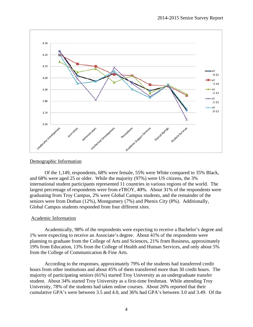

#### Demographic Information

Of the 1,149, respondents, 68% were female, 55% were White compared to 35% Black, and 68% were aged 25 or older. While the majority (97%) were US citizens, the 3% international student participants represented 11 countries in various regions of the world. The largest percentage of respondents were from eTROY, 40%. About 31% of the respondents were graduating from Troy Campus, 2% were Global Campus students, and the remainder of the seniors were from Dothan (12%), Montgomery (7%) and Phenix City (8%). Additionally, Global Campus students responded from four different sites.

#### Academic Information

Academically, 98% of the respondents were expecting to receive a Bachelor's degree and 1% were expecting to receive an Associate's degree. About 41% of the respondents were planning to graduate from the College of Arts and Sciences, 21% from Business, approximately 19% from Education, 13% from the College of Health and Human Services, and only about 5% from the College of Communication & Fine Arts.

According to the responses, approximately 79% of the students had transferred credit According to the responses, approximately 79% of the students had transferred credit<br>hours from other institutions and about 45% of them transferred more than 30 credit hours. The majority of participating seniors (61%) started Troy University as an undergraduate transfer student. About 34% started Troy University as a first-time freshman. While attending Troy University, 78% of the students had taken online courses. About 26% reported that their cumulative GPA's were between 3.5 and 4.0, and 36% had GPA's between 3.0 and 3.49. Of the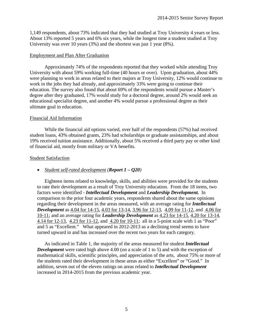1,149 respondents, about 73% indicated that they had studied at Troy University 4 years or less. About 13% reported 5 years and 6% six years, while the longest time a student studied at Troy University was over 10 years (3%) and the shortest was just 1 year (8%).

#### Employment and Plan After Graduation

 Approximately 74% of the respondents reported that they worked while attending Troy University with about 59% working full-time (40 hours or over). Upon graduation, about 44% were planning to work in areas related to their majors at Troy University, 12% would continue to work in the jobs they had already, and approximately 33% were going to continue their education. The survey also found that about 69% of the respondents would pursue a Master's degree after they graduated, 17% would study for a doctoral degree, around 2% would seek an educational specialist degree, and another 4% would pursue a professional degree as their ultimate goal in education.

#### Financial Aid Information

 While the financial aid options varied, over half of the respondents (57%) had received student loans, 43% obtained grants, 23% had scholarships or graduate assistantships, and about 19% received tuition assistance. Additionally, about 5% received a third party pay or other kind of financial aid, mostly from military or VA benefits.

#### Student Satisfaction

#### *Student self-rated development (Report 1 – Q20)*

 Eighteen items related to knowledge, skills, and abilities were provided for the students to rate their development as a result of Troy University education. From the 18 items, two factors were identified - *Intellectual Development* and *Leadership Development.* In comparison to the prior four academic years, respondents shared about the same opinions regarding their development in the areas measured, with an average rating for *Intellectual Development* as 4.04 for 14-15, 4.03 for 13-14, 3.96 for 12-13, 4.09 for 11-12, and 4.06 for 10-11; and an average rating for *Leadership Development* as 4.23 for 14-15, 4.20 for 13-14, 4.14 for 12-13, 4.23 for 11-12, and 4.20 for 10-11; all in a 5-point scale with 1 as "Poor" and 5 as "Excellent." What appeared in 2012-2013 as a declining trend seems to have turned upward in and has increased over the recent two years for each category.

 As indicated in Table 1, the majority of the areas measured for student *Intellectual Development* were rated high above 4.00 (on a scale of 1 to 5) and with the exception of mathematical skills, scientific principles, and appreciation of the arts, about 75% or more of the students rated their development in these areas as either "Excellent" or "Good." In addition, seven out of the eleven ratings on areas related to *Intellectual Development* increased in 2014-2015 from the previous academic year.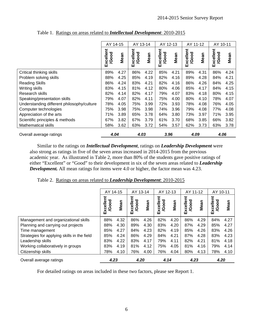|                                            | AY 14-15           |      | AY 13-14           |      | AY 12-13           |      | AY 11-12                  |      | AY 10-11           |      |
|--------------------------------------------|--------------------|------|--------------------|------|--------------------|------|---------------------------|------|--------------------|------|
|                                            | Excellent<br>/Good | Mean | Excellent<br>/Good | Mean | Excellent<br>/Good | Mean | ellent<br>/Good<br>Ř<br>ш | Mean | Excellent<br>/Good | Mean |
| Critical thinking skills                   | 89%                | 4.27 | 86%                | 4.22 | 85%                | 4.21 | 89%                       | 4.31 | 86%                | 4.24 |
| Problem solving skills                     | 88%                | 4.25 | 85%                | 4.19 | 82%                | 4.16 | 89%                       | 4.28 | 84%                | 4.21 |
| <b>Reading Skills</b>                      | 86%                | 4.24 | 83%                | 4.21 | 82%                | 4.16 | 86%                       | 4.26 | 84%                | 4.25 |
| Writing skills                             | 83%                | 4.15 | 81%                | 4.12 | 80%                | 4.06 | 85%                       | 4.17 | 84%                | 4.15 |
| Research skills                            | 82%                | 4.14 | 82%                | 4.17 | 79%                | 4.07 | 83%                       | 4.18 | 80%                | 4.15 |
| Speaking/presentation skills               | 79%                | 4.07 | 82%                | 4.11 | 75%                | 4.00 | 80%                       | 4.10 | 78%                | 4.07 |
| Understanding different philosophy/culture | 78%                | 4.05 | 75%                | 3.99 | 72%                | 3.93 | 78%                       | 4.08 | 76%                | 4.05 |
| Computer technologies                      | 75%                | 3.98 | 75%                | 3.98 | 74%                | 3.96 | 79%                       | 4.08 | 77%                | 4.08 |
| Appreciation of the arts                   | 71%                | 3.89 | 65%                | 3.78 | 64%                | 3.80 | 73%                       | 3.97 | 71%                | 3.95 |
| Scientific principles & methods            | 67%                | 3.82 | 67%                | 3.79 | 61%                | 3.70 | 68%                       | 3.85 | 66%                | 3.82 |
| <b>Mathematical skills</b>                 | 58%                | 3.62 | 63%                | 3.72 | 54%                | 3.57 | 62%                       | 3.73 | 63%                | 3.78 |
| Overall average ratings                    | 4.04               |      | 4.03               |      | 3.96               |      | 4.09                      |      | 4.06               |      |

Table 1. Ratings on areas related to *Intellectual Development*: 2010-2015

Similar to the ratings on *Intellectual Development*, ratings on *Leadership Development* were also strong as ratings in five of the seven areas increased in 2014-2015 from the previous academic year. As illustrated in Table 2, more than 80% of the students gave positive ratings of either "Excellent" or "Good" to their development in six of the seven areas related to *Leadership Development.* All mean ratings for items were 4.0 or higher, the factor mean was 4.23.

|  | Table 2. Ratings on areas related to <i>Leadership Development</i> : 2010-2015 |  |
|--|--------------------------------------------------------------------------------|--|
|  |                                                                                |  |

|                                             | AY 14-15                |      | AY 13-14                      |      | AY 12-13               |      | AY 11-12                  |      | AY 10-11                  |      |
|---------------------------------------------|-------------------------|------|-------------------------------|------|------------------------|------|---------------------------|------|---------------------------|------|
|                                             | <b>/Good</b><br>Excelle | Mean | ัี<br>poo<br>Φ<br>Excell<br>ହ | Mean | <b>Good</b><br>Excelle | Mean | Excellent<br><b>/Good</b> | Mean | Excellent<br><b>/Good</b> | Mean |
| Management and organizational skills        | 88%                     | 4.32 | 86%                           | 4.26 | 82%                    | 4.20 | 86%                       | 4.29 | 84%                       | 4.27 |
| Planning and carrying out projects          | 88%                     | 4.30 | 89%                           | 4.30 | 83%                    | 4.20 | 87%                       | 4.29 | 85%                       | 4.27 |
| Time management                             | 85%                     | 4.27 | 84%                           | 4.23 | 82%                    | 4.19 | 85%                       | 4.26 | 83%                       | 4.26 |
| Strategies for applying skills in the field | 85%                     | 4.24 | 86%                           | 4.29 | 84%                    | 4.21 | 87%                       | 4.28 | 83%                       | 4.23 |
| Leadership skills                           | 83%                     | 4.22 | 83%                           | 4.17 | 79%                    | 4.11 | 82%                       | 4.21 | 81%                       | 4.18 |
| Working collaboratively in groups           | 83%                     | 4.19 | 81%                           | 4.12 | 75%                    | 4.05 | 81%                       | 4.16 | 79%                       | 4.14 |
| Citizenship skills                          | 78%                     | 4.10 | 76%                           | 4.00 | 76%                    | 4.04 | 80%                       | 4.13 | 78%                       | 4.10 |
| Overall average ratings                     | 4.23                    |      | 4.20                          |      | 4.14                   |      | 4.23                      |      | 4.20                      |      |

For detailed ratings on areas included in these two factors, please see Report 1.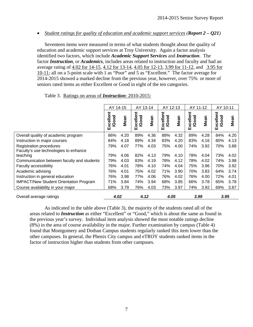*Student ratings for quality of education and academic support services (Report 2 – Q21)* 

 Seventeen items were measured in terms of what students thought about the quality of education and academic support services at Troy University. Again a factor analysis identified two factors, which include *Academic Support Services* and *Instruction*. The factor *Instruction*, or *Academics*, includes areas related to instruction and faculty and had an average rating of 4.02 for 14-15, 4.12 for 13-14, 4.05 for 12-13, 3.99 for 11-12, and 3.95 for 10-11; all on a 5-point scale with 1 as "Poor" and 5 as "Excellent." The factor average for 2014-2015 showed a marked decline from the previous year, however, over 75% or more of seniors rated items as either Excellent or Good in eight of the ten categories.

|                                               | AY 14-15           |      | AY 13-14              |      | AY 12-13               |             | AY 11-12              |      | AY 10-11               |      |
|-----------------------------------------------|--------------------|------|-----------------------|------|------------------------|-------------|-----------------------|------|------------------------|------|
|                                               | Excellent<br>/Good | Mean | xcellent<br>Good<br>ш | Mean | cellent<br>/Good<br>ΔŘ | <b>Mean</b> | xcellent<br>Good<br>ш | Mean | xcellent<br>/Good<br>ш | Mean |
| Overall quality of academic program           | 86%                | 4.20 | 89%                   | 4.36 | 88%                    | 4.32        | 89%                   | 4.28 | 84%                    | 4.20 |
| Instruction in major courses                  | 84%                | 4.18 | 89%                   | 4.34 | 83%                    | 4.20        | 83%                   | 4.16 | 80%                    | 4.13 |
| <b>Registration procedures</b>                | 79%                | 4.07 | 77%                   | 4.03 | 75%                    | 4.00        | 74%                   | 3.92 | 70%                    | 3.88 |
| Faculty's use technologies to enhance         |                    |      |                       |      |                        |             |                       |      |                        |      |
| teaching                                      | 79%                | 4.06 | 82%                   | 4.13 | 79%                    | 4.10        | 78%                   | 4.04 | 73%                    | 4.02 |
| Communication between faculty and students    | 79%                | 4.03 | 83%                   | 4.19 | 78%                    | 4.12        | 78%                   | 4.02 | 74%                    | 3.98 |
| <b>Faculty accessibility</b>                  | 76%                | 4.01 | 78%                   | 4.10 | 74%                    | 4.04        | 75%                   | 3.96 | 70%                    | 3.92 |
| Academic advising                             | 76%                | 4.01 | 75%                   | 4.02 | 71%                    | 3.90        | 70%                   | 3.83 | 64%                    | 3.74 |
| Instruction in general education              | 76%                | 3.98 | 77%                   | 4.06 | 76%                    | 4.02        | 76%                   | 4.00 | 72%                    | 4.01 |
| <b>IMPACT/New Student Orientation Program</b> | 71%                | 3.84 | 74%                   | 3.94 | 68%                    | 3.85        | 66%                   | 3.78 | 65%                    | 3.78 |
| Course availability in your major             | 68%                | 3.79 | 76%                   | 4.03 | 73%                    | 3.97        | 74%                   | 3.92 | 69%                    | 3.87 |
| Overall average ratings                       | 4.02               |      | 4.12                  |      | 4.05                   |             | 3.99                  |      | 3.95                   |      |

Table 3. Ratings on areas of *Instruction*: 2010-2015:

 As indicated in the table above (Table 3), the majority of the students rated all of the areas related to *Instruction* as either "Excellent" or "Good," which is about the same as found in the previous year's survey. Individual item analysis showed the most notable ratings decline (8%) in the area of course availability in the major. Further examination by campus (Table 4) found that Montgomery and Dothan Campus students regularly ranked this item lower than the other campuses. In general, the Phenix City campus and eTROY students ranked items in the factor of instruction higher than students from other campuses.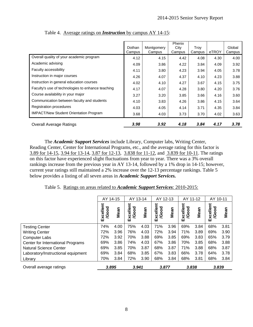|                                                   | Dothan<br>Campus | Montgomery<br>Campus | <b>Phenix</b><br>City<br>Campus | Troy<br>Campus | eTROY | Global<br>Campus |
|---------------------------------------------------|------------------|----------------------|---------------------------------|----------------|-------|------------------|
| Overall quality of your academic program          | 4.12             | 4.15                 | 4.42                            | 4.08           | 4.30  | 4.00             |
| Academic advising                                 | 4.09             | 3.86                 | 4.22                            | 3.84           | 4.09  | 3.92             |
| <b>Faculty accessibility</b>                      | 4.11             | 3.80                 | 4.23                            | 3.94           | 4.05  | 3.78             |
| Instruction in major courses                      | 4.26             | 4.07                 | 4.37                            | 4.10           | 4.23  | 3.88             |
| Instruction in general education courses          | 4.02             | 4.10                 | 4.27                            | 3.67           | 4.15  | 3.75             |
| Faculty's use of technologies to enhance teaching | 4.17             | 4.07                 | 4.28                            | 3.80           | 4.20  | 3.76             |
| Course availability in your major                 | 3.27             | 3.20                 | 3.85                            | 3.66           | 4.16  | 3.60             |
| Communication between faculty and students        | 4.10             | 3.83                 | 4.26                            | 3.86           | 4.15  | 3.64             |
| Registration procedures                           | 4.03             | 4.05                 | 4.14                            | 3.71           | 4.35  | 3.84             |
| <b>IMPACT/New Student Orientation Program</b>     | 3.68             | 4.03                 | 3.73                            | 3.70           | 4.02  | 3.63             |
| <b>Overall Average Ratings</b>                    | 3.98             | 3.92                 | 4.18                            | 3.84           | 4.17  | 3.78             |

Table 4. Average ratings on *Instruction* by campus AY 14-15:

 The *Academic Support Services* include Library, Computer labs, Writing Center, Reading Center, Center for International Programs, etc., and the average rating for this factor is 3.89 for 14-15, 3.94 for 13-14, 3.87 for 12-13, 3.838 for 11-12, and 3.839 for 10-11. The ratings on this factor have experienced slight fluctuations from year to year. There was a 3% overall rankings increase from the previous year in AY 13-14, followed by a 1% drop in 14-15; however, current year ratings still maintained a 2% increase over the 12-13 percentage rankings. Table 5 below provides a listing of all seven areas in *Academic Support Services.*

Table 5. Ratings on areas related to *Academic Support Services*: 2010-2015:

|                                          | AY 14-15                  |      | AY 13-14                 |      | AY 12-13                  |      | AY 11-12                  |      | AY 10-11                  |      |
|------------------------------------------|---------------------------|------|--------------------------|------|---------------------------|------|---------------------------|------|---------------------------|------|
|                                          | Excellent<br><b>/Good</b> | Mean | Excellent<br><b>Good</b> | Mean | Excellent<br><b>/Good</b> | Mean | Excellent<br><b>/Good</b> | Mean | Excellent<br><b>/Good</b> | Mean |
| <b>Testing Center</b>                    | 74%                       | 4.00 | 75%                      | 4.03 | 71%                       | 3.96 | 69%                       | 3.84 | 68%                       | 3.81 |
| <b>Writing Center</b>                    | 72%                       | 3.96 | 76%                      | 4.03 | 72%                       | 3.94 | 71%                       | 3.89 | 69%                       | 3.90 |
| <b>Computer Labs</b>                     | 72%                       | 3.92 | 70%                      | 3.88 | 69%                       | 3.85 | 69%                       | 3.83 | 65%                       | 3.79 |
| <b>Center for International Programs</b> | 69%                       | 3.86 | 74%                      | 4.03 | 67%                       | 3.86 | 70%                       | 3.85 | 68%                       | 3.88 |
| <b>Natural Science Center</b>            | 69%                       | 3.85 | 70%                      | 3.87 | 68%                       | 3.87 | 71%                       | 3.88 | 68%                       | 3.87 |
| Laboratory/Instructional equipment       | 69%                       | 3.84 | 68%                      | 3.85 | 67%                       | 3.83 | 66%                       | 3.78 | 64%                       | 3.78 |
| Library                                  | 70%                       | 3.84 | 72%                      | 3.90 | 68%                       | 3.84 | 68%                       | 3.81 | 68%                       | 3.84 |
| Overall average ratings                  | 3.895                     |      | 3.941                    |      | 3.877                     |      | 3.838                     |      | 3.839                     |      |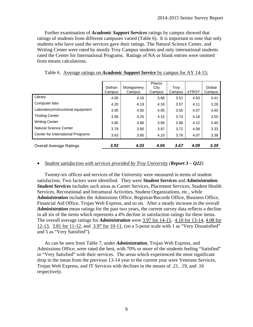Further examination of *Academic Support Services* ratings by campus showed that ratings of students from different campuses varied (Table 6). It is important to note that only students who have used the services gave their ratings. The Natural Science Center, and Writing Center were rated by mostly Troy Campus students and only international students rated the Center for International Programs. Ratings of NA or blank entries were omitted from means calculations.

|                                    | Dothan<br>Campus | Montgomery<br>Campus | Phenix<br>City<br>Campus | Troy<br>Campus | eTROY | Global<br>Campus |
|------------------------------------|------------------|----------------------|--------------------------|----------------|-------|------------------|
| Library                            | 4.05             | 4.16                 | 3.86                     | 3.51           | 4.03  | 3.41             |
| Computer labs                      | 4.20             | 4.19                 | 4.18                     | 3.57           | 4.11  | 3.28             |
| Laboratory/instructional equipment | 3.95             | 4.00                 | 4.05                     | 3.55           | 4.07  | 3.40             |
| <b>Testing Center</b>              | 3.95             | 4.25                 | 4.15                     | 3.74           | 4.18  | 3.50             |
| <b>Writing Center</b>              | 3.85             | 3.96                 | 3.94                     | 3.88           | 4.12  | 3.40             |
| Natural Science Center             | 3.79             | 3.80                 | 3.97                     | 3.72           | 4.08  | 3.33             |
| Center for International Programs  | 3.63             | 3.85                 | 4.10                     | 3.76           | 4.07  | 3.38             |
| <b>Overall Average Ratings</b>     | 3.92             | 4.03                 | 4.04                     | 3.67           | 4.09  | 3.39             |

Table 6. Average ratings on *Academic Support Service* by campus for AY 14-15:

#### *Student satisfaction with services provided by Troy University (Report 3 – Q22)*

 Twenty-six offices and services of the University were measured in terms of student satisfaction. Two factors were identified. They were *Student Services* and *Administration*. *Student Services* includes such areas as Career Services, Placement Services, Student Health Services, Recreational and Intramural Activities, Student Organizations, etc., while *Administration* includes the Admissions Office, Registrar/Records Office, Business Office, Financial Aid Office, Trojan Web Express, and so on. After a steady increase in the overall *Administration* mean ratings for the past two years, the current survey data reflects a decline in all six of the items which represents a 4% decline in satisfaction ratings for these items. The overall average ratings for *Administration* were 3.97 for 14-15, 4.10 for 13-14, 4.08 for 12-13, 3.81 for 11-12, and 3.97 for 10-11, (on a 5-point scale with 1 as "Very Dissatisfied" and 5 as "Very Satisfied").

 As can be seen from Table 7, under *Administration*, Trojan Web Express, and Admissions Office, were rated the best, with 70% or more of the students feeling "Satisfied" or "Very Satisfied" with their services. The areas which experienced the most significant drop in the mean from the previous 13-14 year to the current year were Veterans Services, Trojan Web Express, and IT Services with declines in the means of .21, .19, and .16 respectively.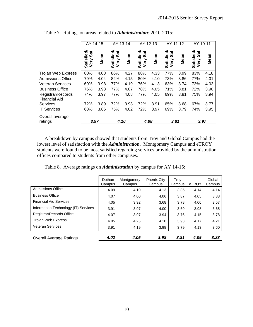|                            | AY 14-15                   |      | AY 13-14                   |      | AY 12-13                   |      | AY 11-12                   |      | AY 10-11                |      |
|----------------------------|----------------------------|------|----------------------------|------|----------------------------|------|----------------------------|------|-------------------------|------|
|                            | Satisfied/<br>Sat.<br>Very | Mean | Satisfied/<br>Sat.<br>Very | Mean | Satisfied/<br>Sat.<br>Very | Mean | Satisfied/<br>Sat.<br>Very | Mean | Satisfied/<br>Very Sat. | Mean |
| Trojan Web Express         | 80%                        | 4.08 | 86%                        | 4.27 | 88%                        | 4.33 | 77%                        | 3.99 | 83%                     | 4.18 |
| <b>Admissions Office</b>   | 79%                        | 4.04 | 82%                        | 4.15 | 80%                        | 4.10 | 73%                        | 3.86 | 77%                     | 4.01 |
| <b>Veteran Services</b>    | 69%                        | 3.98 | 77%                        | 4.19 | 76%                        | 4.13 | 63%                        | 3.74 | 73%                     | 4.03 |
| <b>Business Office</b>     | 76%                        | 3.98 | 77%                        | 4.07 | 78%                        | 4.05 | 71%                        | 3.81 | 72%                     | 3.90 |
| Registrar/Records          | 74%                        | 3.97 | 77%                        | 4.08 | 77%                        | 4.05 | 69%                        | 3.81 | 75%                     | 3.94 |
| <b>Financial Aid</b>       |                            |      |                            |      |                            |      |                            |      |                         |      |
| Services                   | 72%                        | 3.89 | 72%                        | 3.93 | 72%                        | 3.91 | 65%                        | 3.68 | 67%                     | 3.77 |
| <b>IT Services</b>         | 68%                        | 3.86 | 75%                        | 4.02 | 72%                        | 3.97 | 69%                        | 3.79 | 74%                     | 3.95 |
| Overall average<br>ratings | 3.97                       |      | 4.10                       |      | 4.08                       |      | 3.81                       |      | 3.97                    |      |

Table 7. Ratings on areas related to *Administration*: 2010-2015:

A breakdown by campus showed that students from Troy and Global Campus had the lowest level of satisfaction with the *Administration*. Montgomery Campus and eTROY students were found to be most satisfied regarding services provided by the administration offices compared to students from other campuses.

|                                      | Dothan<br>Campus | Montgomery<br>Campus | <b>Phenix City</b><br>Campus | Troy<br>Campus | eTROY | Global<br>Campus |
|--------------------------------------|------------------|----------------------|------------------------------|----------------|-------|------------------|
| <b>Admissions Office</b>             | 4.09             | 4.10                 | 4.13                         | 3.85           | 4.14  | 4.14             |
| <b>Business Office</b>               | 4.07             | 4.00                 | 4.06                         | 3.87           | 4.05  | 3.88             |
| <b>Financial Aid Services</b>        | 4.05             | 3.92                 | 3.68                         | 3.78           | 4.00  | 3.57             |
| Information Technology (IT) Services | 3.91             | 3.97                 | 4.00                         | 3.69           | 3.98  | 3.65             |
| Registrar/Records Office             | 4.07             | 3.97                 | 3.94                         | 3.76           | 4.15  | 3.78             |
| Trojan Web Express                   | 4.05             | 4.25                 | 4.10                         | 3.93           | 4.17  | 4.21             |
| <b>Veteran Services</b>              | 3.91             | 4.19                 | 3.98                         | 3.79           | 4.13  | 3.60             |
| <b>Overall Average Ratings</b>       | 4.02             | 4.06                 | 3.98                         | 3.81           | 4.09  | 3.83             |

Table 8. Average ratings on *Administration* by campus for AY 14-15: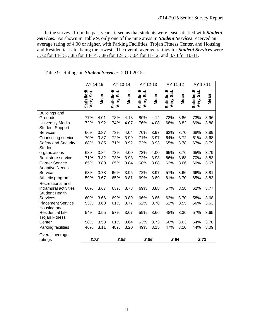In the surveys from the past years, it seems that students were least satisfied with *Student Services*. As shown in Table 9, only one of the nine areas in *Student Services* received an average rating of 4.00 or higher, with Parking Facilities, Trojan Fitness Center, and Housing and Residential Life, being the lowest. The overall average ratings for *Student Services* were 3.72 for 14-15, 3.85 for 13-14, 3.86 for 12-13, 3.64 for 11-12, and 3.73 for 10-11.

|                                                                    | AY 14-15                       |      | AY 13-14<br>AY 12-13               |      | AY 11-12                                 |      | AY 10-11                           |      |                                    |      |
|--------------------------------------------------------------------|--------------------------------|------|------------------------------------|------|------------------------------------------|------|------------------------------------|------|------------------------------------|------|
|                                                                    | <b>Satisfied/</b><br>Very Sat. | Mean | Sat.<br><b>Satisfied/</b><br>Very: | Mean | Sat.<br><b>Satisfied/</b><br><b>Very</b> | Mean | <b>Satisfied/</b><br>Sat.<br>Very: | Mean | Sat.<br><b>Satisfied/</b><br>Very: | Mean |
| <b>Buildings and</b>                                               |                                |      |                                    |      |                                          |      |                                    |      |                                    |      |
| Grounds                                                            | 77%                            | 4.01 | 78%                                | 4.13 | 80%                                      | 4.14 | 72%                                | 3.86 | 73%                                | 3.96 |
| <b>University Media</b><br><b>Student Support</b>                  | 72%                            | 3.92 | 74%                                | 4.07 | 76%                                      | 4.08 | 68%                                | 3.82 | 69%                                | 3.88 |
| <b>Services</b>                                                    | 66%                            | 3.87 | 73%                                | 4.04 | 70%                                      | 3.97 | 62%                                | 3.70 | 68%                                | 3.89 |
| Counseling service                                                 | 70%                            | 3.87 | 72%                                | 3.99 | 71%                                      | 3.97 | 64%                                | 3.72 | 61%                                | 3.68 |
| Safety and Security<br><b>Student</b>                              | 68%                            | 3.85 | 71%                                | 3.92 | 72%                                      | 3.93 | 65%                                | 3.78 | 67%                                | 3.79 |
| organizations                                                      | 68%                            | 3.84 | 73%                                | 4.00 | 73%                                      | 4.00 | 65%                                | 3.76 | 65%                                | 3.79 |
| Bookstore service                                                  | 71%                            | 3.82 | 73%                                | 3.93 | 72%                                      | 3.93 | 66%                                | 3.68 | 70%                                | 3.83 |
| <b>Career Service</b><br><b>Adaptive Needs</b>                     | 65%                            | 3.80 | 65%                                | 3.84 | 68%                                      | 3.88 | 62%                                | 3.66 | 60%                                | 3.67 |
| Service                                                            | 63%                            | 3.78 | 66%                                | 3.95 | 72%                                      | 3.97 | 57%                                | 3.66 | 66%                                | 3.81 |
| Athletic programs                                                  | 59%                            | 3.67 | 65%                                | 3.81 | 69%                                      | 3.89 | 61%                                | 3.70 | 65%                                | 3.83 |
| Recreational and<br>intramural activities<br><b>Student Health</b> | 60%                            | 3.67 | 63%                                | 3.78 | 69%                                      | 3.88 | 57%                                | 3.58 | 62%                                | 3.77 |
| <b>Services</b>                                                    | 60%                            | 3.66 | 69%                                | 3.89 | 66%                                      | 3.86 | 62%                                | 3.70 | 58%                                | 3.68 |
| <b>Placement Service</b><br>Housing and                            | 53%                            | 3.60 | 61%                                | 3.77 | 62%                                      | 3.78 | 52%                                | 3.55 | 56%                                | 3.63 |
| <b>Residential Life</b><br><b>Trojan Fitness</b>                   | 54%                            | 3.55 | 57%                                | 3.67 | 59%                                      | 3.66 | 48%                                | 3.36 | 57%                                | 3.65 |
| Center                                                             | 58%                            | 3.53 | 61%                                | 3.64 | 63%                                      | 3.73 | 60%                                | 3.63 | 64%                                | 3.78 |
| Parking facilities                                                 | 46%                            | 3.11 | 48%                                | 3.20 | 49%                                      | 3.15 | 47%                                | 3.10 | 44%                                | 3.09 |
| Overall average                                                    |                                |      |                                    |      |                                          |      |                                    |      |                                    |      |
| ratings                                                            | 3.72                           |      | 3.85                               |      | 3.86                                     |      | 3.64                               |      | 3.73                               |      |

Table 9. Ratings in *Student Services*: 2010-2015: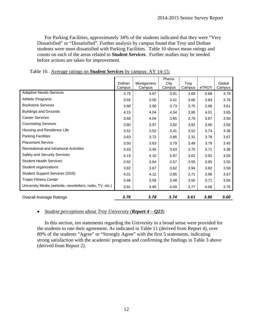For Parking Facilities, approximately 34% of the students indicated that they were "Very Dissatisfied" or "Dissatisfied". Further analysis by campus found that Troy and Dothan students were most dissatisfied with Parking Facilities. Table 10 shows mean ratings and counts on each of the areas related to *Student Services*. Further studies may be needed before actions are taken for improvement.

|                                                          |                  |                      | Phenix         |                |       |                  |
|----------------------------------------------------------|------------------|----------------------|----------------|----------------|-------|------------------|
|                                                          | Dothan<br>Campus | Montgomery<br>Campus | City<br>Campus | Troy<br>Campus | eTROY | Global<br>Campus |
| <b>Adaptive Needs Services</b>                           | 3.75             | 3.67                 | 3.91           | 3.69           | 3.88  | 3.79             |
| <b>Athletic Programs</b>                                 | 3.55             | 3.55                 | 3.41           | 3.66           | 3.83  | 3.78             |
| <b>Bookstore Services</b>                                | 3.90             | 3.90                 | 3.73           | 3.75           | 3.88  | 3.61             |
| <b>Buildings and Grounds</b>                             | 4.15             | 4.04                 | 4.04           | 3.95           | 4.01  | 3.85             |
| <b>Career Services</b>                                   | 3.68             | 4.04                 | 3.65           | 3.79           | 3.87  | 3.56             |
| <b>Counseling Services</b>                               | 3.80             | 3.97                 | 3.82           | 3.82           | 3.95  | 3.56             |
| Housing and Residence Life                               | 3.52             | 3.52                 | 3.41           | 3.52           | 3.74  | 3.38             |
| <b>Parking Facilities</b>                                | 3.63             | 3.72                 | 3.85           | 2.31           | 3.78  | 3.67             |
| <b>Placement Service</b>                                 | 3.50             | 3.63                 | 3.79           | 3.49           | 3.79  | 3.45             |
| Recreational and Intramural Activities                   | 3.43             | 3.45                 | 3.63           | 3.75           | 3.71  | 3.38             |
| Safety and Security Services                             | 4.19             | 4.10                 | 3.97           | 3.62           | 3.92  | 3.55             |
| <b>Student Health Services</b>                           | 3.92             | 3.64                 | 3.57           | 3.55           | 3.85  | 3.50             |
| Student organizations                                    | 3.82             | 3.67                 | 3.62           | 3.94           | 3.82  | 3.58             |
| <b>Student Support Services (SSS)</b>                    | 4.01             | 4.12                 | 3.85           | 3.71           | 3.96  | 3.67             |
| <b>Trojan Fitness Center</b>                             | 3.46             | 3.59                 | 3.48           | 3.50           | 3.71  | 3.56             |
| University Media (website, newsletters, radio, TV, etc.) | 3.91             | 3.95                 | 4.09           | 3.77           | 4.06  | 3.76             |
| <b>Overall Average Ratings</b>                           | 3.76             | 3.78                 | 3.74           | 3.61           | 3.86  | 3.60             |

Table 10. Average ratings on *Student Services* by campus: AY 14-15:

## *Student perceptions about Troy University (Report 4 – Q23)*

 In this section, ten statements regarding the University in a broad sense were provided for the students to rate their agreement. As indicated in Table 11 (derived from Report 4), over 80% of the students "Agree" or "Strongly Agree" with the first 5 statements, indicating strong satisfaction with the academic programs and confirming the findings in Table 3 above (derived from Report 2).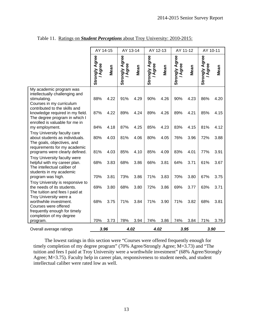|                                                                                                                                        | AY 14-15                       |      | AY 13-14                       |      | AY 12-13                       |      | AY 11-12                       |      | AY 10-11                       |      |
|----------------------------------------------------------------------------------------------------------------------------------------|--------------------------------|------|--------------------------------|------|--------------------------------|------|--------------------------------|------|--------------------------------|------|
|                                                                                                                                        | <b>Strongly Agree</b><br>Agree | Mean | <b>Strongly Agree</b><br>Agree | Mean | <b>Strongly Agree</b><br>Agree | Mean | <b>Strongly Agree</b><br>Agree | Mean | <b>Strongly Agree</b><br>Agree | Mean |
| My academic program was<br>intellectually challenging and<br>stimulating.<br>Courses in my curriculum<br>contributed to the skills and | 88%                            | 4.22 | 91%                            | 4.29 | 90%                            | 4.26 | 90%                            | 4.23 | 86%                            | 4.20 |
| knowledge required in my field.<br>The degree program in which I<br>enrolled is valuable for me in                                     | 87%                            | 4.22 | 89%                            | 4.24 | 89%                            | 4.26 | 89%                            | 4.21 | 85%                            | 4.15 |
| my employment.                                                                                                                         | 84%                            | 4.18 | 87%                            | 4.25 | 85%                            | 4.23 | 83%                            | 4.15 | 81%                            | 4.12 |
| Troy University faculty care<br>about students as individuals.<br>The goals, objectives, and<br>requirements for my academic           | 80%                            | 4.03 | 81%                            | 4.06 | 80%                            | 4.05 | 76%                            | 3.96 | 72%                            | 3.88 |
| programs were clearly defined.                                                                                                         | 81%                            | 4.03 | 85%                            | 4.10 | 85%                            | 4.09 | 83%                            | 4.01 | 77%                            | 3.91 |
| <b>Troy University faculty were</b><br>helpful with my career plan.<br>The intellectual caliber of<br>students in my academic          | 68%                            | 3.83 | 68%                            | 3.86 | 66%                            | 3.81 | 64%                            | 3.71 | 61%                            | 3.67 |
| program was high.                                                                                                                      | 70%                            | 3.81 | 73%                            | 3.86 | 71%                            | 3.83 | 70%                            | 3.80 | 67%                            | 3.75 |
| Troy University is responsive to<br>the needs of its students.<br>The tuition and fees I paid at<br>Troy University were a             | 69%                            | 3.80 | 68%                            | 3.80 | 72%                            | 3.86 | 69%                            | 3.77 | 63%                            | 3.71 |
| worthwhile investment.<br>Courses were offered<br>frequently enough for timely<br>completion of my degree                              | 68%                            | 3.75 | 71%                            | 3.84 | 71%                            | 3.90 | 71%                            | 3.82 | 68%                            | 3.81 |
| program.                                                                                                                               | 70%                            | 3.73 | 78%                            | 3.94 | 74%                            | 3.86 | 74%                            | 3.84 | 71%                            | 3.79 |
| Overall average ratings                                                                                                                | 3.96                           |      | 4.02                           |      | 4.02                           |      | 3.95                           |      | 3.90                           |      |

Table 11. Ratings on *Student Perceptions* about Troy University: 2010-2015:

The lowest ratings in this section were "Courses were offered frequently enough for timely completion of my degree program" (70% Agree/Strongly Agree; M=3.73) and "The tuition and fees I paid at Troy University were a worthwhile investment" (68% Agree/Strongly Agree; M=3.75). Faculty help in career plan, responsiveness to student needs, and student intellectual caliber were rated low as well.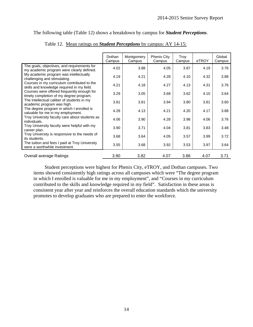The following table (Table 12) shows a breakdown by campus for *Student Perceptions*.

|                                                                                           | Dothan<br>Campus | Montgomery<br>Campus | <b>Phenix City</b><br>Campus | Troy<br>Campus | eTROY | Global<br>Campus |
|-------------------------------------------------------------------------------------------|------------------|----------------------|------------------------------|----------------|-------|------------------|
| The goals, objectives, and requirements for<br>my academic program were clearly defined.  | 4.02             | 3.88                 | 4.05                         | 3.87           | 4.19  | 3.76             |
| My academic program was intellectually<br>challenging and stimulating.                    | 4.19             | 4.21                 | 4.28                         | 4.10           | 4.32  | 3.88             |
| Courses in my curriculum contributed to the<br>skills and knowledge required in my field. | 4.21             | 4.18                 | 4.27                         | 4.13           | 4.31  | 3.76             |
| Courses were offered frequently enough for<br>timely completion of my degree program.     | 3.29             | 3.05                 | 3.68                         | 3.62           | 4.10  | 3.64             |
| The intellectual caliber of students in my<br>academic program was high.                  | 3.81             | 3.81                 | 3.94                         | 3.80           | 3.81  | 3.60             |
| The degree program in which I enrolled is<br>valuable for me in my employment.            | 4.28             | 4.13                 | 4.21                         | 4.20           | 4.17  | 3.88             |
| Troy University faculty care about students as<br>individuals.                            | 4.06             | 3.90                 | 4.28                         | 3.98           | 4.06  | 3.76             |
| Troy University faculty were helpful with my<br>career plan.                              | 3.90             | 3.71                 | 4.04                         | 3.81           | 3.83  | 3.48             |
| Troy University is responsive to the needs of<br>its students.                            | 3.68             | 3.64                 | 4.05                         | 3.57           | 3.99  | 3.72             |
| The tuition and fees I paid at Troy University<br>were a worthwhile investment.           | 3.55             | 3.68                 | 3.92                         | 3.53           | 3.97  | 3.64             |
| Overall average Ratings                                                                   | 3.90             | 3.82                 | 4.07                         | 3.86           | 4.07  | 3.71             |

Table 12. Mean ratings on *Student Perceptions* by campus: AY 14-15:

Student perceptions were highest for Phenix City, eTROY, and Dothan campuses. Two items showed consistently high ratings across all campuses which were "The degree program in which I enrolled is valuable for me in my employment", and "Courses in my curriculum contributed to the skills and knowledge required in my field". Satisfaction in these areas is consistent year after year and reinforces the overall education standards which the university promotes to develop graduates who are prepared to enter the workforce.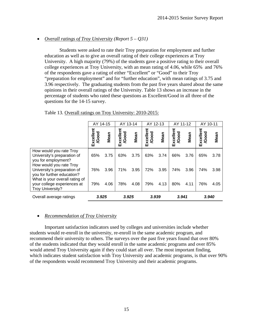## *Overall ratings of Troy University (Report 5 – Q31)*

Students were asked to rate their Troy preparation for employment and further education as well as to give an overall rating of their college experiences at Troy University. A high majority (79%) of the students gave a positive rating to their overall college experiences at Troy University, with an mean rating of 4.06, while 65% and 76% of the respondents gave a rating of either "Excellent" or "Good" to their Troy "preparation for employment" and for "further education", with mean ratings of 3.75 and 3.96 respectively. The graduating students from the past five years shared about the same opinions in their overall ratings of the University. Table 13 shows an increase in the percentage of students who rated these questions as Excellent/Good in all three of the questions for the 14-15 survey.

|                                                                                                          | AY 14-15                 |      | AY 13-14                  |      | AY 12-13                  |      | AY 11-12                  |      | AY 10-11                  |      |
|----------------------------------------------------------------------------------------------------------|--------------------------|------|---------------------------|------|---------------------------|------|---------------------------|------|---------------------------|------|
|                                                                                                          | Excellen<br><b>/Good</b> | Mean | Excellent<br><b>/Good</b> | Mean | Excellent<br><b>/Good</b> | Mean | Excellent<br><b>/Good</b> | Mean | Excellent<br><b>/Good</b> | Mean |
| How would you rate Troy<br>University's preparation of<br>you for employment?<br>How would you rate Troy | 65%                      | 3.75 | 63%                       | 3.75 | 63%                       | 3.74 | 66%                       | 3.76 | 65%                       | 3.78 |
| University's preparation of<br>you for further education?<br>What is your overall rating of              | 76%                      | 3.96 | 71%                       | 3.95 | 72%                       | 3.95 | 74%                       | 3.96 | 74%                       | 3.98 |
| your college experiences at<br><b>Troy University?</b>                                                   | 79%                      | 4.06 | 78%                       | 4.08 | 79%                       | 4.13 | 80%                       | 4.11 | 76%                       | 4.05 |
| Overall average ratings                                                                                  | 3.925                    |      | 3.925                     |      | 3.939                     |      | 3.941                     |      | 3.940                     |      |

| Table 13. Overall ratings on Troy University: 2010-2015: |
|----------------------------------------------------------|
|----------------------------------------------------------|

## *Recommendation of Troy University*

Important satisfaction indicators used by colleges and universities include whether students would re-enroll in the university, re-enroll in the same academic program, and recommend their university to others. The surveys over the past five years found that over 80% of the students indicated that they would enroll in the same academic programs and over 85% would attend Troy University again if they could start all over. The most important finding, which indicates student satisfaction with Troy University and academic programs, is that over 90% of the respondents would recommend Troy University and their academic programs.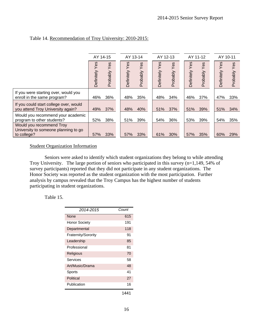|                                                                                 |                   | AY 14-15        |                   | AY 13-14        | AY 12-13          |                 | AY 11-12          |                 | AY 10-11          |                 |
|---------------------------------------------------------------------------------|-------------------|-----------------|-------------------|-----------------|-------------------|-----------------|-------------------|-----------------|-------------------|-----------------|
|                                                                                 | Yes<br>Definitely | Yes<br>Probably | Yes<br>Definitely | Yes<br>Probably | Yes<br>Definitely | Yes<br>Probably | Yes<br>Definitely | Yes<br>Probably | Yes<br>Definitely | Yes<br>Probably |
| If you were starting over, would you<br>enroll in the same program?             | 46%               | 36%             | 48%               | 35%             | 48%               | 34%             | 46%               | 37%             | 47%               | 33%             |
| If you could start college over, would<br>you attend Troy University again?     | 49%               | 37%             | 48%               | 40%             | 51%               | 37%             | 51%               | 39%             | 51%               | 34%             |
| Would you recommend your academic<br>program to other students?                 | 52%               | 38%             | 51%               | 39%             | 54%               | 36%             | 53%               | 39%             | 54%               | 35%             |
| Would you recommend Troy<br>University to someone planning to go<br>to college? | 57%               | 33%             | 57%               | 33%             | 61%               | 30%             | 57%               | 35%             | 60%               | 29%             |

# Table 14. Recommendation of Troy University: 2010-2015:

#### Student Organization Information

 Seniors were asked to identify which student organizations they belong to while attending Troy University. The large portion of seniors who participated in this survey (n=1,149, 54% of survey participants) reported that they did not participate in any student organizations. The Honor Society was reported as the student organization with the most participation. Further analysis by campus revealed that the Troy Campus has the highest number of students participating in student organizations.

#### Table 15.

| 2014-2015           | Count |
|---------------------|-------|
| None                | 615   |
| Honor Society       | 191   |
| Departmental        | 118   |
| Fraternity/Sorority | 91    |
| Leadership          | 85    |
| Professional        | 81    |
| Religious           | 70    |
| Services            | 58    |
| Art/Music/Drama     | 48    |
| Sports              | 41    |
| Political           | 27    |
| Publication         | 16    |
|                     | 1441  |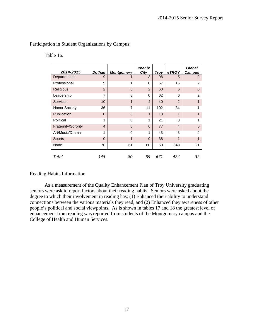Participation in Student Organizations by Campus:

Table 16.

| 2014-2015            | <b>Dothan</b>  | <b>Montgomery</b> | <b>Phenix</b><br>City | <b>Troy</b> | eTROY          | Global<br><b>Campus</b> |
|----------------------|----------------|-------------------|-----------------------|-------------|----------------|-------------------------|
| Departmental         | 9              |                   | 3                     | 98          | 5              | 2                       |
| Professional         | 5              | 1                 | 0                     | 57          | 16             | $\overline{2}$          |
| Religious            | $\overline{2}$ | $\Omega$          | $\overline{2}$        | 60          | 6              | $\Omega$                |
| Leadership           | 7              | 8                 | $\Omega$              | 62          | 6              | $\mathfrak{p}$          |
| <b>Services</b>      | 10             | 1                 | $\boldsymbol{4}$      | 40          | $\overline{2}$ |                         |
| <b>Honor Society</b> | 36             | 7                 | 11                    | 102         | 34             | 1                       |
| Publication          | $\Omega$       | $\Omega$          | 1                     | 13          | 1              |                         |
| Political            | 1              | $\Omega$          | 1                     | 21          | 3              | 1                       |
| Fraternity/Sorority  | $\overline{4}$ | $\Omega$          | 6                     | 77          | $\overline{4}$ | $\Omega$                |
| Art/Music/Drama      | 1              | $\Omega$          | 1                     | 43          | 3              | $\Omega$                |
| <b>Sports</b>        | $\Omega$       | 1                 | $\Omega$              | 38          | 1              | 1                       |
| None                 | 70             | 61                | 60                    | 60          | 343            | 21                      |
| Total                | 145            | 80                | 89                    | 671         | 424            | 32                      |

#### Reading Habits Information

 As a measurement of the Quality Enhancement Plan of Troy University graduating seniors were ask to report factors about their reading habits. Seniors were asked about the degree to which their involvement in reading has: (1) Enhanced their ability to understand connections between the various materials they read, and (2) Enhanced they awareness of other people's political and social viewpoints. As is shown in tables 17 and 18 the greatest level of enhancement from reading was reported from students of the Montgomery campus and the College of Health and Human Services.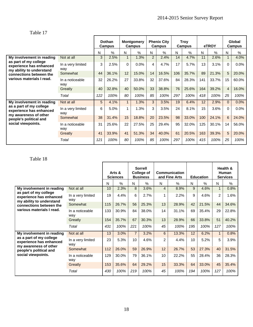# Table 17

|                                                                                                                                                                   |                          |     | <b>Dothan</b><br>Campus |              | <b>Montgomery</b><br><b>Campus</b> |                | <b>Phenix City</b><br>Campus |     | <b>Troy</b><br><b>Campus</b> |     | eTROY |                | Global<br>Campus |
|-------------------------------------------------------------------------------------------------------------------------------------------------------------------|--------------------------|-----|-------------------------|--------------|------------------------------------|----------------|------------------------------|-----|------------------------------|-----|-------|----------------|------------------|
|                                                                                                                                                                   |                          | N   | $\%$                    | N            | $\frac{0}{0}$                      | N              | $\frac{0}{0}$                | N   | $\%$                         | N   | $\%$  | N              | $\frac{0}{0}$    |
| My involvement in reading<br>as part of my college<br>experience has enhanced<br>my ability to understand<br>connections between the<br>various materials I read. | Not at all               | 3   | 2.5%                    | $\mathbf{1}$ | 1.3%                               | $\overline{2}$ | 2.4%                         | 14  | 4.7%                         | 11  | 2.6%  |                | 4.0%             |
|                                                                                                                                                                   | In a very limited<br>way | 3   | 2.5%                    | $\Omega$     | 0.0%                               | 4              | 4.7%                         | 17  | 5.7%                         | 13  | 3.1%  | $\Omega$       | $0.0\%$          |
|                                                                                                                                                                   | Somewhat                 | 44  | 36.1%                   | 12           | 15.0%                              | 14             | 16.5%                        | 106 | 35.7%                        | 89  | 21.3% | 5              | 20.0%            |
|                                                                                                                                                                   | In a noticeable<br>way   | 32  | 26.2%                   | 27           | 33.8%                              | 32             | 37.6%                        | 84  | 28.3%                        | 141 | 33.7% | 15             | 60.0%            |
|                                                                                                                                                                   | Greatly                  | 40  | 32.8%                   | 40           | 50.0%                              | 33             | 38.8%                        | 76  | 25.6%                        | 164 | 39.2% | $\overline{4}$ | 16.0%            |
|                                                                                                                                                                   | Total                    | 122 | 100%                    | 80           | 100%                               | 85             | 100%                         | 297 | 100%                         | 418 | 100%  | 25             | 100%             |
| My involvement in reading                                                                                                                                         | Not at all               | 5   | 4.1%                    | $\mathbf{1}$ | 1.3%                               | 3              | 3.5%                         | 19  | 6.4%                         | 12  | 2.9%  | $\Omega$       | 0.0%             |
| as a part of my college<br>experience has enhanced<br>my awareness of other                                                                                       | In a very limited<br>way | 6   | 5.0%                    | $\mathbf{1}$ | 1.3%                               | 3              | 3.5%                         | 24  | 8.1%                         | 15  | 3.6%  | $\Omega$       | $0.0\%$          |
| people's political and                                                                                                                                            | Somewhat                 | 38  | 31.4%                   | 15           | 18.8%                              | 20             | 23.5%                        | 98  | 33.0%                        | 100 | 24.1% | 6              | 24.0%            |
| social viewpoints.                                                                                                                                                | In a noticeable<br>way   | 31  | 25.6%                   | 22           | 27.5%                              | 25             | 29.4%                        | 95  | 32.0%                        | 125 | 30.1% | 14             | 56.0%            |
|                                                                                                                                                                   | Greatly                  | 41  | 33.9%                   | 41           | 51.3%                              | 34             | 40.0%                        | 61  | 20.5%                        | 163 | 39.3% | 5              | 20.0%            |
|                                                                                                                                                                   | Total                    | 121 | 100%                    | 80           | 100%                               | 85             | 100%                         | 297 | 100%                         | 415 | 100%  | 25             | 100%             |

# Table 18

|                                                                              |                          |     | Arts &<br><b>Sciences</b> |                | <b>Sorrell</b><br><b>College of</b><br><b>Business</b> |                | Communication<br>and Fine Arts |     | <b>Education</b> |                | Health &<br>Human<br><b>Services</b> |
|------------------------------------------------------------------------------|--------------------------|-----|---------------------------|----------------|--------------------------------------------------------|----------------|--------------------------------|-----|------------------|----------------|--------------------------------------|
|                                                                              |                          | N   | $\%$                      | N              | $\%$                                                   | N              | $\%$                           | N   | $\%$             | N              | %                                    |
| My involvement in reading                                                    | Not at all               | 10  | 2.3%                      | 8              | 3.6%                                                   | 4              | 8.9%                           | 9   | 4.6%             | 1              | 0.8%                                 |
| as part of my college<br>experience has enhanced<br>my ability to understand | In a very limited<br>way | 19  | 4.4%                      | 6              | 2.7%                                                   | 1              | 2.2%                           | 9   | 4.6%             | $\overline{2}$ | 1.6%                                 |
| connections between the<br>various materials I read.                         | Somewhat                 | 115 | 26.7%                     | 56             | 25.3%                                                  | 13             | 28.9%                          | 42  | 21.5%            | 44             | 34.6%                                |
|                                                                              | In a noticeable<br>way   | 133 | 30.9%                     | 84             | 38.0%                                                  | 14             | 31.1%                          | 69  | 35.4%            | 29             | 22.8%                                |
|                                                                              | Greatly                  | 154 | 35.7%                     | 67             | 30.3%                                                  | 13             | 28.9%                          | 66  | 33.8%            | 51             | 40.2%                                |
|                                                                              | Total                    | 431 | 100%                      | 221            | 100%                                                   | 45             | 100%                           | 195 | 100%             | 127            | 100%                                 |
| My involvement in reading                                                    | Not at all               | 13  | 3.0%                      | $\overline{7}$ | 3.2%                                                   | 6              | 13.3%                          | 12  | 6.2%             | $\mathbf{1}$   | 0.8%                                 |
| as a part of my college<br>experience has enhanced<br>my awareness of other  | In a very limited<br>way | 23  | 5.3%                      | 10             | 4.6%                                                   | $\overline{c}$ | 4.4%                           | 10  | 5.2%             | 5              | 3.9%                                 |
| people's political and                                                       | Somewhat                 | 112 | 26.0%                     | 59             | 26.9%                                                  | 12             | 26.7%                          | 53  | 27.3%            | 40             | 31.5%                                |
| social viewpoints.                                                           | In a noticeable<br>way   | 129 | 30.0%                     | 79             | 36.1%                                                  | 10             | 22.2%                          | 55  | 28.4%            | 36             | 28.3%                                |
|                                                                              | Greatly                  | 153 | 35.6%                     | 64             | 29.2%                                                  | 15             | 33.3%                          | 64  | 33.0%            | 45             | 35.4%                                |
|                                                                              | Total                    | 430 | 100%                      | 219            | 100%                                                   | 45             | 100%                           | 194 | 100%             | 127            | 100%                                 |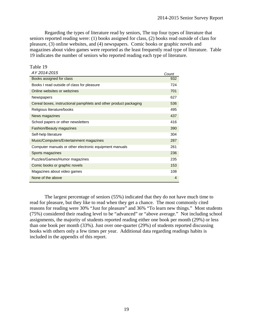Regarding the types of literature read by seniors, The top four types of literature that seniors reported reading were: (1) books assigned for class, (2) books read outside of class for pleasure, (3) online websites, and (4) newspapers. Comic books or graphic novels and magazines about video games were reported as the least frequently read type of literature. Table 19 indicates the number of seniors who reported reading each type of literature.

| Table 19                                                          |       |
|-------------------------------------------------------------------|-------|
| AY 2014-2015                                                      | Count |
| Books assigned for class                                          | 932   |
| Books I read outside of class for pleasure                        | 724   |
| Online websites or webzines                                       | 701   |
| Newspapers                                                        | 627   |
| Cereal boxes, instructional pamphlets and other product packaging | 536   |
| Religious literature/books                                        | 495   |
| News magazines                                                    | 437   |
| School papers or other newsletters                                | 416   |
| <b>Fashion/Beauty magazines</b>                                   | 390   |
| Self-help literature                                              | 304   |
| Music/Computers/Entertainment magazines                           | 287   |
| Computer manuals or other electronic equipment manuals            | 261   |
| Sports magazines                                                  | 236   |
| Puzzles/Games/Humor magazines                                     | 235   |
| Comic books or graphic novels                                     | 153   |
| Magazines about video games                                       | 108   |
| None of the above                                                 | 4     |

 The largest percentage of seniors (55%) indicated that they do not have much time to read for pleasure, but they like to read when they get a chance. The most commonly cited reasons for reading were 30% "Just for pleasure" and 36% "To learn new things." Most students (75%) considered their reading level to be "advanced" or "above average." Not including school assignments, the majority of students reported reading either one book per month (29%) or less than one book per month (33%). Just over one-quarter (29%) of students reported discussing books with others only a few times per year. Additional data regarding readings habits is included in the appendix of this report.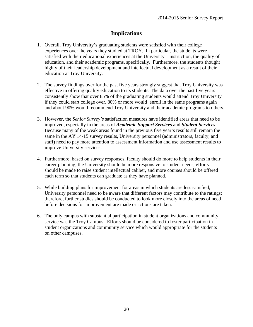# **Implications**

- 1. Overall, Troy University's graduating students were satisfied with their college experiences over the years they studied at TROY. In particular, the students were satisfied with their educational experiences at the University – instruction, the quality of education, and their academic programs, specifically. Furthermore, the students thought highly of their leadership development and intellectual development as a result of their education at Troy University.
- 2. The survey findings over for the past five years strongly suggest that Troy University was effective in offering quality education to its students. The data over the past five years consistently show that over 85% of the graduating students would attend Troy University if they could start college over. 80% or more would enroll in the same programs again and about 90% would recommend Troy University and their academic programs to others.
- 3. However, the *Senior Survey's* satisfaction measures have identified areas that need to be improved, especially in the areas of *Academic Support Services* and *Student Services*. Because many of the weak areas found in the previous five year's results still remain the same in the AY 14-15 survey results, University personnel (administrators, faculty, and staff) need to pay more attention to assessment information and use assessment results to improve University services.
- 4. Furthermore, based on survey responses, faculty should do more to help students in their career planning, the University should be more responsive to student needs, efforts should be made to raise student intellectual caliber, and more courses should be offered each term so that students can graduate as they have planned.
- 5. While building plans for improvement for areas in which students are less satisfied, University personnel need to be aware that different factors may contribute to the ratings; therefore, further studies should be conducted to look more closely into the areas of need before decisions for improvement are made or actions are taken.
- 6. The only campus with substantial participation in student organizations and community service was the Troy Campus. Efforts should be considered to foster participation in student organizations and community service which would appropriate for the students on other campuses.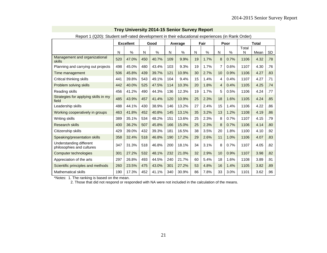| Report 1 (Q20): Student self-rated development in their educational experiences (in Rank Order) |     |                  |     |       |     |         |    |               |                |      |            |              |     |
|-------------------------------------------------------------------------------------------------|-----|------------------|-----|-------|-----|---------|----|---------------|----------------|------|------------|--------------|-----|
|                                                                                                 |     | <b>Excellent</b> |     | Good  |     | Average |    | Fair          |                | Poor |            | <b>Total</b> |     |
|                                                                                                 | N   | %                | N   | %     | N   | %       | N  | $\frac{0}{0}$ | N              | %    | Total<br>N | Mean         | SD  |
| Management and organizational<br>skills                                                         | 520 | 47.0%            | 450 | 40.7% | 109 | 9.9%    | 19 | 1.7%          | 8              | 0.7% | 1106       | 4.32         | .78 |
| Planning and carrying out projects                                                              | 498 | 45.0%            | 480 | 43.4% | 103 | 9.3%    | 19 | 1.7%          | $\overline{7}$ | 0.6% | 1107       | 4.30         | .76 |
| Time management                                                                                 | 506 | 45.8%            | 439 | 39.7% | 121 | 10.9%   | 30 | 2.7%          | 10             | 0.9% | 1106       | 4.27         | .83 |
| Critical thinking skills                                                                        | 441 | 39.8%            | 543 | 49.1% | 104 | 9.4%    | 15 | 1.4%          | 4              | 0.4% | 1107       | 4.27         | .71 |
| Problem solving skills                                                                          | 442 | 40.0%            | 525 | 47.5% | 114 | 10.3%   | 20 | 1.8%          | 4              | 0.4% | 1105       | 4.25         | .74 |
| Reading skills                                                                                  | 456 | 41.2%            | 490 | 44.3% | 136 | 12.3%   | 19 | 1.7%          | 5              | 0.5% | 1106       | 4.24         | .77 |
| Strategies for applying skills in my<br>field                                                   | 485 | 43.9%            | 457 | 41.4% | 120 | 10.9%   | 25 | 2.3%          | 18             | 1.6% | 1105       | 4.24         | .85 |
| Leadership skills                                                                               | 488 | 44.1%            | 430 | 38.9% | 146 | 13.2%   | 27 | 2.4%          | 15             | 1.4% | 1106       | 4.22         | .86 |
| Working cooperatively in groups                                                                 | 463 | 41.8%            | 452 | 40.8% | 145 | 13.1%   | 35 | 3.2%          | 13             | 1.2% | 1108       | 4.19         | .86 |
| Writing skills                                                                                  | 389 | 35.1%            | 534 | 48.2% | 151 | 13.6%   | 25 | 2.3%          | 8              | 0.7% | 1107       | 4.15         | .79 |
| <b>Research skills</b>                                                                          | 400 | 36.2%            | 507 | 45.8% | 166 | 15.0%   | 25 | 2.3%          | 8              | 0.7% | 1106       | 4.14         | .80 |
| Citizenship skills                                                                              | 429 | 39.0%            | 432 | 39.3% | 181 | 16.5%   | 38 | 3.5%          | 20             | 1.8% | 1100       | 4.10         | .92 |
| Speaking/presentation skills                                                                    | 358 | 32.4%            | 518 | 46.8% | 190 | 17.2%   | 29 | 2.6%          | 11             | 1.0% | 1106       | 4.07         | .83 |
| Understanding different<br>philosophies and cultures                                            | 347 | 31.3%            | 518 | 46.8% | 200 | 18.1%   | 34 | 3.1%          | 8              | 0.7% | 1107       | 4.05         | .82 |
| Computer technologies                                                                           | 301 | 27.2%            | 532 | 48.1% | 232 | 21.0%   | 32 | 2.9%          | 10             | 0.9% | 1107       | 3.98         | .82 |
| Appreciation of the arts                                                                        | 297 | 26.8%            | 493 | 44.5% | 240 | 21.7%   | 60 | 5.4%          | 18             | 1.6% | 1108       | 3.89         | .91 |
| Scientific principles and methods                                                               | 260 | 23.5%            | 475 | 43.0% | 301 | 27.2%   | 53 | 4.8%          | 16             | 1.4% | 1105       | 3.82         | .89 |
| <b>Mathematical skills</b>                                                                      | 190 | 17.3%            | 452 | 41.1% | 340 | 30.9%   | 86 | 7.8%          | 33             | 3.0% | 1101       | 3.62         | .96 |

\*Notes: 1. The ranking is based on the mean.

2. Those that did not respond or responded with NA were not included in the calculation of the means.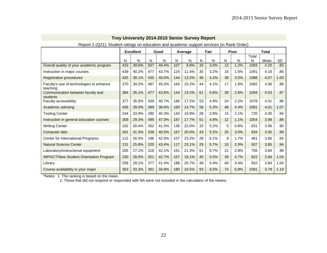| Report 2 (Q21): Student ratings on education and academic support services (in Rank Order) |     |                  |     |       |     |         |    |      |    |      |            |              |           |
|--------------------------------------------------------------------------------------------|-----|------------------|-----|-------|-----|---------|----|------|----|------|------------|--------------|-----------|
|                                                                                            |     | <b>Excellent</b> |     | Good  |     | Average |    | Fair |    | Poor |            | <b>Total</b> |           |
|                                                                                            | N   | %                | N   | %     | N   | $\%$    | N  | %    | N  | %    | Total<br>N | Mean         | <b>SD</b> |
| Overall quality of your academic program                                                   | 433 | 39.6%            | 507 | 46.4% | 107 | 9.8%    | 33 | 3.0% | 13 | 1.2% | 1093       | 4.20         | .83       |
| Instruction in major courses                                                               | 439 | 40.2%            | 477 | 43.7% | 124 | 11.4%   | 35 | 3.2% | 16 | 1.5% | 1091       | 4.18         | .86       |
| <b>Registration procedures</b>                                                             | 425 | 39.1%            | 435 | 40.0% | 144 | 13.2%   | 46 | 4.2% | 38 | 3.5% | 1088       | 4.07         | 1.00      |
| Faculty's use of technologies to enhance<br>teaching                                       | 370 | 34.2%            | 487 | 45.0% | 164 | 15.2%   | 44 | 4.1% | 17 | 1.6% | 1082       | 4.06         | .89       |
| Communication between faculty and<br>students                                              | 384 | 35.1%            | 477 | 43.6% | 144 | 13.2%   | 61 | 5.6% | 28 | 2.6% | 1094       | 4.03         | .97       |
| Faculty accessibility                                                                      | 377 | 35.0%            | 439 | 40.7% | 185 | 17.2%   | 53 | 4.9% | 24 | 2.2% | 1078       | 4.01         | .96       |
| Academic advising                                                                          | 426 | 39.0%            | 399 | 36.6% | 160 | 14.7%   | 58 | 5.3% | 48 | 4.4% | 1091       | 4.01         | 1.07      |
| <b>Testing Center</b>                                                                      | 244 | 33.9%            | 290 | 40.3% | 143 | 19.9%   | 28 | 3.9% | 15 | 2.1% | 720        | 4.00         | .94       |
| Instruction in general education courses                                                   | 309 | 29.3%            | 495 | 47.0% | 187 | 17.7%   | 51 | 4.8% | 12 | 1.1% | 1054       | 3.98         | .88       |
| <b>Writing Center</b>                                                                      | 192 | 30.4%            | 262 | 41.5% | 139 | 22.0%   | 33 | 5.2% | 5  | 0.8% | 631        | 3.96         | .90       |
| Computer labs                                                                              | 261 | 31.3%            | 338 | 40.5% | 167 | 20.0%   | 43 | 5.2% | 25 | 3.0% | 834        | 3.92         | .99       |
| Center for International Programs                                                          | 122 | 26.5%            | 196 | 42.5% | 107 | 23.2%   | 28 | 6.1% | 8  | 1.7% | 461        | 3.86         | .94       |
| <b>Natural Science Center</b>                                                              | 131 | 25.8%            | 220 | 43.4% | 117 | 23.1%   | 29 | 5.7% | 10 | 2.0% | 507        | 3.85         | .94       |
| Laboratory/instructional equipment                                                         | 205 | 27.1%            | 318 | 42.1% | 161 | 21.3%   | 51 | 6.7% | 21 | 2.8% | 756        | 3.84         | .99       |
| <b>IMPACT/New Student Orientation Program</b>                                              | 230 | 28.0%            | 351 | 42.7% | 157 | 19.1%   | 45 | 5.5% | 39 | 4.7% | 822        | 3.84         | 1.04      |
| Library                                                                                    | 256 | 28.1%            | 377 | 41.4% | 188 | 20.7%   | 49 | 5.4% | 40 | 4.4% | 910        | 3.84         | 1.04      |
| Course availability in your major                                                          | 363 | 33.3%            | 381 | 34.9% | 180 | 16.5%   | 93 | 8.5% | 74 | 6.8% | 1091       | 3.79         | 1.19      |

\*Notes: 1. The ranking is based on the mean.

2. Those that did not respond or responded with NA were not included in the calculation of the means.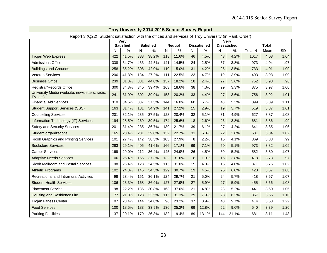| $1.9801101822$ . Oldon't odtionablion with the omood drid oor mood of 110y Only only (in Raim Ordor) |     | <b>Very</b>      |     |                  |     |                |    |                     |                     | <b>Very</b> |                |              |           |
|------------------------------------------------------------------------------------------------------|-----|------------------|-----|------------------|-----|----------------|----|---------------------|---------------------|-------------|----------------|--------------|-----------|
|                                                                                                      |     | <b>Satisfied</b> |     | <b>Satisfied</b> |     | <b>Neutral</b> |    | <b>Dissatisfied</b> | <b>Dissatisfied</b> |             |                | <b>Total</b> |           |
|                                                                                                      | N   | $\%$             | N   | $\%$             | N   | $\%$           | N  | $\%$                | N                   | $\%$        | <b>Total N</b> | Mean         | <b>SD</b> |
| <b>Trojan Web Express</b>                                                                            | 422 | 41.5%            | 388 | 38.2%            | 118 | 11.6%          | 46 | 4.5%                | 43                  | 4.2%        | 1017           | 4.08         | 1.04      |
| <b>Admissions Office</b>                                                                             | 338 | 34.7%            | 433 | 44.5%            | 141 | 14.5%          | 24 | 2.5%                | 37                  | 3.8%        | 973            | 4.04         | .97       |
| <b>Buildings and Grounds</b>                                                                         | 258 | 35.2%            | 308 | 42.0%            | 110 | 15.0%          | 31 | 4.2%                | 26                  | 3.5%        | 733            | 4.01         | 1.00      |
| <b>Veteran Services</b>                                                                              | 206 | 41.8%            | 134 | 27.2%            | 111 | 22.5%          | 23 | 4.7%                | 19                  | 3.9%        | 493            | 3.98         | 1.09      |
| <b>Business Office</b>                                                                               | 239 | 31.8%            | 331 | 44.0%            | 137 | 18.2%          | 18 | 2.4%                | 27                  | 3.6%        | 752            | 3.98         | .96       |
| Registrar/Records Office                                                                             | 300 | 34.3%            | 345 | 39.4%            | 163 | 18.6%          | 38 | 4.3%                | 29                  | 3.3%        | 875            | 3.97         | 1.00      |
| University Media (website, newsletters, radio,<br>TV, etc)                                           | 241 | 31.9%            | 302 | 39.9%            | 153 | 20.2%          | 33 | 4.4%                | 27                  | 3.6%        | 756            | 3.92         | 1.01      |
| <b>Financial Aid Services</b>                                                                        | 310 | 34.5%            | 337 | 37.5%            | 144 | 16.0%          | 60 | 6.7%                | 48                  | 5.3%        | 899            | 3.89         | 1.11      |
| <b>Student Support Services (SSS)</b>                                                                | 163 | 31.4%            | 181 | 34.9%            | 141 | 27.2%          | 15 | 2.9%                | 19                  | 3.7%        | 519            | 3.87         | 1.01      |
| <b>Counseling Services</b>                                                                           | 201 | 32.1%            | 235 | 37.5%            | 128 | 20.4%          | 32 | 5.1%                | 31                  | 4.9%        | 627            | 3.87         | 1.08      |
| Information Technology (IT) Services                                                                 | 194 | 28.5%            | 269 | 39.5%            | 174 | 25.6%          | 18 | 2.6%                | 26                  | 3.8%        | 681            | 3.86         | .99       |
| <b>Safety and Security Services</b>                                                                  | 201 | 31.4%            | 235 | 36.7%            | 139 | 21.7%          | 39 | 6.1%                | 27                  | 4.2%        | 641            | 3.85         | 1.06      |
| Student organizations                                                                                | 165 | 28.4%            | 231 | 39.8%            | 132 | 22.7%          | 31 | 5.3%                | 22                  | 3.8%        | 581            | 3.84         | 1.02      |
| Ricoh Graphics and Printing Services                                                                 | 101 | 27.4%            | 142 | 38.5%            | 103 | 27.9%          | 8  | 2.2%                | 15                  | 4.1%        | 369            | 3.83         | .99       |
| <b>Bookstore Services</b>                                                                            | 283 | 29.1%            | 405 | 41.6%            | 166 | 17.1%          | 69 | 7.1%                | 50                  | 5.1%        | 973            | 3.82         | 1.09      |
| <b>Career Services</b>                                                                               | 169 | 29.0%            | 212 | 36.4%            | 145 | 24.9%          | 26 | 4.5%                | 30                  | 5.2%        | 582            | 3.80         | 1.07      |
| <b>Adaptive Needs Services</b>                                                                       | 106 | 25.4%            | 156 | 37.3%            | 132 | 31.6%          | 8  | 1.9%                | 16                  | 3.8%        | 418            | 3.78         | .97       |
| <b>Ricoh Mailroom and Postal Services</b>                                                            | 98  | 26.4%            | 128 | 34.5%            | 115 | 31.0%          | 15 | 4.0%                | 15                  | 4.0%        | 371            | 3.75         | 1.02      |
| <b>Athletic Programs</b>                                                                             | 102 | 24.3%            | 145 | 34.5%            | 129 | 30.7%          | 19 | 4.5%                | 25                  | 6.0%        | 420            | 3.67         | 1.08      |
| Recreational and Intramural Activities                                                               | 98  | 23.4%            | 151 | 36.1%            | 124 | 29.7%          | 21 | 5.0%                | 24                  | 5.7%        | 418            | 3.67         | 1.07      |
| <b>Student Health Services</b>                                                                       | 106 | 23.3%            | 168 | 36.9%            | 127 | 27.9%          | 27 | 5.9%                | 27                  | 5.9%        | 455            | 3.66         | 1.08      |
| <b>Placement Service</b>                                                                             | 98  | 22.2%            | 136 | 30.8%            | 163 | 37.0%          | 21 | 4.8%                | 23                  | 5.2%        | 441            | 3.60         | 1.05      |
| Housing and Residence Life                                                                           | 77  | 21.0%            | 123 | 33.5%            | 115 | 31.3%          | 29 | 7.9%                | 23                  | 6.3%        | 367            | 3.55         | 1.10      |
| <b>Trojan Fitness Center</b>                                                                         | 97  | 23.4%            | 144 | 34.8%            | 96  | 23.2%          | 37 | 8.9%                | 40                  | 9.7%        | 414            | 3.53         | 1.22      |
| <b>Food Services</b>                                                                                 | 100 | 18.5%            | 183 | 33.9%            | 136 | 25.2%          | 69 | 12.8%               | 52                  | 9.6%        | 540            | 3.39         | 1.20      |
| <b>Parking Facilities</b>                                                                            | 137 | 20.1%            | 179 | 26.3%            | 132 | 19.4%          | 89 | 13.1%               | 144                 | 21.1%       | 681            | 3.11         | 1.43      |

Report 3 (Q22): Student satisfaction with the offices and services of Troy University (in Rank Order)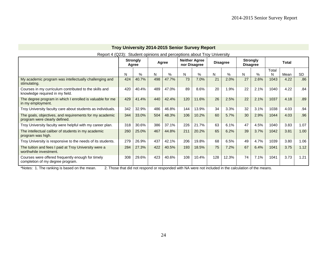|                                                                                           |     |                          |     |       |     | <b>TIOY UNIVERSITY ZUTH-ZUTS SENIOR SURVEY REPORT</b> |     |                 |                                    |      |            |              |           |
|-------------------------------------------------------------------------------------------|-----|--------------------------|-----|-------|-----|-------------------------------------------------------|-----|-----------------|------------------------------------|------|------------|--------------|-----------|
| Report 4 (Q23): Student opinions and perceptions about Troy University                    |     |                          |     |       |     |                                                       |     |                 |                                    |      |            |              |           |
|                                                                                           |     | <b>Strongly</b><br>Agree |     | Agree |     | <b>Neither Agree</b><br>nor Disagree                  |     | <b>Disagree</b> | <b>Strongly</b><br><b>Disagree</b> |      |            | <b>Total</b> |           |
|                                                                                           | N   | $\%$                     | N   | $\%$  | N   | $\%$                                                  | N   | %               | N                                  | $\%$ | Total<br>N | Mean         | <b>SD</b> |
| My academic program was intellectually challenging and<br>stimulating.                    | 424 | 40.7%                    | 498 | 47.7% | 73  | 7.0%                                                  | 21  | 2.0%            | 27                                 | 2.6% | 1043       | 4.22         | .86       |
| Courses in my curriculum contributed to the skills and<br>knowledge required in my field. | 420 | 40.4%                    | 489 | 47.0% | 89  | 8.6%                                                  | 20  | 1.9%            | 22                                 | 2.1% | 1040       | 4.22         | .84       |
| The degree program in which I enrolled is valuable for me<br>in my employment.            | 429 | 41.4%                    | 440 | 42.4% | 120 | 11.6%                                                 | 26  | 2.5%            | 22                                 | 2.1% | 1037       | 4.18         | .89       |
| Troy University faculty care about students as individuals.                               | 342 | 32.9%                    | 486 | 46.8% | 144 | 13.9%                                                 | 34  | 3.3%            | 32                                 | 3.1% | 1038       | 4.03         | .94       |
| The goals, objectives, and requirements for my academic<br>program were clearly defined.  | 344 | 33.0%                    | 504 | 48.3% | 106 | 10.2%                                                 | 60  | 5.7%            | 30                                 | 2.9% | 1044       | 4.03         | .96       |
| Troy University faculty were helpful with my career plan.                                 | 318 | 30.6%                    | 386 | 37.1% | 226 | 21.7%                                                 | 63  | 6.1%            | 47                                 | 4.5% | 1040       | 3.83         | 1.07      |
| The intellectual caliber of students in my academic<br>program was high.                  | 260 | 25.0%                    | 467 | 44.8% | 211 | 20.2%                                                 | 65  | 6.2%            | 39                                 | 3.7% | 1042       | 3.81         | 1.00      |
| Troy University is responsive to the needs of its students.                               | 279 | 26.9%                    | 437 | 42.1% | 206 | 19.8%                                                 | 68  | 6.5%            | 49                                 | 4.7% | 1039       | 3.80         | 1.06      |
| The tuition and fees I paid at Troy University were a<br>worthwhile investment.           | 284 | 27.3%                    | 422 | 40.5% | 193 | 18.5%                                                 | 75  | 7.2%            | 67                                 | 6.4% | 1041       | 3.75         | 1.12      |
| Courses were offered frequently enough for timely<br>completion of my degree program.     | 308 | 29.6%                    | 423 | 40.6% | 108 | 10.4%                                                 | 128 | 12.3%           | 74                                 | 7.1% | 1041       | 3.73         | 1.21      |

\*Notes: 1. The ranking is based on the mean. 2. Those that did not respond or responded with NA were not included in the calculation of the means.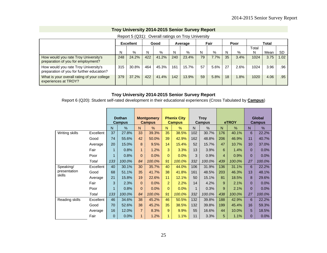|                                                                                   |     | 1.9891101.912017. |     | ovoiaii iauligo oli Tiov oliivoioiu |     |         |    |      |    |      |       |              |           |
|-----------------------------------------------------------------------------------|-----|-------------------|-----|-------------------------------------|-----|---------|----|------|----|------|-------|--------------|-----------|
|                                                                                   |     | <b>Excellent</b>  |     | Good                                |     | Average |    | Fair |    | Poor |       | <b>Total</b> |           |
|                                                                                   |     |                   |     |                                     |     |         |    |      |    |      | Total |              |           |
|                                                                                   | N   | %                 | N   | %                                   | N   | %       | N  | %    | N  | %    | N     | Mean         | <b>SD</b> |
| How would you rate Troy University's<br>preparation of you for employment?        | 248 | 24.2%             | 422 | 41.2%                               | 240 | 23.4%   | 79 | 7.7% | 35 | 3.4% | 1024  | 3.75         | 1.02      |
| How would you rate Troy University's<br>preparation of you for further education? | 315 | 30.8%             | 464 | 45.3%                               | 161 | 15.7%   | 57 | 5.6% | 27 | 2.6% | 1024  | 3.96         | .96 '     |
| What is your overall rating of your college<br>experiences at TROY?               | 379 | 37.2%             | 422 | 41.4%                               | 142 | 13.9%   | 59 | 5.8% | 18 | .8%  | 1020  | 4.06         | .95       |

#### Report 5 (Q31): Overall ratings on Troy University

#### **Troy University 2014-2015 Senior Survey Report**

Report 6 (Q20): Student self-rated development in their educational experiences (Cross Tabulated by **Campus**)

|                |           |             | <b>Dothan</b><br><b>Campus</b> |                | <b>Montgomery</b><br><b>Campus</b> |                | <b>Phenix City</b><br><b>Campus</b> |     | <b>Troy</b><br>Campus |                | eTROY  |                | <b>Global</b><br><b>Campus</b> |
|----------------|-----------|-------------|--------------------------------|----------------|------------------------------------|----------------|-------------------------------------|-----|-----------------------|----------------|--------|----------------|--------------------------------|
|                |           | N           | $\%$                           | N              | $\%$                               | N              | $\frac{0}{0}$                       | N   | $\%$                  | N              | %      | N              | %                              |
| Writing skills | Excellent | 37          | 27.8%                          | 33             | 39.3%                              | 35             | 38.5%                               | 102 | 30.7%                 | 176            | 40.1%  | 6              | 22.2%                          |
|                | Good      | 74          | 55.6%                          | 42             | 50.0%                              | 39             | 42.9%                               | 162 | 48.8%                 | 206            | 46.9%  | 11             | 40.7%                          |
|                | Average   | 20          | 15.0%                          | 8              | 9.5%                               | 14             | 15.4%                               | 52  | 15.7%                 | 47             | 10.7%  | 10             | 37.0%                          |
|                | Fair      |             | 0.8%                           | $\blacksquare$ | 1.2%                               | 3              | 3.3%                                | 13  | 3.9%                  | 6              | 1.4%   | $\Omega$       | 0.0%                           |
|                | Poor      | 1           | 0.8%                           | $\Omega$       | 0.0%                               | $\Omega$       | 0.0%                                | 3   | 0.9%                  | $\overline{4}$ | 0.9%   | $\overline{0}$ | 0.0%                           |
|                | Total     | 133         | 100.0%                         | 84             | 100.0%                             | 91             | 100.0%                              | 332 | 100.0%                | 439            | 100.0% | 27             | 100.0%                         |
| Speaking/      | Excellent | 40          | 30.1%                          | 30             | 35.7%                              | 40             | 44.0%                               | 106 | 31.9%                 | 136            | 31.1%  | 6              | 22.2%                          |
| presentation   | Good      | 68          | 51.1%                          | 35             | 41.7%                              | 38             | 41.8%                               | 161 | 48.5%                 | 203            | 46.3%  | 13             | 48.1%                          |
| skills         | Average   | 21          | 15.8%                          | 19             | 22.6%                              | 11             | 12.1%                               | 50  | 15.1%                 | 81             | 18.5%  | 8              | 29.6%                          |
|                | Fair      | 3           | 2.3%                           | $\Omega$       | 0.0%                               | $\overline{2}$ | 2.2%                                | 14  | 4.2%                  | 9              | 2.1%   | $\Omega$       | 0.0%                           |
|                | Poor      | 1           | 0.8%                           | $\Omega$       | 0.0%                               | $\Omega$       | 0.0%                                | 1   | 0.3%                  | 9              | 2.1%   | $\Omega$       | 0.0%                           |
|                | Total     | 133         | 100.0%                         | 84             | 100.0%                             | 91             | 100.0%                              | 332 | 100.0%                | 438            | 100.0% | 27             | 100.0%                         |
| Reading skills | Excellent | 46          | 34.6%                          | 38             | 45.2%                              | 46             | 50.5%                               | 132 | 39.8%                 | 188            | 42.9%  | 6              | 22.2%                          |
|                | Good      | 70          | 52.6%                          | 38             | 45.2%                              | 35             | 38.5%                               | 132 | 39.8%                 | 199            | 45.4%  | 16             | 59.3%                          |
|                | Average   | 16          | 12.0%                          | $\overline{7}$ | 8.3%                               | 9              | 9.9%                                | 55  | 16.6%                 | 44             | 10.0%  | 5              | 18.5%                          |
|                | Fair      | $\mathbf 0$ | 0.0%                           | $\blacksquare$ | 1.2%                               |                | 1.1%                                | 11  | 3.3%                  | 5              | 1.1%   | 0              | 0.0%                           |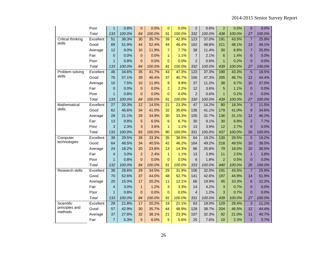|                           | Poor      | $\mathbf{1}$    | 0.8%   | $\mathbf 0$     | 0.0%   | $\overline{0}$  | 0.0%   | $\overline{2}$ | 0.6%   | $\overline{2}$ | 0.5%   | $\overline{0}$ | 0.0%   |
|---------------------------|-----------|-----------------|--------|-----------------|--------|-----------------|--------|----------------|--------|----------------|--------|----------------|--------|
|                           | Total     | 133             | 100.0% | 84              | 100.0% | 91              | 100.0% | 332            | 100.0% | 438            | 100.0% | 27             | 100.0% |
| <b>Critical thinking</b>  | Excellent | 51              | 38.3%  | 30              | 35.7%  | 39              | 42.9%  | 123            | 37.0%  | 191            | 43.5%  | $\overline{7}$ | 25.9%  |
| skills                    | Good      | 69              | 51.9%  | 44              | 52.4%  | 44              | 48.4%  | 162            | 48.8%  | 211            | 48.1%  | 13             | 48.1%  |
|                           | Average   | 12              | 9.0%   | 10              | 11.9%  | $\overline{7}$  | 7.7%   | 38             | 11.4%  | 30             | 6.8%   | $\overline{7}$ | 25.9%  |
|                           | Fair      | $\overline{0}$  | 0.0%   | $\mathbf{0}$    | 0.0%   | 1               | 1.1%   | $\overline{7}$ | 2.1%   | 6              | 1.4%   | $\overline{0}$ | 0.0%   |
|                           | Poor      | $\mathbf{1}$    | 0.8%   | $\mathbf{0}$    | 0.0%   | $\overline{0}$  | 0.0%   | $\overline{2}$ | 0.6%   | $\mathbf{1}$   | 0.2%   | $\overline{0}$ | 0.0%   |
|                           | Total     | 133             | 100.0% | 84              | 100.0% | 91              | 100.0% | 332            | 100.0% | 439            | 100.0% | 27             | 100.0% |
| Problem solving           | Excellent | 46              | 34.6%  | $\overline{35}$ | 41.7%  | $\overline{43}$ | 47.3%  | 123            | 37.3%  | 190            | 43.3%  | $\overline{5}$ | 18.5%  |
| skills                    | Good      | 76              | 57.1%  | 39              | 46.4%  | 37              | 40.7%  | 156            | 47.3%  | 205            | 46.7%  | 12             | 44.4%  |
|                           | Average   | 10              | 7.5%   | 10              | 11.9%  | 9               | 9.9%   | 37             | 11.2%  | 38             | 8.7%   | 10             | 37.0%  |
|                           | Fair      | 0               | 0.0%   | $\mathbf 0$     | 0.0%   | $\overline{2}$  | 2.2%   | 12             | 3.6%   | 5              | 1.1%   | $\overline{0}$ | 0.0%   |
|                           | Poor      | $\overline{1}$  | 0.8%   | $\mathbf{0}$    | 0.0%   | $\overline{0}$  | 0.0%   | $\overline{2}$ | 0.6%   | $\mathbf{1}$   | 0.2%   | $\overline{0}$ | 0.0%   |
|                           | Total     | 133             | 100.0% | 84              | 100.0% | 91              | 100.0% | 330            | 100.0% | 439            | 100.0% | 27             | 100.0% |
| Mathematical              | Excellent | 27              | 20.3%  | $\overline{12}$ | 14.5%  | $\overline{21}$ | 23.3%  | 47             | 14.2%  | 80             | 18.3%  | 3              | 11.5%  |
| skills                    | Good      | 62              | 46.6%  | 34              | 41.0%  | 32              | 35.6%  | 136            | 41.1%  | 179            | 41.0%  | 9              | 34.6%  |
|                           | Average   | 28              | 21.1%  | 29              | 34.9%  | 30              | 33.3%  | 105            | 31.7%  | 136            | 31.1%  | 12             | 46.2%  |
|                           | Fair      | 13              | 9.8%   | 5               | 6.0%   | 6               | 6.7%   | 30             | 9.1%   | 30             | 6.9%   | $\overline{2}$ | 7.7%   |
|                           | Poor      | 3               | 2.3%   | 3               | 3.6%   | 1               | 1.1%   | 13             | 3.9%   | 12             | 2.7%   | $\overline{0}$ | 0.0%   |
|                           | Total     | 133             | 100.0% | 83              | 100.0% | 90              | 100.0% | 331            | 100.0% | 437            | 100.0% | 26             | 100.0% |
| Computer                  | Excellent | $\overline{39}$ | 29.5%  | $\overline{28}$ | 33.3%  | $\overline{35}$ | 38.5%  | 64             | 19.2%  | 130            | 29.5%  | $\overline{5}$ | 19.2%  |
| technologies              | Good      | 64              | 48.5%  | 34              | 40.5%  | 42              | 46.2%  | 164            | 49.2%  | 218            | 49.5%  | 10             | 38.5%  |
|                           | Average   | 24              | 18.2%  | 20              | 23.8%  | 13              | 14.3%  | 86             | 25.8%  | 79             | 18.0%  | 10             | 38.5%  |
|                           | Fair      | $\overline{4}$  | 3.0%   | $\overline{2}$  | 2.4%   | $\mathbf{1}$    | 1.1%   | 13             | 3.9%   | 11             | 2.5%   | $\mathbf{1}$   | 3.8%   |
|                           | Poor      | $\mathbf{1}$    | 0.8%   | $\Omega$        | 0.0%   | $\overline{0}$  | 0.0%   | 6              | 1.8%   | $\overline{2}$ | 0.5%   | $\overline{0}$ | 0.0%   |
|                           | Total     | 132             | 100.0% | 84              | 100.0% | 91              | 100.0% | 333            | 100.0% | 440            | 100.0% | 26             | 100.0% |
| Research skills           | Excellent | 38              | 28.6%  | 29              | 34.5%  | 29              | 31.9%  | 106            | 32.0%  | 191            | 43.5%  | $\overline{7}$ | 25.9%  |
|                           | Good      | 70              | 52.6%  | 37              | 44.0%  | 48              | 52.7%  | 141            | 42.6%  | 197            | 44.9%  | 14             | 51.9%  |
|                           | Average   | 20              | 15.0%  | 17              | 20.2%  | 11              | 12.1%  | 66             | 19.9%  | 45             | 10.3%  | 6              | 22.2%  |
|                           | Fair      | $\overline{4}$  | 3.0%   | $\mathbf{1}$    | 1.2%   | 3               | 3.3%   | 14             | 4.2%   | 3              | 0.7%   | $\overline{0}$ | 0.0%   |
|                           | Poor      | $\mathbf{1}$    | 0.8%   | $\mathbf{0}$    | 0.0%   | $\overline{0}$  | 0.0%   | $\overline{4}$ | 1.2%   | 3              | 0.7%   | $\overline{0}$ | 0.0%   |
|                           | Total     | 133             | 100.0% | 84              | 100.0% | 91              | 100.0% | 331            | 100.0% | 439            | 100.0% | 27             | 100.0% |
| Scientific                | Excellent | 29              | 21.8%  | 17              | 20.2%  | 19              | 21.1%  | 63             | 19.0%  | 129            | 29.4%  | 3              | 11.1%  |
| principles and<br>methods | Good      | 57              | 42.9%  | 30              | 35.7%  | 44              | 48.9%  | 128            | 38.7%  | 204            | 46.5%  | 12             | 44.4%  |
|                           | Average   | 37              | 27.8%  | 32              | 38.1%  | 21              | 23.3%  | 107            | 32.3%  | 92             | 21.0%  | 11             | 40.7%  |
|                           | Fair      | $\overline{7}$  | 5.3%   | 5               | 6.0%   | 5               | 5.6%   | 25             | 7.6%   | 10             | 2.3%   | $\mathbf{1}$   | 3.7%   |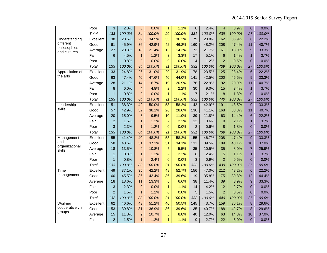|                              | Poor      | 3               | 2.3%   | $\mathbf 0$     | 0.0%   | $\mathbf{1}$    | 1.1%   | 8                       | 2.4%   | $\overline{4}$ | 0.9%   | $\Omega$        | 0.0%   |
|------------------------------|-----------|-----------------|--------|-----------------|--------|-----------------|--------|-------------------------|--------|----------------|--------|-----------------|--------|
|                              | Total     | 133             | 100.0% | 84              | 100.0% | 90              | 100.0% | 331                     | 100.0% | 439            | 100.0% | 27              | 100.0% |
| Understanding                | Excellent | 38              | 28.6%  | 29              | 34.5%  | 33              | 36.3%  | 79                      | 23.8%  | 162            | 36.9%  | 6               | 22.2%  |
| different                    | Good      | 61              | 45.9%  | 36              | 42.9%  | 42              | 46.2%  | 160                     | 48.2%  | 208            | 47.4%  | 11              | 40.7%  |
| philosophies<br>and cultures | Average   | 27              | 20.3%  | 18              | 21.4%  | 13              | 14.3%  | 72                      | 21.7%  | 61             | 13.9%  | 9               | 33.3%  |
|                              | Fair      | 6               | 4.5%   | $\mathbf{1}$    | 1.2%   | 3               | 3.3%   | 17                      | 5.1%   | 6              | 1.4%   | $\mathbf{1}$    | 3.7%   |
|                              | Poor      | $\mathbf{1}$    | 0.8%   | $\overline{0}$  | 0.0%   | $\overline{0}$  | 0.0%   | $\overline{\mathbf{4}}$ | 1.2%   | $\overline{2}$ | 0.5%   | $\Omega$        | 0.0%   |
|                              | Total     | 133             | 100.0% | 84              | 100.0% | 91              | 100.0% | 332                     | 100.0% | 439            | 100.0% | 27              | 100.0% |
| Appreciation of              | Excellent | 33              | 24.8%  | 26              | 31.0%  | $\overline{29}$ | 31.9%  | 78                      | 23.5%  | 125            | 28.4%  | $6\phantom{1}6$ | 22.2%  |
| the arts                     | Good      | 63              | 47.4%  | 40              | 47.6%  | 40              | 44.0%  | 141                     | 42.5%  | 200            | 45.5%  | 9               | 33.3%  |
|                              | Average   | 28              | 21.1%  | 14              | 16.7%  | 19              | 20.9%  | 76                      | 22.9%  | 92             | 20.9%  | 11              | 40.7%  |
|                              | Fair      | 8               | 6.0%   | $\overline{4}$  | 4.8%   | $\overline{a}$  | 2.2%   | 30                      | 9.0%   | 15             | 3.4%   | $\mathbf{1}$    | 3.7%   |
|                              | Poor      | $\mathbf{1}$    | 0.8%   | $\overline{0}$  | 0.0%   | $\mathbf{1}$    | 1.1%   | $\overline{7}$          | 2.1%   | 8              | 1.8%   | $\overline{0}$  | 0.0%   |
|                              | Total     | 133             | 100.0% | 84              | 100.0% | 91              | 100.0% | 332                     | 100.0% | 440            | 100.0% | 27              | 100.0% |
| Leadership                   | Excellent | 51              | 38.3%  | $\overline{42}$ | 50.0%  | $\overline{53}$ | 58.2%  | 142                     | 42.9%  | 191            | 43.5%  | 9               | 33.3%  |
| skills                       | Good      | 57              | 42.9%  | 32              | 38.1%  | 26              | 28.6%  | 136                     | 41.1%  | 168            | 38.3%  | 11              | 40.7%  |
|                              | Average   | 20              | 15.0%  | 8               | 9.5%   | 10              | 11.0%  | 39                      | 11.8%  | 63             | 14.4%  | 6               | 22.2%  |
|                              | Fair      | $\overline{c}$  | 1.5%   | $\mathbf{1}$    | 1.2%   | $\overline{a}$  | 2.2%   | 12                      | 3.6%   | 9              | 2.1%   | 1               | 3.7%   |
|                              | Poor      | 3               | 2.3%   | $\mathbf{1}$    | 1.2%   | $\overline{0}$  | 0.0%   | $\overline{2}$          | 0.6%   | 8              | 1.8%   | $\overline{0}$  | 0.0%   |
|                              | Total     | 133             | 100.0% | 84              | 100.0% | 91              | 100.0% | 331                     | 100.0% | 439            | 100.0% | 27              | 100.0% |
| Management                   | Excellent | $\overline{55}$ | 41.4%  | 40              | 48.2%  | 53              | 58.2%  | 155                     | 46.7%  | 208            | 47.4%  | 9               | 33.3%  |
| and                          | Good      | 58              | 43.6%  | 31              | 37.3%  | 31              | 34.1%  | 131                     | 39.5%  | 189            | 43.1%  | 10              | 37.0%  |
| organizational<br>skills     | Average   | 18              | 13.5%  | 9               | 10.8%  | 5               | 5.5%   | 35                      | 10.5%  | 35             | 8.0%   | $\overline{7}$  | 25.9%  |
|                              | Fair      | $\mathbf{1}$    | 0.8%   | $\mathbf{1}$    | 1.2%   | $\overline{2}$  | 2.2%   | 8                       | 2.4%   | 5              | 1.1%   | $\mathbf{1}$    | 3.7%   |
|                              | Poor      | $\mathbf{1}$    | 0.8%   | $\overline{2}$  | 2.4%   | $\overline{0}$  | 0.0%   | 3                       | 0.9%   | $\overline{2}$ | 0.5%   | $\overline{0}$  | 0.0%   |
|                              | Total     | 133             | 100.0% | 83              | 100.0% | 91              | 100.0% | 332                     | 100.0% | 439            | 100.0% | 27              | 100.0% |
| Time                         | Excellent | 49              | 37.1%  | 35              | 42.2%  | 48              | 52.7%  | 156                     | 47.0%  | 212            | 48.2%  | 6               | 22.2%  |
| management                   | Good      | 60              | 45.5%  | 36              | 43.4%  | 36              | 39.6%  | 119                     | 35.8%  | 175            | 39.8%  | 12              | 44.4%  |
|                              | Average   | 18              | 13.6%  | 11              | 13.3%  | 6               | 6.6%   | 38                      | 11.4%  | 39             | 8.9%   | 9               | 33.3%  |
|                              | Fair      | 3               | 2.3%   | $\mathbf 0$     | 0.0%   | $\mathbf{1}$    | 1.1%   | 14                      | 4.2%   | 12             | 2.7%   | $\Omega$        | 0.0%   |
|                              | Poor      | $\overline{2}$  | 1.5%   | $\mathbf{1}$    | 1.2%   | $\overline{0}$  | 0.0%   | 5                       | 1.5%   | $\overline{2}$ | 0.5%   | $\overline{0}$  | 0.0%   |
|                              | Total     | 132             | 100.0% | 83              | 100.0% | 91              | 100.0% | 332                     | 100.0% | 440            | 100.0% | 27              | 100.0% |
| Working                      | Excellent | 62              | 46.6%  | 43              | 51.2%  | 46              | 50.5%  | 145                     | 43.7%  | 159            | 36.1%  | 8               | 29.6%  |
| cooperatively in             | Good      | 53              | 39.8%  | 31              | 36.9%  | 36              | 39.6%  | 135                     | 40.7%  | 188            | 42.7%  | 8               | 29.6%  |
| groups                       | Average   | 15              | 11.3%  | 9               | 10.7%  | 8               | 8.8%   | 40                      | 12.0%  | 63             | 14.3%  | 10              | 37.0%  |
|                              | Fair      | $\overline{c}$  | 1.5%   | $\mathbf{1}$    | 1.2%   | $\mathbf{1}$    | 1.1%   | 9                       | 2.7%   | 22             | 5.0%   | $\mathbf 0$     | 0.0%   |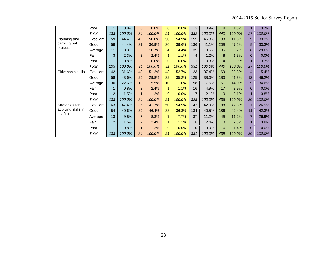|                    | Poor      | $\mathbf{1}$   | 0.8%   | $\Omega$       | 0.0%   | $\Omega$        | 0.0%   | 3              | 0.9%   | 8   | 1.8%   | 1              | 3.7%   |
|--------------------|-----------|----------------|--------|----------------|--------|-----------------|--------|----------------|--------|-----|--------|----------------|--------|
|                    | Total     | 133            | 100.0% | 84             | 100.0% | 91              | 100.0% | 332            | 100.0% | 440 | 100.0% | 27             | 100.0% |
| Planning and       | Excellent | 59             | 44.4%  | 42             | 50.0%  | 50              | 54.9%  | 155            | 46.8%  | 183 | 41.6%  | 9              | 33.3%  |
| carrying out       | Good      | 59             | 44.4%  | 31             | 36.9%  | 36              | 39.6%  | 136            | 41.1%  | 209 | 47.5%  | 9              | 33.3%  |
| projects           | Average   | 11             | 8.3%   | 9              | 10.7%  | 4               | 4.4%   | 35             | 10.6%  | 36  | 8.2%   | 8              | 29.6%  |
|                    | Fair      | 3              | 2.3%   | $\overline{2}$ | 2.4%   | 1               | 1.1%   | $\overline{4}$ | 1.2%   | 8   | 1.8%   | $\Omega$       | 0.0%   |
|                    | Poor      | 1              | 0.8%   | $\Omega$       | 0.0%   | $\mathbf{0}$    | 0.0%   | 1              | 0.3%   | 4   | 0.9%   | 1              | 3.7%   |
|                    | Total     | 133            | 100.0% | 84             | 100.0% | 91              | 100.0% | 331            | 100.0% | 440 | 100.0% | 27             | 100.0% |
| Citizenship skills | Excellent | 42             | 31.6%  | 43             | 51.2%  | 48              | 52.7%  | 123            | 37.4%  | 169 | 38.8%  | 4              | 15.4%  |
|                    | Good      | 58             | 43.6%  | 25             | 29.8%  | 32              | 35.2%  | 125            | 38.0%  | 180 | 41.3%  | 12             | 46.2%  |
|                    | Average   | 30             | 22.6%  | 13             | 15.5%  | 10 <sup>1</sup> | 11.0%  | 58             | 17.6%  | 61  | 14.0%  | 9              | 34.6%  |
|                    | Fair      | 1              | 0.8%   | $\overline{2}$ | 2.4%   | 1               | 1.1%   | 16             | 4.9%   | 17  | 3.9%   | $\Omega$       | 0.0%   |
|                    | Poor      | $\overline{2}$ | 1.5%   | $\mathbf{1}$   | 1.2%   | $\mathbf{0}$    | 0.0%   | $\overline{7}$ | 2.1%   | 9   | 2.1%   | 1              | 3.8%   |
|                    | Total     | 133            | 100.0% | 84             | 100.0% | 91              | 100.0% | 329            | 100.0% | 436 | 100.0% | 26             | 100.0% |
| Strategies for     | Excellent | 63             | 47.4%  | 35             | 41.7%  | 50              | 54.9%  | 142            | 42.9%  | 188 | 42.8%  | $\overline{7}$ | 26.9%  |
| applying skills in | Good      | 54             | 40.6%  | 39             | 46.4%  | 33              | 36.3%  | 134            | 40.5%  | 186 | 42.4%  | 11             | 42.3%  |
| my field           | Average   | 13             | 9.8%   | $\overline{7}$ | 8.3%   | 7               | 7.7%   | 37             | 11.2%  | 49  | 11.2%  | $\overline{7}$ | 26.9%  |
|                    | Fair      | $\overline{2}$ | 1.5%   | $\overline{2}$ | 2.4%   | 1.              | 1.1%   | 8              | 2.4%   | 10  | 2.3%   | 1              | 3.8%   |
|                    | Poor      | 1              | 0.8%   | 1              | 1.2%   | $\Omega$        | 0.0%   | 10             | 3.0%   | 6   | 1.4%   | $\Omega$       | 0.0%   |
|                    | Total     | 133            | 100.0% | 84             | 100.0% | 91              | 100.0% | 331            | 100.0% | 439 | 100.0% | 26             | 100.0% |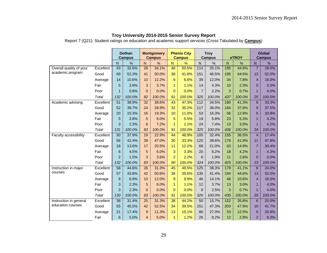Report 7 (Q21): Student ratings on education and academic support services (Cross Tabulated by **Campus**)

|                         |           |                 | <b>Dothan</b><br><b>Campus</b> |                 | <b>Montgomery</b><br><b>Campus</b> |                | <b>Phenix City</b><br><b>Campus</b> |                | <b>Troy</b><br><b>Campus</b> |              | eTROY  |                | <b>Global</b><br><b>Campus</b> |
|-------------------------|-----------|-----------------|--------------------------------|-----------------|------------------------------------|----------------|-------------------------------------|----------------|------------------------------|--------------|--------|----------------|--------------------------------|
|                         |           | $\overline{N}$  | $\frac{1}{2}$                  | $\overline{N}$  | $\frac{1}{2}$                      | $\mathsf{N}$   | %                                   | $\mathsf{N}$   | $\frac{0}{0}$                | $\mathsf{N}$ | %      | N              | %                              |
| Overall quality of your | Excellent | 43              | 32.6%                          | 28              | 34.1%                              | 46             | 50.5%                               | 114            | 35.1%                        | 195          | 44.6%  | $\overline{7}$ | 28.0%                          |
| academic program        | Good      | 69              | 52.3%                          | 41              | 50.0%                              | 38             | 41.8%                               | 151            | 46.5%                        | 195          | 44.6%  | 13             | 52.0%                          |
|                         | Average   | 14              | 10.6%                          | 10              | 12.2%                              | 6              | 6.6%                                | 39             | 12.0%                        | 34           | 7.8%   | $\overline{4}$ | 16.0%                          |
|                         | Fair      | 5               | 3.8%                           | 3               | 3.7%                               | $\mathbf{1}$   | 1.1%                                | 14             | 4.3%                         | 10           | 2.3%   | 0              | 0.0%                           |
|                         | Poor      | 1               | 0.8%                           | $\mathbf{0}$    | 0.0%                               | $\mathbf{0}$   | 0.0%                                | $\overline{7}$ | 2.2%                         | 3            | 0.7%   | $\mathbf{1}$   | 4.0%                           |
|                         | Total     | 132             | 100.0%                         | 82              | 100.0%                             | 91             | 100.0%                              | 325            | 100.0%                       | 437          | 100.0% | 25             | 100.0%                         |
| Academic advising       | Excellent | $\overline{51}$ | 38.9%                          | $\overline{32}$ | 38.6%                              | 43             | 47.3%                               | 112            | 34.5%                        | 180          | 41.3%  | 8              | 33.3%                          |
|                         | Good      | 52              | 39.7%                          | 24              | 28.9%                              | 32             | 35.2%                               | 117            | 36.0%                        | 164          | 37.6%  | 9              | 37.5%                          |
|                         | Average   | 20              | 15.3%                          | 16              | 19.3%                              | 10             | 11.0%                               | 53             | 16.3%                        | 56           | 12.8%  | 5              | 20.8%                          |
|                         | Fair      | 5               | 3.8%                           | 5               | 6.0%                               | 5              | 5.5%                                | 19             | 5.8%                         | 23           | 5.3%   | $\mathbf{1}$   | 4.2%                           |
|                         | Poor      | 3               | 2.3%                           | 6               | 7.2%                               | $\mathbf{1}$   | 1.1%                                | 24             | 7.4%                         | 13           | 3.0%   | $\mathbf{1}$   | 4.2%                           |
|                         | Total     | 131             | 100.0%                         | 83              | 100.0%                             | 91             | 100.0%                              | 325            | 100.0%                       | 436          | 100.0% | 24             | 100.0%                         |
| Faculty accessibility   | Excellent | 50              | 37.9%                          | 19              | 22.9%                              | 44             | 48.9%                               | 105            | 32.4%                        | 155          | 36.5%  | $\overline{4}$ | 17.4%                          |
|                         | Good      | 56              | 42.4%                          | 39              | 47.0%                              | 30             | 33.3%                               | 125            | 38.6%                        | 178          | 41.9%  | 11             | 47.8%                          |
|                         | Average   | 18              | 13.6%                          | 17              | 20.5%                              | 11             | 12.2%                               | 68             | 21.0%                        | 63           | 14.8%  | $\overline{7}$ | 30.4%                          |
|                         | Fair      | 6               | 4.5%                           | 5               | 6.0%                               | 3              | 3.3%                                | 20             | 6.2%                         | 18           | 4.2%   | $\mathbf{1}$   | 4.3%                           |
|                         | Poor      | $\overline{2}$  | 1.5%                           | 3               | 3.6%                               | $\overline{2}$ | 2.2%                                | 6              | 1.9%                         | 11           | 2.6%   | $\overline{0}$ | 0.0%                           |
|                         | Total     | 132             | 100.0%                         | 83              | 100.0%                             | 90             | 100.0%                              | 324            | 100.0%                       | 425          | 100.0% | 23             | 100.0%                         |
| Instruction in major    | Excellent | 58              | 44.6%                          | 26              | 31.3%                              | 45             | 49.5%                               | 125            | 38.3%                        | 179          | 41.1%  | 6              | 24.0%                          |
| courses                 | Good      | 57              | 43.8%                          | 42              | 50.6%                              | 36             | 39.6%                               | 135            | 41.4%                        | 194          | 44.6%  | 13             | 52.0%                          |
|                         | Average   | 9               | 6.9%                           | 10              | 12.0%                              | 9              | 9.9%                                | 46             | 14.1%                        | 46           | 10.6%  | $\overline{4}$ | 16.0%                          |
|                         | Fair      | 3               | 2.3%                           | 5               | 6.0%                               | $\mathbf{1}$   | 1.1%                                | 12             | 3.7%                         | 13           | 3.0%   | $\mathbf{1}$   | 4.0%                           |
|                         | Poor      | 3               | 2.3%                           | $\mathbf{0}$    | 0.0%                               | $\mathbf{0}$   | 0.0%                                | 8              | 2.5%                         | 3            | 0.7%   | $\mathbf{1}$   | 4.0%                           |
|                         | Total     | 130             | 100.0%                         | 83              | 100.0%                             | 91             | 100.0%                              | 326            | 100.0%                       | 435          | 100.0% | 25             | 100.0%                         |
| Instruction in general  | Excellent | 38              | 31.4%                          | 25              | 31.3%                              | 38             | 44.2%                               | 50             | 15.7%                        | 152          | 35.8%  | 6              | 25.0%                          |
| education courses       | Good      | 55              | 45.5%                          | 42              | 52.5%                              | 34             | 39.5%                               | 151            | 47.3%                        | 203          | 47.9%  | 10             | 41.7%                          |
|                         | Average   | 21              | 17.4%                          | 9               | 11.3%                              | 13             | 15.1%                               | 86             | 27.0%                        | 53           | 12.5%  | 5              | 20.8%                          |
|                         | Fair      | 6               | 5.0%                           | $\overline{4}$  | 5.0%                               | 1              | 1.2%                                | 26             | 8.2%                         | 12           | 2.8%   | $\overline{2}$ | 8.3%                           |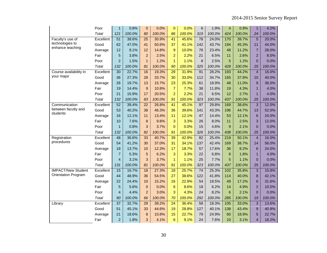|                            | Poor      | 1               | 0.8%   | $\pmb{0}$       | 0.0%   | $\overline{0}$  | 0.0%   | 6               | 1.9%   | $\overline{4}$ | 0.9%   | $\mathbf{1}$    | 4.2%   |
|----------------------------|-----------|-----------------|--------|-----------------|--------|-----------------|--------|-----------------|--------|----------------|--------|-----------------|--------|
|                            | Total     | 121             | 100.0% | 80              | 100.0% | 86              | 100.0% | 319             | 100.0% | 424            | 100.0% | 24              | 100.0% |
| Faculty's use of           | Excellent | 51              | 38.6%  | 25              | 30.9%  | 41              | 45.6%  | 78              | 24.0%  | 170            | 39.7%  | 5               | 20.0%  |
| technologies to            | Good      | 62              | 47.0%  | 41              | 50.6%  | 37              | 41.1%  | 142             | 43.7%  | 194            | 45.3%  | 11              | 44.0%  |
| enhance teaching           | Average   | 12              | 9.1%   | 12              | 14.8%  | 9               | 10.0%  | 76              | 23.4%  | 48             | 11.2%  | $\overline{7}$  | 28.0%  |
|                            | Fair      | 5               | 3.8%   | $\overline{2}$  | 2.5%   | $\overline{2}$  | 2.2%   | 21              | 6.5%   | 11             | 2.6%   | $\overline{2}$  | 8.0%   |
|                            | Poor      | $\overline{2}$  | 1.5%   | $\mathbf{1}$    | 1.2%   | $\mathbf{1}$    | 1.1%   | 8               | 2.5%   | 5              | 1.2%   | $\overline{0}$  | 0.0%   |
|                            | Total     | 132             | 100.0% | 81              | 100.0% | 90              | 100.0% | 325             | 100.0% | 428            | 100.0% | 25              | 100.0% |
| Course availability in     | Excellent | 30              | 22.7%  | 16              | 19.3%  | $\overline{29}$ | 31.9%  | 91              | 28.2%  | 193            | 44.2%  | $\overline{4}$  | 16.0%  |
| your major                 | Good      | 36              | 27.3%  | 28              | 33.7%  | 30              | 33.0%  | 112             | 34.7%  | 165            | 37.8%  | 10              | 40.0%  |
|                            | Average   | 26              | 19.7%  | 13              | 15.7%  | 23              | 25.3%  | 61              | 18.9%  | 48             | 11.0%  | 9               | 36.0%  |
|                            | Fair      | 19              | 14.4%  | $\overline{9}$  | 10.8%  | $\overline{7}$  | 7.7%   | 38              | 11.8%  | 19             | 4.3%   | $\mathbf{1}$    | 4.0%   |
|                            | Poor      | 21              | 15.9%  | 17              | 20.5%  | $\overline{a}$  | 2.2%   | 21              | 6.5%   | 12             | 2.7%   | $\mathbf{1}$    | 4.0%   |
|                            | Total     | 132             | 100.0% | 83              | 100.0% | 91              | 100.0% | 323             | 100.0% | 437            | 100.0% | 25              | 100.0% |
| Communication              | Excellent | 52              | 39.4%  | $\overline{22}$ | 26.8%  | 41              | 45.1%  | 97              | 29.8%  | 169            | 38.6%  | $\overline{3}$  | 12.0%  |
| between faculty and        | Good      | 53              | 40.2%  | 38              | 46.3%  | 36              | 39.6%  | 141             | 43.3%  | 196            | 44.7%  | 13              | 52.0%  |
| students                   | Average   | 16              | 12.1%  | 11              | 13.4%  | 11              | 12.1%  | 47              | 14.4%  | 53             | 12.1%  | 6               | 24.0%  |
|                            | Fair      | 10              | 7.6%   | 8               | 9.8%   | 3               | 3.3%   | 26              | 8.0%   | 11             | 2.5%   | 3               | 12.0%  |
|                            | Poor      | 1               | 0.8%   | 3               | 3.7%   | $\Omega$        | 0.0%   | 15              | 4.6%   | 9              | 2.1%   | $\Omega$        | 0.0%   |
|                            | Total     | 132             | 100.0% | 82              | 100.0% | 91              | 100.0% | 326             | 100.0% | 438            | 100.0% | 25              | 100.0% |
| Registration               | Excellent | 48              | 36.6%  | 33              | 40.7%  | 39              | 42.9%  | 82              | 25.4%  | 219            | 50.1%  | $\overline{4}$  | 16.0%  |
| procedures                 | Good      | 54              | 41.2%  | 30              | 37.0%  | 31              | 34.1%  | 137             | 42.4%  | 169            | 38.7%  | 14              | 56.0%  |
|                            | Average   | 18              | 13.7%  | 10              | 12.3%  | 17              | 18.7%  | 57              | 17.6%  | 36             | 8.2%   | $6\phantom{1}6$ | 24.0%  |
|                            | Fair      | $\overline{7}$  | 5.3%   | 5               | 6.2%   | 3               | 3.3%   | 22              | 6.8%   | 8              | 1.8%   | $\mathbf{1}$    | 4.0%   |
|                            | Poor      | $\overline{4}$  | 3.1%   | 3               | 3.7%   | $\mathbf{1}$    | 1.1%   | 25              | 7.7%   | 5              | 1.1%   | $\Omega$        | 0.0%   |
|                            | Total     | 131             | 100.0% | 81              | 100.0% | 91              | 100.0% | 323             | 100.0% | 437            | 100.0% | 25              | 100.0% |
| <b>IMPACT/New Student</b>  | Excellent | 15              | 16.7%  | 18              | 27.3%  | 18              | 25.7%  | 74              | 25.3%  | 102            | 35.8%  | 3               | 15.8%  |
| <b>Orientation Program</b> | Good      | 44              | 48.9%  | 36              | 54.5%  | 27              | 38.6%  | 122             | 41.8%  | 114            | 40.0%  | 8               | 42.1%  |
|                            | Average   | 22              | 24.4%  | 10              | 15.2%  | 16              | 22.9%  | 54              | 18.5%  | 49             | 17.2%  | 6               | 31.6%  |
|                            | Fair      | 5               | 5.6%   | $\mathbf 0$     | 0.0%   | 6               | 8.6%   | 18              | 6.2%   | 14             | 4.9%   | $\overline{2}$  | 10.5%  |
|                            | Poor      | $\overline{4}$  | 4.4%   | $\overline{a}$  | 3.0%   | 3               | 4.3%   | 24              | 8.2%   | 6              | 2.1%   | $\overline{0}$  | 0.0%   |
|                            | Total     | 90              | 100.0% | 66              | 100.0% | 70              | 100.0% | 292             | 100.0% | 285            | 100.0% | 19              | 100.0% |
| Library                    | Excellent | $\overline{37}$ | 32.7%  | $\overline{29}$ | 39.2%  | $\overline{24}$ | 36.4%  | $\overline{58}$ | 18.3%  | 105            | 33.0%  | 3               | 13.6%  |
|                            | Good      | 51              | 45.1%  | 33              | 44.6%  | 19              | 28.8%  | 127             | 40.1%  | 138            | 43.4%  | 9               | 40.9%  |
|                            | Average   | 21              | 18.6%  | 8               | 10.8%  | 15              | 22.7%  | 79              | 24.9%  | 60             | 18.9%  | 5               | 22.7%  |
|                            | Fair      | $\overline{a}$  | 1.8%   | 3               | 4.1%   | $6\phantom{1}$  | 9.1%   | 24              | 7.6%   | 10             | 3.1%   | $\overline{4}$  | 18.2%  |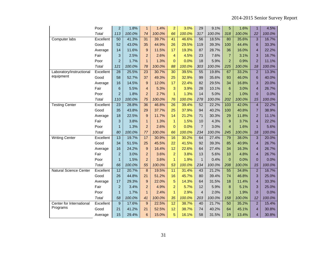|                               | Poor         | $\overline{2}$  | 1.8%   | $\mathbf{1}$            | 1.4%   | $\overline{2}$ | 3.0%   | 29             | 9.1%   | 5               | 1.6%   | 1                       | 4.5%   |
|-------------------------------|--------------|-----------------|--------|-------------------------|--------|----------------|--------|----------------|--------|-----------------|--------|-------------------------|--------|
|                               | <b>Total</b> | 113             | 100.0% | 74                      | 100.0% | 66             | 100.0% | 317            | 100.0% | 318             | 100.0% | 22                      | 100.0% |
| Computer labs                 | Excellent    | $\overline{50}$ | 41.3%  | 31                      | 39.7%  | 41             | 46.6%  | 56             | 18.5%  | 80              | 35.6%  | 3                       | 16.7%  |
|                               | Good         | 52              | 43.0%  | 35                      | 44.9%  | 26             | 29.5%  | 119            | 39.3%  | 100             | 44.4%  | 6                       | 33.3%  |
|                               | Average      | 14              | 11.6%  | 9                       | 11.5%  | 17             | 19.3%  | 87             | 28.7%  | 36              | 16.0%  | $\overline{4}$          | 22.2%  |
|                               | Fair         | 3               | 2.5%   | $\overline{a}$          | 2.6%   | 4              | 4.5%   | 23             | 7.6%   | $\overline{7}$  | 3.1%   | 3                       | 16.7%  |
|                               | Poor         | $\overline{2}$  | 1.7%   | $\mathbf{1}$            | 1.3%   | $\overline{0}$ | 0.0%   | 18             | 5.9%   | $\overline{2}$  | 0.9%   | $\overline{2}$          | 11.1%  |
|                               | Total        | 121             | 100.0% | 78                      | 100.0% | 88             | 100.0% | 303            | 100.0% | 225             | 100.0% | 18                      | 100.0% |
| Laboratory/instructional      | Excellent    | 28              | 25.5%  | $\overline{23}$         | 30.7%  | 30             | 39.5%  | 55             | 19.8%  | 67              | 33.2%  | $\overline{2}$          | 13.3%  |
| equipment                     | Good         | 58              | 52.7%  | 37                      | 49.3%  | 25             | 32.9%  | 99             | 35.6%  | 93              | 46.0%  | 6                       | 40.0%  |
|                               | Average      | 16              | 14.5%  | 9                       | 12.0%  | 17             | 22.4%  | 82             | 29.5%  | 34              | 16.8%  | 3                       | 20.0%  |
|                               | Fair         | $6\phantom{1}6$ | 5.5%   | $\overline{\mathbf{4}}$ | 5.3%   | 3              | 3.9%   | 28             | 10.1%  | $6\phantom{1}6$ | 3.0%   | $\overline{\mathbf{4}}$ | 26.7%  |
|                               | Poor         | $\overline{c}$  | 1.8%   | $\overline{c}$          | 2.7%   | $\mathbf{1}$   | 1.3%   | 14             | 5.0%   | $\overline{2}$  | 1.0%   | $\overline{0}$          | 0.0%   |
|                               | Total        | 110             | 100.0% | 75                      | 100.0% | 76             | 100.0% | 278            | 100.0% | 202             | 100.0% | 15                      | 100.0% |
| <b>Testing Center</b>         | Excellent    | $\overline{23}$ | 28.8%  | 36                      | 46.8%  | 26             | 39.4%  | 52             | 22.2%  | 103             | 42.0%  | $\overline{4}$          | 22.2%  |
|                               | Good         | 35              | 43.8%  | 29                      | 37.7%  | 25             | 37.9%  | 94             | 40.2%  | 100             | 40.8%  | $\overline{7}$          | 38.9%  |
|                               | Average      | 18              | 22.5%  | 9                       | 11.7%  | 14             | 21.2%  | 71             | 30.3%  | 29              | 11.8%  | $\overline{2}$          | 11.1%  |
|                               | Fair         | 3               | 3.8%   | $\mathbf{1}$            | 1.3%   | $\mathbf{1}$   | 1.5%   | 10             | 4.3%   | 9               | 3.7%   | $\overline{4}$          | 22.2%  |
|                               | Poor         | 1               | 1.3%   | $\overline{a}$          | 2.6%   | $\Omega$       | 0.0%   | $\overline{7}$ | 3.0%   | $\overline{4}$  | 1.6%   | $\mathbf{1}$            | 5.6%   |
|                               | Total        | 80              | 100.0% | 77                      | 100.0% | 66             | 100.0% | 234            | 100.0% | 245             | 100.0% | 18                      | 100.0% |
| <b>Writing Center</b>         | Excellent    | 13              | 19.7%  | 17                      | 30.9%  | 16             | 30.2%  | 64             | 27.4%  | 79              | 38.0%  | $\overline{3}$          | 20.0%  |
|                               | Good         | 34              | 51.5%  | 25                      | 45.5%  | 22             | 41.5%  | 92             | 39.3%  | 85              | 40.9%  | $\overline{4}$          | 26.7%  |
|                               | Average      | 16              | 24.2%  | 9                       | 16.4%  | 12             | 22.6%  | 64             | 27.4%  | 34              | 16.3%  | $\overline{4}$          | 26.7%  |
|                               | Fair         | $\overline{2}$  | 3.0%   | $\overline{2}$          | 3.6%   | $\overline{2}$ | 3.8%   | 13             | 5.6%   | 10              | 4.8%   | $\overline{4}$          | 26.7%  |
|                               | Poor         | 1               | 1.5%   | $\overline{2}$          | 3.6%   | 1              | 1.9%   | $\mathbf{1}$   | 0.4%   | $\Omega$        | 0.0%   | $\Omega$                | 0.0%   |
|                               | Total        | 66              | 100.0% | 55                      | 100.0% | 53             | 100.0% | 234            | 100.0% | 208             | 100.0% | 15                      | 100.0% |
| <b>Natural Science Center</b> | Excellent    | $\overline{12}$ | 20.7%  | $\overline{8}$          | 19.5%  | 11             | 31.4%  | 43             | 21.2%  | $\overline{55}$ | 34.8%  | $\overline{2}$          | 16.7%  |
|                               | Good         | 26              | 44.8%  | 21                      | 51.2%  | 16             | 45.7%  | 80             | 39.4%  | 74              | 46.8%  | 3                       | 25.0%  |
|                               | Average      | 17              | 29.3%  | $\mathsf g$             | 22.0%  | 5              | 14.3%  | 64             | 31.5%  | 18              | 11.4%  | $\overline{\mathbf{4}}$ | 33.3%  |
|                               | Fair         | $\overline{c}$  | 3.4%   | $\overline{a}$          | 4.9%   | $\overline{a}$ | 5.7%   | 12             | 5.9%   | 8               | 5.1%   | 3                       | 25.0%  |
|                               | Poor         | $\mathbf{1}$    | 1.7%   | $\mathbf{1}$            | 2.4%   | $\mathbf{1}$   | 2.9%   | $\overline{4}$ | 2.0%   | 3               | 1.9%   | $\overline{0}$          | 0.0%   |
|                               | Total        | 58              | 100.0% | 41                      | 100.0% | 35             | 100.0% | 203            | 100.0% | 158             | 100.0% | 12                      | 100.0% |
| Center for International      | Excellent    | $\overline{9}$  | 17.6%  | 9                       | 22.5%  | 12             | 38.7%  | 40             | 21.7%  | $\overline{50}$ | 35.2%  | $\overline{2}$          | 15.4%  |
| Programs                      | Good         | 21              | 41.2%  | 21                      | 52.5%  | 12             | 38.7%  | 74             | 40.2%  | 64              | 45.1%  | $\overline{4}$          | 30.8%  |
|                               | Average      | 15              | 29.4%  | 6                       | 15.0%  | 5              | 16.1%  | 58             | 31.5%  | 19              | 13.4%  | $\overline{4}$          | 30.8%  |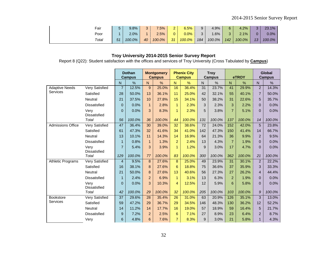| Fair  |    | 9.8%    | 3              | $.5\%$ | ົ  | 6.5%    | 9   | 4.9%   |     | 4.2%       |    | $23.1\%$ |
|-------|----|---------|----------------|--------|----|---------|-----|--------|-----|------------|----|----------|
| Poor  |    | $2.0\%$ | $\overline{A}$ | 2.5%   | 0  | $0.0\%$ | 3   | $.6\%$ |     | 1%<br>2. I |    | 0.0%     |
| Total | 51 | 100.0%  | 40             | 100.0% | 31 | 100.0%  | 184 | 100.0% | 142 | 100.0%     | 13 | 100.0%   |

Report 8 (Q22): Student satisfaction with the offices and services of Troy University (Cross Tabulated by **Campus**)

|                          |                             | <b>Dothan</b><br><b>Campus</b> |        | <b>Montgomery</b><br><b>Campus</b> |        | <b>Phenix City</b><br><b>Campus</b> |        | <b>Troy</b><br><b>Campus</b> |        | eTROY          |        | Global<br><b>Campus</b> |        |
|--------------------------|-----------------------------|--------------------------------|--------|------------------------------------|--------|-------------------------------------|--------|------------------------------|--------|----------------|--------|-------------------------|--------|
|                          |                             | $\mathsf{N}$                   | $\%$   | ${\sf N}$                          | %      | N.                                  | %      | N                            | $\%$   | N              | %      | $\overline{\mathsf{N}}$ | %      |
| <b>Adaptive Needs</b>    | <b>Very Satisfied</b>       | $\overline{7}$                 | 12.5%  | $9\,$                              | 25.0%  | 16                                  | 36.4%  | 31                           | 23.7%  | 41             | 29.9%  | $\overline{2}$          | 14.3%  |
| Services                 | Satisfied                   | 28                             | 50.0%  | 13                                 | 36.1%  | 11                                  | 25.0%  | 42                           | 32.1%  | 55             | 40.1%  | $\overline{7}$          | 50.0%  |
|                          | Neutral                     | 21                             | 37.5%  | 10                                 | 27.8%  | 15                                  | 34.1%  | 50                           | 38.2%  | 31             | 22.6%  | 5                       | 35.7%  |
|                          | <b>Dissatisfied</b>         | $\mathbf{0}$                   | 0.0%   | $\mathbf{1}$                       | 2.8%   | $\mathbf{1}$                        | 2.3%   | 3                            | 2.3%   | 3              | 2.2%   | $\mathbf{0}$            | 0.0%   |
|                          | Very<br><b>Dissatisfied</b> | $\overline{0}$                 | 0.0%   | 3                                  | 8.3%   | $\mathbf{1}$                        | 2.3%   | 5                            | 3.8%   | $\overline{7}$ | 5.1%   | $\overline{0}$          | 0.0%   |
|                          | <b>Total</b>                | 56                             | 100.0% | 36                                 | 100.0% | 44                                  | 100.0% | 131                          | 100.0% | 137            | 100.0% | 14                      | 100.0% |
| <b>Admissions Office</b> | <b>Very Satisfied</b>       | 47                             | 36.4%  | 30                                 | 39.0%  | $\overline{32}$                     | 38.6%  | 72                           | 24.0%  | 152            | 42.0%  | 5                       | 23.8%  |
|                          | Satisfied                   | 61                             | 47.3%  | 32                                 | 41.6%  | 34                                  | 41.0%  | 142                          | 47.3%  | 150            | 41.4%  | 14                      | 66.7%  |
|                          | <b>Neutral</b>              | 13                             | 10.1%  | 11                                 | 14.3%  | 14                                  | 16.9%  | 64                           | 21.3%  | 36             | 9.9%   | $\overline{2}$          | 9.5%   |
|                          | <b>Dissatisfied</b>         | 1                              | 0.8%   | $\mathbf{1}$                       | 1.3%   | $\overline{2}$                      | 2.4%   | 13                           | 4.3%   | $\overline{7}$ | 1.9%   | $\mathbf{0}$            | 0.0%   |
|                          | Very<br><b>Dissatisfied</b> | $\overline{7}$                 | 5.4%   | 3                                  | 3.9%   | 1                                   | 1.2%   | 9                            | 3.0%   | 17             | 4.7%   | $\mathbf{0}$            | 0.0%   |
|                          | Total                       | 129                            | 100.0% | 77                                 | 100.0% | 83                                  | 100.0% | 300                          | 100.0% | 362            | 100.0% | 21                      | 100.0% |
| <b>Athletic Programs</b> | Very Satisfied              | $\overline{4}$                 | 9.5%   | 8                                  | 27.6%  | $\boldsymbol{8}$                    | 25.0%  | 49                           | 23.9%  | 31             | 30.1%  | $\overline{2}$          | 22.2%  |
|                          | Satisfied                   | 16                             | 38.1%  | 8                                  | 27.6%  | $6\phantom{1}6$                     | 18.8%  | 75                           | 36.6%  | 37             | 35.9%  | 3                       | 33.3%  |
|                          | Neutral                     | 21                             | 50.0%  | 8                                  | 27.6%  | 13                                  | 40.6%  | 56                           | 27.3%  | 27             | 26.2%  | $\overline{4}$          | 44.4%  |
|                          | <b>Dissatisfied</b>         | $\mathbf{1}$                   | 2.4%   | $\overline{2}$                     | 6.9%   | $\mathbf{1}$                        | 3.1%   | 13                           | 6.3%   | $\overline{2}$ | 1.9%   | $\overline{0}$          | 0.0%   |
|                          | Very<br><b>Dissatisfied</b> | $\overline{0}$                 | 0.0%   | 3                                  | 10.3%  | 4                                   | 12.5%  | 12                           | 5.9%   | 6              | 5.8%   | $\overline{0}$          | 0.0%   |
|                          | <b>Total</b>                | 42                             | 100.0% | 29                                 | 100.0% | 32                                  | 100.0% | 205                          | 100.0% | 103            | 100.0% | $\boldsymbol{9}$        | 100.0% |
| <b>Bookstore</b>         | Very Satisfied              | 37                             | 29.6%  | 28                                 | 35.4%  | 26                                  | 31.0%  | 63                           | 20.9%  | 126            | 35.1%  | 3                       | 13.0%  |
| Services                 | Satisfied                   | 59                             | 47.2%  | 29                                 | 36.7%  | 29                                  | 34.5%  | 146                          | 48.3%  | 130            | 36.2%  | 12                      | 52.2%  |
|                          | <b>Neutral</b>              | 14                             | 11.2%  | 14                                 | 17.7%  | 16                                  | 19.0%  | 57                           | 18.9%  | 59             | 16.4%  | 5                       | 21.7%  |
|                          | <b>Dissatisfied</b>         | $9\,$                          | 7.2%   | $\overline{2}$                     | 2.5%   | 6                                   | 7.1%   | 27                           | 8.9%   | 23             | 6.4%   | 2                       | 8.7%   |
|                          | Very                        | 6                              | 4.8%   | 6                                  | 7.6%   | $\overline{7}$                      | 8.3%   | 9                            | 3.0%   | 21             | 5.8%   | $\mathbf{1}$            | 4.3%   |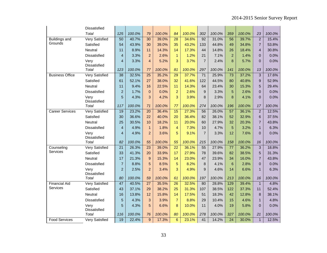|                        | Dissatisfied          |                 |        |                 |        |                 |        |                  |        |                 |        |                |        |
|------------------------|-----------------------|-----------------|--------|-----------------|--------|-----------------|--------|------------------|--------|-----------------|--------|----------------|--------|
|                        | Total                 | 125             | 100.0% | 79              | 100.0% | 84              | 100.0% | 302              | 100.0% | 359             | 100.0% | 23             | 100.0% |
| <b>Buildings and</b>   | <b>Very Satisfied</b> | $\overline{50}$ | 40.7%  | $\overline{30}$ | 39.0%  | $\overline{28}$ | 34.6%  | 92               | 31.0%  | 56              | 39.7%  | $\overline{2}$ | 15.4%  |
| Grounds                | Satisfied             | 54              | 43.9%  | 30              | 39.0%  | 35              | 43.2%  | 133              | 44.8%  | 49              | 34.8%  | $\overline{7}$ | 53.8%  |
|                        | Neutral               | 11              | 8.9%   | 11              | 14.3%  | 14              | 17.3%  | 44               | 14.8%  | 26              | 18.4%  | $\overline{4}$ | 30.8%  |
|                        | Dissatisfied          | $\overline{4}$  | 3.3%   | $\overline{a}$  | 2.6%   | $\mathbf{1}$    | 1.2%   | 21               | 7.1%   | $\overline{2}$  | 1.4%   | $\mathbf 0$    | 0.0%   |
|                        | Very<br>Dissatisfied  | $\overline{4}$  | 3.3%   | $\overline{4}$  | 5.2%   | 3               | 3.7%   | $\overline{7}$   | 2.4%   | 8               | 5.7%   | $\overline{0}$ | 0.0%   |
|                        | Total                 | 123             | 100.0% | 77              | 100.0% | 81              | 100.0% | 297              | 100.0% | 141             | 100.0% | 13             | 100.0% |
| <b>Business Office</b> | <b>Very Satisfied</b> | 38              | 32.5%  | 25              | 35.2%  | $\overline{29}$ | 37.7%  | 71               | 25.9%  | $\overline{73}$ | 37.2%  | 3              | 17.6%  |
|                        | Satisfied             | 61              | 52.1%  | 27              | 38.0%  | 32              | 41.6%  | 122              | 44.5%  | 80              | 40.8%  | 9              | 52.9%  |
|                        | Neutral               | 11              | 9.4%   | 16              | 22.5%  | 11              | 14.3%  | 64               | 23.4%  | 30              | 15.3%  | 5              | 29.4%  |
|                        | Dissatisfied          | $\overline{2}$  | 1.7%   | $\mathbf 0$     | 0.0%   | $\overline{2}$  | 2.6%   | $\boldsymbol{9}$ | 3.3%   | 5               | 2.6%   | $\mathbf 0$    | 0.0%   |
|                        | Very<br>Dissatisfied  | 5               | 4.3%   | 3               | 4.2%   | 3               | 3.9%   | 8                | 2.9%   | 8               | 4.1%   | $\pmb{0}$      | 0.0%   |
|                        | Total                 | 117             | 100.0% | 71              | 100.0% | 77              | 100.0% | 274              | 100.0% | 196             | 100.0% | 17             | 100.0% |
| <b>Career Services</b> | <b>Very Satisfied</b> | 19              | 23.2%  | $\overline{20}$ | 36.4%  | 15              | 27.3%  | 56               | 26.0%  | $\overline{57}$ | 36.1%  | $\overline{2}$ | 12.5%  |
|                        | Satisfied             | 30              | 36.6%  | 22              | 40.0%  | 20              | 36.4%  | 82               | 38.1%  | 52              | 32.9%  | 6              | 37.5%  |
|                        | Neutral               | 25              | 30.5%  | 10              | 18.2%  | 11              | 20.0%  | 60               | 27.9%  | 32              | 20.3%  | $\overline{7}$ | 43.8%  |
|                        | Dissatisfied          | $\overline{4}$  | 4.9%   | $\mathbf{1}$    | 1.8%   | $\overline{4}$  | 7.3%   | 10               | 4.7%   | 5               | 3.2%   | $\mathbf{1}$   | 6.3%   |
|                        | Very<br>Dissatisfied  | $\overline{4}$  | 4.9%   | $\overline{2}$  | 3.6%   | 5               | 9.1%   | $\overline{7}$   | 3.3%   | 12              | 7.6%   | $\overline{0}$ | 0.0%   |
|                        | Total                 | 82              | 100.0% | 55              | 100.0% | 55              | 100.0% | 215              | 100.0% | 158             | 100.0% | 16             | 100.0% |
| Counseling             | <b>Very Satisfied</b> | $\overline{21}$ | 26.3%  | $\overline{23}$ | 39.0%  | $\overline{22}$ | 36.1%  | 55               | 27.9%  | $\overline{77}$ | 36.2%  | $\overline{3}$ | 18.8%  |
| Services               | Satisfied             | 33              | 41.3%  | 20              | 33.9%  | 17              | 27.9%  | 78               | 39.6%  | 82              | 38.5%  | 5              | 31.3%  |
|                        | Neutral               | 17              | 21.3%  | 9               | 15.3%  | 14              | 23.0%  | 47               | 23.9%  | 34              | 16.0%  | $\overline{7}$ | 43.8%  |
|                        | Dissatisfied          | $\overline{7}$  | 8.8%   | 5               | 8.5%   | 5               | 8.2%   | 8                | 4.1%   | 6               | 2.8%   | $\mathbf 0$    | 0.0%   |
|                        | Very<br>Dissatisfied  | $\overline{2}$  | 2.5%   | $\overline{2}$  | 3.4%   | 3               | 4.9%   | 9                | 4.6%   | 14              | 6.6%   | $\mathbf{1}$   | 6.3%   |
|                        | Total                 | 80              | 100.0% | 59              | 100.0% | 61              | 100.0% | 197              | 100.0% | 213             | 100.0% | 16             | 100.0% |
| <b>Financial Aid</b>   | <b>Very Satisfied</b> | 47              | 40.5%  | 27              | 35.5%  | 26              | 32.5%  | 80               | 28.8%  | 129             | 39.4%  | $\mathbf{1}$   | 4.8%   |
| Services               | Satisfied             | 43              | 37.1%  | 29              | 38.2%  | 25              | 31.3%  | 107              | 38.5%  | 122             | 37.3%  | 11             | 52.4%  |
|                        | Neutral               | 16              | 13.8%  | 12              | 15.8%  | 14              | 17.5%  | 51               | 18.3%  | 42              | 12.8%  | 8              | 38.1%  |
|                        | Dissatisfied          | 5               | 4.3%   | 3               | 3.9%   | $\overline{7}$  | 8.8%   | 29               | 10.4%  | 15              | 4.6%   | $\mathbf{1}$   | 4.8%   |
|                        | Very<br>Dissatisfied  | 5               | 4.3%   | 5               | 6.6%   | 8               | 10.0%  | 11               | 4.0%   | 19              | 5.8%   | $\overline{0}$ | 0.0%   |
|                        | Total                 | 116             | 100.0% | 76              | 100.0% | 80              | 100.0% | 278              | 100.0% | 327             | 100.0% | 21             | 100.0% |
| <b>Food Services</b>   | <b>Very Satisfied</b> | 19              | 22.4%  | $\overline{9}$  | 17.3%  | $\overline{6}$  | 23.1%  | 41               | 14.2%  | $\overline{24}$ | 30.0%  | $\mathbf{1}$   | 12.5%  |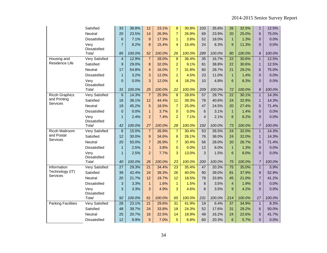|                               | Satisfied                   | 33                      | 38.8%  | 12               | 23.1%  | 8                | 30.8%  | 103            | 35.6%  | 26              | 32.5%  | $\mathbf{1}$    | 12.5%  |
|-------------------------------|-----------------------------|-------------------------|--------|------------------|--------|------------------|--------|----------------|--------|-----------------|--------|-----------------|--------|
|                               | Neutral                     | 20                      | 23.5%  | 14               | 26.9%  | $\overline{7}$   | 26.9%  | 69             | 23.9%  | 20              | 25.0%  | $6\phantom{1}6$ | 75.0%  |
|                               | Dissatisfied                | 6                       | 7.1%   | 9                | 17.3%  | $\mathbf{1}$     | 3.8%   | 52             | 18.0%  | $\mathbf{1}$    | 1.3%   | $\mathbf 0$     | 0.0%   |
|                               | Very                        | $\overline{7}$          | 8.2%   | 8                | 15.4%  | $\overline{4}$   | 15.4%  | 24             | 8.3%   | 9               | 11.3%  | $\overline{0}$  | 0.0%   |
|                               | Dissatisfied                |                         |        |                  |        |                  |        |                |        |                 |        |                 |        |
|                               | <b>Total</b>                | 85                      | 100.0% | 52               | 100.0% | 26               | 100.0% | 289            | 100.0% | 80              | 100.0% | 8               | 100.0% |
| Housing and<br>Residence Life | <b>Very Satisfied</b>       | $\overline{\mathbf{4}}$ | 12.9%  | $\overline{7}$   | 28.0%  | $\bf 8$          | 36.4%  | 35             | 16.7%  | $\overline{22}$ | 30.6%  | $\mathbf{1}$    | 12.5%  |
|                               | Satisfied                   | 9                       | 29.0%  | 8                | 32.0%  | $\overline{a}$   | 9.1%   | 81             | 38.8%  | 22              | 30.6%  | $\mathbf{1}$    | 12.5%  |
|                               | Neutral                     | 17                      | 54.8%  | $\overline{4}$   | 16.0%  | $\overline{7}$   | 31.8%  | 60             | 28.7%  | 21              | 29.2%  | 6               | 75.0%  |
|                               | Dissatisfied                | $\mathbf{1}$            | 3.2%   | 3                | 12.0%  | $\overline{1}$   | 4.5%   | 23             | 11.0%  | $\mathbf{1}$    | 1.4%   | $\mathbf 0$     | 0.0%   |
|                               | Very<br>Dissatisfied        | $\Omega$                | 0.0%   | 3                | 12.0%  | 4                | 18.2%  | 10             | 4.8%   | 6               | 8.3%   | $\overline{0}$  | 0.0%   |
|                               | Total                       | 31                      | 100.0% | 25               | 100.0% | 22               | 100.0% | 209            | 100.0% | 72              | 100.0% | 8               | 100.0% |
| <b>Ricoh Graphics</b>         | <b>Very Satisfied</b>       | $6\phantom{1}$          | 14.3%  | $\overline{7}$   | 25.9%  | $\boldsymbol{8}$ | 28.6%  | 57             | 29.7%  | $\overline{22}$ | 30.1%  | $\mathbf{1}$    | 14.3%  |
| and Printing<br>Services      | Satisfied                   | 16                      | 38.1%  | 12               | 44.4%  | 11               | 39.3%  | 78             | 40.6%  | 24              | 32.9%  | $\mathbf{1}$    | 14.3%  |
|                               | Neutral                     | 19                      | 45.2%  | 5                | 18.5%  | $\overline{7}$   | 25.0%  | 47             | 24.5%  | 20              | 27.4%  | 5               | 71.4%  |
|                               | Dissatisfied                | $\mathbf 0$             | 0.0%   | $\mathbf{1}$     | 3.7%   | $\mathbf 0$      | 0.0%   | $\,6$          | 3.1%   | $\overline{1}$  | 1.4%   | $\pmb{0}$       | 0.0%   |
|                               | Very<br><b>Dissatisfied</b> | $\mathbf{1}$            | 2.4%   | $\overline{2}$   | 7.4%   | $\overline{2}$   | 7.1%   | $\overline{4}$ | 2.1%   | 6               | 8.2%   | $\overline{0}$  | 0.0%   |
|                               | <b>Total</b>                | 42                      | 100.0% | 27               | 100.0% | 28               | 100.0% | 192            | 100.0% | 73              | 100.0% | $\overline{7}$  | 100.0% |
| Ricoh Mailroom                | <b>Very Satisfied</b>       | $\overline{6}$          | 15.0%  | $\overline{7}$   | 26.9%  | $\overline{7}$   | 30.4%  | 53             | 26.5%  | $\overline{24}$ | 32.0%  | $\mathbf{1}$    | 14.3%  |
| and Postal                    | Satisfied                   | 12                      | 30.0%  | $\boldsymbol{9}$ | 34.6%  | $6\phantom{1}$   | 26.1%  | 76             | 38.0%  | 24              | 32.0%  | $\mathbf{1}$    | 14.3%  |
| Services                      | Neutral                     | 20                      | 50.0%  | $\overline{7}$   | 26.9%  | $\overline{7}$   | 30.4%  | 56             | 28.0%  | 20              | 26.7%  | 5               | 71.4%  |
|                               | Dissatisfied                | $\mathbf{1}$            | 2.5%   | $\mathbf{1}$     | 3.8%   | $\overline{0}$   | 0.0%   | 12             | 6.0%   | $\mathbf{1}$    | 1.3%   | $\mathbf 0$     | 0.0%   |
|                               | Very<br>Dissatisfied        | $\mathbf{1}$            | 2.5%   | $\overline{c}$   | 7.7%   | 3                | 13.0%  | 3              | 1.5%   | 6               | 8.0%   | $\overline{0}$  | 0.0%   |
|                               | <b>Total</b>                | 40                      | 100.0% | 26               | 100.0% | 23               | 100.0% | 200            | 100.0% | 75              | 100.0% | $\overline{7}$  | 100.0% |
| Information                   | <b>Very Satisfied</b>       | $\overline{27}$         | 29.3%  | $\overline{21}$  | 34.4%  | $\overline{23}$  | 35.4%  | 47             | 20.3%  | $\overline{75}$ | 35.0%  | $\mathbf{1}$    | 5.9%   |
| Technology (IT)               | Satisfied                   | 39                      | 42.4%  | 24               | 39.3%  | 26               | 40.0%  | 90             | 39.0%  | 81              | 37.9%  | $9$             | 52.9%  |
| Services                      | Neutral                     | 20                      | 21.7%  | 12               | 19.7%  | 12               | 18.5%  | 78             | 33.8%  | 45              | 21.0%  | $\overline{7}$  | 41.2%  |
|                               | <b>Dissatisfied</b>         | 3                       | 3.3%   | $\mathbf{1}$     | 1.6%   | $\mathbf{1}$     | 1.5%   | 8              | 3.5%   | $\overline{4}$  | 1.9%   | $\overline{0}$  | 0.0%   |
|                               | Very<br>Dissatisfied        | 3                       | 3.3%   | 3                | 4.9%   | 3                | 4.6%   | 8              | 3.5%   | 9               | 4.2%   | $\pmb{0}$       | 0.0%   |
|                               | Total                       | 92                      | 100.0% | 61               | 100.0% | 65               | 100.0% | 231            | 100.0% | 214             | 100.0% | 17              | 100.0% |
| <b>Parking Facilities</b>     | <b>Very Satisfied</b>       | $\overline{28}$         | 23.1%  | $\overline{21}$  | 29.6%  | 31               | 41.9%  | 19             | 6.4%   | $\overline{37}$ | 34.9%  | $\mathbf{1}$    | 8.3%   |
|                               | Satisfied                   | 48                      | 39.7%  | 24               | 33.8%  | 18               | 24.3%  | 52             | 17.6%  | 31              | 29.2%  | 6               | 50.0%  |
|                               | Neutral                     | 25                      | 20.7%  | 16               | 22.5%  | 14               | 18.9%  | 48             | 16.2%  | 24              | 22.6%  | 5               | 41.7%  |
|                               | <b>Dissatisfied</b>         | 12                      | 9.9%   | 5                | 7.0%   | 5                | 6.8%   | 60             | 20.3%  | 6               | 5.7%   | 0               | 0.0%   |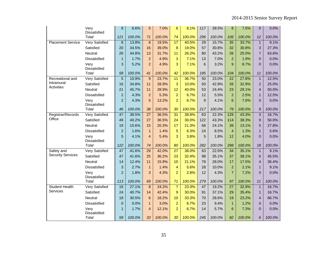|                                          | Very<br><b>Dissatisfied</b> | 8               | 6.6%   | 5               | 7.0%   | 6                | 8.1%   | 117 | 39.5%  | 8               | 7.5%   | 0                | 0.0%   |
|------------------------------------------|-----------------------------|-----------------|--------|-----------------|--------|------------------|--------|-----|--------|-----------------|--------|------------------|--------|
|                                          | Total                       | 121             | 100.0% | 71              | 100.0% | 74               | 100.0% | 296 | 100.0% | 106             | 100.0% | 12               | 100.0% |
| <b>Placement Service</b>                 | Very Satisfied              | 8               | 13.8%  | 8               | 19.5%  | 17               | 40.5%  | 29  | 15.7%  | 35              | 33.7%  | $\mathbf{1}$     | 9.1%   |
|                                          | Satisfied                   | 20              | 34.5%  | 16              | 39.0%  | 8                | 19.0%  | 57  | 30.8%  | 32              | 30.8%  | 3                | 27.3%  |
|                                          | Neutral                     | 26              | 44.8%  | 13              | 31.7%  | 11               | 26.2%  | 80  | 43.2%  | 26              | 25.0%  | $\overline{7}$   | 63.6%  |
|                                          | Dissatisfied                | $\mathbf{1}$    | 1.7%   | $\overline{a}$  | 4.9%   | 3                | 7.1%   | 13  | 7.0%   | 2               | 1.9%   | 0                | 0.0%   |
|                                          | Very<br><b>Dissatisfied</b> | 3               | 5.2%   | $\overline{2}$  | 4.9%   | 3                | 7.1%   | 6   | 3.2%   | 9               | 8.7%   | $\overline{0}$   | 0.0%   |
|                                          | Total                       | 58              | 100.0% | 41              | 100.0% | 42               | 100.0% | 185 | 100.0% | 104             | 100.0% | 11               | 100.0% |
| Recreational and                         | Very Satisfied              | $\overline{5}$  | 10.9%  | 9               | 23.7%  | 11               | 36.7%  | 50  | 23.0%  | $\overline{22}$ | 27.8%  | $\mathbf{1}$     | 12.5%  |
| Intramural<br>Activities                 | Satisfied                   | 16              | 34.8%  | 11              | 28.9%  | 3                | 10.0%  | 93  | 42.9%  | 26              | 32.9%  | $\overline{2}$   | 25.0%  |
|                                          | Neutral                     | 21              | 45.7%  | 11              | 28.9%  | 12               | 40.0%  | 53  | 24.4%  | 23              | 29.1%  | $\overline{4}$   | 50.0%  |
|                                          | Dissatisfied                | $\overline{2}$  | 4.3%   | $\overline{2}$  | 5.3%   | $\overline{a}$   | 6.7%   | 12  | 5.5%   | 2               | 2.5%   | $\mathbf{1}$     | 12.5%  |
|                                          | Very<br>Dissatisfied        | $\overline{2}$  | 4.3%   | 5               | 13.2%  | $\overline{2}$   | 6.7%   | 9   | 4.1%   | 6               | 7.6%   | 0                | 0.0%   |
|                                          | <b>Total</b>                | 46              | 100.0% | 38              | 100.0% | 30               | 100.0% | 217 | 100.0% | 79              | 100.0% | $\boldsymbol{8}$ | 100.0% |
| Registrar/Records                        | <b>Very Satisfied</b>       | 47              | 38.5%  | $\overline{27}$ | 36.5%  | 31               | 38.8%  | 63  | 22.3%  | 129             | 43.3%  | $\overline{3}$   | 16.7%  |
| Office                                   | Satisfied                   | 49              | 40.2%  | 27              | 36.5%  | 24               | 30.0%  | 122 | 43.3%  | 114             | 38.3%  | 9                | 50.0%  |
|                                          | Neutral                     | 19              | 15.6%  | 15              | 20.3%  | 17               | 21.3%  | 68  | 24.1%  | 39              | 13.1%  | 5                | 27.8%  |
|                                          | Dissatisfied                | $\overline{2}$  | 1.6%   | $\mathbf{1}$    | 1.4%   | 5                | 6.3%   | 24  | 8.5%   | $\overline{4}$  | 1.3%   | $\mathbf{1}$     | 5.6%   |
|                                          | Very<br>Dissatisfied        | 5               | 4.1%   | $\overline{4}$  | 5.4%   | 3                | 3.8%   | 5   | 1.8%   | 12              | 4.0%   | $\overline{0}$   | 0.0%   |
|                                          | Total                       | 122             | 100.0% | 74              | 100.0% | 80               | 100.0% | 282 | 100.0% | 298             | 100.0% | 18               | 100.0% |
| Safety and                               | <b>Very Satisfied</b>       | $\overline{47}$ | 41.6%  | $\overline{29}$ | 42.0%  | $\overline{27}$  | 38.0%  | 63  | 22.6%  | 34              | 35.1%  | $\mathbf{1}$     | 9.1%   |
| <b>Security Services</b>                 | Satisfied                   | 47              | 41.6%  | 25              | 36.2%  | 23               | 32.4%  | 98  | 35.1%  | 37              | 38.1%  | 5                | 45.5%  |
|                                          | Neutral                     | 14              | 12.4%  | 11              | 15.9%  | 15               | 21.1%  | 78  | 28.0%  | 17              | 17.5%  | 4                | 36.4%  |
|                                          | Dissatisfied                | 3               | 2.7%   | $\mathbf{1}$    | 1.4%   | $\overline{4}$   | 5.6%   | 28  | 10.0%  | $\overline{2}$  | 2.1%   | $\mathbf{1}$     | 9.1%   |
|                                          | Very<br>Dissatisfied        | $\overline{2}$  | 1.8%   | 3               | 4.3%   | $\overline{2}$   | 2.8%   | 12  | 4.3%   | $\overline{7}$  | 7.2%   | $\overline{0}$   | 0.0%   |
|                                          | Total                       | 113             | 100.0% | 69              | 100.0% | 71               | 100.0% | 279 | 100.0% | 97              | 100.0% | 11               | 100.0% |
| <b>Student Health</b><br><b>Services</b> | <b>Very Satisfied</b>       | 16              | 27.1%  | 8               | 24.2%  | $\overline{7}$   | 23.3%  | 47  | 19.2%  | 27              | 32.9%  | $\mathbf{1}$     | 16.7%  |
|                                          | Satisfied                   | 24              | 40.7%  | 14              | 42.4%  | $\boldsymbol{9}$ | 30.0%  | 91  | 37.1%  | 29              | 35.4%  | $\mathbf{1}$     | 16.7%  |
|                                          | Neutral                     | 18              | 30.5%  | $6\phantom{1}6$ | 18.2%  | 10               | 33.3%  | 70  | 28.6%  | 19              | 23.2%  | $\overline{4}$   | 66.7%  |
|                                          | Dissatisfied                | $\overline{0}$  | 0.0%   | $\mathbf{1}$    | 3.0%   | $\overline{a}$   | 6.7%   | 23  | 9.4%   | $\overline{1}$  | 1.2%   | 0                | 0.0%   |
|                                          | Very<br>Dissatisfied        | $\mathbf{1}$    | 1.7%   | $\overline{4}$  | 12.1%  | $\overline{2}$   | 6.7%   | 14  | 5.7%   | 6               | 7.3%   | $\overline{0}$   | 0.0%   |
|                                          | Total                       | 59              | 100.0% | 33              | 100.0% | 30               | 100.0% | 245 | 100.0% | 82              | 100.0% | 6                | 100.0% |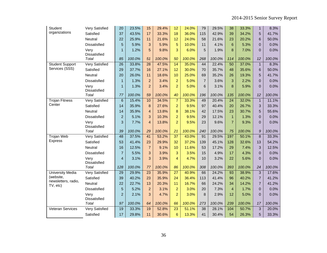| Student                          | Very Satisfied        | 20              | 23.5%  | 15              | 29.4%  | 12              | 24.0%  | 79             | 29.5%  | 38              | 33.3%  | $\mathbf{1}$   | 8.3%   |
|----------------------------------|-----------------------|-----------------|--------|-----------------|--------|-----------------|--------|----------------|--------|-----------------|--------|----------------|--------|
| organizations                    | Satisfied             | 37              | 43.5%  | 17              | 33.3%  | 18              | 36.0%  | 115            | 42.9%  | 39              | 34.2%  | 5              | 41.7%  |
|                                  | Neutral               | 22              | 25.9%  | 11              | 21.6%  | 12              | 24.0%  | 58             | 21.6%  | 23              | 20.2%  | 6              | 50.0%  |
|                                  | Dissatisfied          | 5               | 5.9%   | 3               | 5.9%   | 5               | 10.0%  | 11             | 4.1%   | $6\phantom{1}6$ | 5.3%   | $\mathbf 0$    | 0.0%   |
|                                  | Very<br>Dissatisfied  | $\mathbf{1}$    | 1.2%   | 5               | 9.8%   | 3               | 6.0%   | 5              | 1.9%   | 8               | 7.0%   | $\overline{0}$ | 0.0%   |
|                                  | Total                 | 85              | 100.0% | 51              | 100.0% | 50              | 100.0% | 268            | 100.0% | 114             | 100.0% | 12             | 100.0% |
| <b>Student Support</b>           | <b>Very Satisfied</b> | $\overline{26}$ | 33.8%  | $\overline{28}$ | 47.5%  | $\overline{14}$ | 35.0%  | 44             | 22.4%  | $\overline{50}$ | 37.0%  | $\mathbf{1}$   | 8.3%   |
| Services (SSS)                   | Satisfied             | 29              | 37.7%  | 16              | 27.1%  | 12              | 30.0%  | 70             | 35.7%  | 48              | 35.6%  | 6              | 50.0%  |
|                                  | Neutral               | 20              | 26.0%  | 11              | 18.6%  | 10              | 25.0%  | 69             | 35.2%  | 26              | 19.3%  | 5              | 41.7%  |
|                                  | Dissatisfied          | $\mathbf{1}$    | 1.3%   | $\overline{2}$  | 3.4%   | $\overline{a}$  | 5.0%   | $\overline{7}$ | 3.6%   | 3               | 2.2%   | $\mathbf{0}$   | 0.0%   |
|                                  | Very<br>Dissatisfied  | $\mathbf{1}$    | 1.3%   | $\overline{2}$  | 3.4%   | $\overline{2}$  | 5.0%   | 6              | 3.1%   | 8               | 5.9%   | $\Omega$       | 0.0%   |
|                                  | Total                 | 77              | 100.0% | 59              | 100.0% | 40              | 100.0% | 196            | 100.0% | 135             | 100.0% | 12             | 100.0% |
| <b>Trojan Fitness</b>            | <b>Very Satisfied</b> | 6               | 15.4%  | 10              | 34.5%  | $\overline{7}$  | 33.3%  | 49             | 20.4%  | 24              | 32.0%  | $\mathbf{1}$   | 11.1%  |
| Center                           | Satisfied             | 14              | 35.9%  | 8               | 27.6%  | $\overline{2}$  | 9.5%   | 97             | 40.4%  | 20              | 26.7%  | 3              | 33.3%  |
|                                  | Neutral               | 14              | 35.9%  | $\overline{4}$  | 13.8%  | 8               | 38.1%  | 42             | 17.5%  | 23              | 30.7%  | 5              | 55.6%  |
|                                  | Dissatisfied          | $\overline{2}$  | 5.1%   | 3               | 10.3%  | $\overline{a}$  | 9.5%   | 29             | 12.1%  | $\mathbf{1}$    | 1.3%   | $\pmb{0}$      | 0.0%   |
|                                  | Very<br>Dissatisfied  | 3               | 7.7%   | $\overline{4}$  | 13.8%  | $\overline{2}$  | 9.5%   | 23             | 9.6%   | $\overline{7}$  | 9.3%   | $\overline{0}$ | 0.0%   |
|                                  | Total                 | 39              | 100.0% | 29              | 100.0% | 21              | 100.0% | 240            | 100.0% | 75              | 100.0% | 9              | 100.0% |
| <b>Trojan Web</b>                | <b>Very Satisfied</b> | 48              | 37.5%  | 41              | 53.2%  | $\overline{37}$ | 43.0%  | 91             | 29.5%  | 197             | 50.1%  | $\bf 8$        | 33.3%  |
| <b>Express</b>                   | Satisfied             | 53              | 41.4%  | 23              | 29.9%  | 32              | 37.2%  | 139            | 45.1%  | 128             | 32.6%  | 13             | 54.2%  |
|                                  | Neutral               | 16              | 12.5%  | $\overline{7}$  | 9.1%   | 10              | 11.6%  | 53             | 17.2%  | 29              | 7.4%   | 3              | 12.5%  |
|                                  | <b>Dissatisfied</b>   | $\overline{7}$  | 5.5%   | 3               | 3.9%   | 3               | 3.5%   | 15             | 4.9%   | 17              | 4.3%   | $\overline{0}$ | 0.0%   |
|                                  | Very<br>Dissatisfied  | $\overline{4}$  | 3.1%   | 3               | 3.9%   | 4               | 4.7%   | 10             | 3.2%   | 22              | 5.6%   | $\overline{0}$ | 0.0%   |
|                                  | Total                 | 128             | 100.0% | 77              | 100.0% | 86              | 100.0% | 308            | 100.0% | 393             | 100.0% | 24             | 100.0% |
| <b>University Media</b>          | <b>Very Satisfied</b> | $\overline{29}$ | 29.9%  | $\overline{23}$ | 35.9%  | $\overline{27}$ | 40.9%  | 66             | 24.2%  | 93              | 38.9%  | 3              | 17.6%  |
| (website,<br>newsletters, radio, | Satisfied             | 39              | 40.2%  | 23              | 35.9%  | 24              | 36.4%  | 113            | 41.4%  | 96              | 40.2%  | $\overline{7}$ | 41.2%  |
| TV, etc)                         | Neutral               | 22              | 22.7%  | 13              | 20.3%  | 11              | 16.7%  | 66             | 24.2%  | 34              | 14.2%  | $\overline{7}$ | 41.2%  |
|                                  | Dissatisfied          | 5               | 5.2%   | $\overline{2}$  | 3.1%   | $\overline{a}$  | 3.0%   | 20             | 7.3%   | $\overline{4}$  | 1.7%   | $\pmb{0}$      | 0.0%   |
|                                  | Very<br>Dissatisfied  | $\overline{2}$  | 2.1%   | 3               | 4.7%   | $\overline{2}$  | 3.0%   | 8              | 2.9%   | 12              | 5.0%   | $\overline{0}$ | 0.0%   |
|                                  | <b>Total</b>          | 97              | 100.0% | 64              | 100.0% | 66              | 100.0% | 273            | 100.0% | 239             | 100.0% | 17             | 100.0% |
| <b>Veteran Services</b>          | <b>Very Satisfied</b> | 19              | 33.3%  | 19              | 52.8%  | $\overline{23}$ | 51.1%  | 38             | 28.1%  | 104             | 50.7%  | 3              | 20.0%  |
|                                  | Satisfied             | 17              | 29.8%  | 11              | 30.6%  | $6\phantom{a}$  | 13.3%  | 41             | 30.4%  | 54              | 26.3%  | 5              | 33.3%  |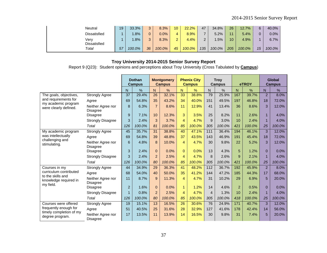| Neutral              | 19 | 33.3%  |    | 8.3%   | 10     | 22.2%  | 47  | 34.8%  | 26  | 12.7%  | 6  | 40.0%  |
|----------------------|----|--------|----|--------|--------|--------|-----|--------|-----|--------|----|--------|
| Dissatisfied         |    | .8%    |    | 0.0%   | 4      | 8.9%   |     | 5.2%   | 44  | 5.4%   | 0  | 0.0%   |
| Verv<br>Dissatisfied |    | .8%    |    | 8.3%   | $\sim$ | 4.4%   | ົ   | $.5\%$ | 10  | 4.9%   |    | 6.7%   |
| Total                | 57 | 100.0% | 36 | 100.0% | 45     | 100.0% | 135 | 100.0% | 205 | 100.0% | 15 | 100.0% |

Report 9 (Q23): Student opinions and perceptions about Troy University (Cross Tabulated by **Campus**)

|                                                  |                                      |                | <b>Dothan</b><br><b>Campus</b> |                | <b>Montgomery</b><br><b>Campus</b> |                | <b>Phenix City</b><br><b>Campus</b> |                | <b>Troy</b><br>Campus |                | eTROY         |                | Global<br><b>Campus</b> |
|--------------------------------------------------|--------------------------------------|----------------|--------------------------------|----------------|------------------------------------|----------------|-------------------------------------|----------------|-----------------------|----------------|---------------|----------------|-------------------------|
|                                                  |                                      | $\overline{N}$ | $\frac{9}{6}$                  | N              | $\frac{9}{6}$                      | N              | $\frac{9}{6}$                       | N.             | $\frac{0}{0}$         | N              | $\frac{9}{6}$ | $\mathsf{N}$   | $\%$                    |
| The goals, objectives,                           | <b>Strongly Agree</b>                | 37             | 29.4%                          | 26             | 32.1%                              | 33             | 38.8%                               | 79             | 25.9%                 | 167            | 39.7%         | 2              | 8.0%                    |
| and requirements for                             | Agree                                | 69             | 54.8%                          | 35             | 43.2%                              | 34             | 40.0%                               | 151            | 49.5%                 | 197            | 46.8%         | 18             | 72.0%                   |
| my academic program<br>were clearly defined.     | Neither Agree nor<br><b>Disagree</b> | 8              | 6.3%                           | $\overline{7}$ | 8.6%                               | 11             | 12.9%                               | 41             | 13.4%                 | 36             | 8.6%          | 3              | 12.0%                   |
|                                                  | <b>Disagree</b>                      | 9              | 7.1%                           | 10             | 12.3%                              | 3              | 3.5%                                | 25             | 8.2%                  | 11             | 2.6%          | 1              | 4.0%                    |
|                                                  | <b>Strongly Disagree</b>             | 3              | 2.4%                           | 3              | 3.7%                               | $\overline{4}$ | 4.7%                                | 9              | 3.0%                  | 10             | 2.4%          | 1              | 4.0%                    |
|                                                  | Total                                | 126            | 100.0%                         | 81             | 100.0%                             | 85             | 100.0%                              | 305            | 100.0%                | 421            | 100.0%        | 25             | 100.0%                  |
| My academic program                              | <b>Strongly Agree</b>                | 45             | 35.7%                          | 31             | 38.8%                              | 40             | 47.1%                               | 111            | 36.4%                 | 194            | 46.1%         | 3              | 12.0%                   |
| was intellectually                               | Agree                                | 69             | 54.8%                          | 39             | 48.8%                              | 37             | 43.5%                               | 143            | 46.9%                 | 191            | 45.4%         | 18             | 72.0%                   |
| challenging and<br>stimulating.                  | Neither Agree nor<br><b>Disagree</b> | 6              | 4.8%                           | 8              | 10.0%                              | 4              | 4.7%                                | 30             | 9.8%                  | 22             | 5.2%          | 3              | 12.0%                   |
|                                                  | <b>Disagree</b>                      | 3              | 2.4%                           | $\Omega$       | 0.0%                               | $\Omega$       | 0.0%                                | 13             | 4.3%                  | 5              | 1.2%          | $\Omega$       | 0.0%                    |
|                                                  | <b>Strongly Disagree</b>             | 3              | 2.4%                           | $\overline{2}$ | 2.5%                               | $\overline{4}$ | 4.7%                                | 8              | 2.6%                  | 9              | 2.1%          | $\overline{1}$ | 4.0%                    |
|                                                  | Total                                | 126            | 100.0%                         | 80             | 100.0%                             | 85             | 100.0%                              | 305            | 100.0%                | 421            | 100.0%        | 25             | 100.0%                  |
| Courses in my                                    | <b>Strongly Agree</b>                | 44             | 34.9%                          | 29             | 36.3%                              | 41             | 48.2%                               | 112            | 36.7%                 | 192            | 45.9%         | 2              | 8.0%                    |
| curriculum contributed<br>to the skills and      | Agree                                | 68             | 54.0%                          | 40             | 50.0%                              | 35             | 41.2%                               | 144            | 47.2%                 | 185            | 44.3%         | 17             | 68.0%                   |
| knowledge required in<br>my field.               | Neither Agree nor<br><b>Disagree</b> | 11             | 8.7%                           | 9              | 11.3%                              | $\overline{4}$ | 4.7%                                | 31             | 10.2%                 | 29             | 6.9%          | 5              | 20.0%                   |
|                                                  | <b>Disagree</b>                      | $\overline{2}$ | 1.6%                           | $\mathbf{0}$   | 0.0%                               | $\mathbf{1}$   | 1.2%                                | 14             | 4.6%                  | $\overline{2}$ | 0.5%          | $\Omega$       | 0.0%                    |
|                                                  | <b>Strongly Disagree</b>             | 1              | 0.8%                           | $\overline{2}$ | 2.5%                               | $\overline{4}$ | 4.7%                                | $\overline{4}$ | 1.3%                  | 10             | 2.4%          | 1              | 4.0%                    |
|                                                  | Total                                | 126            | 100.0%                         | 80             | 100.0%                             | 85             | 100.0%                              | 305            | 100.0%                | 418            | 100.0%        | 25             | 100.0%                  |
| Courses were offered                             | <b>Strongly Agree</b>                | 19             | 15.1%                          | 13             | 16.5%                              | 26             | 30.6%                               | 76             | 24.9%                 | 171            | 40.7%         | 3              | 12.0%                   |
| frequently enough for<br>timely completion of my | Agree                                | 51             | 40.5%                          | 25             | 31.6%                              | 28             | 32.9%                               | 127            | 41.6%                 | 178            | 42.4%         | 14             | 56.0%                   |
| degree program.                                  | Neither Agree nor<br><b>Disagree</b> | 17             | 13.5%                          | 11             | 13.9%                              | 14             | 16.5%                               | 30             | 9.8%                  | 31             | 7.4%          | 5              | 20.0%                   |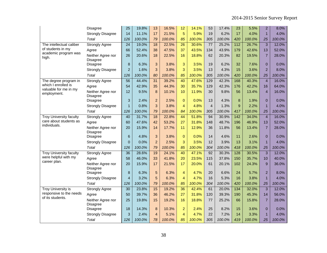|                                      | Disagree                             | 25              | 19.8%  | 13             | 16.5%  | 12              | 14.1%  | 53             | 17.4%  | 23               | 5.5%   | $\overline{2}$ | 8.0%   |
|--------------------------------------|--------------------------------------|-----------------|--------|----------------|--------|-----------------|--------|----------------|--------|------------------|--------|----------------|--------|
|                                      | <b>Strongly Disagree</b>             | 14              | 11.1%  | 17             | 21.5%  | 5               | 5.9%   | 19             | 6.2%   | 17               | 4.0%   | $\mathbf{1}$   | 4.0%   |
|                                      | Total                                | 126             | 100.0% | 79             | 100.0% | 85              | 100.0% | 305            | 100.0% | 420              | 100.0% | 25             | 100.0% |
| The intellectual caliber             | <b>Strongly Agree</b>                | $\overline{24}$ | 19.0%  | 18             | 22.5%  | $\overline{26}$ | 30.6%  | 77             | 25.2%  | 112              | 26.7%  | $\overline{3}$ | 12.0%  |
| of students in my                    | Agree                                | 66              | 52.4%  | 38             | 47.5%  | 37              | 43.5%  | 134            | 43.9%  | 179              | 42.6%  | 13             | 52.0%  |
| academic program was<br>high.        | Neither Agree nor<br><b>Disagree</b> | 26              | 20.6%  | 18             | 22.5%  | 16              | 18.8%  | 62             | 20.3%  | 82               | 19.5%  | $\overline{7}$ | 28.0%  |
|                                      | <b>Disagree</b>                      | 8               | 6.3%   | 3              | 3.8%   | 3               | 3.5%   | 19             | 6.2%   | 32               | 7.6%   | $\overline{0}$ | 0.0%   |
|                                      | <b>Strongly Disagree</b>             | $\overline{2}$  | 1.6%   | 3              | 3.8%   | 3               | 3.5%   | 13             | 4.3%   | 15               | 3.6%   | $\overline{2}$ | 8.0%   |
|                                      | Total                                | 126             | 100.0% | 80             | 100.0% | 85              | 100.0% | 305            | 100.0% | 420              | 100.0% | 25             | 100.0% |
| The degree program in                | <b>Strongly Agree</b>                | $\overline{56}$ | 44.4%  | 31             | 39.2%  | 40              | 47.6%  | 129            | 42.3%  | 168              | 40.3%  | $\overline{4}$ | 16.0%  |
| which I enrolled is                  | Agree                                | 54              | 42.9%  | 35             | 44.3%  | 30              | 35.7%  | 129            | 42.3%  | 176              | 42.2%  | 16             | 64.0%  |
| valuable for me in my<br>employment. | Neither Agree nor<br><b>Disagree</b> | 12              | 9.5%   | 8              | 10.1%  | 10              | 11.9%  | 30             | 9.8%   | 56               | 13.4%  | $\overline{4}$ | 16.0%  |
|                                      | <b>Disagree</b>                      | 3               | 2.4%   | $\overline{a}$ | 2.5%   | $\overline{0}$  | 0.0%   | 13             | 4.3%   | 8                | 1.9%   | $\overline{0}$ | 0.0%   |
|                                      | <b>Strongly Disagree</b>             | $\mathbf{1}$    | 0.8%   | 3              | 3.8%   | $\overline{4}$  | 4.8%   | $\overline{4}$ | 1.3%   | 9                | 2.2%   | $\overline{1}$ | 4.0%   |
|                                      | Total                                | 126             | 100.0% | 79             | 100.0% | 84              | 100.0% | 305            | 100.0% | 417              | 100.0% | 25             | 100.0% |
| <b>Troy University faculty</b>       | <b>Strongly Agree</b>                | 40              | 31.7%  | 18             | 22.8%  | 44              | 51.8%  | 94             | 30.9%  | $\overline{142}$ | 34.0%  | $\overline{4}$ | 16.0%  |
| care about students as               | Agree                                | 60              | 47.6%  | 42             | 53.2%  | 27              | 31.8%  | 148            | 48.7%  | 196              | 46.9%  | 13             | 52.0%  |
| individuals.                         | Neither Agree nor<br><b>Disagree</b> | 20              | 15.9%  | 14             | 17.7%  | 11              | 12.9%  | 36             | 11.8%  | 56               | 13.4%  | $\overline{7}$ | 28.0%  |
|                                      | <b>Disagree</b>                      | $6\phantom{1}6$ | 4.8%   | 3              | 3.8%   | $\mathbf 0$     | 0.0%   | 14             | 4.6%   | 11               | 2.6%   | $\overline{0}$ | 0.0%   |
|                                      | <b>Strongly Disagree</b>             | $\overline{0}$  | 0.0%   | $\overline{c}$ | 2.5%   | 3               | 3.5%   | 12             | 3.9%   | 13               | 3.1%   | $\mathbf{1}$   | 4.0%   |
|                                      | Total                                | 126             | 100.0% | 79             | 100.0% | 85              | 100.0% | 304            | 100.0% | 418              | 100.0% | 25             | 100.0% |
| <b>Troy University faculty</b>       | <b>Strongly Agree</b>                | 36              | 28.6%  | 19             | 24.1%  | 40              | 47.1%  | 92             | 30.3%  | 128              | 30.5%  | 3              | 12.0%  |
| were helpful with my                 | Agree                                | 58              | 46.0%  | 33             | 41.8%  | 20              | 23.5%  | 115            | 37.8%  | 150              | 35.7%  | 10             | 40.0%  |
| career plan.                         | Neither Agree nor<br>Disagree        | 20              | 15.9%  | 17             | 21.5%  | 17              | 20.0%  | 61             | 20.1%  | 102              | 24.3%  | 9              | 36.0%  |
|                                      | Disagree                             | 8               | 6.3%   | 5              | 6.3%   | $\overline{4}$  | 4.7%   | 20             | 6.6%   | 24               | 5.7%   | $\overline{2}$ | 8.0%   |
|                                      | <b>Strongly Disagree</b>             | 4               | 3.2%   | 5              | 6.3%   | $\overline{4}$  | 4.7%   | 16             | 5.3%   | 16               | 3.8%   | $\overline{1}$ | 4.0%   |
|                                      | Total                                | 126             | 100.0% | 79             | 100.0% | 85              | 100.0% | 304            | 100.0% | 420              | 100.0% | 25             | 100.0% |
| <b>Troy University is</b>            | <b>Strongly Agree</b>                | $\overline{30}$ | 23.8%  | 15             | 19.2%  | 36              | 42.4%  | 61             | 20.0%  | 134              | 32.0%  | $\overline{3}$ | 12.0%  |
| responsive to the needs              | Agree                                | 50              | 39.7%  | 36             | 46.2%  | 27              | 31.8%  | 120            | 39.3%  | 190              | 45.3%  | 14             | 56.0%  |
| of its students.                     | Neither Agree nor<br><b>Disagree</b> | 25              | 19.8%  | 15             | 19.2%  | 16              | 18.8%  | 77             | 25.2%  | 66               | 15.8%  | $\overline{7}$ | 28.0%  |
|                                      | <b>Disagree</b>                      | 18              | 14.3%  | 8              | 10.3%  | $\overline{a}$  | 2.4%   | 25             | 8.2%   | 15               | 3.6%   | $\Omega$       | 0.0%   |
|                                      | <b>Strongly Disagree</b>             | 3               | 2.4%   | $\overline{4}$ | 5.1%   | $\overline{4}$  | 4.7%   | 22             | 7.2%   | 14               | 3.3%   | $\overline{1}$ | 4.0%   |
|                                      | Total                                | 126             | 100.0% | 78             | 100.0% | 85              | 100.0% | 305            | 100.0% | 419              | 100.0% | 25             | 100.0% |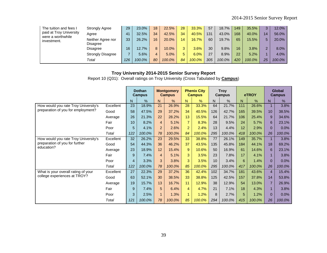| The tuition and fees I           | <b>Strongly Agree</b>         | 29  | 23.0%  | 18 | 22.5%  | 28           | 33.3%  | 57  | 18.7%  | 149 | 35.5%  | 3  | 12.0%  |
|----------------------------------|-------------------------------|-----|--------|----|--------|--------------|--------|-----|--------|-----|--------|----|--------|
| paid at Troy University          | Aaree                         | 41  | 32.5%  | 34 | 42.5%  | 34           | 40.5%  | 131 | 43.0%  | 168 | 40.0%  | 14 | 56.0%  |
| were a worthwhile<br>investment. | Neither Agree nor<br>Disagree | 33  | 26.2%  | 16 | 20.0%  | 14           | 16.7%  | 60  | 19.7%  | 65  | 15.5%  | 5. | 20.0%  |
|                                  | Disagree                      | 16  | 12.7%  | 8  | 10.0%  | $\mathbf{R}$ | 3.6%   | 30  | 9.8%   | 16  | 3.8%   | 2  | 8.0%   |
|                                  | <b>Strongly Disagree</b>      |     | 5.6%   |    | 5.0%   | 5.           | 6.0%   | 27  | 8.9%   | 22  | 5.2%   |    | 4.0%   |
|                                  | Total                         | 126 | 100.0% | 80 | 100.0% | 84           | 100.0% | 305 | 100.0% | 420 | 100.0% | 25 | 100.0% |

Report 10 (Q31): Overall ratings on Troy University (Cross Tabulated by **Campus**)

|                                      |           |     | <b>Dothan</b><br><b>Campus</b> |                | <b>Montgomery</b><br><b>Campus</b> |                | <b>Phenix City</b><br><b>Campus</b> |     | <b>Troy</b><br><b>Campus</b> |     | eTROY  |                | <b>Global</b><br><b>Campus</b> |
|--------------------------------------|-----------|-----|--------------------------------|----------------|------------------------------------|----------------|-------------------------------------|-----|------------------------------|-----|--------|----------------|--------------------------------|
|                                      |           | N   | %                              | N.             | %                                  | N              | %                                   | N.  | $\frac{0}{0}$                | N.  | %      | N              | %                              |
| How would you rate Troy University's | Excellent | 23  | 18.9%                          | 21             | 26.9%                              | 28             | 33.3%                               | 64  | 21.7%                        | 111 | 26.6%  |                | 3.8%                           |
| preparation of you for employment?   | Good      | 58  | 47.5%                          | 29             | 37.2%                              | 34             | 40.5%                               | 126 | 42.7%                        | 165 | 39.5%  | 10             | 38.5%                          |
|                                      | Average   | 26  | 21.3%                          | 22             | 28.2%                              | 13             | 15.5%                               | 64  | 21.7%                        | 106 | 25.4%  | 9              | 34.6%                          |
|                                      | Fair      | 10  | 8.2%                           | $\overline{4}$ | 5.1%                               | $\overline{7}$ | 8.3%                                | 28  | 9.5%                         | 24  | 5.7%   | 6              | 23.1%                          |
|                                      | Poor      | 5   | 4.1%                           | 2              | 2.6%                               | 2              | 2.4%                                | 13  | 4.4%                         | 12  | 2.9%   | $\Omega$       | 0.0%                           |
|                                      | Total     | 122 | 100.0%                         | 78             | 100.0%                             | 84             | 100.0%                              | 295 | 100.0%                       | 418 | 100.0% | 26             | 100.0%                         |
| How would you rate Troy University's | Excellent | 32  | 26.2%                          | 23             | 29.5%                              | 33             | 38.8%                               | 77  | 26.1%                        | 149 | 35.7%  |                | 3.8%                           |
| preparation of you for further       | Good      | 54  | 44.3%                          | 36             | 46.2%                              | 37             | 43.5%                               | 135 | 45.8%                        | 184 | 44.1%  | 18             | 69.2%                          |
| education?                           | Average   | 23  | 18.9%                          | 12             | 15.4%                              | 9              | 10.6%                               | 50  | 16.9%                        | 61  | 14.6%  | 6              | 23.1%                          |
|                                      | Fair      | 9   | 7.4%                           | $\overline{4}$ | 5.1%                               | 3              | 3.5%                                | 23  | 7.8%                         | 17  | 4.1%   | $\mathbf{1}$   | 3.8%                           |
|                                      | Poor      | 4   | 3.3%                           | 3              | 3.8%                               | 3              | 3.5%                                | 10  | 3.4%                         | 6   | 1.4%   | $\mathbf{0}$   | 0.0%                           |
|                                      | Total     | 122 | 100.0%                         | 78             | 100.0%                             | 85             | 100.0%                              | 295 | 100.0%                       | 417 | 100.0% | 26             | 100.0%                         |
| What is your overall rating of your  | Excellent | 27  | 22.3%                          | 29             | 37.2%                              | 36             | 42.4%                               | 102 | 34.7%                        | 181 | 43.6%  | $\overline{4}$ | 15.4%                          |
| college experiences at TROY?         | Good      | 63  | 52.1%                          | 30             | 38.5%                              | 33             | 38.8%                               | 125 | 42.5%                        | 157 | 37.8%  | 14             | 53.8%                          |
|                                      | Average   | 19  | 15.7%                          | 13             | 16.7%                              | 11             | 12.9%                               | 38  | 12.9%                        | 54  | 13.0%  | $\overline{7}$ | 26.9%                          |
|                                      | Fair      | 9   | 7.4%                           | 5              | 6.4%                               | $\overline{4}$ | 4.7%                                | 21  | 7.1%                         | 18  | 4.3%   | $\mathbf{1}$   | 3.8%                           |
|                                      | Poor      | 3   | 2.5%                           | $\mathbf{1}$   | 1.3%                               | 1              | 1.2%                                | 8   | 2.7%                         | 5   | 1.2%   | $\mathbf{0}$   | 0.0%                           |
|                                      | Total     | 121 | 100.0%                         | 78             | 100.0%                             | 85             | 100.0%                              | 294 | 100.0%                       | 415 | 100.0% | 26             | 100.0%                         |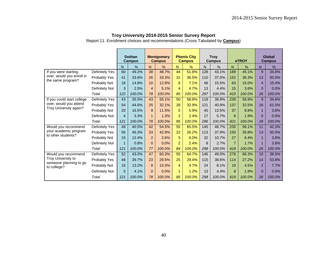Report 11: Enrollment choices and recommendations (Cross Tabulated by **Campus**)

|                                                |                |                | <b>Dothan</b><br><b>Campus</b> |                | <b>Montgomery</b><br><b>Campus</b> |                | <b>Phenix City</b><br><b>Campus</b> |     | <b>Troy</b><br>Campus |                | eTROY  |                | Global<br><b>Campus</b> |
|------------------------------------------------|----------------|----------------|--------------------------------|----------------|------------------------------------|----------------|-------------------------------------|-----|-----------------------|----------------|--------|----------------|-------------------------|
|                                                |                | N              | $\%$                           | N.             | $\frac{0}{0}$                      | N              | $\%$                                | N   | $\frac{0}{0}$         | N              | $\%$   | N              | $\%$                    |
| If you were starting                           | Definitely Yes | 60             | 49.2%                          | 38             | 48.7%                              | 44             | 51.8%                               | 128 | 43.1%                 | 189            | 45.1%  | 9              | 34.6%                   |
| over, would you enroll in<br>the same program? | Probably Yes   | 41             | 33.6%                          | 26             | 33.3%                              | 31             | 36.5%                               | 110 | 37.0%                 | 152            | 36.3%  | 13             | 50.0%                   |
|                                                | Probably Not   | 18             | 14.8%                          | 10             | 12.8%                              | 6              | 7.1%                                | 46  | 15.5%                 | 63             | 15.0%  | 4              | 15.4%                   |
|                                                | Definitely Not | 3              | 2.5%                           | $\overline{4}$ | 5.1%                               | $\overline{4}$ | 4.7%                                | 13  | 4.4%                  | 15             | 3.6%   | $\Omega$       | 0.0%                    |
|                                                | Total          | 122            | 100.0%                         | 78             | 100.0%                             | 85             | 100.0%                              | 297 | 100.0%                | 419            | 100.0% | 26             | 100.0%                  |
| If you could start college                     | Definitely Yes | 43             | 35.5%                          | 43             | 55.1%                              | 50             | 58.8%                               | 118 | 39.9%                 | 239            | 56.8%  | 9              | 34.6%                   |
| over, would you attend                         | Probably Yes   | 54             | 44.6%                          | 25             | 32.1%                              | 28             | 32.9%                               | 121 | 40.9%                 | 137            | 32.5%  | 16             | 61.5%                   |
| Troy University again?                         | Probably Not   | 20             | 16.5%                          | 9              | 11.5%                              | 5              | 5.9%                                | 40  | 13.5%                 | 37             | 8.8%   | $\mathbf{1}$   | 3.8%                    |
|                                                | Definitely Not | $\overline{4}$ | 3.3%                           | $\mathbf{1}$   | 1.3%                               | $\overline{2}$ | 2.4%                                | 17  | 5.7%                  | 8              | 1.9%   | $\Omega$       | 0.0%                    |
|                                                | Total          | 121            | 100.0%                         | 78             | 100.0%                             | 85             | 100.0%                              | 296 | 100.0%                | 421            | 100.0% | 26             | 100.0%                  |
| Would you recommend                            | Definitely Yes | 49             | 40.5%                          | 42             | 54.5%                              | 55             | 65.5%                               | 145 | 48.7%                 | 235            | 56.1%  | 11             | 42.3%                   |
| your academic program<br>to other students?    | Probably Yes   | 56             | 46.3%                          | 33             | 42.9%                              | 22             | 26.2%                               | 113 | 37.9%                 | 150            | 35.8%  | 13             | 50.0%                   |
|                                                | Probably Not   | 15             | 12.4%                          | $\overline{2}$ | 2.6%                               | 5              | 6.0%                                | 32  | 10.7%                 | 27             | 6.4%   | $\mathbf{1}$   | 3.8%                    |
|                                                | Definitely Not |                | 0.8%                           | $\Omega$       | 0.0%                               | $\overline{2}$ | 2.4%                                | 8   | 2.7%                  | $\overline{7}$ | 1.7%   | $\mathbf{1}$   | 3.8%                    |
|                                                | Total          | 121            | 100.0%                         | 77             | 100.0%                             | 84             | 100.0%                              | 298 | 100.0%                | 419            | 100.0% | 26             | 100.0%                  |
| Would you recommend                            | Definitely Yes | 52             | 43.0%                          | 47             | 60.3%                              | 55             | 64.7%                               | 146 | 49.0%                 | 278            | 66.3%  | 10             | 38.5%                   |
| Troy University to                             | Probably Yes   | 48             | 39.7%                          | 23             | 29.5%                              | 25             | 29.4%                               | 115 | 38.6%                 | 114            | 27.2%  | 14             | 53.8%                   |
| someone planning to go<br>to college?          | Probably Not   | 16             | 13.2%                          | 8              | 10.3%                              | $\overline{4}$ | 4.7%                                | 24  | 8.1%                  | 19             | 4.5%   | $\overline{2}$ | 7.7%                    |
|                                                | Definitely Not | 5              | 4.1%                           | $\Omega$       | 0.0%                               | $\mathbf{1}$   | 1.2%                                | 13  | 4.4%                  | 8              | 1.9%   | $\Omega$       | 0.0%                    |
|                                                | Total          | 121            | 100.0%                         | 78             | 100.0%                             | 85             | 100.0%                              | 298 | 100.0%                | 419            | 100.0% | 26             | 100.0%                  |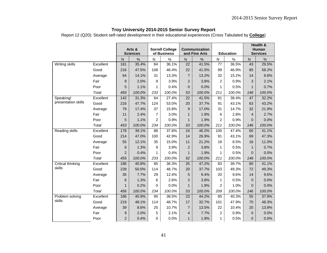Report 12 (Q20): Student self-rated development in their educational experiences (Cross Tabulated by **College**)

|                          |           |                | Arts &          |                 | <b>Sorrell College</b> |                 | <b>Communication</b> |                |                  |                | Health &<br>Human |
|--------------------------|-----------|----------------|-----------------|-----------------|------------------------|-----------------|----------------------|----------------|------------------|----------------|-------------------|
|                          |           |                | <b>Sciences</b> |                 | of Business            |                 | and Fine Arts        |                | <b>Education</b> |                | <b>Services</b>   |
|                          |           | $\overline{N}$ | $\frac{0}{0}$   | $\mathsf{N}$    | $\%$                   | $\mathsf{N}$    | %                    | ${\sf N}$      | %                | ${\sf N}$      | $\%$              |
| Writing skills           | Excellent | 161            | 35.4%           | 84              | 36.1%                  | 22              | 41.5%                | 77             | 36.5%            | 43             | 29.5%             |
|                          | Good      | 216            | 47.5%           | 108             | 46.4%                  | 22              | 41.5%                | 99             | 46.9%            | 85             | 58.2%             |
|                          | Average   | 64             | 14.1%           | 31              | 13.3%                  | $\overline{7}$  | 13.2%                | 32             | 15.2%            | 14             | 9.6%              |
|                          | Fair      | 9              | 2.0%            | $\mathsf g$     | 3.9%                   | $\overline{c}$  | 3.8%                 | $\overline{c}$ | 0.9%             | 3              | 2.1%              |
|                          | Poor      | 5              | 1.1%            | $\mathbf{1}$    | 0.4%                   | 0               | 0.0%                 | 1              | 0.5%             | $\mathbf{1}$   | 0.7%              |
|                          | Total     | 455            | 100.0%          | 233             | 100.0%                 | 53              | 100.0%               | 211            | 100.0%           | 146            | 100.0%            |
| Speaking/                | Excellent | 142            | 31.3%           | 64              | 27.4%                  | $\overline{22}$ | 41.5%                | 81             | 38.4%            | 47             | 32.2%             |
| presentation skills      | Good      | 216            | 47.7%           | 124             | 53.0%                  | 20              | 37.7%                | 91             | 43.1%            | 63             | 43.2%             |
|                          | Average   | 79             | 17.4%           | 37              | 15.8%                  | 9               | 17.0%                | 31             | 14.7%            | 32             | 21.9%             |
|                          | Fair      | 11             | 2.4%            | $\overline{7}$  | 3.0%                   | $\mathbf{1}$    | 1.9%                 | 6              | 2.8%             | $\overline{4}$ | 2.7%              |
|                          | Poor      | 5              | 1.1%            | $\overline{2}$  | 0.9%                   | $\mathbf{1}$    | 1.9%                 | $\overline{c}$ | 0.9%             | $\overline{0}$ | 0.0%              |
|                          | Total     | 453            | 100.0%          | 234             | 100.0%                 | 53              | 100.0%               | 211            | 100.0%           | 146            | 100.0%            |
| <b>Reading skills</b>    | Excellent | 178            | 39.1%           | $\overline{88}$ | 37.8%                  | 24              | 46.2%                | 100            | 47.4%            | 60             | 41.1%             |
|                          | Good      | 214            | 47.0%           | 100             | 42.9%                  | 14              | 26.9%                | 91             | 43.1%            | 69             | 47.3%             |
|                          | Average   | 55             | 12.1%           | 35              | 15.0%                  | 11              | 21.2%                | 18             | 8.5%             | 16             | 11.0%             |
|                          | Fair      | 6              | 1.3%            | 9               | 3.9%                   | $\overline{2}$  | 3.8%                 | $\mathbf{1}$   | 0.5%             | $\mathbf{1}$   | 0.7%              |
|                          | Poor      | $\overline{2}$ | 0.4%            | 1               | 0.4%                   | $\mathbf{1}$    | 1.9%                 | 1              | 0.5%             | $\mathbf{0}$   | 0.0%              |
|                          | Total     | 455            | 100.0%          | 233             | 100.0%                 | 52              | 100.0%               | 211            | 100.0%           | 146            | 100.0%            |
| <b>Critical thinking</b> | Excellent | 186            | 40.8%           | 85              | 36.3%                  | $\overline{25}$ | 47.2%                | 83             | 39.7%            | 60             | 41.1%             |
| skills                   | Good      | 228            | 50.0%           | 114             | 48.7%                  | 20              | 37.7%                | 103            | 49.3%            | 72             | 49.3%             |
|                          | Average   | 35             | 7.7%            | 29              | 12.4%                  | 5               | 9.4%                 | 20             | 9.6%             | 14             | 9.6%              |
|                          | Fair      | 6              | 1.3%            | 6               | 2.6%                   | $\overline{2}$  | 3.8%                 | $\mathbf{1}$   | 0.5%             | $\mathbf{0}$   | 0.0%              |
|                          | Poor      | 1              | 0.2%            | $\mathbf 0$     | 0.0%                   | $\mathbf{1}$    | 1.9%                 | $\overline{c}$ | 1.0%             | $\overline{0}$ | 0.0%              |
|                          | Total     | 456            | 100.0%          | 234             | 100.0%                 | 53              | 100.0%               | 209            | 100.0%           | 146            | 100.0%            |
| Problem solving          | Excellent | 186            | 40.9%           | 90              | 38.5%                  | 23              | 44.2%                | 85             | 40.3%            | 55             | 37.9%             |
| skills                   | Good      | 219            | 48.1%           | 114             | 48.7%                  | 17              | 32.7%                | 101            | 47.9%            | 70             | 48.3%             |
|                          | Average   | 39             | 8.6%            | 25              | 10.7%                  | $\overline{7}$  | 13.5%                | 22             | 10.4%            | 20             | 13.8%             |
|                          | Fair      | 9              | 2.0%            | 5               | 2.1%                   | $\overline{4}$  | 7.7%                 | $\overline{c}$ | 0.9%             | $\mathbf{0}$   | 0.0%              |
|                          | Poor      | 2              | 0.4%            | $\Omega$        | 0.0%                   | $\mathbf{1}$    | 1.9%                 | 1              | 0.5%             | $\mathbf{0}$   | 0.0%              |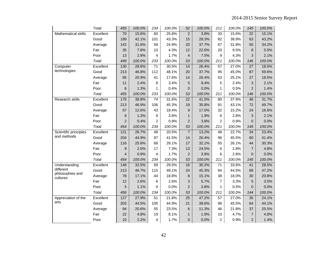|                              | <b>Total</b> | 455              | 100.0% | 234            | 100.0% | 52              | 100.0% | 211             | 100.0% | 145             | 100.0% |
|------------------------------|--------------|------------------|--------|----------------|--------|-----------------|--------|-----------------|--------|-----------------|--------|
| <b>Mathematical skills</b>   | Excellent    | 70               | 15.6%  | 60             | 25.8%  | $\overline{c}$  | 3.8%   | 33              | 15.6%  | 22              | 15.1%  |
|                              | Good         | 189              | 42.1%  | 101            | 43.3%  | 15              | 28.3%  | 82              | 38.9%  | 63              | 43.2%  |
|                              | Average      | 142              | 31.6%  | 58             | 24.9%  | 20              | 37.7%  | 67              | 31.8%  | 50              | 34.2%  |
|                              | Fair         | 35               | 7.8%   | 10             | 4.3%   | 12              | 22.6%  | 20              | 9.5%   | 8               | 5.5%   |
|                              | Poor         | 13               | 2.9%   | 4              | 1.7%   | 4               | 7.5%   | 9               | 4.3%   | 3               | 2.1%   |
|                              | Total        | 449              | 100.0% | 233            | 100.0% | 53              | 100.0% | 211             | 100.0% | 146             | 100.0% |
| Computer                     | Excellent    | 130              | 28.6%  | 71             | 30.5%  | 14              | 26.4%  | 57              | 27.0%  | 27              | 18.5%  |
| technologies                 | Good         | 213              | 46.8%  | 112            | 48.1%  | 20              | 37.7%  | 95              | 45.0%  | 87              | 59.6%  |
|                              | Average      | 95               | 20.9%  | 41             | 17.6%  | 14              | 26.4%  | 53              | 25.1%  | 27              | 18.5%  |
|                              | Fair         | 11               | 2.4%   | 8              | 3.4%   | 5               | 9.4%   | 5               | 2.4%   | 3               | 2.1%   |
|                              | Poor         | 6                | 1.3%   | 1              | 0.4%   | $\overline{0}$  | 0.0%   | 1               | 0.5%   | $\overline{2}$  | 1.4%   |
|                              | Total        | 455              | 100.0% | 233            | 100.0% | 53              | 100.0% | 211             | 100.0% | 146             | 100.0% |
| <b>Research skills</b>       | Excellent    | 176              | 38.8%  | 74             | 31.6%  | $\overline{22}$ | 41.5%  | $\overline{80}$ | 37.9%  | 46              | 31.7%  |
|                              | Good         | 213              | 46.9%  | 106            | 45.3%  | 19              | 35.8%  | 91              | 43.1%  | 72              | 49.7%  |
|                              | Average      | 57               | 12.6%  | 43             | 18.4%  | 9               | 17.0%  | 32              | 15.2%  | 24              | 16.6%  |
|                              | Fair         | 6                | 1.3%   | 9              | 3.8%   | $\mathbf{1}$    | 1.9%   | 6               | 2.8%   | 3               | 2.1%   |
|                              | Poor         | $\overline{c}$   | 0.4%   | $\overline{c}$ | 0.9%   | $\overline{c}$  | 3.8%   | $\overline{c}$  | 0.9%   | 0               | 0.0%   |
|                              | Total        | 454              | 100.0% | 234            | 100.0% | 53              | 100.0% | 211             | 100.0% | 145             | 100.0% |
| Scientific principles        | Excellent    | $\overline{121}$ | 26.7%  | 48             | 20.5%  | $\overline{7}$  | 13.2%  | 48              | 22.7%  | $\overline{34}$ | 23.4%  |
| and methods                  | Good         | 204              | 44.9%  | 97             | 41.5%  | 14              | 26.4%  | 96              | 45.5%  | 60              | 41.4%  |
|                              | Average      | 116              | 25.6%  | 68             | 29.1%  | 17              | 32.1%  | 55              | 26.1%  | 44              | 30.3%  |
|                              | Fair         | 9                | 2.0%   | 17             | 7.3%   | 13              | 24.5%  | 6               | 2.8%   | $\overline{7}$  | 4.8%   |
|                              | Poor         | $\overline{4}$   | 0.9%   | 4              | 1.7%   | $\overline{c}$  | 3.8%   | 6               | 2.8%   | $\overline{0}$  | 0.0%   |
|                              | Total        | 454              | 100.0% | 234            | 100.0% | 53              | 100.0% | 211             | 100.0% | 145             | 100.0% |
| Understanding                | Excellent    | 148              | 32.5%  | 69             | 29.5%  | 16              | 30.2%  | $\overline{71}$ | 33.6%  | 41              | 28.5%  |
| different                    | Good         | 213              | 46.7%  | 115            | 49.1%  | 24              | 45.3%  | 94              | 44.5%  | 68              | 47.2%  |
| philosophies and<br>cultures | Average      | 78               | 17.1%  | 44             | 18.8%  | $\bf 8$         | 15.1%  | 38              | 18.0%  | 30              | 20.8%  |
|                              | Fair         | 12               | 2.6%   | 6              | 2.6%   | 3               | 5.7%   | $\overline{7}$  | 3.3%   | 5               | 3.5%   |
|                              | Poor         | 5                | 1.1%   | $\Omega$       | 0.0%   | $\overline{2}$  | 3.8%   | 1               | 0.5%   | $\Omega$        | 0.0%   |
|                              | Total        | 456              | 100.0% | 234            | 100.0% | 53              | 100.0% | 211             | 100.0% | 144             | 100.0% |
| Appreciation of the          | Excellent    | 127              | 27.9%  | 51             | 21.8%  | $\overline{25}$ | 47.2%  | 57              | 27.0%  | 35              | 24.1%  |
| arts                         | Good         | 203              | 44.5%  | 105            | 44.9%  | 21              | 39.6%  | 96              | 45.5%  | 64              | 44.1%  |
|                              | Average      | 94               | 20.6%  | 55             | 23.5%  | 6               | 11.3%  | 46              | 21.8%  | 37              | 25.5%  |
|                              | Fair         | 22               | 4.8%   | 19             | 8.1%   | $\mathbf{1}$    | 1.9%   | 10              | 4.7%   | $\overline{7}$  | 4.8%   |
|                              | Poor         | 10               | 2.2%   | 4              | 1.7%   | 0               | 0.0%   | 2               | 0.9%   | $\overline{2}$  | 1.4%   |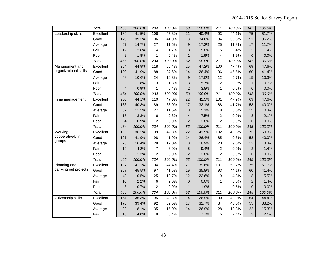|                       | Total     | 456            | 100.0% | 234            | 100.0% | 53              | 100.0% | 211                     | 100.0% | 145             | 100.0% |
|-----------------------|-----------|----------------|--------|----------------|--------|-----------------|--------|-------------------------|--------|-----------------|--------|
| Leadership skills     | Excellent | 189            | 41.5%  | 106            | 45.3%  | $\overline{21}$ | 40.4%  | $\overline{93}$         | 44.1%  | $\overline{75}$ | 51.7%  |
|                       | Good      | 179            | 39.3%  | 96             | 41.0%  | 18              | 34.6%  | 84                      | 39.8%  | 51              | 35.2%  |
|                       | Average   | 67             | 14.7%  | 27             | 11.5%  | 9               | 17.3%  | 25                      | 11.8%  | 17              | 11.7%  |
|                       | Fair      | 12             | 2.6%   | 4              | 1.7%   | 3               | 5.8%   | 5                       | 2.4%   | $\overline{c}$  | 1.4%   |
|                       | Poor      | 8              | 1.8%   | $\mathbf{1}$   | 0.4%   | $\mathbf{1}$    | 1.9%   | 4                       | 1.9%   | $\overline{0}$  | 0.0%   |
|                       | Total     | 455            | 100.0% | 234            | 100.0% | 52              | 100.0% | 211                     | 100.0% | 145             | 100.0% |
| Management and        | Excellent | 204            | 44.9%  | 118            | 50.4%  | $\overline{25}$ | 47.2%  | 100                     | 47.4%  | 69              | 47.6%  |
| organizational skills | Good      | 190            | 41.9%  | 88             | 37.6%  | 14              | 26.4%  | 96                      | 45.5%  | 60              | 41.4%  |
|                       | Average   | 48             | 10.6%  | 24             | 10.3%  | 9               | 17.0%  | 12                      | 5.7%   | 15              | 10.3%  |
|                       | Fair      | 8              | 1.8%   | 3              | 1.3%   | 3               | 5.7%   | 2                       | 0.9%   | $\mathbf{1}$    | 0.7%   |
|                       | Poor      | $\overline{4}$ | 0.9%   | 1              | 0.4%   | $\overline{2}$  | 3.8%   | 1                       | 0.5%   | $\overline{0}$  | 0.0%   |
|                       | Total     | 454            | 100.0% | 234            | 100.0% | 53              | 100.0% | 211                     | 100.0% | 145             | 100.0% |
| Time management       | Excellent | 200            | 44.1%  | 110            | 47.0%  | $\overline{22}$ | 41.5%  | 101                     | 47.9%  | 69              | 47.6%  |
|                       | Good      | 183            | 40.3%  | 89             | 38.0%  | 17              | 32.1%  | 88                      | 41.7%  | 58              | 40.0%  |
|                       | Average   | 52             | 11.5%  | 27             | 11.5%  | 8               | 15.1%  | 18                      | 8.5%   | 15              | 10.3%  |
|                       | Fair      | 15             | 3.3%   | 6              | 2.6%   | 4               | 7.5%   | 2                       | 0.9%   | 3               | 2.1%   |
|                       | Poor      | $\overline{4}$ | 0.9%   | $\overline{2}$ | 0.9%   | $\overline{2}$  | 3.8%   | $\overline{c}$          | 0.9%   | $\Omega$        | 0.0%   |
|                       | Total     | 454            | 100.0% | 234            | 100.0% | 53              | 100.0% | 211                     | 100.0% | 145             | 100.0% |
| Working               | Excellent | 165            | 36.2%  | 99             | 42.3%  | $\overline{22}$ | 41.5%  | 102                     | 48.3%  | 73              | 50.3%  |
| cooperatively in      | Good      | 191            | 41.9%  | 98             | 41.9%  | 14              | 26.4%  | 85                      | 40.3%  | 58              | 40.0%  |
| groups                | Average   | 75             | 16.4%  | 28             | 12.0%  | 10              | 18.9%  | 20                      | 9.5%   | 12              | 8.3%   |
|                       | Fair      | 19             | 4.2%   | $\overline{7}$ | 3.0%   | 5               | 9.4%   | $\overline{\mathbf{c}}$ | 0.9%   | $\overline{c}$  | 1.4%   |
|                       | Poor      | 6              | 1.3%   | $\overline{2}$ | 0.9%   | $\overline{2}$  | 3.8%   | $\overline{c}$          | 0.9%   | $\overline{0}$  | 0.0%   |
|                       | Total     | 456            | 100.0% | 234            | 100.0% | 53              | 100.0% | 211                     | 100.0% | 145             | 100.0% |
| Planning and          | Excellent | 187            | 41.1%  | 104            | 44.4%  | $\overline{21}$ | 39.6%  | 107                     | 50.7%  | $\overline{75}$ | 51.7%  |
| carrying out projects | Good      | 207            | 45.5%  | 97             | 41.5%  | 19              | 35.8%  | 93                      | 44.1%  | 60              | 41.4%  |
|                       | Average   | 48             | 10.5%  | 25             | 10.7%  | 12              | 22.6%  | 9                       | 4.3%   | 8               | 5.5%   |
|                       | Fair      | 10             | 2.2%   | 6              | 2.6%   | $\overline{0}$  | 0.0%   | 1                       | 0.5%   | $\overline{2}$  | 1.4%   |
|                       | Poor      | 3              | 0.7%   | $\overline{2}$ | 0.9%   | $\mathbf{1}$    | 1.9%   | 1                       | 0.5%   | $\overline{0}$  | 0.0%   |
|                       | Total     | 455            | 100.0% | 234            | 100.0% | 53              | 100.0% | 211                     | 100.0% | 145             | 100.0% |
| Citizenship skills    | Excellent | 164            | 36.3%  | 95             | 40.8%  | 14              | 26.9%  | 90                      | 42.9%  | 64              | 44.4%  |
|                       | Good      | 178            | 39.4%  | 92             | 39.5%  | 17              | 32.7%  | 84                      | 40.0%  | 55              | 38.2%  |
|                       | Average   | 82             | 18.1%  | 35             | 15.0%  | 14              | 26.9%  | 28                      | 13.3%  | 22              | 15.3%  |
|                       | Fair      | 18             | 4.0%   | 8              | 3.4%   | 4               | 7.7%   | 5                       | 2.4%   | 3               | 2.1%   |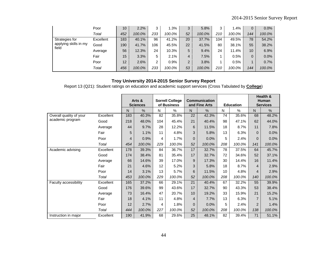|                                | Poor      | 10  | 2.2%   | 3   | 1.3%   | 3              | 5.8%   | 3   | 1.4%   | $\overline{0}$  | 0.0%   |
|--------------------------------|-----------|-----|--------|-----|--------|----------------|--------|-----|--------|-----------------|--------|
|                                | Total     | 452 | 100.0% | 233 | 100.0% | 52             | 100.0% | 210 | 100.0% | 144             | 100.0% |
| Strategies for                 | Excellent | 183 | 40.1%  | 96  | 41.2%  | 20             | 37.7%  | 104 | 49.5%  | 78              | 54.2%  |
| applying skills in my<br>field | Good      | 190 | 41.7%  | 106 | 45.5%  | 22             | 41.5%  | 80  | 38.1%  | 55              | 38.2%  |
|                                | Average   | 56  | 12.3%  | 24  | 10.3%  | 5              | 9.4%   | 24  | 11.4%  | 10 <sup>1</sup> | 6.9%   |
|                                | Fair      | 15  | 3.3%   | 5   | 2.1%   | 4              | 7.5%   |     | 0.5%   | $\overline{0}$  | 0.0%   |
|                                | Poor      | 12  | 2.6%   | 2   | 0.9%   | $\overline{2}$ | 3.8%   |     | 0.5%   |                 | 0.7%   |
|                                | Total     | 456 | 100.0% | 233 | 100.0% | 53             | 100.0% | 210 | 100.0% | 144             | 100.0% |

Report 13 (Q21): Student ratings on education and academic support services (Cross Tabulated by **College**)

|                         |           |     | Arts &<br><b>Sciences</b> |     | <b>Sorrell College</b><br>of Business |                | Communication<br>and Fine Arts |     | <b>Education</b> |                | Health &<br><b>Human</b><br><b>Services</b> |
|-------------------------|-----------|-----|---------------------------|-----|---------------------------------------|----------------|--------------------------------|-----|------------------|----------------|---------------------------------------------|
|                         |           | N   | %                         | N   | %                                     | N.             | %                              | N   | %                | N              | %                                           |
| Overall quality of your | Excellent | 183 | 40.3%                     | 82  | 35.8%                                 | 22             | 42.3%                          | 74  | 35.6%            | 68             | 48.2%                                       |
| academic program        | Good      | 218 | 48.0%                     | 104 | 45.4%                                 | 21             | 40.4%                          | 98  | 47.1%            | 62             | 44.0%                                       |
|                         | Average   | 44  | 9.7%                      | 28  | 12.2%                                 | 6              | 11.5%                          | 18  | 8.7%             | 11             | 7.8%                                        |
|                         | Fair      | 5   | 1.1%                      | 11  | 4.8%                                  | 3              | 5.8%                           | 13  | 6.3%             | $\Omega$       | 0.0%                                        |
|                         | Poor      | 4   | 0.9%                      | 4   | 1.7%                                  | $\overline{0}$ | 0.0%                           | 5   | 2.4%             | 0              | 0.0%                                        |
|                         | Total     | 454 | 100.0%                    | 229 | 100.0%                                | 52             | 100.0%                         | 208 | 100.0%           | 141            | 100.0%                                      |
| Academic advising       | Excellent | 178 | 39.3%                     | 84  | 36.7%                                 | 17             | 32.7%                          | 78  | 37.5%            | 64             | 45.7%                                       |
|                         | Good      | 174 | 38.4%                     | 81  | 35.4%                                 | 17             | 32.7%                          | 72  | 34.6%            | 52             | 37.1%                                       |
|                         | Average   | 66  | 14.6%                     | 39  | 17.0%                                 | 9              | 17.3%                          | 30  | 14.4%            | 16             | 11.4%                                       |
|                         | Fair      | 21  | 4.6%                      | 12  | 5.2%                                  | 3              | 5.8%                           | 18  | 8.7%             | 4              | 2.9%                                        |
|                         | Poor      | 14  | 3.1%                      | 13  | 5.7%                                  | 6              | 11.5%                          | 10  | 4.8%             | 4              | 2.9%                                        |
|                         | Total     | 453 | 100.0%                    | 229 | 100.0%                                | 52             | 100.0%                         | 208 | 100.0%           | 140            | 100.0%                                      |
| Faculty accessibility   | Excellent | 165 | 37.2%                     | 66  | 29.1%                                 | 21             | 40.4%                          | 67  | 32.2%            | 55             | 39.9%                                       |
|                         | Good      | 176 | 39.6%                     | 99  | 43.6%                                 | 17             | 32.7%                          | 90  | 43.3%            | 53             | 38.4%                                       |
|                         | Average   | 73  | 16.4%                     | 47  | 20.7%                                 | 10             | 19.2%                          | 33  | 15.9%            | 21             | 15.2%                                       |
|                         | Fair      | 18  | 4.1%                      | 11  | 4.8%                                  | $\overline{4}$ | 7.7%                           | 13  | 6.3%             | $\overline{7}$ | 5.1%                                        |
|                         | Poor      | 12  | 2.7%                      | 4   | 1.8%                                  | $\Omega$       | 0.0%                           | 5   | 2.4%             | $\overline{2}$ | 1.4%                                        |
|                         | Total     | 444 | 100.0%                    | 227 | 100.0%                                | 52             | 100.0%                         | 208 | 100.0%           | 138            | 100.0%                                      |
| Instruction in major    | Excellent | 190 | 41.9%                     | 68  | 29.6%                                 | 25             | 48.1%                          | 82  | 39.4%            | 71             | 51.1%                                       |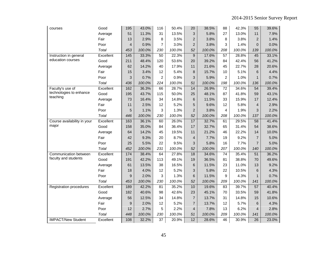| courses                     | Good         | 195            | 43.0%  | 116             | 50.4%  | 20             | 38.5%  | 88              | 42.3%  | 55              | 39.6%  |
|-----------------------------|--------------|----------------|--------|-----------------|--------|----------------|--------|-----------------|--------|-----------------|--------|
|                             | Average      | 51             | 11.3%  | 31              | 13.5%  | 3              | 5.8%   | 27              | 13.0%  | 11              | 7.9%   |
|                             | Fair         | 13             | 2.9%   | 8               | 3.5%   | $\overline{2}$ | 3.8%   | 8               | 3.8%   | $\overline{2}$  | 1.4%   |
|                             | Poor         | $\overline{4}$ | 0.9%   | $\overline{7}$  | 3.0%   | $\overline{2}$ | 3.8%   | 3               | 1.4%   | $\Omega$        | 0.0%   |
|                             | Total        | 453            | 100.0% | 230             | 100.0% | 52             | 100.0% | 208             | 100.0% | 139             | 100.0% |
| Instruction in general      | Excellent    | 145            | 33.3%  | $\overline{50}$ | 22.3%  | $\overline{9}$ | 17.6%  | $\overline{57}$ | 28.8%  | 45              | 33.1%  |
| education courses           | Good         | 211            | 48.4%  | 120             | 53.6%  | 20             | 39.2%  | 84              | 42.4%  | 56              | 41.2%  |
|                             | Average      | 62             | 14.2%  | 40              | 17.9%  | 11             | 21.6%  | 45              | 22.7%  | 28              | 20.6%  |
|                             | Fair         | 15             | 3.4%   | 12              | 5.4%   | 8              | 15.7%  | 10              | 5.1%   | 6               | 4.4%   |
|                             | Poor         | 3              | 0.7%   | $\overline{2}$  | 0.9%   | 3              | 5.9%   | $\overline{2}$  | 1.0%   | 1               | 0.7%   |
|                             | Total        | 436            | 100.0% | 224             | 100.0% | 51             | 100.0% | 198             | 100.0% | 136             | 100.0% |
| Faculty's use of            | Excellent    | 162            | 36.3%  | 66              | 28.7%  | 14             | 26.9%  | 72              | 34.6%  | 54              | 39.4%  |
| technologies to enhance     | Good         | 195            | 43.7%  | 115             | 50.0%  | 25             | 48.1%  | 87              | 41.8%  | 59              | 43.1%  |
| teaching                    | Average      | 73             | 16.4%  | 34              | 14.8%  | 6              | 11.5%  | 33              | 15.9%  | 17              | 12.4%  |
|                             | Fair         | 11             | 2.5%   | 12              | 5.2%   | 5              | 9.6%   | 12              | 5.8%   | $\overline{4}$  | 2.9%   |
|                             | Poor         | 5              | 1.1%   | 3               | 1.3%   | 2              | 3.8%   | 4               | 1.9%   | 3               | 2.2%   |
|                             | Total        | 446            | 100.0% | 230             | 100.0% | 52             | 100.0% | 208             | 100.0% | 137             | 100.0% |
| Course availability in your | Excellent    | 163            | 36.1%  | 60              | 26.0%  | 17             | 32.7%  | 61              | 29.5%  | 58              | 41.4%  |
| major                       | Good         | 158            | 35.0%  | 84              | 36.4%  | 17             | 32.7%  | 65              | 31.4%  | 54              | 38.6%  |
|                             | Average      | 64             | 14.2%  | 45              | 19.5%  | 11             | 21.2%  | 46              | 22.2%  | 14              | 10.0%  |
|                             | Fair         | 42             | 9.3%   | 20              | 8.7%   | 4              | 7.7%   | 19              | 9.2%   | $\overline{7}$  | 5.0%   |
|                             | Poor         | 25             | 5.5%   | 22              | 9.5%   | 3              | 5.8%   | 16              | 7.7%   | $\overline{7}$  | 5.0%   |
|                             | <b>Total</b> | 452            | 100.0% | 231             | 100.0% | 52             | 100.0% | 207             | 100.0% | 140             | 100.0% |
| Communication between       | Excellent    | 174            | 38.4%  | 64              | 27.8%  | 18             | 34.6%  | $\overline{74}$ | 35.4%  | $\overline{51}$ | 36.2%  |
| faculty and students        | Good         | 191            | 42.2%  | 113             | 49.1%  | 19             | 36.5%  | 81              | 38.8%  | 70              | 49.6%  |
|                             | Average      | 61             | 13.5%  | 38              | 16.5%  | 6              | 11.5%  | 23              | 11.0%  | 13              | 9.2%   |
|                             | Fair         | 18             | 4.0%   | 12              | 5.2%   | 3              | 5.8%   | 22              | 10.5%  | 6               | 4.3%   |
|                             | Poor         | 9              | 2.0%   | 3               | 1.3%   | 6              | 11.5%  | 9               | 4.3%   | $\mathbf{1}$    | 0.7%   |
|                             | Total        | 453            | 100.0% | 230             | 100.0% | 52             | 100.0% | 209             | 100.0% | 141             | 100.0% |
| Registration procedures     | Excellent    | 189            | 42.2%  | 81              | 35.2%  | 10             | 19.6%  | 83              | 39.7%  | 57              | 40.4%  |
|                             | Good         | 182            | 40.6%  | 98              | 42.6%  | 23             | 45.1%  | 70              | 33.5%  | 59              | 41.8%  |
|                             | Average      | 56             | 12.5%  | 34              | 14.8%  | $\overline{7}$ | 13.7%  | 31              | 14.8%  | 15              | 10.6%  |
|                             | Fair         | 9              | 2.0%   | 12              | 5.2%   | $\overline{7}$ | 13.7%  | 12              | 5.7%   | 6               | 4.3%   |
|                             | Poor         | 12             | 2.7%   | 5               | 2.2%   | 4              | 7.8%   | 13              | 6.2%   | $\overline{4}$  | 2.8%   |
|                             | Total        | 448            | 100.0% | 230             | 100.0% | 51             | 100.0% | 209             | 100.0% | 141             | 100.0% |
| <b>IMPACT/New Student</b>   | Excellent    | 108            | 32.2%  | $\overline{37}$ | 20.9%  | 12             | 28.6%  | 46              | 30.9%  | 26              | 23.0%  |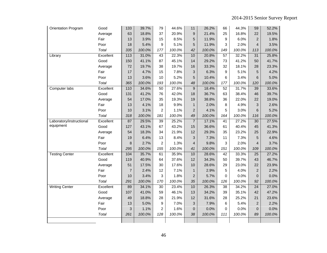| Orientation Program      | Good         | 133            | 39.7%  | 79             | 44.6%  | 11               | 26.2%  | 66              | 44.3%  | 59              | 52.2%  |
|--------------------------|--------------|----------------|--------|----------------|--------|------------------|--------|-----------------|--------|-----------------|--------|
|                          | Average      | 63             | 18.8%  | 37             | 20.9%  | $\boldsymbol{9}$ | 21.4%  | 25              | 16.8%  | 22              | 19.5%  |
|                          | Fair         | 13             | 3.9%   | 15             | 8.5%   | 5                | 11.9%  | 9               | 6.0%   | $\overline{2}$  | 1.8%   |
|                          | Poor         | 18             | 5.4%   | 9              | 5.1%   | 5                | 11.9%  | 3               | 2.0%   | $\overline{4}$  | 3.5%   |
|                          | Total        | 335            | 100.0% | 177            | 100.0% | 42               | 100.0% | 149             | 100.0% | 113             | 100.0% |
| Library                  | Excellent    | 113            | 31.0%  | 43             | 22.3%  | 10               | 20.8%  | 57              | 32.2%  | 31              | 25.8%  |
|                          | Good         | 150            | 41.1%  | 87             | 45.1%  | 14               | 29.2%  | 73              | 41.2%  | 50              | 41.7%  |
|                          | Average      | 72             | 19.7%  | 38             | 19.7%  | 16               | 33.3%  | 32              | 18.1%  | 28              | 23.3%  |
|                          | Fair         | 17             | 4.7%   | 15             | 7.8%   | 3                | 6.3%   | 9               | 5.1%   | 5               | 4.2%   |
|                          | Poor         | 13             | 3.6%   | 10             | 5.2%   | 5                | 10.4%  | 6               | 3.4%   | 6               | 5.0%   |
|                          | Total        | 365            | 100.0% | 193            | 100.0% | 48               | 100.0% | 177             | 100.0% | 120             | 100.0% |
| Computer labs            | Excellent    | 110            | 34.6%  | 50             | 27.6%  | $\boldsymbol{9}$ | 18.4%  | 52              | 31.7%  | 39              | 33.6%  |
|                          | Good         | 131            | 41.2%  | 76             | 42.0%  | 18               | 36.7%  | 63              | 38.4%  | 46              | 39.7%  |
|                          | Average      | 54             | 17.0%  | 35             | 19.3%  | 19               | 38.8%  | 36              | 22.0%  | 22              | 19.0%  |
|                          | Fair         | 13             | 4.1%   | 18             | 9.9%   | 1                | 2.0%   | 8               | 4.9%   | 3               | 2.6%   |
|                          | Poor         | 10             | 3.1%   | $\overline{c}$ | 1.1%   | $\overline{2}$   | 4.1%   | 5               | 3.0%   | 6               | 5.2%   |
|                          | Total        | 318            | 100.0% | 181            | 100.0% | 49               | 100.0% | 164             | 100.0% | 116             | 100.0% |
| Laboratory/instructional | Excellent    | 87             | 29.5%  | 39             | 25.2%  | $\overline{7}$   | 17.1%  | 41              | 27.2%  | 30              | 27.5%  |
| equipment                | Good         | 127            | 43.1%  | 67             | 43.2%  | 15               | 36.6%  | 61              | 40.4%  | 45              | 41.3%  |
|                          | Average      | 54             | 18.3%  | 34             | 21.9%  | 12               | 29.3%  | 35              | 23.2%  | 25              | 22.9%  |
|                          | Fair         | 19             | 6.4%   | 13             | 8.4%   | 3                | 7.3%   | 11              | 7.3%   | 5               | 4.6%   |
|                          | Poor         | 8              | 2.7%   | 2              | 1.3%   | $\overline{4}$   | 9.8%   | 3               | 2.0%   | $\overline{4}$  | 3.7%   |
|                          | <b>Total</b> | 295            | 100.0% | 155            | 100.0% | 41               | 100.0% | 151             | 100.0% | 109             | 100.0% |
| <b>Testing Center</b>    | Excellent    | 104            | 35.7%  | 61             | 35.9%  | 10               | 28.6%  | $\overline{42}$ | 33.3%  | $\overline{25}$ | 27.2%  |
|                          | Good         | 119            | 40.9%  | 64             | 37.6%  | 12               | 34.3%  | 50              | 39.7%  | 43              | 46.7%  |
|                          | Average      | 51             | 17.5%  | 30             | 17.6%  | 10               | 28.6%  | 29              | 23.0%  | 22              | 23.9%  |
|                          | Fair         | $\overline{7}$ | 2.4%   | 12             | 7.1%   | $\mathbf{1}$     | 2.9%   | 5               | 4.0%   | $\overline{2}$  | 2.2%   |
|                          | Poor         | 10             | 3.4%   | 3              | 1.8%   | $\overline{2}$   | 5.7%   | 0               | 0.0%   | $\overline{0}$  | 0.0%   |
|                          | Total        | 291            | 100.0% | 170            | 100.0% | 35               | 100.0% | 126             | 100.0% | 92              | 100.0% |
| <b>Writing Center</b>    | Excellent    | 89             | 34.1%  | 30             | 23.4%  | 10               | 26.3%  | $\overline{38}$ | 34.2%  | $\overline{24}$ | 27.0%  |
|                          | Good         | 107            | 41.0%  | 59             | 46.1%  | 13               | 34.2%  | 39              | 35.1%  | 42              | 47.2%  |
|                          | Average      | 49             | 18.8%  | 28             | 21.9%  | 12               | 31.6%  | 28              | 25.2%  | 21              | 23.6%  |
|                          | Fair         | 13             | 5.0%   | 9              | 7.0%   | 3                | 7.9%   | 6               | 5.4%   | $\overline{2}$  | 2.2%   |
|                          | Poor         | 3              | 1.1%   | 2              | 1.6%   | $\overline{0}$   | 0.0%   | 0               | 0.0%   | $\overline{0}$  | 0.0%   |
|                          | Total        | 261            | 100.0% | 128            | 100.0% | 38               | 100.0% | 111             | 100.0% | 89              | 100.0% |
|                          |              |                |        |                |        |                  |        |                 |        |                 |        |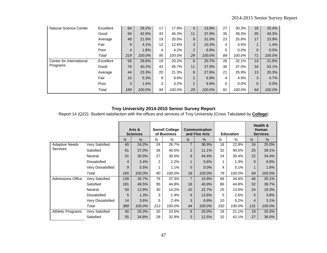| <b>Natural Science Center</b> | Excellent | 64              | 29.2%  | 17 | 17.9%  | $\overline{4}$ | 13.8%  | 27       | 30.3%   | 18       | 25.4%  |
|-------------------------------|-----------|-----------------|--------|----|--------|----------------|--------|----------|---------|----------|--------|
|                               | Good      | 94              | 42.9%  | 43 | 45.3%  | 11             | 37.9%  | 35       | 39.3%   | 35       | 49.3%  |
|                               | Average   | 48              | 21.9%  | 19 | 20.0%  | 9              | 31.0%  | 23       | 25.8%   | 17       | 23.9%  |
|                               | Fair      | 9               | 4.1%   | 12 | 12.6%  | 3              | 10.3%  | 4        | 4.5%    |          | 1.4%   |
|                               | Poor      | $\overline{4}$  | 1.8%   | 4  | 4.2%   | 2              | 6.9%   | $\Omega$ | $0.0\%$ | $\Omega$ | 0.0%   |
|                               | Total     | 219             | 100.0% | 95 | 100.0% | 29             | 100.0% | 89       | 100.0%  | 71       | 100.0% |
| Center for International      | Excellent | 56              | 29.6%  | 19 | 20.2%  | 6              | 20.7%  | 26       | 32.1%   | 14       | 21.9%  |
| Programs                      | Good      | 76              | 40.2%  | 43 | 45.7%  | 11             | 37.9%  | 30       | 37.0%   | 34       | 53.1%  |
|                               | Average   | 44              | 23.3%  | 20 | 21.3%  | 8              | 27.6%  | 21       | 25.9%   | 13       | 20.3%  |
|                               | Fair      | 10 <sup>°</sup> | 5.3%   | 9  | 9.6%   | 2              | 6.9%   | 4        | 4.9%    | 3        | 4.7%   |
|                               | Poor      | 3               | 1.6%   | 3  | 3.2%   | 2              | 6.9%   | $\Omega$ | $0.0\%$ | $\Omega$ | 0.0%   |
|                               | Total     | 189             | 100.0% | 94 | 100.0% | 29             | 100.0% | 81       | 100.0%  | 64       | 100.0% |

Report 14 (Q22): Student satisfaction with the offices and services of Troy University (Cross Tabulated by **College**)

|                          |                          |                | Arts &<br><b>Sciences</b> |                | <b>Sorrell College</b><br>of Business |                | <b>Communication</b><br>and Fine Arts |     | <b>Education</b> |          | Health &<br><b>Human</b><br><b>Services</b> |
|--------------------------|--------------------------|----------------|---------------------------|----------------|---------------------------------------|----------------|---------------------------------------|-----|------------------|----------|---------------------------------------------|
|                          |                          | N.             | $\%$                      | N              | %                                     | $\mathsf{N}$   | $\frac{0}{0}$                         | Ν   | %                | N        | $\frac{0}{0}$                               |
| <b>Adaptive Needs</b>    | Very Satisfied           | 40             | 24.2%                     | 24             | 26.7%                                 | $\overline{7}$ | 38.9%                                 | 18  | 22.8%            | 16       | 25.0%                                       |
| <b>Services</b>          | Satisfied                | 61             | 37.0%                     | 36             | 40.0%                                 | $\overline{2}$ | 11.1%                                 | 32  | 40.5%            | 25       | 39.1%                                       |
|                          | Neutral                  | 51             | 30.9%                     | 27             | 30.0%                                 | 8              | 44.4%                                 | 24  | 30.4%            | 22       | 34.4%                                       |
|                          | <b>Dissatisfied</b>      | $\overline{4}$ | 2.4%                      | $\overline{2}$ | 2.2%                                  | 1              | 5.6%                                  | 1   | 1.3%             | $\Omega$ | 0.0%                                        |
|                          | <b>Very Dissatisfied</b> | 9              | 5.5%                      | 1              | 1.1%                                  | $\mathbf{0}$   | 0.0%                                  | 4   | 5.1%             |          | 1.6%                                        |
|                          | Total                    | 165            | 100.0%                    | 90             | 100.0%                                | 18             | 100.0%                                | 79  | 100.0%           | 64       | 100.0%                                      |
| <b>Admissions Office</b> | Very Satisfied           | 139            | 35.7%                     | 79             | 37.3%                                 | $\overline{7}$ | 15.9%                                 | 66  | 34.4%            | 46       | 35.1%                                       |
|                          | Satisfied                | 181            | 46.5%                     | 95             | 44.8%                                 | 18             | 40.9%                                 | 86  | 44.8%            | 52       | 39.7%                                       |
|                          | Neutral                  | 50             | 12.9%                     | 30             | 14.2%                                 | 10             | 22.7%                                 | 25  | 13.0%            | 24       | 18.3%                                       |
|                          | <b>Dissatisfied</b>      | 5              | 1.3%                      | 3              | 1.4%                                  | 6              | 13.6%                                 | 5   | 2.6%             | 5        | 3.8%                                        |
|                          | <b>Very Dissatisfied</b> | 14             | 3.6%                      | 5              | 2.4%                                  | 3              | 6.8%                                  | 10  | 5.2%             | 4        | 3.1%                                        |
|                          | Total                    | 389            | 100.0%                    | 212            | 100.0%                                | 44             | 100.0%                                | 192 | 100.0%           | 131      | 100.0%                                      |
| <b>Athletic Programs</b> | <b>Very Satisfied</b>    | 40             | 25.3%                     | 20             | 23.5%                                 | 6              | 25.0%                                 | 16  | 21.1%            | 19       | 25.3%                                       |
|                          | Satisfied                | 55             | 34.8%                     | 28             | 32.9%                                 | 3              | 12.5%                                 | 32  | 42.1%            | 27       | 36.0%                                       |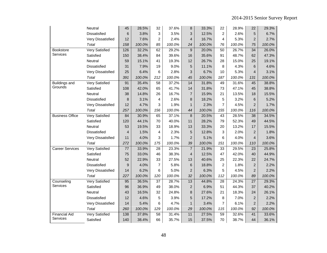|                        | Neutral               | 45              | 28.5%  | 32              | 37.6%  | 8                       | 33.3%  | 22             | 28.9%  | 22              | 29.3%  |
|------------------------|-----------------------|-----------------|--------|-----------------|--------|-------------------------|--------|----------------|--------|-----------------|--------|
|                        | Dissatisfied          | 6               | 3.8%   | 3               | 3.5%   | 3                       | 12.5%  | 2              | 2.6%   | 5               | 6.7%   |
|                        | Very Dissatisfied     | 12              | 7.6%   | $\overline{2}$  | 2.4%   | 4                       | 16.7%  | 4              | 5.3%   | $\overline{2}$  | 2.7%   |
|                        | Total                 | 158             | 100.0% | 85              | 100.0% | 24                      | 100.0% | 76             | 100.0% | 75              | 100.0% |
| Bookstore              | <b>Very Satisfied</b> | 126             | 32.2%  | 62              | 29.2%  | $9\,$                   | 20.0%  | 50             | 26.7%  | $\overline{34}$ | 26.0%  |
| Services               | Satisfied             | 150             | 38.4%  | 84              | 39.6%  | 16                      | 35.6%  | 91             | 48.7%  | 62              | 47.3%  |
|                        | Neutral               | 59              | 15.1%  | 41              | 19.3%  | 12                      | 26.7%  | 28             | 15.0%  | 25              | 19.1%  |
|                        | Dissatisfied          | 31              | 7.9%   | 19              | 9.0%   | 5                       | 11.1%  | 8              | 4.3%   | 6               | 4.6%   |
|                        | Very Dissatisfied     | 25              | 6.4%   | 6               | 2.8%   | 3                       | 6.7%   | 10             | 5.3%   | $\overline{4}$  | 3.1%   |
|                        | Total                 | 391             | 100.0% | 212             | 100.0% | 45                      | 100.0% | 187            | 100.0% | 131             | 100.0% |
| <b>Buildings and</b>   | <b>Very Satisfied</b> | 91              | 35.4%  | 58              | 37.2%  | 14                      | 31.8%  | 49             | 31.6%  | 45              | 38.8%  |
| Grounds                | Satisfied             | 108             | 42.0%  | 65              | 41.7%  | 14                      | 31.8%  | 73             | 47.1%  | 45              | 38.8%  |
|                        | Neutral               | 38              | 14.8%  | 26              | 16.7%  | $\overline{7}$          | 15.9%  | 21             | 13.5%  | 18              | 15.5%  |
|                        | Dissatisfied          | 8               | 3.1%   | 4               | 2.6%   | 8                       | 18.2%  | 5              | 3.2%   | 6               | 5.2%   |
|                        | Very Dissatisfied     | 12              | 4.7%   | 3               | 1.9%   | 1                       | 2.3%   | 7              | 4.5%   | $\overline{2}$  | 1.7%   |
|                        | Total                 | 257             | 100.0% | 156             | 100.0% | 44                      | 100.0% | 155            | 100.0% | 116             | 100.0% |
| <b>Business Office</b> | Very Satisfied        | 84              | 30.9%  | 65              | 37.1%  | 8                       | 20.5%  | 43             | 28.5%  | 38              | 34.5%  |
|                        | Satisfied             | 120             | 44.1%  | 70              | 40.0%  | 11                      | 28.2%  | 79             | 52.3%  | 49              | 44.5%  |
|                        | Neutral               | 53              | 19.5%  | 33              | 18.9%  | 13                      | 33.3%  | 20             | 13.2%  | 17              | 15.5%  |
|                        | Dissatisfied          | $\overline{4}$  | 1.5%   | 4               | 2.3%   | $\sqrt{5}$              | 12.8%  | 3              | 2.0%   | $\overline{2}$  | 1.8%   |
|                        | Very Dissatisfied     | 11              | 4.0%   | 3               | 1.7%   | $\overline{c}$          | 5.1%   | 6              | 4.0%   | $\overline{4}$  | 3.6%   |
|                        | Total                 | 272             | 100.0% | 175             | 100.0% | 39                      | 100.0% | 151            | 100.0% | 110             | 100.0% |
| <b>Career Services</b> | <b>Very Satisfied</b> | $\overline{77}$ | 33.9%  | $\overline{28}$ | 23.3%  | $\overline{7}$          | 21.9%  | 33             | 29.5%  | 23              | 25.8%  |
|                        | Satisfied             | 75              | 33.0%  | 46              | 38.3%  | 4                       | 12.5%  | 47             | 42.0%  | 40              | 44.9%  |
|                        | Neutral               | 52              | 22.9%  | 33              | 27.5%  | 13                      | 40.6%  | 25             | 22.3%  | 22              | 24.7%  |
|                        | Dissatisfied          | 9               | 4.0%   | $\overline{7}$  | 5.8%   | 6                       | 18.8%  | 2              | 1.8%   | $\overline{2}$  | 2.2%   |
|                        | Very Dissatisfied     | 14              | 6.2%   | 6               | 5.0%   | $\overline{c}$          | 6.3%   | 5              | 4.5%   | $\overline{2}$  | 2.2%   |
|                        | Total                 | 227             | 100.0% | 120             | 100.0% | 32                      | 100.0% | 112            | 100.0% | 89              | 100.0% |
| Counseling             | <b>Very Satisfied</b> | 95              | 36.5%  | $\overline{37}$ | 28.7%  | 13                      | 44.8%  | 28             | 24.3%  | $\overline{27}$ | 29.3%  |
| Services               | Satisfied             | 96              | 36.9%  | 49              | 38.0%  | $\overline{\mathbf{c}}$ | 6.9%   | 51             | 44.3%  | 37              | 40.2%  |
|                        | Neutral               | 43              | 16.5%  | 32              | 24.8%  | 8                       | 27.6%  | 21             | 18.3%  | 24              | 26.1%  |
|                        | Dissatisfied          | 12              | 4.6%   | 5               | 3.9%   | 5                       | 17.2%  | 8              | 7.0%   | $\overline{2}$  | 2.2%   |
|                        | Very Dissatisfied     | 14              | 5.4%   | 6               | 4.7%   | 1                       | 3.4%   | $\overline{7}$ | 6.1%   | $\overline{2}$  | 2.2%   |
|                        | Total                 | 260             | 100.0% | 129             | 100.0% | 29                      | 100.0% | 115            | 100.0% | 92              | 100.0% |
| <b>Financial Aid</b>   | <b>Very Satisfied</b> | 138             | 37.8%  | $\overline{58}$ | 31.4%  | 11                      | 27.5%  | 59             | 32.6%  | 41              | 33.6%  |
| Services               | Satisfied             | 140             | 38.4%  | 66              | 35.7%  | 15                      | 37.5%  | 70             | 38.7%  | 44              | 36.1%  |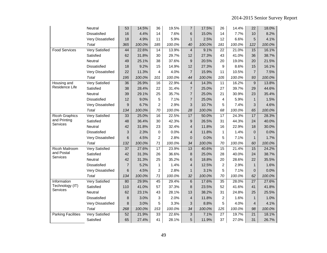|                           | Neutral               | 53              | 14.5%  | 36             | 19.5%  | 7                | 17.5%  | 26              | 14.4%  | 22              | 18.0%  |
|---------------------------|-----------------------|-----------------|--------|----------------|--------|------------------|--------|-----------------|--------|-----------------|--------|
|                           | Dissatisfied          | 16              | 4.4%   | 14             | 7.6%   | 6                | 15.0%  | 14              | 7.7%   | 10              | 8.2%   |
|                           | Very Dissatisfied     | 18              | 4.9%   | 11             | 5.9%   | 1                | 2.5%   | 12              | 6.6%   | 5               | 4.1%   |
|                           | Total                 | 365             | 100.0% | 185            | 100.0% | 40               | 100.0% | 181             | 100.0% | 122             | 100.0% |
| <b>Food Services</b>      | <b>Very Satisfied</b> | 44              | 22.6%  | 14             | 13.9%  | $\overline{4}$   | 9.1%   | 22              | 21.0%  | 15              | 16.1%  |
|                           | Satisfied             | 62              | 31.8%  | 30             | 29.7%  | 12               | 27.3%  | 43              | 41.0%  | 36              | 38.7%  |
|                           | Neutral               | 49              | 25.1%  | 38             | 37.6%  | $\boldsymbol{9}$ | 20.5%  | 20              | 19.0%  | 20              | 21.5%  |
|                           | Dissatisfied          | 18              | 9.2%   | 15             | 14.9%  | 12               | 27.3%  | 9               | 8.6%   | 15              | 16.1%  |
|                           | Very Dissatisfied     | 22              | 11.3%  | 4              | 4.0%   | 7                | 15.9%  | 11              | 10.5%  | $\overline{7}$  | 7.5%   |
|                           | Total                 | 195             | 100.0% | 101            | 100.0% | 44               | 100.0% | 105             | 100.0% | 93              | 100.0% |
| Housing and               | <b>Very Satisfied</b> | 36              | 26.9%  | 16             | 22.9%  | $\overline{4}$   | 14.3%  | 11              | 16.2%  | 9               | 13.8%  |
| Residence Life            | Satisfied             | 38              | 28.4%  | 22             | 31.4%  | $\overline{7}$   | 25.0%  | 27              | 39.7%  | 29              | 44.6%  |
|                           | Neutral               | 39              | 29.1%  | 25             | 35.7%  | 7                | 25.0%  | 21              | 30.9%  | 23              | 35.4%  |
|                           | Dissatisfied          | 12              | 9.0%   | 5              | 7.1%   | $\overline{7}$   | 25.0%  | 4               | 5.9%   | $\mathbf{1}$    | 1.5%   |
|                           | Very Dissatisfied     | 9               | 6.7%   | $\overline{2}$ | 2.9%   | 3                | 10.7%  | 5               | 7.4%   | 3               | 4.6%   |
|                           | Total                 | 134             | 100.0% | 70             | 100.0% | 28               | 100.0% | 68              | 100.0% | 65              | 100.0% |
| <b>Ricoh Graphics</b>     | <b>Very Satisfied</b> | 33              | 25.0%  | 16             | 22.5%  | 17               | 50.0%  | $\overline{17}$ | 24.3%  | 17              | 28.3%  |
| and Printing              | Satisfied             | 48              | 36.4%  | 30             | 42.3%  | 9                | 26.5%  | 31              | 44.3%  | 24              | 40.0%  |
| Services                  | Neutral               | 42              | 31.8%  | 23             | 32.4%  | 4                | 11.8%  | 16              | 22.9%  | 18              | 30.0%  |
|                           | Dissatisfied          | 3               | 2.3%   | 0              | 0.0%   | 4                | 11.8%  | 1               | 1.4%   | $\Omega$        | 0.0%   |
|                           | Very Dissatisfied     | 6               | 4.5%   | 2              | 2.8%   | $\pmb{0}$        | 0.0%   | 5               | 7.1%   | $\mathbf{1}$    | 1.7%   |
|                           | Total                 | 132             | 100.0% | 71             | 100.0% | 34               | 100.0% | 70              | 100.0% | 60              | 100.0% |
| <b>Ricoh Mailroom</b>     | Very Satisfied        | $\overline{37}$ | 27.6%  | 17             | 23.9%  | 13               | 40.6%  | 15              | 21.4%  | 15              | 24.2%  |
| and Postal                | Satisfied             | 42              | 31.3%  | 26             | 36.6%  | $\bf 8$          | 25.0%  | 28              | 40.0%  | 24              | 38.7%  |
| Services                  | Neutral               | 42              | 31.3%  | 25             | 35.2%  | 6                | 18.8%  | 20              | 28.6%  | 22              | 35.5%  |
|                           | Dissatisfied          | $\overline{7}$  | 5.2%   | 1              | 1.4%   | 4                | 12.5%  | 2               | 2.9%   | $\mathbf{1}$    | 1.6%   |
|                           | Very Dissatisfied     | 6               | 4.5%   | $\overline{c}$ | 2.8%   | $\mathbf{1}$     | 3.1%   | 5               | 7.1%   | 0               | 0.0%   |
|                           | Total                 | 134             | 100.0% | 71             | 100.0% | 32               | 100.0% | 70              | 100.0% | 62              | 100.0% |
| Information               | <b>Very Satisfied</b> | 80              | 29.9%  | 45             | 29.4%  | $\,6$            | 17.6%  | $\overline{35}$ | 28.0%  | $\overline{27}$ | 27.6%  |
| Technology (IT)           | Satisfied             | 110             | 41.0%  | 57             | 37.3%  | 8                | 23.5%  | 52              | 41.6%  | 41              | 41.8%  |
| Services                  | Neutral               | 62              | 23.1%  | 43             | 28.1%  | 13               | 38.2%  | 31              | 24.8%  | 25              | 25.5%  |
|                           | <b>Dissatisfied</b>   | 8               | 3.0%   | 3              | 2.0%   | 4                | 11.8%  | 2               | 1.6%   | $\mathbf{1}$    | 1.0%   |
|                           | Very Dissatisfied     | 8               | 3.0%   | 5              | 3.3%   | 3                | 8.8%   | 5               | 4.0%   | $\overline{4}$  | 4.1%   |
|                           | Total                 | 268             | 100.0% | 153            | 100.0% | 34               | 100.0% | 125             | 100.0% | 98              | 100.0% |
| <b>Parking Facilities</b> | <b>Very Satisfied</b> | 52              | 21.9%  | 33             | 22.6%  | 3                | 7.1%   | $\overline{27}$ | 19.7%  | $\overline{21}$ | 18.1%  |
|                           | Satisfied             | 65              | 27.4%  | 41             | 28.1%  | 5                | 11.9%  | 37              | 27.0%  | 31              | 26.7%  |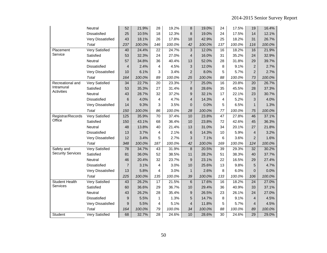|                          | Neutral               | 52              | 21.9%  | 28              | 19.2%  | 8                | 19.0%  | 24  | 17.5%  | 19              | 16.4%  |
|--------------------------|-----------------------|-----------------|--------|-----------------|--------|------------------|--------|-----|--------|-----------------|--------|
|                          | Dissatisfied          | 25              | 10.5%  | 18              | 12.3%  | 8                | 19.0%  | 24  | 17.5%  | 14              | 12.1%  |
|                          | Very Dissatisfied     | 43              | 18.1%  | 26              | 17.8%  | 18               | 42.9%  | 25  | 18.2%  | 31              | 26.7%  |
|                          | Total                 | 237             | 100.0% | 146             | 100.0% | 42               | 100.0% | 137 | 100.0% | 116             | 100.0% |
| Placement                | Very Satisfied        | 40              | 24.4%  | $\overline{22}$ | 24.7%  | $\overline{3}$   | 12.0%  | 16  | 18.2%  | 16              | 21.9%  |
| Service                  | Satisfied             | 53              | 32.3%  | 24              | 27.0%  | 4                | 16.0%  | 31  | 35.2%  | 24              | 32.9%  |
|                          | Neutral               | 57              | 34.8%  | 36              | 40.4%  | 13               | 52.0%  | 28  | 31.8%  | 29              | 39.7%  |
|                          | Dissatisfied          | $\overline{4}$  | 2.4%   | 4               | 4.5%   | 3                | 12.0%  | 8   | 9.1%   | $\overline{2}$  | 2.7%   |
|                          | Very Dissatisfied     | 10              | 6.1%   | 3               | 3.4%   | $\mathbf 2$      | 8.0%   | 5   | 5.7%   | $\overline{2}$  | 2.7%   |
|                          | Total                 | 164             | 100.0% | 89              | 100.0% | 25               | 100.0% | 88  | 100.0% | 73              | 100.0% |
| Recreational and         | <b>Very Satisfied</b> | $\overline{34}$ | 22.7%  | $\overline{20}$ | 23.3%  | $\overline{7}$   | 25.0%  | 16  | 20.8%  | $\overline{20}$ | 26.7%  |
| Intramural               | Satisfied             | 53              | 35.3%  | 27              | 31.4%  | 8                | 28.6%  | 35  | 45.5%  | 28              | 37.3%  |
| Activities               | Neutral               | 43              | 28.7%  | 32              | 37.2%  | 9                | 32.1%  | 17  | 22.1%  | 23              | 30.7%  |
|                          | Dissatisfied          | 6               | 4.0%   | 4               | 4.7%   | 4                | 14.3%  | 4   | 5.2%   | 3               | 4.0%   |
|                          | Very Dissatisfied     | 14              | 9.3%   | 3               | 3.5%   | $\boldsymbol{0}$ | 0.0%   | 5   | 6.5%   | $\mathbf{1}$    | 1.3%   |
|                          | Total                 | 150             | 100.0% | 86              | 100.0% | 28               | 100.0% | 77  | 100.0% | 75              | 100.0% |
| Registrar/Records        | <b>Very Satisfied</b> | 125             | 35.9%  | 70              | 37.4%  | 10               | 23.8%  | 47  | 27.8%  | 46              | 37.1%  |
| Office                   | Satisfied             | 150             | 43.1%  | 68              | 36.4%  | 10               | 23.8%  | 72  | 42.6%  | 45              | 36.3%  |
|                          | Neutral               | 48              | 13.8%  | 40              | 21.4%  | 13               | 31.0%  | 34  | 20.1%  | 27              | 21.8%  |
|                          | <b>Dissatisfied</b>   | 13              | 3.7%   | 4               | 2.1%   | 6                | 14.3%  | 10  | 5.9%   | $\overline{4}$  | 3.2%   |
|                          | Very Dissatisfied     | 12              | 3.4%   | 5               | 2.7%   | 3                | 7.1%   | 6   | 3.6%   | $\overline{2}$  | 1.6%   |
|                          | Total                 | 348             | 100.0% | 187             | 100.0% | 42               | 100.0% | 169 | 100.0% | 124             | 100.0% |
| Safety and               | Very Satisfied        | 78              | 34.7%  | 43              | 31.9%  | 8                | 20.5%  | 39  | 29.3%  | 32              | 30.2%  |
| <b>Security Services</b> | Satisfied             | 81              | 36.0%  | 52              | 38.5%  | 11               | 28.2%  | 51  | 38.3%  | 40              | 37.7%  |
|                          | Neutral               | 46              | 20.4%  | 32              | 23.7%  | 9                | 23.1%  | 22  | 16.5%  | 29              | 27.4%  |
|                          | <b>Dissatisfied</b>   | $\overline{7}$  | 3.1%   | 4               | 3.0%   | 10               | 25.6%  | 13  | 9.8%   | 5               | 4.7%   |
|                          | Very Dissatisfied     | 13              | 5.8%   | 4               | 3.0%   | 1                | 2.6%   | 8   | 6.0%   | $\overline{0}$  | 0.0%   |
|                          | Total                 | 225             | 100.0% | 135             | 100.0% | 39               | 100.0% | 133 | 100.0% | 106             | 100.0% |
| <b>Student Health</b>    | <b>Very Satisfied</b> | 43              | 26.2%  | $\overline{17}$ | 21.5%  | 6                | 17.6%  | 16  | 18.2%  | $\overline{24}$ | 27.0%  |
| Services                 | Satisfied             | 60              | 36.6%  | 29              | 36.7%  | 10               | 29.4%  | 36  | 40.9%  | 33              | 37.1%  |
|                          | Neutral               | 43              | 26.2%  | 28              | 35.4%  | 9                | 26.5%  | 23  | 26.1%  | 24              | 27.0%  |
|                          | <b>Dissatisfied</b>   | 9               | 5.5%   | 1               | 1.3%   | 5                | 14.7%  | 8   | 9.1%   | $\overline{4}$  | 4.5%   |
|                          | Very Dissatisfied     | 9               | 5.5%   | 4               | 5.1%   | 4                | 11.8%  | 5   | 5.7%   | 4               | 4.5%   |
|                          | Total                 | 164             | 100.0% | 79              | 100.0% | 34               | 100.0% | 88  | 100.0% | 89              | 100.0% |
| Student                  | <b>Very Satisfied</b> | 68              | 32.7%  | 28              | 24.6%  | 10               | 28.6%  | 30  | 24.6%  | 29              | 29.0%  |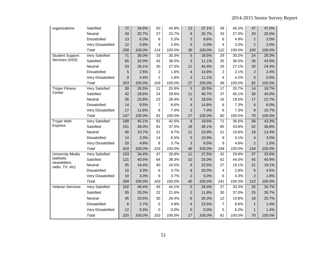| organizations             | Satisfied             | 72              | 34.6%  | 50              | 43.9%  | 13               | 37.1%  | 49              | 40.2%  | 47              | 47.0%  |
|---------------------------|-----------------------|-----------------|--------|-----------------|--------|------------------|--------|-----------------|--------|-----------------|--------|
|                           | Neutral               | 43              | 20.7%  | 27              | 23.7%  | 9                | 25.7%  | 33              | 27.0%  | 20              | 20.0%  |
|                           | Dissatisfied          | 13              | 6.3%   | 6               | 5.3%   | 3                | 8.6%   | 6               | 4.9%   | $\overline{2}$  | 2.0%   |
|                           | Very Dissatisfied     | 12              | 5.8%   | 3               | 2.6%   | 0                | 0.0%   | 4               | 3.3%   | $\overline{2}$  | 2.0%   |
|                           | Total                 | 208             | 100.0% | 114             | 100.0% | 35               | 100.0% | 122             | 100.0% | 100             | 100.0% |
| <b>Student Support</b>    | <b>Very Satisfied</b> | $\overline{71}$ | 35.0%  | 33              | 30.3%  | $\overline{5}$   | 18.5%  | 29              | 30.2%  | $\overline{24}$ | 29.3%  |
| Services (SSS)            | Satisfied             | 65              | 32.0%  | 42              | 38.5%  | 3                | 11.1%  | 35              | 36.5%  | 36              | 43.9%  |
|                           | Neutral               | 53              | 26.1%  | 30              | 27.5%  | 12               | 44.4%  | 26              | 27.1%  | 20              | 24.4%  |
|                           | Dissatisfied          | 5               | 2.5%   | $\overline{c}$  | 1.8%   | 4                | 14.8%  | $\overline{2}$  | 2.1%   | $\overline{2}$  | 2.4%   |
|                           | Very Dissatisfied     | 9               | 4.4%   | $\overline{2}$  | 1.8%   | 3                | 11.1%  | 4               | 4.2%   | $\overline{0}$  | 0.0%   |
|                           | Total                 | 203             | 100.0% | 109             | 100.0% | 27               | 100.0% | 96              | 100.0% | 82              | 100.0% |
| <b>Trojan Fitness</b>     | <b>Very Satisfied</b> | 39              | 26.5%  | 21              | 25.9%  | 5                | 18.5%  | 17              | 20.7%  | 14              | 18.7%  |
| Center                    | Satisfied             | 42              | 28.6%  | 24              | 29.6%  | 11               | 40.7%  | 37              | 45.1%  | 30              | 40.0%  |
|                           | Neutral               | 35              | 23.8%  | 23              | 28.4%  | 5                | 18.5%  | 16              | 19.5%  | 17              | 22.7%  |
|                           | <b>Dissatisfied</b>   | 14              | 9.5%   | $\overline{7}$  | 8.6%   | 4                | 14.8%  | 6               | 7.3%   | 6               | 8.0%   |
|                           | Very Dissatisfied     | 17              | 11.6%  | 6               | 7.4%   | $\overline{c}$   | 7.4%   | 6               | 7.3%   | 8               | 10.7%  |
|                           | Total                 | 147             | 100.0% | 81              | 100.0% | 27               | 100.0% | 82              | 100.0% | 75              | 100.0% |
| <b>Trojan Web</b>         | <b>Very Satisfied</b> | 189             | 45.1%  | 92              | 42.6%  | $\boldsymbol{9}$ | 19.6%  | 71              | 36.6%  | 58              | 43.3%  |
| <b>Express</b>            | Satisfied             | 151             | 36.0%  | 81              | 37.5%  | 18               | 39.1%  | 85              | 43.8%  | 52              | 38.8%  |
|                           | Neutral               | 45              | 10.7%  | 21              | 9.7%   | 11               | 23.9%  | 21              | 10.8%  | 18              | 13.4%  |
|                           | Dissatisfied          | 14              | 3.3%   | 14              | 6.5%   | 5                | 10.9%  | 8               | 4.1%   | $\overline{4}$  | 3.0%   |
|                           | Very Dissatisfied     | 20              | 4.8%   | 8               | 3.7%   | 3                | 6.5%   | 9               | 4.6%   | $\overline{2}$  | 1.5%   |
|                           | Total                 | 419             | 100.0% | 216             | 100.0% | 46               | 100.0% | 194             | 100.0% | 134             | 100.0% |
| University Media          | <b>Very Satisfied</b> | 103             | 34.4%  | $\overline{47}$ | 28.8%  | 11               | 27.5%  | $\overline{42}$ | 29.8%  | $\overline{37}$ | 33.6%  |
| (website,<br>newsletters, | Satisfied             | 121             | 40.5%  | 64              | 39.3%  | 10               | 25.0%  | 62              | 44.0%  | 45              | 40.9%  |
| radio, TV, etc)           | Neutral               | 55              | 18.4%  | 40              | 24.5%  | $\boldsymbol{9}$ | 22.5%  | 27              | 19.1%  | 21              | 19.1%  |
|                           | Dissatisfied          | 10              | 3.3%   | 6               | 3.7%   | $\bf 8$          | 20.0%  | 4               | 2.8%   | 5               | 4.5%   |
|                           | Very Dissatisfied     | 10              | 3.3%   | 6               | 3.7%   | $\overline{c}$   | 5.0%   | 6               | 4.3%   | $\overline{2}$  | 1.8%   |
|                           | Total                 | 299             | 100.0% | 163             | 100.0% | 40               | 100.0% | 141             | 100.0% | 110             | 100.0% |
| <b>Veteran Services</b>   | Very Satisfied        | 102             | 46.4%  | 45              | 44.1%  | $\sqrt{5}$       | 29.4%  | 27              | 33.3%  | 25              | 35.7%  |
|                           | Satisfied             | 55              | 25.0%  | 22              | 21.6%  | $\overline{c}$   | 11.8%  | 30              | 37.0%  | 25              | 35.7%  |
|                           | Neutral               | 45              | 20.5%  | 30              | 29.4%  | 6                | 35.3%  | 12              | 14.8%  | 18              | 25.7%  |
|                           | <b>Dissatisfied</b>   | 6               | 2.7%   | 5               | 4.9%   | 4                | 23.5%  | 7               | 8.6%   | $\mathbf{1}$    | 1.4%   |
|                           | Very Dissatisfied     | 12              | 5.5%   | 0               | 0.0%   | 0                | 0.0%   | 5               | 6.2%   | $\mathbf{1}$    | 1.4%   |
|                           | Total                 | 220             | 100.0% | 102             | 100.0% | 17               | 100.0% | 81              | 100.0% | 70              | 100.0% |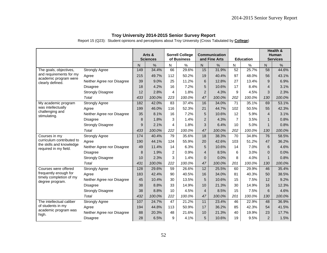Report 15 (Q23): Student opinions and perceptions about Troy University (Cross Tabulated by **College**)

|                                                   |                            |     | Arts &<br><b>Sciences</b> |                | <b>Sorrell College</b><br>of Business |                 | <b>Communication</b><br>and Fine Arts |                | <b>Education</b> |                 | Health &<br><b>Human</b><br><b>Services</b> |
|---------------------------------------------------|----------------------------|-----|---------------------------|----------------|---------------------------------------|-----------------|---------------------------------------|----------------|------------------|-----------------|---------------------------------------------|
|                                                   |                            | N   | %                         | N              | $\%$                                  | N               | $\%$                                  | N              | $\%$             | N               | $\%$                                        |
| The goals, objectives,                            | <b>Strongly Agree</b>      | 149 | 34.4%                     | 66             | 29.6%                                 | 15              | 31.9%                                 | 52             | 25.7%            | $\overline{58}$ | 44.6%                                       |
| and requirements for my<br>academic program were  | Agree                      | 215 | 49.7%                     | 112            | 50.2%                                 | 19              | 40.4%                                 | 97             | 48.0%            | 56              | 43.1%                                       |
| clearly defined.                                  | Neither Agree nor Disagree | 39  | 9.0%                      | 25             | 11.2%                                 | 6               | 12.8%                                 | 27             | 13.4%            | 9               | 6.9%                                        |
|                                                   | <b>Disagree</b>            | 18  | 4.2%                      | 16             | 7.2%                                  | 5               | 10.6%                                 | 17             | 8.4%             | $\overline{4}$  | 3.1%                                        |
|                                                   | <b>Strongly Disagree</b>   | 12  | 2.8%                      | 4              | 1.8%                                  | $\overline{2}$  | 4.3%                                  | 9              | 4.5%             | 3               | 2.3%                                        |
|                                                   | Total                      | 433 | 100.0%                    | 223            | 100.0%                                | 47              | 100.0%                                | 202            | 100.0%           | 130             | 100.0%                                      |
| My academic program                               | <b>Strongly Agree</b>      | 182 | 42.0%                     | 83             | 37.4%                                 | 16              | 34.0%                                 | 71             | 35.1%            | 69              | 53.1%                                       |
| was intellectually                                | Agree                      | 199 | 46.0%                     | 116            | 52.3%                                 | 21              | 44.7%                                 | 102            | 50.5%            | 55              | 42.3%                                       |
| challenging and<br>stimulating.                   | Neither Agree nor Disagree | 35  | 8.1%                      | 16             | 7.2%                                  | 5               | 10.6%                                 | 12             | 5.9%             | $\overline{4}$  | 3.1%                                        |
|                                                   | <b>Disagree</b>            | 8   | 1.8%                      | 3              | 1.4%                                  | $\overline{2}$  | 4.3%                                  | $\overline{7}$ | 3.5%             | $\mathbf{1}$    | 0.8%                                        |
|                                                   | <b>Strongly Disagree</b>   | 9   | 2.1%                      | 4              | 1.8%                                  | 3               | 6.4%                                  | 10             | 5.0%             | $\mathbf{1}$    | 0.8%                                        |
|                                                   | Total                      | 433 | 100.0%                    | 222            | 100.0%                                | 47              | 100.0%                                | 202            | 100.0%           | 130             | 100.0%                                      |
| Courses in my                                     | <b>Strongly Agree</b>      | 174 | 40.4%                     | 79             | 35.6%                                 | 18              | 38.3%                                 | 70             | 34.8%            | 76              | 58.5%                                       |
| curriculum contributed to                         | Agree                      | 190 | 44.1%                     | 124            | 55.9%                                 | 20              | 42.6%                                 | 103            | 51.2%            | 47              | 36.2%                                       |
| the skills and knowledge<br>required in my field. | Neither Agree nor Disagree | 49  | 11.4%                     | 14             | 6.3%                                  | 5               | 10.6%                                 | 14             | 7.0%             | 6               | 4.6%                                        |
|                                                   | <b>Disagree</b>            | 8   | 1.9%                      | $\overline{c}$ | 0.9%                                  | $\overline{4}$  | 8.5%                                  | 6              | 3.0%             | 0               | 0.0%                                        |
|                                                   | <b>Strongly Disagree</b>   | 10  | 2.3%                      | 3              | 1.4%                                  | $\Omega$        | 0.0%                                  | 8              | 4.0%             | $\mathbf{1}$    | 0.8%                                        |
|                                                   | Total                      | 431 | 100.0%                    | 222            | 100.0%                                | 47              | 100.0%                                | 201            | 100.0%           | 130             | 100.0%                                      |
| Courses were offered                              | <b>Strongly Agree</b>      | 128 | 29.6%                     | 59             | 26.6%                                 | $\overline{12}$ | 25.5%                                 | 60             | 29.9%            | 46              | 35.4%                                       |
| frequently enough for                             | Agree                      | 183 | 42.4%                     | 90             | 40.5%                                 | 16              | 34.0%                                 | 81             | 40.3%            | 50              | 38.5%                                       |
| timely completion of my<br>degree program.        | Neither Agree nor Disagree | 45  | 10.4%                     | 30             | 13.5%                                 | 5               | 10.6%                                 | 15             | 7.5%             | 12              | 9.2%                                        |
|                                                   | <b>Disagree</b>            | 38  | 8.8%                      | 33             | 14.9%                                 | 10              | 21.3%                                 | 30             | 14.9%            | 16              | 12.3%                                       |
|                                                   | <b>Strongly Disagree</b>   | 38  | 8.8%                      | 10             | 4.5%                                  | $\overline{4}$  | 8.5%                                  | 15             | 7.5%             | 6               | 4.6%                                        |
|                                                   | <b>Total</b>               | 432 | 100.0%                    | 222            | 100.0%                                | 47              | 100.0%                                | 201            | 100.0%           | 130             | 100.0%                                      |
| The intellectual caliber                          | <b>Strongly Agree</b>      | 107 | 24.7%                     | 47             | 21.2%                                 | 11              | 23.4%                                 | 46             | 22.9%            | 48              | 36.9%                                       |
| of students in my                                 | Agree                      | 194 | 44.8%                     | 113            | 50.9%                                 | 17              | 36.2%                                 | 85             | 42.3%            | 54              | 41.5%                                       |
| academic program was<br>high.                     | Neither Agree nor Disagree | 88  | 20.3%                     | 48             | 21.6%                                 | 10              | 21.3%                                 | 40             | 19.9%            | 23              | 17.7%                                       |
|                                                   | Disagree                   | 28  | 6.5%                      | 9              | 4.1%                                  | 5               | 10.6%                                 | 19             | 9.5%             | $\overline{2}$  | 1.5%                                        |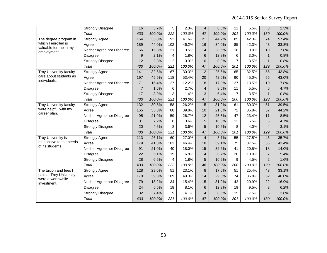|                                             | <b>Strongly Disagree</b>   | 16               | 3.7%   | 5               | 2.3%   | 4                | 8.5%   | 11             | 5.5%   | 3               | 2.3%   |
|---------------------------------------------|----------------------------|------------------|--------|-----------------|--------|------------------|--------|----------------|--------|-----------------|--------|
|                                             | Total                      | 433              | 100.0% | 222             | 100.0% | 47               | 100.0% | 201            | 100.0% | 130             | 100.0% |
| The degree program in                       | <b>Strongly Agree</b>      | 154              | 35.8%  | 92              | 41.6%  | 21               | 44.7%  | 85             | 42.3%  | 74              | 57.4%  |
| which I enrolled is                         | Agree                      | 189              | 44.0%  | 102             | 46.2%  | 16               | 34.0%  | 85             | 42.3%  | 43              | 33.3%  |
| valuable for me in my<br>employment.        | Neither Agree nor Disagree | 66               | 15.3%  | 21              | 9.5%   | $\overline{4}$   | 8.5%   | 18             | 9.0%   | 10              | 7.8%   |
|                                             | <b>Disagree</b>            | 9                | 2.1%   | 4               | 1.8%   | 6                | 12.8%  | 6              | 3.0%   | $\mathbf{1}$    | 0.8%   |
|                                             | <b>Strongly Disagree</b>   | 12               | 2.8%   | $\overline{2}$  | 0.9%   | $\overline{0}$   | 0.0%   | $\overline{7}$ | 3.5%   | $\mathbf{1}$    | 0.8%   |
|                                             | Total                      | 430              | 100.0% | 221             | 100.0% | 47               | 100.0% | 201            | 100.0% | 129             | 100.0% |
| <b>Troy University faculty</b>              | <b>Strongly Agree</b>      | 141              | 32.6%  | 67              | 30.3%  | 12               | 25.5%  | 65             | 32.5%  | 56              | 43.8%  |
| care about students as<br>individuals.      | Agree                      | 197              | 45.5%  | 118             | 53.4%  | 20               | 42.6%  | 90             | 45.0%  | 55              | 43.0%  |
|                                             | Neither Agree nor Disagree | 71               | 16.4%  | 27              | 12.2%  | 8                | 17.0%  | 27             | 13.5%  | 10              | 7.8%   |
|                                             | <b>Disagree</b>            | $\overline{7}$   | 1.6%   | 6               | 2.7%   | 4                | 8.5%   | 11             | 5.5%   | 6               | 4.7%   |
|                                             | <b>Strongly Disagree</b>   | 17               | 3.9%   | 3               | 1.4%   | 3                | 6.4%   | $\overline{7}$ | 3.5%   | $\mathbf{1}$    | 0.8%   |
|                                             | Total                      | 433              | 100.0% | 221             | 100.0% | 47               | 100.0% | 200            | 100.0% | 128             | 100.0% |
| <b>Troy University faculty</b>              | <b>Strongly Agree</b>      | $\overline{132}$ | 30.5%  | $\overline{58}$ | 26.2%  | 15               | 31.9%  | 61             | 30.3%  | $\overline{51}$ | 39.5%  |
| were helpful with my                        | Agree                      | 155              | 35.8%  | 88              | 39.8%  | 10               | 21.3%  | 72             | 35.8%  | 57              | 44.2%  |
| career plan.                                | Neither Agree nor Disagree | 95               | 21.9%  | 59              | 26.7%  | 12               | 25.5%  | 47             | 23.4%  | 11              | 8.5%   |
|                                             | <b>Disagree</b>            | 31               | 7.2%   | 8               | 3.6%   | 5                | 10.6%  | 13             | 6.5%   | 6               | 4.7%   |
|                                             | <b>Strongly Disagree</b>   | 20               | 4.6%   | 8               | 3.6%   | 5                | 10.6%  | 8              | 4.0%   | $\overline{4}$  | 3.1%   |
|                                             | Total                      | 433              | 100.0% | 221             | 100.0% | 47               | 100.0% | 201            | 100.0% | 129             | 100.0% |
| <b>Troy University is</b>                   | <b>Strongly Agree</b>      | 113              | 26.1%  | 60              | 27.0%  | $\overline{4}$   | 8.7%   | 55             | 27.5%  | 46              | 35.7%  |
| responsive to the needs<br>of its students. | Agree                      | 179              | 41.3%  | 103             | 46.4%  | 18               | 39.1%  | 75             | 37.5%  | 56              | 43.4%  |
|                                             | Neither Agree nor Disagree | 91               | 21.0%  | 40              | 18.0%  | 15               | 32.6%  | 41             | 20.5%  | 18              | 14.0%  |
|                                             | <b>Disagree</b>            | 22               | 5.1%   | 15              | 6.8%   | $\overline{4}$   | 8.7%   | 20             | 10.0%  | $\overline{7}$  | 5.4%   |
|                                             | <b>Strongly Disagree</b>   | 28               | 6.5%   | $\overline{4}$  | 1.8%   | 5                | 10.9%  | 9              | 4.5%   | $\overline{2}$  | 1.6%   |
|                                             | Total                      | 433              | 100.0% | 222             | 100.0% | 46               | 100.0% | 200            | 100.0% | 129             | 100.0% |
| The tuition and fees I                      | <b>Strongly Agree</b>      | 128              | 29.6%  | 51              | 23.1%  | $\boldsymbol{8}$ | 17.0%  | 51             | 25.4%  | 43              | 33.1%  |
| paid at Troy University                     | Agree                      | 170              | 39.3%  | 109             | 49.3%  | 14               | 29.8%  | 74             | 36.8%  | 52              | 40.0%  |
| were a worthwhile<br>investment.            | Neither Agree nor Disagree | 79               | 18.2%  | 34              | 15.4%  | 15               | 31.9%  | 42             | 20.9%  | 22              | 16.9%  |
|                                             | <b>Disagree</b>            | 24               | 5.5%   | 18              | 8.1%   | 6                | 12.8%  | 19             | 9.5%   | 8               | 6.2%   |
|                                             | <b>Strongly Disagree</b>   | 32               | 7.4%   | 9               | 4.1%   | 4                | 8.5%   | 15             | 7.5%   | 5               | 3.8%   |
|                                             | Total                      | 433              | 100.0% | 221             | 100.0% | 47               | 100.0% | 201            | 100.0% | 130             | 100.0% |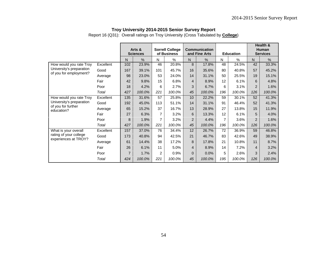Report 16 (Q31): Overall ratings on Troy University (Cross Tabulated by **College**)

|                                                |           |                | Arts &<br><b>Sciences</b> |     | <b>Sorrell College</b><br>of Business |                | <b>Communication</b><br>and Fine Arts |     | <b>Education</b> |                | Health &<br>Human<br><b>Services</b> |
|------------------------------------------------|-----------|----------------|---------------------------|-----|---------------------------------------|----------------|---------------------------------------|-----|------------------|----------------|--------------------------------------|
|                                                |           | N.             | $\%$                      | N   | $\%$                                  | N.             | $\%$                                  | N   | $\frac{0}{0}$    | $\mathsf{N}$   | %                                    |
| How would you rate Troy                        | Excellent | 102            | 23.9%                     | 46  | 20.8%                                 | 8              | 17.8%                                 | 48  | 24.5%            | 42             | 33.3%                                |
| University's preparation                       | Good      | 167            | 39.1%                     | 101 | 45.7%                                 | 16             | 35.6%                                 | 80  | 40.8%            | 57             | 45.2%                                |
| of you for employment?                         | Average   | 98             | 23.0%                     | 53  | 24.0%                                 | 14             | 31.1%                                 | 50  | 25.5%            | 19             | 15.1%                                |
|                                                | Fair      | 42             | 9.8%                      | 15  | 6.8%                                  | $\overline{4}$ | 8.9%                                  | 12  | 6.1%             | 6              | 4.8%                                 |
|                                                | Poor      | 18             | 4.2%                      | 6   | 2.7%                                  | 3              | 6.7%                                  | 6   | 3.1%             | $\overline{2}$ | 1.6%                                 |
|                                                | Total     | 427            | 100.0%                    | 221 | 100.0%                                | 45             | 100.0%                                | 196 | 100.0%           | 126            | 100.0%                               |
| How would you rate Troy                        | Excellent | 135            | 31.6%                     | 57  | 25.8%                                 | 10             | 22.2%                                 | 59  | 30.1%            | 52             | 41.3%                                |
| University's preparation                       | Good      | 192            | 45.0%                     | 113 | 51.1%                                 | 14             | 31.1%                                 | 91  | 46.4%            | 52             | 41.3%                                |
| of you for further<br>education?               | Average   | 65             | 15.2%                     | 37  | 16.7%                                 | 13             | 28.9%                                 | 27  | 13.8%            | 15             | 11.9%                                |
|                                                | Fair      | 27             | 6.3%                      | 7   | 3.2%                                  | 6              | 13.3%                                 | 12  | 6.1%             | 5              | 4.0%                                 |
|                                                | Poor      | 8              | 1.9%                      | 7   | 3.2%                                  | $\overline{2}$ | 4.4%                                  | 7   | 3.6%             | $\overline{2}$ | 1.6%                                 |
|                                                | Total     | 427            | 100.0%                    | 221 | 100.0%                                | 45             | 100.0%                                | 196 | 100.0%           | 126            | 100.0%                               |
| What is your overall                           | Excellent | 157            | 37.0%                     | 76  | 34.4%                                 | 12             | 26.7%                                 | 72  | 36.9%            | 59             | 46.8%                                |
| rating of your college<br>experiences at TROY? | Good      | 173            | 40.8%                     | 94  | 42.5%                                 | 21             | 46.7%                                 | 83  | 42.6%            | 49             | 38.9%                                |
|                                                | Average   | 61             | 14.4%                     | 38  | 17.2%                                 | 8              | 17.8%                                 | 21  | 10.8%            | 11             | 8.7%                                 |
|                                                | Fair      | 26             | 6.1%                      | 11  | 5.0%                                  | $\overline{4}$ | 8.9%                                  | 14  | 7.2%             | 4              | 3.2%                                 |
|                                                | Poor      | $\overline{7}$ | 1.7%                      | 2   | 0.9%                                  | $\Omega$       | 0.0%                                  | 5   | 2.6%             | 3              | 2.4%                                 |
|                                                | Total     | 424            | 100.0%                    | 221 | 100.0%                                | 45             | 100.0%                                | 195 | 100.0%           | 126            | 100.0%                               |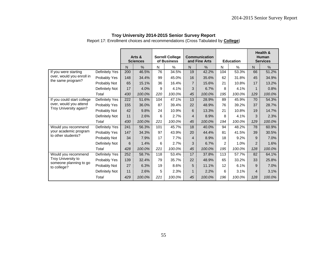Report 17: Enrollment choices and recommendations (Cross Tabulated by **College**)

|                                       |                |     | Arts &<br><b>Sciences</b> |     | <b>Sorrell College</b><br>of Business |                | <b>Communication</b><br>and Fine Arts |     | <b>Education</b> |                | Health &<br>Human<br><b>Services</b> |
|---------------------------------------|----------------|-----|---------------------------|-----|---------------------------------------|----------------|---------------------------------------|-----|------------------|----------------|--------------------------------------|
|                                       |                | N.  | $\frac{0}{0}$             | N   | $\frac{0}{0}$                         | N              | $\%$                                  | N   | %                | N.             | $\frac{0}{0}$                        |
| If you were starting                  | Definitely Yes | 200 | 46.5%                     | 76  | 34.5%                                 | 19             | 42.2%                                 | 104 | 53.3%            | 66             | 51.2%                                |
| over, would you enroll in             | Probably Yes   | 148 | 34.4%                     | 99  | 45.0%                                 | 16             | 35.6%                                 | 62  | 31.8%            | 45             | 34.9%                                |
| the same program?                     | Probably Not   | 65  | 15.1%                     | 36  | 16.4%                                 | $\overline{7}$ | 15.6%                                 | 21  | 10.8%            | 17             | 13.2%                                |
|                                       | Definitely Not | 17  | 4.0%                      | 9   | 4.1%                                  | 3              | 6.7%                                  | 8   | 4.1%             | $\mathbf{1}$   | 0.8%                                 |
|                                       | Total          | 430 | 100.0%                    | 220 | 100.0%                                | 45             | 100.0%                                | 195 | 100.0%           | 129            | 100.0%                               |
| If you could start college            | Definitely Yes | 222 | 51.6%                     | 104 | 47.1%                                 | 13             | 28.9%                                 | 89  | 45.9%            | 70             | 54.3%                                |
| over, would you attend                | Probably Yes   | 155 | 36.0%                     | 87  | 39.4%                                 | 22             | 48.9%                                 | 76  | 39.2%            | 37             | 28.7%                                |
| Troy University again?                | Probably Not   | 42  | 9.8%                      | 24  | 10.9%                                 | 6              | 13.3%                                 | 21  | 10.8%            | 19             | 14.7%                                |
|                                       | Definitely Not | 11  | 2.6%                      | 6   | 2.7%                                  | 4              | 8.9%                                  | 8   | 4.1%             | 3              | 2.3%                                 |
|                                       | Total          | 430 | 100.0%                    | 221 | 100.0%                                | 45             | 100.0%                                | 194 | 100.0%           | 129            | 100.0%                               |
| Would you recommend                   | Definitely Yes | 241 | 56.3%                     | 101 | 45.7%                                 | 18             | 40.0%                                 | 94  | 48.2%            | 78             | 60.9%                                |
| your academic program                 | Probably Yes   | 147 | 34.3%                     | 97  | 43.9%                                 | 20             | 44.4%                                 | 81  | 41.5%            | 39             | 30.5%                                |
| to other students?                    | Probably Not   | 34  | 7.9%                      | 17  | 7.7%                                  | 4              | 8.9%                                  | 18  | 9.2%             | 9              | 7.0%                                 |
|                                       | Definitely Not | 6   | 1.4%                      | 6   | 2.7%                                  | 3              | 6.7%                                  | 2   | 1.0%             | $\overline{2}$ | 1.6%                                 |
|                                       | Total          | 428 | 100.0%                    | 221 | 100.0%                                | 45             | 100.0%                                | 195 | 100.0%           | 128            | 100.0%                               |
| Would you recommend                   | Definitely Yes | 252 | 58.7%                     | 118 | 53.4%                                 | 17             | 37.8%                                 | 113 | 57.7%            | 82             | 64.1%                                |
| Troy University to                    | Probably Yes   | 139 | 32.4%                     | 79  | 35.7%                                 | 22             | 48.9%                                 | 65  | 33.2%            | 33             | 25.8%                                |
| someone planning to go<br>to college? | Probably Not   | 27  | 6.3%                      | 19  | 8.6%                                  | 5              | 11.1%                                 | 12  | 6.1%             | 9              | 7.0%                                 |
|                                       | Definitely Not | 11  | 2.6%                      | 5   | 2.3%                                  | 1              | 2.2%                                  | 6   | 3.1%             | 4              | 3.1%                                 |
|                                       | Total          | 429 | 100.0%                    | 221 | 100.0%                                | 45             | 100.0%                                | 196 | 100.0%           | 128            | 100.0%                               |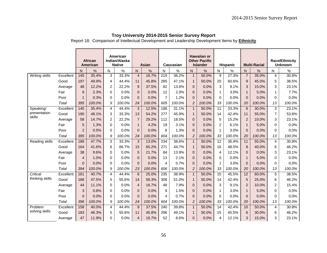Report 18: Comparison of Intellectual Development and Leadership Development Items by **Ethnicity**

|                        |           |                | <b>African</b><br><b>American</b> |                | American<br>Indian/Alaska<br><b>Native</b> |                | <b>Asian</b> |                  | Caucasian |                | <b>Hawaiian or</b><br><b>Other Pacific</b><br><b>Islander</b> |                 | <b>Hispanic</b> |                | <b>Multi-Racial</b> |                | <b>Race/Ethnicity</b><br><b>Unknown</b> |
|------------------------|-----------|----------------|-----------------------------------|----------------|--------------------------------------------|----------------|--------------|------------------|-----------|----------------|---------------------------------------------------------------|-----------------|-----------------|----------------|---------------------|----------------|-----------------------------------------|
|                        |           | N              | $\frac{0}{0}$                     | N              | $\%$                                       | $\mathsf{N}$   | $\%$         | N                | ℅         | N.             | $\%$                                                          | N               | $\%$            | N.             | %                   | N              | %                                       |
| Writing skills         | Excellent | 140            | 35.4%                             | 3              | 33.3%                                      | $\overline{4}$ | 16.7%        | $\overline{219}$ | 36.2%     | $\mathbf{1}$   | 50.0%                                                         | 9               | 27.3%           | $\overline{7}$ | 35.0%               | 4              | 30.8%                                   |
|                        | Good      | 197            | 49.9%                             | 4              | 44.4%                                      | 11             | 45.8%        | 285              | 47.1%     | $\mathbf{1}$   | 50.0%                                                         | 20              | 60.6%           | 9              | 45.0%               | 5              | 38.5%                                   |
|                        | Average   | 48             | 12.2%                             | 2              | 22.2%                                      | 9              | 37.5%        | 82               | 13.6%     | $\overline{0}$ | 0.0%                                                          | 3               | 9.1%            | 3              | 15.0%               | 3              | 23.1%                                   |
|                        | Fair      | 9              | 2.3%                              | $\Omega$       | 0.0%                                       | $\overline{0}$ | 0.0%         | 12               | 2.0%      | $\mathbf 0$    | 0.0%                                                          | 1               | 3.0%            | $\mathbf{1}$   | 5.0%                | 1              | 7.7%                                    |
|                        | Poor      | 1              | 0.3%                              | $\Omega$       | 0.0%                                       | $\mathbf{0}$   | 0.0%         | $\overline{7}$   | 1.2%      | $\Omega$       | 0.0%                                                          | $\Omega$        | 0.0%            | $\Omega$       | 0.0%                | $\Omega$       | 0.0%                                    |
|                        | Total     | 395            | 100.0%                            | 9              | 100.0%                                     | 24             | 100.0%       | 605              | 100.0%    | $\overline{c}$ | 100.0%                                                        | 33              | 100.0%          | 20             | 100.0%              | 13             | 100.0%                                  |
| Speaking/              | Excellent | 140            | 35.4%                             | 4              | 44.4%                                      | $\overline{3}$ | 12.5%        | 188              | 31.1%     | $\mathbf{1}$   | 50.0%                                                         | $\overline{11}$ | 33.3%           | 6              | 30.0%               | 3              | 23.1%                                   |
| presentation<br>skills | Good      | 190            | 48.1%                             | 3              | 33.3%                                      | 13             | 54.2%        | 277              | 45.9%     | $\mathbf{1}$   | 50.0%                                                         | 14              | 42.4%           | 11             | 55.0%               | $\overline{7}$ | 53.8%                                   |
|                        | Average   | 58             | 14.7%                             | $\overline{c}$ | 22.2%                                      | $\overline{7}$ | 29.2%        | 112              | 18.5%     | $\mathbf 0$    | 0.0%                                                          | 5               | 15.2%           | $\overline{c}$ | 10.0%               | 3              | 23.1%                                   |
|                        | Fair      | 5              | 1.3%                              | 0              | 0.0%                                       | $\mathbf{1}$   | 4.2%         | 19               | 3.1%      | $\mathbf 0$    | 0.0%                                                          | $\overline{2}$  | 6.1%            | $\mathbf{1}$   | 5.0%                | 0              | 0.0%                                    |
|                        | Poor      | $\overline{2}$ | 0.5%                              | 0              | 0.0%                                       | $\overline{0}$ | 0.0%         | 8                | 1.3%      | $\Omega$       | 0.0%                                                          | 1               | 3.0%            | $\mathbf{0}$   | 0.0%                | $\Omega$       | 0.0%                                    |
|                        | Total     | 395            | 100.0%                            | 9              | 100.0%                                     | 24             | 100.0%       | 604              | 100.0%    | $\overline{c}$ | 100.0%                                                        | 33              | 100.0%          | 20             | 100.0%              | 13             | 100.0%                                  |
| <b>Reading skills</b>  | Excellent | 188            | 47.7%                             | 3              | 33.3%                                      | 3              | 13.0%        | 234              | 38.6%     | $\overline{1}$ | 50.0%                                                         | 12              | 36.4%           | 11             | 55.0%               | 4              | 30.8%                                   |
|                        | Good      | 164            | 41.6%                             | 6              | 66.7%                                      | 15             | 65.2%        | 271              | 44.7%     | $\mathbf{1}$   | 50.0%                                                         | 16              | 48.5%           | 8              | 40.0%               | 6              | 46.2%                                   |
|                        | Average   | 38             | 9.6%                              | $\Omega$       | 0.0%                                       | 5              | 21.7%        | 84               | 13.9%     | $\mathbf 0$    | 0.0%                                                          | 4               | 12.1%           | $\mathbf{0}$   | 0.0%                | 3              | 23.1%                                   |
|                        | Fair      | 4              | 1.0%                              | $\Omega$       | 0.0%                                       | $\overline{0}$ | 0.0%         | 13               | 2.1%      | $\Omega$       | 0.0%                                                          | $\Omega$        | 0.0%            | $\mathbf{1}$   | 5.0%                | 0              | 0.0%                                    |
|                        | Poor      | $\Omega$       | 0.0%                              | 0              | 0.0%                                       | $\Omega$       | 0.0%         | 4                | 0.7%      | $\Omega$       | 0.0%                                                          | 1               | 3.0%            | $\Omega$       | 0.0%                | 0              | 0.0%                                    |
|                        | Total     | 394            | 100.0%                            | 9              | 100.0%                                     | 23             | 100.0%       | 606              | 100.0%    | $\overline{c}$ | 100.0%                                                        | 33              | 100.0%          | 20             | 100.0%              | 13             | 100.0%                                  |
| Critical               | Excellent | 161            | 40.7%                             | 4              | 44.4%                                      | $6\,$          | 25.0%        | 235              | 38.9%     | $\mathbf{1}$   | 50.0%                                                         | 15              | 45.5%           | 12             | 60.0%               | 5              | 38.5%                                   |
| thinking skills        | Good      | 188            | 47.5%                             | 5              | 55.6%                                      | 14             | 58.3%        | 308              | 51.0%     | $\mathbf{1}$   | 50.0%                                                         | 14              | 42.4%           | 5              | 25.0%               | 6              | 46.2%                                   |
|                        | Average   | 44             | 11.1%                             | 0              | 0.0%                                       | $\overline{4}$ | 16.7%        | 48               | 7.9%      | $\overline{0}$ | 0.0%                                                          | 3               | 9.1%            | $\overline{2}$ | 10.0%               | $\overline{2}$ | 15.4%                                   |
|                        | Fair      | 3              | 0.8%                              | 0              | 0.0%                                       | $\mathbf 0$    | 0.0%         | 9                | 1.5%      | $\overline{0}$ | 0.0%                                                          | 1               | 3.0%            | $\mathbf{1}$   | 5.0%                | 0              | 0.0%                                    |
|                        | Poor      | $\Omega$       | 0.0%                              | 0              | 0.0%                                       | $\mathbf{0}$   | 0.0%         | 4                | 0.7%      | $\mathbf{0}$   | 0.0%                                                          | $\Omega$        | 0.0%            | $\Omega$       | 0.0%                | 0              | 0.0%                                    |
|                        | Total     | 396            | 100.0%                            | 9              | 100.0%                                     | 24             | 100.0%       | 604              | 100.0%    | $\overline{2}$ | 100.0%                                                        | 33              | 100.0%          | 20             | 100.0%              | 13             | 100.0%                                  |
| Problem                | Excellent | 158            | 40.0%                             | 4              | 44.4%                                      | 9              | 37.5%        | 240              | 39.8%     | $\mathbf{1}$   | 50.0%                                                         | $\overline{14}$ | 42.4%           | 10             | 50.0%               | 4              | 30.8%                                   |
| solving skills         | Good      | 183            | 46.3%                             | 5              | 55.6%                                      | 11             | 45.8%        | 296              | 49.1%     | $\mathbf{1}$   | 50.0%                                                         | 15              | 45.5%           | 6              | 30.0%               | 6              | 46.2%                                   |
|                        | Average   | 47             | 11.9%                             | 0              | 0.0%                                       | $\overline{4}$ | 16.7%        | 52               | 8.6%      | $\Omega$       | 0.0%                                                          | 4               | 12.1%           | 3              | 15.0%               | 3              | 23.1%                                   |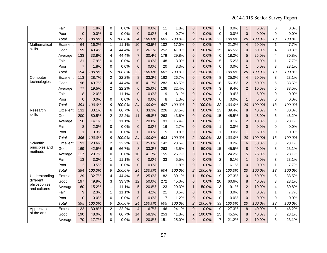|                           | Fair      | 7              | 1.8%   | $\mathbf 0$    | 0.0%   | $\overline{0}$ | 0.0%   | 11               | 1.8%   | 0              | 0.0%   | $\Omega$       | 0.0%   | $\mathbf{1}$   | 5.0%   | 0              | 0.0%   |
|---------------------------|-----------|----------------|--------|----------------|--------|----------------|--------|------------------|--------|----------------|--------|----------------|--------|----------------|--------|----------------|--------|
|                           | Poor      | $\overline{0}$ | 0.0%   | 0              | 0.0%   | $\pmb{0}$      | 0.0%   | 4                | 0.7%   | $\mathbf 0$    | 0.0%   | $\mathbf 0$    | 0.0%   | $\mathbf 0$    | 0.0%   | $\mathbf 0$    | 0.0%   |
|                           | Total     | 395            | 100.0% | 9              | 100.0% | 24             | 100.0% | 603              | 100.0% | $\overline{2}$ | 100.0% | 33             | 100.0% | 20             | 100.0% | 13             | 100.0% |
| Mathematical              | Excellent | 64             | 16.2%  | $\mathbf{1}$   | 11.1%  | 10             | 43.5%  | 102              | 17.0%  | $\overline{0}$ | 0.0%   | $\overline{7}$ | 21.2%  | $\overline{4}$ | 20.0%  | $\mathbf{1}$   | 7.7%   |
| skills                    | Good      | 159            | 40.4%  | 4              | 44.4%  | $\,6$          | 26.1%  | 252              | 41.9%  | $\mathbf{1}$   | 50.0%  | 15             | 45.5%  | 10             | 50.0%  | $\overline{4}$ | 30.8%  |
|                           | Average   | 133            | 33.8%  | $\overline{4}$ | 44.4%  | $\overline{7}$ | 30.4%  | 179              | 29.8%  | $\mathbf 0$    | 0.0%   | 6              | 18.2%  | 5              | 25.0%  | $\overline{4}$ | 30.8%  |
|                           | Fair      | 31             | 7.9%   | $\mathbf 0$    | 0.0%   | $\mathsf 0$    | 0.0%   | 48               | 8.0%   | $\mathbf{1}$   | 50.0%  | 5              | 15.2%  | $\overline{0}$ | 0.0%   | $\mathbf{1}$   | 7.7%   |
|                           | Poor      | $\overline{7}$ | 1.8%   | $\Omega$       | 0.0%   | $\overline{0}$ | 0.0%   | 20               | 3.3%   | $\overline{0}$ | 0.0%   | $\Omega$       | 0.0%   | $\mathbf{1}$   | 5.0%   | 3              | 23.1%  |
|                           | Total     | 394            | 100.0% | 9              | 100.0% | 23             | 100.0% | 601              | 100.0% | $\overline{c}$ | 100.0% | 33             | 100.0% | 20             | 100.0% | 13             | 100.0% |
| Computer                  | Excellent | 113            | 28.7%  | $\overline{c}$ | 22.2%  | 8              | 33.3%  | 162              | 26.7%  | $\mathbf 0$    | 0.0%   | 8              | 25.0%  | $\overline{4}$ | 20.0%  | 3              | 23.1%  |
| technologies              | Good      | 196            | 49.7%  | $\overline{4}$ | 44.4%  | 10             | 41.7%  | 282              | 46.5%  | $\overline{c}$ | 100.0% | 18             | 56.3%  | 12             | 60.0%  | $\sqrt{5}$     | 38.5%  |
|                           | Average   | 77             | 19.5%  | $\overline{c}$ | 22.2%  | $\,6$          | 25.0%  | 136              | 22.4%  | 0              | 0.0%   | 3              | 9.4%   | $\overline{c}$ | 10.0%  | $\sqrt{5}$     | 38.5%  |
|                           | Fair      | 8              | 2.0%   | $\mathbf{1}$   | 11.1%  | 0              | 0.0%   | 19               | 3.1%   | $\mathbf 0$    | 0.0%   | 3              | 9.4%   | $\mathbf{1}$   | 5.0%   | 0              | 0.0%   |
|                           | Poor      | $\Omega$       | 0.0%   | $\Omega$       | 0.0%   | $\mathbf{0}$   | 0.0%   | 8                | 1.3%   | $\overline{0}$ | 0.0%   | $\Omega$       | 0.0%   | $\mathbf{1}$   | 5.0%   | $\mathbf 0$    | 0.0%   |
|                           | Total     | 394            | 100.0% | 9              | 100.0% | 24             | 100.0% | 607              | 100.0% | $\overline{2}$ | 100.0% | 32             | 100.0% | 20             | 100.0% | 13             | 100.0% |
| Research                  | Excellent | 131            | 33.1%  | $\overline{6}$ | 66.7%  | 8              | 33.3%  | 226              | 37.5%  | $\mathbf{1}$   | 50.0%  | 13             | 39.4%  | 8              | 40.0%  | $\overline{4}$ | 30.8%  |
| skills                    | Good      | 200            | 50.5%  | $\overline{c}$ | 22.2%  | 11             | 45.8%  | 263              | 43.6%  | $\mathbf{0}$   | 0.0%   | 15             | 45.5%  | 9              | 45.0%  | 6              | 46.2%  |
|                           | Average   | 56             | 14.1%  | $\mathbf{1}$   | 11.1%  | 5              | 20.8%  | 93               | 15.4%  | $\mathbf{1}$   | 50.0%  | 3              | 9.1%   | $\overline{c}$ | 10.0%  | $\mathbf 3$    | 23.1%  |
|                           | Fair      | 8              | 2.0%   | $\Omega$       | 0.0%   | $\overline{0}$ | 0.0%   | 16               | 2.7%   | $\overline{0}$ | 0.0%   | 1              | 3.0%   | $\overline{0}$ | 0.0%   | $\mathbf 0$    | 0.0%   |
|                           | Poor      | 1              | 0.3%   | $\mathbf 0$    | 0.0%   | $\mathbf 0$    | 0.0%   | 5                | 0.8%   | $\mathbf 0$    | 0.0%   | 1              | 3.0%   | $\mathbf{1}$   | 5.0%   | $\mathbf 0$    | 0.0%   |
|                           | Total     | 396            | 100.0% | 9              | 100.0% | 24             | 100.0% | 603              | 100.0% | $\overline{c}$ | 100.0% | 33             | 100.0% | 20             | 100.0% | 13             | 100.0% |
| Scientific                | Excellent | 93             | 23.6%  | $\overline{2}$ | 22.2%  | $\overline{6}$ | 25.0%  | 142              | 23.5%  | $\mathbf{1}$   | 50.0%  | $\overline{6}$ | 18.2%  | $\overline{6}$ | 30.0%  | $\overline{3}$ | 23.1%  |
| principles and<br>methods | Good      | 169            | 42.9%  | 6              | 66.7%  | $\bf 8$        | 33.3%  | 263              | 43.5%  | $\mathbf{1}$   | 50.0%  | 15             | 45.5%  | 8              | 40.0%  | 3              | 23.1%  |
|                           | Average   | 117            | 29.7%  | $\Omega$       | 0.0%   | 10             | 41.7%  | 155              | 25.7%  | $\overline{0}$ | 0.0%   | 8              | 24.2%  | 5              | 25.0%  | 3              | 23.1%  |
|                           | Fair      | 13             | 3.3%   | 1              | 11.1%  | $\mathbf 0$    | 0.0%   | 33               | 5.5%   | $\Omega$       | 0.0%   | $\overline{2}$ | 6.1%   | $\mathbf{1}$   | 5.0%   | 3              | 23.1%  |
|                           | Poor      | $\overline{a}$ | 0.5%   | 0              | 0.0%   | $\mathsf 0$    | 0.0%   | 11               | 1.8%   | $\mathbf 0$    | 0.0%   | $\overline{c}$ | 6.1%   | $\mathbf 0$    | 0.0%   | $\mathbf{1}$   | 7.7%   |
|                           | Total     | 394            | 100.0% | 9              | 100.0% | 24             | 100.0% | 604              | 100.0% | $\overline{c}$ | 100.0% | 33             | 100.0% | 20             | 100.0% | 13             | 100.0% |
| Understanding             | Excellent | 129            | 32.7%  | $\overline{4}$ | 44.4%  | 6              | 25.0%  | 182              | 30.1%  | $\mathbf{1}$   | 50.0%  | 9              | 27.3%  | 10             | 50.0%  | $\overline{5}$ | 38.5%  |
| different<br>philosophies | Good      | 197            | 49.9%  | 3              | 33.3%  | 12             | 50.0%  | 272              | 45.0%  | $\overline{0}$ | 0.0%   | 20             | 60.6%  | 8              | 40.0%  | $\mathbf 3$    | 23.1%  |
| and cultures              | Average   | 60             | 15.2%  | $\mathbf{1}$   | 11.1%  | 5              | 20.8%  | 123              | 20.3%  | $\mathbf{1}$   | 50.0%  | 3              | 9.1%   | $\overline{2}$ | 10.0%  | $\overline{4}$ | 30.8%  |
|                           | Fair      | 9              | 2.3%   | $\mathbf{1}$   | 11.1%  | $\mathbf{1}$   | 4.2%   | 21               | 3.5%   | $\overline{0}$ | 0.0%   | $\mathbf{1}$   | 3.0%   | $\mathbf 0$    | 0.0%   | 1              | 7.7%   |
|                           | Poor      | $\mathbf 0$    | 0.0%   | $\Omega$       | 0.0%   | $\overline{0}$ | 0.0%   | $\overline{7}$   | 1.2%   | $\Omega$       | 0.0%   | $\Omega$       | 0.0%   | $\overline{0}$ | 0.0%   | 0              | 0.0%   |
|                           | Total     | 395            | 100.0% | 9              | 100.0% | 24             | 100.0% | 605              | 100.0% | $\overline{2}$ | 100.0% | 33             | 100.0% | 20             | 100.0% | 13             | 100.0% |
| Appreciation              | Excellent | 122            | 30.8%  | $\overline{2}$ | 22.2%  | $\overline{4}$ | 16.7%  | $\overline{146}$ | 24.1%  | $\mathbf 0$    | 0.0%   | 9              | 27.3%  | $\overline{8}$ | 40.0%  | 6              | 46.2%  |
| of the arts               | Good      | 190            | 48.0%  | 6              | 66.7%  | 14             | 58.3%  | 253              | 41.8%  | $\overline{c}$ | 100.0% | 15             | 45.5%  | 8              | 40.0%  | 3              | 23.1%  |
|                           | Average   | 70             | 17.7%  | $\Omega$       | 0.0%   | 5              | 20.8%  | 151              | 25.0%  | $\mathbf 0$    | 0.0%   | $\overline{7}$ | 21.2%  | $\overline{c}$ | 10.0%  | 3              | 23.1%  |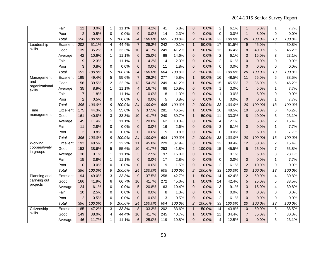|                          | Fair      | 12              | 3.0%   | 1              | 11.1%  | $\mathbf{1}$    | 4.2%   | 41               | 6.8%   | $\mathbf 0$             | 0.0%   | 2               | 6.1%   | $\mathbf{1}$    | 5.0%   | $\mathbf{1}$            | 7.7%   |
|--------------------------|-----------|-----------------|--------|----------------|--------|-----------------|--------|------------------|--------|-------------------------|--------|-----------------|--------|-----------------|--------|-------------------------|--------|
|                          | Poor      | $\overline{a}$  | 0.5%   | 0              | 0.0%   | $\pmb{0}$       | 0.0%   | 14               | 2.3%   | $\mathbf{0}$            | 0.0%   | 0               | 0.0%   | $\mathbf{1}$    | 5.0%   | 0                       | 0.0%   |
|                          | Total     | 396             | 100.0% | 9              | 100.0% | 24              | 100.0% | 605              | 100.0% | $\overline{c}$          | 100.0% | 33              | 100.0% | 20              | 100.0% | 13                      | 100.0% |
| Leadership               | Excellent | 202             | 51.1%  | $\overline{4}$ | 44.4%  | $\overline{7}$  | 29.2%  | $\overline{242}$ | 40.1%  | $\mathbf{1}$            | 50.0%  | $\overline{17}$ | 51.5%  | 9               | 45.0%  | 4                       | 30.8%  |
| skills                   | Good      | 139             | 35.2%  | 3              | 33.3%  | 10              | 41.7%  | 249              | 41.2%  | $\mathbf{1}$            | 50.0%  | 12              | 36.4%  | 8               | 40.0%  | 6                       | 46.2%  |
|                          | Average   | 42              | 10.6%  | $\mathbf{1}$   | 11.1%  | $6\phantom{1}6$ | 25.0%  | 88               | 14.6%  | $\mathbf{0}$            | 0.0%   | $\overline{2}$  | 6.1%   | 3               | 15.0%  | 3                       | 23.1%  |
|                          | Fair      | 9               | 2.3%   | 1              | 11.1%  | $\mathbf{1}$    | 4.2%   | 14               | 2.3%   | $\mathbf{0}$            | 0.0%   | $\overline{2}$  | 6.1%   | $\pmb{0}$       | 0.0%   | $\mathsf 0$             | 0.0%   |
|                          | Poor      | 3               | 0.8%   | 0              | 0.0%   | $\mathbf{0}$    | 0.0%   | 11               | 1.8%   | $\mathbf{0}$            | 0.0%   | $\Omega$        | 0.0%   | $\mathbf{0}$    | 0.0%   | 0                       | 0.0%   |
|                          | Total     | 395             | 100.0% | 9              | 100.0% | 24              | 100.0% | 604              | 100.0% | $\overline{c}$          | 100.0% | 33              | 100.0% | 20              | 100.0% | 13                      | 100.0% |
| Management               | Excellent | 195             | 49.4%  | 5              | 55.6%  | $\overline{7}$  | 29.2%  | $\overline{277}$ | 45.8%  | $\mathbf{1}$            | 50.0%  | 16              | 48.5%  | 11              | 55.0%  | 5                       | 38.5%  |
| and                      | Good      | 156             | 39.5%  | 2              | 22.2%  | 13              | 54.2%  | 249              | 41.2%  | $\mathbf{1}$            | 50.0%  | 15              | 45.5%  | $\overline{7}$  | 35.0%  | 6                       | 46.2%  |
| organizational<br>skills | Average   | 35              | 8.9%   | $\mathbf{1}$   | 11.1%  | $\overline{4}$  | 16.7%  | 66               | 10.9%  | $\mathbf 0$             | 0.0%   | 1               | 3.0%   | $\mathbf{1}$    | 5.0%   | $\mathbf{1}$            | 7.7%   |
|                          | Fair      | $\overline{7}$  | 1.8%   | $\mathbf{1}$   | 11.1%  | $\pmb{0}$       | 0.0%   | 8                | 1.3%   | $\pmb{0}$               | 0.0%   | $\mathbf{1}$    | 3.0%   | $\mathbf{1}$    | 5.0%   | 0                       | 0.0%   |
|                          | Poor      | $\overline{2}$  | 0.5%   | $\Omega$       | 0.0%   | $\mathbf{0}$    | 0.0%   | 5                | 0.8%   | $\mathbf{0}$            | 0.0%   | $\Omega$        | 0.0%   | $\mathbf 0$     | 0.0%   | $\mathbf{1}$            | 7.7%   |
|                          | Total     | 395             | 100.0% | 9              | 100.0% | 24              | 100.0% | 605              | 100.0% | $\overline{c}$          | 100.0% | 33              | 100.0% | 20              | 100.0% | 13                      | 100.0% |
| Time                     | Excellent | $\frac{175}{2}$ | 44.3%  | $\overline{5}$ | 55.6%  | 9               | 37.5%  | 281              | 46.5%  | $\mathbf{1}$            | 50.0%  | 16              | 48.5%  | 10              | 50.0%  | $\overline{6}$          | 46.2%  |
| management               | Good      | 161             | 40.8%  | 3              | 33.3%  | 10 <sup>1</sup> | 41.7%  | 240              | 39.7%  | $\mathbf{1}$            | 50.0%  | 11              | 33.3%  | 8               | 40.0%  | 3                       | 23.1%  |
|                          | Average   | 45              | 11.4%  | $\mathbf{1}$   | 11.1%  | 5               | 20.8%  | 62               | 10.3%  | $\mathbf{0}$            | 0.0%   | 4               | 12.1%  | $\mathbf{1}$    | 5.0%   | $\boldsymbol{2}$        | 15.4%  |
|                          | Fair      | 11              | 2.8%   | 0              | 0.0%   | $\mathbf{0}$    | 0.0%   | 16               | 2.6%   | $\mathbf 0$             | 0.0%   | 2               | 6.1%   | 0               | 0.0%   | $\mathbf{1}$            | 7.7%   |
|                          | Poor      | 3               | 0.8%   | $\Omega$       | 0.0%   | $\Omega$        | 0.0%   | 5                | 0.8%   | 0                       | 0.0%   | $\Omega$        | 0.0%   | $\mathbf{1}$    | 5.0%   | $\mathbf{1}$            | 7.7%   |
|                          | Total     | 395             | 100.0% | 9              | 100.0% | 24              | 100.0% | 604              | 100.0% | $\overline{\mathbf{c}}$ | 100.0% | 33              | 100.0% | 20              | 100.0% | 13                      | 100.0% |
| Working                  | Excellent | 192             | 48.5%  | $\overline{2}$ | 22.2%  | 11              | 45.8%  | 229              | 37.9%  | $\overline{0}$          | 0.0%   | 13              | 39.4%  | $\overline{12}$ | 60.0%  | $\overline{2}$          | 15.4%  |
| cooperatively            | Good      | 153             | 38.6%  | 5              | 55.6%  | 10              | 41.7%  | 253              | 41.8%  | $\overline{2}$          | 100.0% | 15              | 45.5%  | 5               | 25.0%  | $\overline{7}$          | 53.8%  |
| in groups                | Average   | 36              | 9.1%   | $\mathbf{1}$   | 11.1%  | 3               | 12.5%  | 97               | 16.0%  | $\mathbf 0$             | 0.0%   | 3               | 9.1%   | $\mathbf{1}$    | 5.0%   | 3                       | 23.1%  |
|                          | Fair      | 15              | 3.8%   | $\mathbf{1}$   | 11.1%  | $\mathbf{0}$    | 0.0%   | 17               | 2.8%   | $\mathbf 0$             | 0.0%   | $\Omega$        | 0.0%   | $\mathbf 0$     | 0.0%   | $\mathbf{1}$            | 7.7%   |
|                          | Poor      | $\overline{0}$  | 0.0%   | 0              | 0.0%   | $\pmb{0}$       | 0.0%   | 9                | 1.5%   | $\pmb{0}$               | 0.0%   | $\overline{c}$  | 6.1%   | $\overline{c}$  | 10.0%  | 0                       | 0.0%   |
|                          | Total     | 396             | 100.0% | 9              | 100.0% | 24              | 100.0% | 605              | 100.0% | $\overline{c}$          | 100.0% | 33              | 100.0% | 20              | 100.0% | 13                      | 100.0% |
| Planning and             | Excellent | 194             | 49.0%  | 3              | 33.3%  | 9               | 37.5%  | 258              | 42.7%  | $\mathbf{1}$            | 50.0%  | $\overline{14}$ | 42.4%  | $\overline{12}$ | 60.0%  | $\overline{\mathbf{4}}$ | 30.8%  |
| carrying out             | Good      | 166             | 41.9%  | 6              | 66.7%  | 10              | 41.7%  | 272              | 45.0%  | $\mathbf{1}$            | 50.0%  | 14              | 42.4%  | 5               | 25.0%  | 5                       | 38.5%  |
| projects                 | Average   | 24              | 6.1%   | $\Omega$       | 0.0%   | 5               | 20.8%  | 63               | 10.4%  | $\mathbf{0}$            | 0.0%   | 3               | 9.1%   | 3               | 15.0%  | $\overline{4}$          | 30.8%  |
|                          | Fair      | 10              | 2.5%   | 0              | 0.0%   | $\pmb{0}$       | 0.0%   | 8                | 1.3%   | $\mathbf{0}$            | 0.0%   | 0               | 0.0%   | $\pmb{0}$       | 0.0%   | 0                       | 0.0%   |
|                          | Poor      | $\overline{c}$  | 0.5%   | 0              | 0.0%   | $\mathbf{0}$    | 0.0%   | 3                | 0.5%   | $\Omega$                | 0.0%   | $\overline{c}$  | 6.1%   | $\mathbf 0$     | 0.0%   | 0                       | 0.0%   |
|                          | Total     | 396             | 100.0% | 9              | 100.0% | 24              | 100.0% | 604              | 100.0% | $\overline{c}$          | 100.0% | 33              | 100.0% | 20              | 100.0% | 13                      | 100.0% |
| Citizenship              | Excellent | 185             | 47.2%  | 3              | 33.3%  | 8               | 33.3%  | 202              | 33.6%  | $\mathbf{1}$            | 50.0%  | $\overline{14}$ | 43.8%  | 10              | 50.0%  | 5                       | 38.5%  |
| skills                   | Good      | 149             | 38.0%  | $\overline{4}$ | 44.4%  | 10              | 41.7%  | 245              | 40.7%  | $\mathbf{1}$            | 50.0%  | 11              | 34.4%  | $\overline{7}$  | 35.0%  | 4                       | 30.8%  |
|                          | Average   | 46              | 11.7%  | 1              | 11.1%  | $\,6\,$         | 25.0%  | 119              | 19.8%  | 0                       | 0.0%   | 4               | 12.5%  | $\mathbf 0$     | 0.0%   | 3                       | 23.1%  |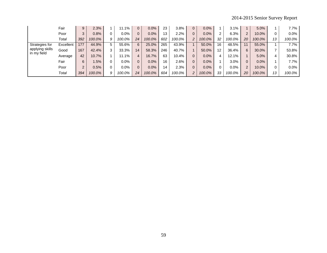2014-2015 Senior Survey Report

|                                | Fair      | 9              | 2.3%   |    | 11.1%   | $\overline{0}$ | 0.0%   | 23  | 3.8%   | $\Omega$     | 0.0%    |    | 3.1%    |          | 5.0%   |    | 7.7%    |
|--------------------------------|-----------|----------------|--------|----|---------|----------------|--------|-----|--------|--------------|---------|----|---------|----------|--------|----|---------|
|                                | Poor      | 3              | 0.8%   |    | $0.0\%$ | 0              | 0.0%   | 13  | 2.2%   | $\mathbf{0}$ | 0.0%    |    | 6.3%    | 2        | 10.0%  | 0  | $0.0\%$ |
|                                | Total     | 392            | 100.0% |    | 100.0%  | 24             | 100.0% | 602 | 100.0% | 2            | 100.0%  | 32 | 100.0%  | 20       | 100.0% | 13 | 100.0%  |
| Strategies for                 | Excellent | 177            | 44.9%  |    | 55.6%   | 6              | 25.0%  | 265 | 43.9%  |              | 50.0%   | 16 | 48.5%   | 11       | 55.0%  |    | 7.7%    |
| applying skills<br>in my field | Good      | 167            | 42.4%  |    | 33.3%   | 14             | 58.3%  | 246 | 40.7%  |              | 50.0%   | 12 | 36.4%   | 6        | 30.0%  | 7  | 53.8%   |
|                                | Average   | 42             | 10.7%  |    | 11.1%   | 4              | 16.7%  | 63  | 10.4%  | $\Omega$     | 0.0%    | 4  | 12.1%   |          | 5.0%   | 4  | 30.8%   |
|                                | Fair      | 6              | 1.5%   |    | $0.0\%$ | 0              | 0.0%   | 16  | 2.6%   | $\Omega$     | $0.0\%$ |    | 3.0%    | $\Omega$ | 0.0%   |    | 7.7%    |
|                                | Poor      | $\overline{2}$ | 0.5%   |    | 0.0%    | 0              | 0.0%   | 14  | 2.3%   | 0            | 0.0%    |    | $0.0\%$ | 2        | 10.0%  | 0  | 0.0%    |
|                                | Total     | 394            | 100.0% | 9. | 100.0%  | 24             | 100.0% | 604 | 100.0% | 2            | 100.0%  | 33 | 100.0%  | 20       | 100.0% | 13 | 100.0%  |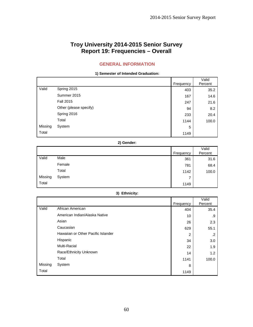# **Troy University 2014-2015 Senior Survey Report 19: Frequencies – Overall**

## **GENERAL INFORMATION**

**1) Semester of Intended Graduation:** 

|         |                        | Frequency | Valid<br>Percent |
|---------|------------------------|-----------|------------------|
| Valid   | Spring 2015            | 403       | 35.2             |
|         | Summer 2015            | 167       | 14.6             |
|         | <b>Fall 2015</b>       | 247       | 21.6             |
|         | Other (please specify) | 94        | 8.2              |
|         | Spring 2016            | 233       | 20.4             |
|         | Total                  | 1144      | 100.0            |
| Missing | System                 | 5         |                  |
| Total   |                        | 1149      |                  |

#### **2) Gender:**

|         |        |           | Valid   |
|---------|--------|-----------|---------|
|         |        | Frequency | Percent |
| Valid   | Male   | 361       | 31.6    |
|         | Female | 781       | 68.4    |
|         | Total  | 1142      | 100.0   |
| Missing | System | 7         |         |
| Total   |        | 1149      |         |

## **3) Ethnicity:**

|         |                                    |                | Valid      |
|---------|------------------------------------|----------------|------------|
|         |                                    | Frequency      | Percent    |
| Valid   | African American                   | 404            | 35.4       |
|         | American Indian/Alaska Native      | 10             | .9         |
|         | Asian                              | 26             | 2.3        |
|         | Caucasian                          | 629            | 55.1       |
|         | Hawaiian or Other Pacific Islander | $\overline{2}$ | $\cdot$ .2 |
|         | Hispanic                           | 34             | 3.0        |
|         | Multi-Racial                       | 22             | 1.9        |
|         | Race/Ethnicity Unknown             | 14             | 1.2        |
|         | Total                              | 1141           | 100.0      |
| Missing | System                             | 8              |            |
| Total   |                                    | 1149           |            |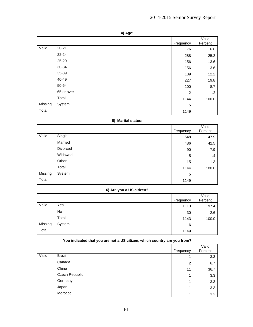| ۰.<br>× |
|---------|
|         |

|         |            | Frequency      | Valid<br>Percent |
|---------|------------|----------------|------------------|
| Valid   | $20 - 21$  | 76             | 6.6              |
|         | $22 - 24$  | 288            | 25.2             |
|         | 25-29      | 156            | 13.6             |
|         | 30-34      | 156            | 13.6             |
|         | 35-39      | 139            | 12.2             |
|         | 40-49      | 227            | 19.8             |
|         | 50-64      | 100            | 8.7              |
|         | 65 or over | $\overline{2}$ | $.2\phantom{0}$  |
|         | Total      | 1144           | 100.0            |
| Missing | System     | 5              |                  |
| Total   |            | 1149           |                  |

## **5) Marital status:**

|         |          |           | Valid   |
|---------|----------|-----------|---------|
|         |          | Frequency | Percent |
| Valid   | Single   | 548       | 47.9    |
|         | Married  | 486       | 42.5    |
|         | Divorced | 90        | 7.9     |
|         | Widowed  | 5         | $\cdot$ |
|         | Other    | 15        | 1.3     |
|         | Total    | 1144      | 100.0   |
| Missing | System   | 5         |         |
| Total   |          | 1149      |         |

## **6) Are you a US citizen?**

|         |        | Frequency | Valid<br>Percent |
|---------|--------|-----------|------------------|
| Valid   | Yes    | 1113      | 97.4             |
|         | No     | 30        | 2.6              |
|         | Total  | 1143      | 100.0            |
| Missing | System | 6         |                  |
| Total   |        | 1149      |                  |

|       |                | Frequency      | Valid<br>Percent |
|-------|----------------|----------------|------------------|
| Valid | Brazil         | 4              | 3.3              |
|       | Canada         | $\overline{2}$ | 6.7              |
|       | China          | 11             | 36.7             |
|       | Czech Republic | 4              | 3.3              |
|       | Germany        | и              | 3.3              |
|       | Japan          | 4              | 3.3              |
|       | Morocco        | 4              | 3.3              |

## **You indicated that you are not a US citizen, which country are you from?**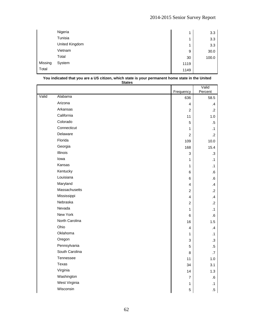|         | Nigeria        | 4    | 3.3   |
|---------|----------------|------|-------|
|         | Tunisia        | 1    | 3.3   |
|         | United Kingdom | 4    | 3.3   |
|         | Vietnam        | 9    | 30.0  |
|         | Total          | 30   | 100.0 |
| Missing | System         | 1119 |       |
| Total   |                | 1149 |       |

| <b>States</b> |                |                           |                  |
|---------------|----------------|---------------------------|------------------|
|               |                | Frequency                 | Valid<br>Percent |
| Valid         | Alabama        | 636                       | 58.5             |
|               | Arizona        | 4                         | $\mathcal{A}$    |
|               | Arkansas       | $\overline{c}$            | $\cdot$ .2       |
|               | California     | 11                        | 1.0              |
|               | Colorado       | 5                         | $.5\,$           |
|               | Connecticut    | 1                         | $\cdot$ 1        |
|               | Delaware       | $\overline{c}$            | $\overline{2}$   |
|               | Florida        | 109                       | 10.0             |
|               | Georgia        | 168                       | 15.4             |
|               | Illinois       | $\ensuremath{\mathsf{3}}$ | $\cdot$ 3        |
|               | lowa           | $\mathbf{1}$              | $\cdot$ 1        |
|               | Kansas         | 1                         | $\cdot$ 1        |
|               | Kentucky       | 6                         | .6               |
|               | Louisiana      | 6                         | 6.6              |
|               | Maryland       | 4                         | .4               |
|               | Massachusetts  | $\overline{c}$            | $\cdot$ .2       |
|               | Mississippi    | 4                         | $\mathcal{A}$    |
|               | Nebraska       | $\overline{c}$            | $\cdot$ .2       |
|               | Nevada         | $\mathbf{1}$              | $\cdot$ 1        |
|               | New York       | 6                         | ${\bf .6}$       |
|               | North Carolina | 16                        | 1.5              |
|               | Ohio           | $\overline{\mathbf{4}}$   | $\mathcal{A}$    |
|               | Oklahoma       | 1                         | $\cdot$ 1        |
|               | Oregon         | 3                         | $\cdot$ 3        |
|               | Pennsylvania   | $\mathbf 5$               | $.5\,$           |
|               | South Carolina | 8                         | .7               |
|               | Tennessee      | 11                        | 1.0              |
|               | Texas          | 34                        | 3.1              |
|               | Virginia       | 14                        | 1.3              |
|               | Washington     | $\overline{7}$            | ${\bf .6}$       |
|               | West Virginia  | 1                         | .1               |
|               | Wisconsin      | $\mathbf 5$               | $.5\,$           |

#### **You indicated that you are a US citizen, which state is your permanent home state in the United**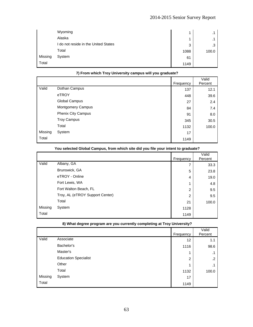# 2014-2015 Senior Survey Report

|         | Wyoming                              | 4    |       |
|---------|--------------------------------------|------|-------|
|         | Alaska                               | 4    |       |
|         | I do not reside in the United States | 3    | .3    |
|         | Total                                | 1088 | 100.0 |
| Missing | System                               | 61   |       |
| Total   |                                      | 1149 |       |

|         |                          | Frequency | Valid<br>Percent |
|---------|--------------------------|-----------|------------------|
| Valid   | Dothan Campus            | 137       | 12.1             |
|         | eTROY                    | 448       | 39.6             |
|         | Global Campus            | 27        | 2.4              |
|         | <b>Montgomery Campus</b> | 84        | 7.4              |
|         | Phenix City Campus       | 91        | 8.0              |
|         | <b>Troy Campus</b>       | 345       | 30.5             |
|         | Total                    | 1132      | 100.0            |
| Missing | System                   | 17        |                  |
| Total   |                          | 1149      |                  |

## **7) From which Troy University campus will you graduate?**

|         |                                 | Frequency      | Valid<br>Percent |
|---------|---------------------------------|----------------|------------------|
| Valid   | Albany, GA                      | 7              | 33.3             |
|         | Brunswick, GA                   | 5              | 23.8             |
|         | eTROY - Online                  | 4              | 19.0             |
|         | Fort Lewis, WA                  | 4              | 4.8              |
|         | Fort Walton Beach, FL           | $\overline{2}$ | 9.5              |
|         | Troy, AL (eTROY Support Center) | $\overline{2}$ | 9.5              |
|         | Total                           | 21             | 100.0            |
| Missing | System                          | 1128           |                  |
| Total   |                                 | 1149           |                  |

## **You selected Global Campus, from which site did you file your intent to graduate?**

#### **8) What degree program are you currently completing at Troy University?**

|         |                             | Frequency      | Valid<br>Percent |
|---------|-----------------------------|----------------|------------------|
| Valid   | Associate                   | 12             | 1.1              |
|         | Bachelor's                  | 1116           | 98.6             |
|         | Master's                    | 1              | . .              |
|         | <b>Education Specialist</b> | $\overline{2}$ | $\cdot$          |
|         | Other                       | 4              |                  |
|         | Total                       | 1132           | 100.0            |
| Missing | System                      | 17             |                  |
| Total   |                             | 1149           |                  |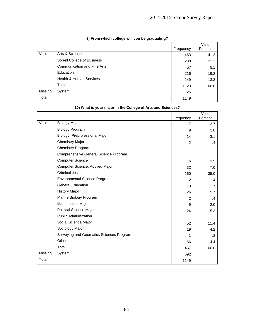|         |                                    | Frequency | Valid<br>Percent |
|---------|------------------------------------|-----------|------------------|
| Valid   | Arts & Sciences                    | 463       | 41.2             |
|         | Sorrell College of Business        | 238       | 21.2             |
|         | <b>Communication and Fine Arts</b> | 57        | 5.1              |
|         | Education                          | 216       | 19.2             |
|         | <b>Health &amp; Human Services</b> | 149       | 13.3             |
|         | Total                              | 1123      | 100.0            |
| Missing | System                             | 26        |                  |
| Total   |                                    | 1149      |                  |

## **9) From which college will you be graduating?**

|         |                                          | Frequency      | Valid<br>Percent |
|---------|------------------------------------------|----------------|------------------|
| Valid   | <b>Biology Major</b>                     | 17             | 3.7              |
|         | <b>Biology Program</b>                   | 9              | 2.0              |
|         | Biology, Preprofessional Major           | 14             | 3.1              |
|         | <b>Chemistry Major</b>                   | $\overline{2}$ | .4               |
|         | Chemistry Program                        | 1              | $\cdot$          |
|         | Comprehensive General Science Program    | 1              | $\cdot$ .2       |
|         | <b>Computer Science</b>                  | 16             | 3.5              |
|         | Computer Science, Applied Major          | 32             | 7.0              |
|         | Criminal Justice                         | 160            | 35.0             |
|         | <b>Environmental Science Program</b>     | 2              | $\mathbf{A}$     |
|         | <b>General Education</b>                 | 3              | .7               |
|         | <b>History Major</b>                     | 26             | 5.7              |
|         | Marine Biology Program                   | 2              | $\mathbf{.4}$    |
|         | Mathematics Major                        | 9              | 2.0              |
|         | <b>Political Science Major</b>           | 24             | 5.3              |
|         | <b>Public Administration</b>             | 1              | $\cdot$ .2       |
|         | Social Science Major                     | 52             | 11.4             |
|         | Sociology Major                          | 19             | 4.2              |
|         | Surveying and Geomatics Sciences Program | 1              | $\cdot$          |
|         | Other                                    | 66             | 14.4             |
|         | Total                                    | 457            | 100.0            |
| Missing | System                                   | 692            |                  |
| Total   |                                          | 1149           |                  |

## **10) What is your major in the College of Arts and Sciences?**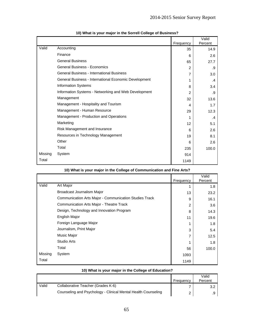|         |                                                       |                 | Valid   |
|---------|-------------------------------------------------------|-----------------|---------|
|         |                                                       | Frequency       | Percent |
| Valid   | Accounting                                            | 35              | 14.9    |
|         | Finance                                               | 6               | 2.6     |
|         | <b>General Business</b>                               | 65              | 27.7    |
|         | <b>General Business - Economics</b>                   | 2               | .9      |
|         | <b>General Business - International Business</b>      | 7               | 3.0     |
|         | General Business - International Economic Development | 1               | $\cdot$ |
|         | <b>Information Systems</b>                            | 8               | 3.4     |
|         | Information Systems - Networking and Web Development  | $\mathcal{P}$   | .9      |
|         | Management                                            | 32              | 13.6    |
|         | Management - Hospitality and Tourism                  | 4               | 1.7     |
|         | Management - Human Resource                           | 29              | 12.3    |
|         | Management - Production and Operations                | 1               | $\cdot$ |
|         | Marketing                                             | 12 <sup>°</sup> | 5.1     |
|         | Risk Management and Insurance                         | 6               | 2.6     |
|         | Resources in Technology Management                    | 19              | 8.1     |
|         | Other                                                 | 6               | 2.6     |
|         | Total                                                 | 235             | 100.0   |
| Missing | System                                                | 914             |         |
| Total   |                                                       | 1149            |         |

|  |  | 10) What is your major in the Sorrell College of Business? |  |
|--|--|------------------------------------------------------------|--|
|--|--|------------------------------------------------------------|--|

|         | 10) What is your major in the College of Communication and Fine Arts? |               |                  |  |
|---------|-----------------------------------------------------------------------|---------------|------------------|--|
|         |                                                                       | Frequency     | Valid<br>Percent |  |
| Valid   | Art Major                                                             |               | 1.8              |  |
|         | Broadcast Journalism Major                                            | 13            | 23.2             |  |
|         | Communication Arts Major - Communication Studies Track                | 9             | 16.1             |  |
|         | Communication Arts Major - Theatre Track                              | $\mathcal{P}$ | 3.6              |  |
|         | Design, Technology and Innovation Program                             | 8             | 14.3             |  |
|         | English Major                                                         | 11            | 19.6             |  |
|         | Foreign Language Major                                                | 1             | 1.8              |  |
|         | Journalism, Print Major                                               | 3             | 5.4              |  |
|         | Music Major                                                           |               | 12.5             |  |
|         | <b>Studio Arts</b>                                                    |               | 1.8              |  |
|         | Total                                                                 | 56            | 100.0            |  |
| Missing | System                                                                | 1093          |                  |  |
| Total   |                                                                       | 1149          |                  |  |

|  |  |  | 10) What is your major in the College of Education? |
|--|--|--|-----------------------------------------------------|
|  |  |  |                                                     |

|       |                                                               | Frequency | Valid<br>Percent |
|-------|---------------------------------------------------------------|-----------|------------------|
| Valid | Collaborative Teacher (Grades K-6)                            |           |                  |
|       | Counseling and Psychology - Clinical Mental Health Counseling |           |                  |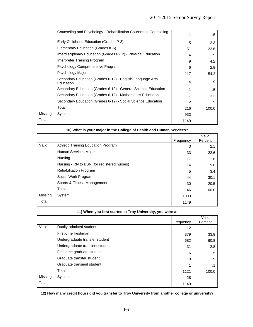|                   | Counseling and Psychology - Rehabilitation Counseling Counseling | 1             | .5     |
|-------------------|------------------------------------------------------------------|---------------|--------|
|                   | Early Childhood Education (Grades P-3)                           | 5             | 2.3    |
|                   | Elementary Education (Grades K-6)                                | 51            | 23.6   |
|                   | Interdisciplinary Education (Grades P-12) - Physical Education   | 4             | 1.9    |
|                   | Interpreter Training Program                                     | 9             | 4.2    |
|                   | Psychology Comprehensive Program                                 | 6             | 2.8    |
|                   | Psychology Major                                                 | 117           | 54.2   |
| Education         | Secondary Education (Grades 6-12) - English-Language Arts        | 4             | 1.9    |
|                   | Secondary Education (Grades 6-12) - General Science Education    | 1             | $.5\,$ |
|                   | Secondary Education (Grades 6-12) - Mathematics Education        | 7             | 3.2    |
|                   | Secondary Education (Grades 6-12) - Social Science Education     | $\mathcal{P}$ | .9     |
| Total             |                                                                  | 216           | 100.0  |
| Missing<br>System |                                                                  | 933           |        |
| Total             |                                                                  | 1149          |        |

|         | 10) What is your major in the College of Health and Human Services? |           |                  |
|---------|---------------------------------------------------------------------|-----------|------------------|
|         |                                                                     | Frequency | Valid<br>Percent |
| Valid   | Athletic Training Education Program                                 | 3         | 2.1              |
|         | Human Services Major                                                | 33        | 22.6             |
|         | Nursing                                                             | 17        | 11.6             |
|         | Nursing - RN to BSN (for registered nurses)                         | 14        | 9.6              |
|         | <b>Rehabilitation Program</b>                                       | 5         | 3.4              |
|         | Social Work Program                                                 | 44        | 30.1             |
|         | Sports & Fitness Management                                         | 30        | 20.5             |
|         | Total                                                               | 146       | 100.0            |
| Missing | System                                                              | 1003      |                  |
| Total   |                                                                     | 1149      |                  |

|     | 11) When you first started at Troy University, you were a: |      |  |  |  |  |
|-----|------------------------------------------------------------|------|--|--|--|--|
|     |                                                            | 1149 |  |  |  |  |
| ina | System                                                     | 1003 |  |  |  |  |
|     | Total                                                      | 146  |  |  |  |  |
|     | Sports & Fitness Management                                | 30   |  |  |  |  |
|     | Social Work Program                                        | 44   |  |  |  |  |
|     | <b>Rehabilitation Program</b>                              | 5    |  |  |  |  |
|     | Nursing - RN to BSN (for registered nurses)                | 14   |  |  |  |  |
|     | Nursing                                                    | 17   |  |  |  |  |
|     | Human Services Major                                       | 33   |  |  |  |  |
|     | Attribute Training Education Frogram                       | 3    |  |  |  |  |

|         |                                 | Frequency | Valid<br>Percent |
|---------|---------------------------------|-----------|------------------|
| Valid   | Dually-admitted student         | 12        | 1.1              |
|         | First-time freshman             | 379       | 33.8             |
|         | Undergraduate transfer student  | 682       | 60.8             |
|         | Undergraduate transient student | 31        | 2.8              |
|         | First-time graduate student     | 6         | .5               |
|         | Graduate transfer student       | 10        | .9               |
|         | Graduate transient student      | ◢         |                  |
|         | Total                           | 1121      | 100.0            |
| Missing | System                          | 28        |                  |
| Total   |                                 | 1149      |                  |

**12) How many credit hours did you transfer to Troy University from another college or university?**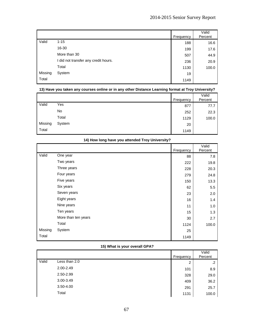|         |                                      | Frequency | Valid<br>Percent |
|---------|--------------------------------------|-----------|------------------|
| Valid   | $1 - 15$                             | 188       | 16.6             |
|         | 16-30                                | 199       | 17.6             |
|         | More than 30                         | 507       | 44.9             |
|         | I did not transfer any credit hours. | 236       | 20.9             |
|         | Total                                | 1130      | 100.0            |
| Missing | System                               | 19        |                  |
| Total   |                                      | 1149      |                  |

## **13) Have you taken any courses online or in any other Distance Learning format at Troy University?**

|         |        |           | Valid<br>Percent |
|---------|--------|-----------|------------------|
|         |        | Frequency |                  |
| Valid   | Yes    | 877       | 77.7             |
|         | No     | 252       | 22.3             |
|         | Total  | 1129      | 100.0            |
| Missing | System | 20        |                  |
| Total   |        | 1149      |                  |

|         |                     | Frequency | Valid<br>Percent |
|---------|---------------------|-----------|------------------|
| Valid   | One year            | 88        | 7.8              |
|         | Two years           | 222       | 19.8             |
|         | Three years         | 228       | 20.3             |
|         | Four years          | 279       | 24.8             |
|         | Five years          | 150       | 13.3             |
|         | Six years           | 62        | 5.5              |
|         | Seven years         | 23        | 2.0              |
|         | Eight years         | 16        | 1.4              |
|         | Nine years          | 11        | 1.0              |
|         | Ten years           | 15        | 1.3              |
|         | More than ten years | 30        | 2.7              |
|         | Total               | 1124      | 100.0            |
| Missing | System              | 25        |                  |
| Total   |                     | 1149      |                  |

## **14) How long have you attended Troy University?**

## **15) What is your overall GPA?**

|       |               | Frequency | Valid<br>Percent |
|-------|---------------|-----------|------------------|
| Valid | Less than 2.0 | 2         | $\cdot$          |
|       | 2.00-2.49     | 101       | 8.9              |
|       | 2.50-2.99     | 328       | 29.0             |
|       | 3.00-3.49     | 409       | 36.2             |
|       | $3.50 - 4.00$ | 291       | 25.7             |
|       | Total         | 1131      | 100.0            |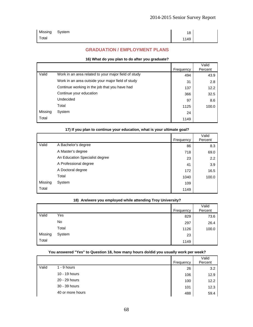| Missing | System | <b>40</b><br>1 O |  |
|---------|--------|------------------|--|
| Total   |        | 1149             |  |

## **GRADUATION / EMPLOYMENT PLANS**

#### **16) What do you plan to do after you graduate?**

|         |                                                      | Frequency | Valid<br>Percent |
|---------|------------------------------------------------------|-----------|------------------|
| Valid   | Work in an area related to your major field of study | 494       | 43.9             |
|         | Work in an area outside your major field of study    | 31        | 2.8              |
|         | Continue working in the job that you have had        | 137       | 12.2             |
|         | Continue your education                              | 366       | 32.5             |
|         | Undecided                                            | 97        | 8.6              |
|         | Total                                                | 1125      | 100.0            |
| Missing | System                                               | 24        |                  |
| Total   |                                                      | 1149      |                  |

|         | 17) If you plan to continue your education, what is your ultimate goal? |           |         |  |
|---------|-------------------------------------------------------------------------|-----------|---------|--|
|         |                                                                         |           | Valid   |  |
|         |                                                                         | Frequency | Percent |  |
| Valid   | A Bachelor's degree                                                     | 86        | 8.3     |  |
|         | A Master's degree                                                       | 718       | 69.0    |  |
|         | An Education Specialist degree                                          | 23        | 2.2     |  |
|         | A Professional degree                                                   | 41        | 3.9     |  |
|         | A Doctoral degree                                                       | 172       | 16.5    |  |
|         | Total                                                                   | 1040      | 100.0   |  |
| Missing | System                                                                  | 109       |         |  |
| Total   |                                                                         | 1149      |         |  |

#### **18) Are/were you employed while attending Troy University?**

|         | . .    |           |         |
|---------|--------|-----------|---------|
|         |        |           | Valid   |
|         |        | Frequency | Percent |
| Valid   | Yes    | 829       | 73.6    |
|         | No     | 297       | 26.4    |
|         | Total  | 1126      | 100.0   |
| Missing | System | 23        |         |
| Total   |        | 1149      |         |

#### **You answered "Yes" to Question 18, how many hours do/did you usually work per week?**

|       |                  | Frequency | Valid<br>Percent |
|-------|------------------|-----------|------------------|
| Valid | $1 - 9$ hours    | 26        | 3.2              |
|       | 10 - 19 hours    | 106       | 12.9             |
|       | 20 - 29 hours    | 100       | 12.2             |
|       | 30 - 39 hours    | 101       | 12.3             |
|       | 40 or more hours | 488       | 59.4             |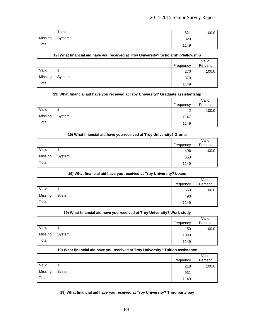|         | Total  | 821  | 100.0 |
|---------|--------|------|-------|
| Missing | System | 328  |       |
| Total   |        | 1149 |       |

#### **19) What financial aid have you received at Troy University? Scholarship/fellowship**

|         |        | Frequency | Valid<br>Percent |
|---------|--------|-----------|------------------|
| Valid   |        | 270       | 100.0            |
| Missing | System | 879       |                  |
| Total   |        | 1149      |                  |

#### **19) What financial aid have you received at Troy University? Graduate assistantship**

|         |        |           | Valid   |
|---------|--------|-----------|---------|
|         |        | Frequency | Percent |
| Valid   |        | ◠<br>_    | 100.0   |
| Missing | System | 1147      |         |
| Total   |        | 1149      |         |

#### **19) What financial aid have you received at Troy University? Grants**

|         |        |           | Valid   |
|---------|--------|-----------|---------|
|         |        | Frequency | Percent |
| Valid   |        | 496       | 100.0   |
| Missing | System | 653       |         |
| Total   |        | 1149      |         |

#### **19) What financial aid have you received at Troy University? Loans**

|         |        | Frequency | Valid<br>Percent |
|---------|--------|-----------|------------------|
| Valid   |        | 659       | 100.0            |
| Missing | System | 490       |                  |
| Total   |        | 1149      |                  |

## **19) What financial aid have you received at Troy University? Work study**

|         |        | Frequency | Valid<br>Percent |
|---------|--------|-----------|------------------|
| Valid   |        | 59        | 100.0            |
| Missing | System | 1090      |                  |
| Total   |        | 1149      |                  |

#### **19) What financial aid have you received at Troy University? Tuition assistance**

|         |        | Frequency | Valid<br>Percent |
|---------|--------|-----------|------------------|
|         |        |           |                  |
| Valid   |        | 218       | 100.0            |
| Missing | System | 931       |                  |
| Total   |        | 1149      |                  |

## **19) What financial aid have you received at Troy University? Third party pay**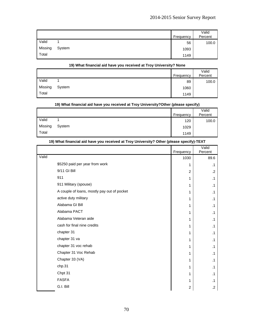|         |        | Frequency | Valid<br>Percent |
|---------|--------|-----------|------------------|
| Valid   |        | 56        | 100.0            |
| Missing | System | 1093      |                  |
| Total   |        | 1149      |                  |

#### **19) What financial aid have you received at Troy University? None**

|         |        |           | Valid   |
|---------|--------|-----------|---------|
|         |        | Frequency | Percent |
| Valid   |        | 89        | 100.0   |
| Missing | System | 1060      |         |
| Total   |        | 1149      |         |

#### **19) What financial aid have you received at Troy University?Other (please specify)**

|         |        | Frequency | Valid<br>Percent |
|---------|--------|-----------|------------------|
| Valid   |        | 120       | 100.0            |
| Missing | System | 1029      |                  |
| Total   |        | 1149      |                  |

|                                             | Frequency               | Valid<br>Percent |
|---------------------------------------------|-------------------------|------------------|
| Valid                                       | 1030                    | 89.6             |
| \$5250 paid per year from work              | 1                       | $\cdot$ 1        |
| 9/11 GI Bill                                | $\overline{2}$          | $\cdot$          |
| 911                                         | 1                       | $\cdot$ 1        |
| 911 Military (spouse)                       | 1                       | $\cdot$ 1        |
| A couple of loans, mostly pay out of pocket | 1                       | $\cdot$ 1        |
| active duty military                        | 1                       | $\cdot$ 1        |
| Alabama GI Bill                             | 1                       | $\cdot$ 1        |
| Alabama PACT                                | 1                       | $\cdot$ 1        |
| Alabama Veteran aide                        | 1                       | $\cdot$ 1        |
| cash for final nine credits                 | 1                       | $\cdot$ 1        |
| chapter 31                                  | 1                       | $\cdot$ 1        |
| chapter 31 va                               | 1                       | $\cdot$ 1        |
| chapter 31 voc rehab                        | 1                       | $\cdot$ 1        |
| Chapter 31 Voc Rehab                        | 1                       | $\cdot$ 1        |
| Chapter 33 (VA)                             | 1                       | $\cdot$ 1        |
| chp.31                                      | 1                       | $\cdot$ 1        |
| Chpt 31                                     | 1                       | $\cdot$ 1        |
| <b>FASFA</b>                                | 1                       | $\cdot$ 1        |
| G.I. Bill                                   | $\overline{\mathbf{c}}$ | $\cdot$ .2       |

## **19) What financial aid have you received at Troy University? Other (please specify)-TEXT**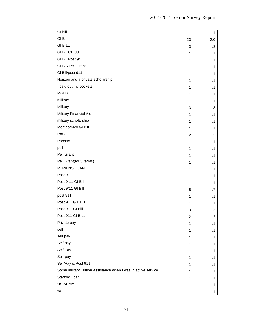| GI bill                                                       | $\mathbf{1}$              | $\cdot$ 1 |
|---------------------------------------------------------------|---------------------------|-----------|
| <b>GI Bill</b>                                                | 23                        | 2.0       |
| <b>GI BILL</b>                                                | 3                         | .3        |
| GI Bill CH 33                                                 | $\mathbf{1}$              | $\cdot$ 1 |
| GI Bill Post 9/11                                             | $\mathbf{1}$              | $\cdot$ 1 |
| GI Bill/ Pell Grant                                           | $\mathbf{1}$              | $\cdot$ 1 |
| Gi Bill/post 911                                              | $\mathbf{1}$              | $\cdot$ 1 |
| Horizon and a private scholarship                             | $\mathbf{1}$              | $\cdot$ 1 |
| I paid out my pockets                                         | $\mathbf{1}$              | $\cdot$ 1 |
| <b>MGI Bill</b>                                               | $\mathbf{1}$              | $\cdot$ 1 |
| military                                                      | $\mathbf{1}$              | $\cdot$ 1 |
| Military                                                      | 3                         | .3        |
| Military Financial Aid                                        | $\mathbf{1}$              | $\cdot$ 1 |
| military scholarship                                          | $\mathbf{1}$              | $\cdot$ 1 |
| Montgomery GI Bill                                            | $\mathbf{1}$              | $\cdot$ 1 |
| <b>PACT</b>                                                   | $\overline{c}$            | $\cdot$   |
| Parents                                                       | $\mathbf{1}$              | $\cdot$ 1 |
| pell                                                          | $\mathbf{1}$              | $\cdot$ 1 |
| Pell Grant                                                    | $\mathbf{1}$              | $\cdot$ 1 |
| Pell Grant(for 3 terms)                                       | $\mathbf{1}$              | $\cdot$ 1 |
| PERKINS LOAN                                                  | $\mathbf{1}$              | $\cdot$ 1 |
| Post 9-11                                                     | $\mathbf{1}$              | $\cdot$ 1 |
| Post 9-11 GI Bill                                             | $\mathbf{1}$              | $\cdot$ 1 |
| Post 9/11 GI Bill                                             | 8                         | .7        |
| post 911                                                      | $\mathbf{1}$              | $\cdot$ 1 |
| Post 911 G.I. Bill                                            | $\mathbf{1}$              | $\cdot$ 1 |
| Post 911 GI Bill                                              | $\ensuremath{\mathsf{3}}$ | $\cdot$ 3 |
| Post 911 GI BILL                                              | 2                         | .2        |
| Private pay                                                   | $\mathbf{1}$              | $\cdot$ 1 |
| self                                                          | 1                         | $\cdot$ 1 |
| self pay                                                      | $\mathbf{1}$              | $\cdot$ 1 |
| Self pay                                                      | $\mathbf{1}$              | $\cdot$ 1 |
| Self Pay                                                      | 1                         | $\cdot$ 1 |
| Self-pay                                                      | $\mathbf{1}$              | $\cdot$ 1 |
| Self/Pay & Post 911                                           | $\mathbf{1}$              | $\cdot$ 1 |
| Some military Tuition Assistance when I was in active service | $\mathbf{1}$              | $\cdot$ 1 |
| Stafford Loan                                                 | $\mathbf{1}$              | $\cdot$ 1 |
| <b>US ARMY</b>                                                | 1                         | $\cdot$ 1 |
| va                                                            | $\mathbf{1}$              | $\cdot$ 1 |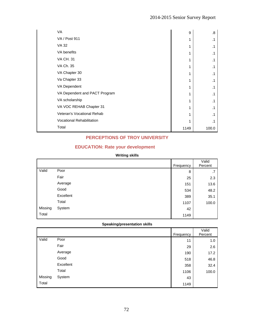| <b>VA</b>                        | 9    | $\boldsymbol{8}$ |
|----------------------------------|------|------------------|
| <b>VA / Post 911</b>             | 1    | $\cdot$ 1        |
| VA 32                            | 1    | $\cdot$ 1        |
| VA benefits                      | 1    | $\cdot$ 1        |
| <b>VA CH. 31</b>                 | 1    | $\cdot$ 1        |
| VA Ch. 35                        | 1    | $\cdot$ 1        |
| VA Chapter 30                    | 1    | $\cdot$ 1        |
| Va Chapter 33                    | 1    | $\cdot$ 1        |
| VA Dependent                     | 1    | $\cdot$ 1        |
| VA Dependent and PACT Program    | 1    | $\cdot$ 1        |
| VA scholarship                   | 1    | $\cdot$ 1        |
| VA VOC REHAB Chapter 31          | 1    | $\cdot$ 1        |
| Veteran's Vocational Rehab       | 1    | $\cdot$ 1        |
| <b>Vocational Rehabilitation</b> | 1    | .1               |
| Total                            | 1149 | 100.0            |

# **PERCEPTIONS OF TROY UNIVERSITY**

## **EDUCATION: Rate your development**

## **Writing skills**

|         |           | Frequency | Valid<br>Percent |
|---------|-----------|-----------|------------------|
| Valid   | Poor      | 8         | .7               |
|         | Fair      | 25        | 2.3              |
|         | Average   | 151       | 13.6             |
|         | Good      | 534       | 48.2             |
|         | Excellent | 389       | 35.1             |
|         | Total     | 1107      | 100.0            |
| Missing | System    | 42        |                  |
| Total   |           | 1149      |                  |

## **Speaking/presentation skills**

|         |           |           | Valid   |
|---------|-----------|-----------|---------|
|         |           | Frequency | Percent |
| Valid   | Poor      | 11        | 1.0     |
|         | Fair      | 29        | 2.6     |
|         | Average   | 190       | 17.2    |
|         | Good      | 518       | 46.8    |
|         | Excellent | 358       | 32.4    |
|         | Total     | 1106      | 100.0   |
| Missing | System    | 43        |         |
| Total   |           | 1149      |         |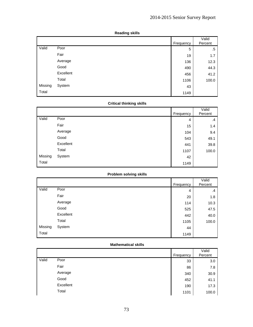|         |           | Frequency | Valid<br>Percent |
|---------|-----------|-----------|------------------|
| Valid   | Poor      | 5         | .5               |
|         | Fair      | 19        | 1.7              |
|         | Average   | 136       | 12.3             |
|         | Good      | 490       | 44.3             |
|         | Excellent | 456       | 41.2             |
|         | Total     | 1106      | 100.0            |
| Missing | System    | 43        |                  |
| Total   |           | 1149      |                  |

### **Reading skills**

## **Critical thinking skills**

|         |           | Frequency | Valid<br>Percent |
|---------|-----------|-----------|------------------|
| Valid   | Poor      | 4         | $\cdot$          |
|         | Fair      | 15        | 1.4              |
|         | Average   | 104       | 9.4              |
|         | Good      | 543       | 49.1             |
|         | Excellent | 441       | 39.8             |
|         | Total     | 1107      | 100.0            |
| Missing | System    | 42        |                  |
| Total   |           | 1149      |                  |

## **Problem solving skills**

|         |           | Frequency | Valid<br>Percent |
|---------|-----------|-----------|------------------|
| Valid   | Poor      | 4         | $\cdot$          |
|         | Fair      | 20        | 1.8              |
|         | Average   | 114       | 10.3             |
|         | Good      | 525       | 47.5             |
|         | Excellent | 442       | 40.0             |
|         | Total     | 1105      | 100.0            |
| Missing | System    | 44        |                  |
| Total   |           | 1149      |                  |

#### **Mathematical skills**

|       |           | Frequency | Valid<br>Percent |
|-------|-----------|-----------|------------------|
| Valid | Poor      | 33        | 3.0              |
|       | Fair      | 86        | 7.8              |
|       | Average   | 340       | 30.9             |
|       | Good      | 452       | 41.1             |
|       | Excellent | 190       | 17.3             |
|       | Total     | 1101      | 100.0            |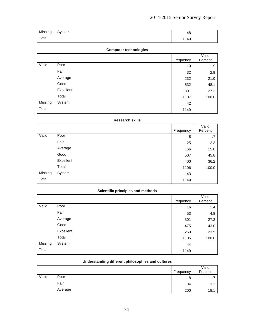| Missing      | System | 48   |  |
|--------------|--------|------|--|
| <b>Total</b> |        | 1149 |  |

## **Computer technologies**

|         |           | Frequency | Valid<br>Percent |
|---------|-----------|-----------|------------------|
| Valid   | Poor      | 10        | .9               |
|         | Fair      | 32        | 2.9              |
|         | Average   | 232       | 21.0             |
|         | Good      | 532       | 48.1             |
|         | Excellent | 301       | 27.2             |
|         | Total     | 1107      | 100.0            |
| Missing | System    | 42        |                  |
| Total   |           | 1149      |                  |

### **Research skills**

|         |           | <b>Frequency</b> | Valid<br>Percent |
|---------|-----------|------------------|------------------|
| Valid   | Poor      | 8                | .7               |
|         | Fair      | 25               | 2.3              |
|         | Average   | 166              | 15.0             |
|         | Good      | 507              | 45.8             |
|         | Excellent | 400              | 36.2             |
|         | Total     | 1106             | 100.0            |
| Missing | System    | 43               |                  |
| Total   |           | 1149             |                  |

## **Scientific principles and methods**

|         |           | Frequency | Valid<br>Percent |
|---------|-----------|-----------|------------------|
| Valid   | Poor      | 16        | 1.4              |
|         | Fair      | 53        | 4.8              |
|         | Average   | 301       | 27.2             |
|         | Good      | 475       | 43.0             |
|         | Excellent | 260       | 23.5             |
|         | Total     | 1105      | 100.0            |
| Missing | System    | 44        |                  |
| Total   |           | 1149      |                  |

## **Understanding different philosophies and cultures**

|       |         |           | Valid   |
|-------|---------|-----------|---------|
|       |         | Frequency | Percent |
| Valid | Poor    | 8         | . .     |
|       | Fair    | 34        | 3.1     |
|       | Average | 200       | 18.1    |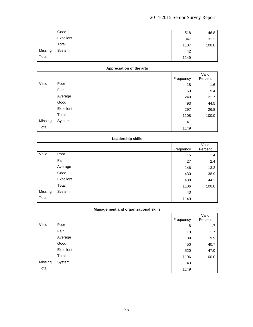|         | Good      | 518  | 46.8  |
|---------|-----------|------|-------|
|         | Excellent | 347  | 31.3  |
|         | Total     | 1107 | 100.0 |
| Missing | System    | 42   |       |
| Total   |           | 1149 |       |

## **Appreciation of the arts**

|         |           | Frequency | Valid<br>Percent |
|---------|-----------|-----------|------------------|
| Valid   | Poor      | 18        | 1.6              |
|         | Fair      | 60        | 5.4              |
|         | Average   | 240       | 21.7             |
|         | Good      | 493       | 44.5             |
|         | Excellent | 297       | 26.8             |
|         | Total     | 1108      | 100.0            |
| Missing | System    | 41        |                  |
| Total   |           | 1149      |                  |

## **Leadership skills**

|         |           | Frequency | Valid<br>Percent |
|---------|-----------|-----------|------------------|
| Valid   | Poor      | 15        | 1.4              |
|         | Fair      | 27        | 2.4              |
|         | Average   | 146       | 13.2             |
|         | Good      | 430       | 38.9             |
|         | Excellent | 488       | 44.1             |
|         | Total     | 1106      | 100.0            |
| Missing | System    | 43        |                  |
| Total   |           | 1149      |                  |

## **Management and organizational skills**

|         |           | Frequency | Valid<br>Percent |
|---------|-----------|-----------|------------------|
| Valid   | Poor      | 8         | .7               |
|         | Fair      | 19        | 1.7              |
|         | Average   | 109       | 9.9              |
|         | Good      | 450       | 40.7             |
|         | Excellent | 520       | 47.0             |
|         | Total     | 1106      | 100.0            |
| Missing | System    | 43        |                  |
| Total   |           | 1149      |                  |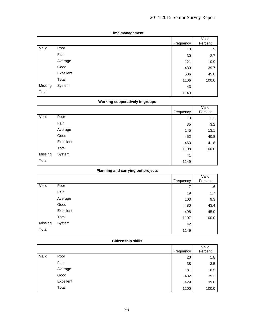|         |           | Frequency | Valid<br>Percent |
|---------|-----------|-----------|------------------|
| Valid   | Poor      | 10        | .9               |
|         | Fair      | 30        | 2.7              |
|         | Average   | 121       | 10.9             |
|         | Good      | 439       | 39.7             |
|         | Excellent | 506       | 45.8             |
|         | Total     | 1106      | 100.0            |
| Missing | System    | 43        |                  |
| Total   |           | 1149      |                  |

### **Time management**

## **Working cooperatively in groups**

|         |           | Frequency | Valid<br>Percent |
|---------|-----------|-----------|------------------|
| Valid   | Poor      | 13        | 1.2              |
|         | Fair      | 35        | 3.2              |
|         | Average   | 145       | 13.1             |
|         | Good      | 452       | 40.8             |
|         | Excellent | 463       | 41.8             |
|         | Total     | 1108      | 100.0            |
| Missing | System    | 41        |                  |
| Total   |           | 1149      |                  |

## **Planning and carrying out projects**

|         |           | Frequency | Valid<br>Percent |
|---------|-----------|-----------|------------------|
| Valid   | Poor      | 7         | .6               |
|         | Fair      | 19        | 1.7              |
|         | Average   | 103       | 9.3              |
|         | Good      | 480       | 43.4             |
|         | Excellent | 498       | 45.0             |
|         | Total     | 1107      | 100.0            |
| Missing | System    | 42        |                  |
| Total   |           | 1149      |                  |

## **Citizenship skills**

|       |           | <b>Frequency</b> | Valid<br>Percent |
|-------|-----------|------------------|------------------|
| Valid | Poor      | 20               | 1.8              |
|       | Fair      | 38               | 3.5              |
|       | Average   | 181              | 16.5             |
|       | Good      | 432              | 39.3             |
|       | Excellent | 429              | 39.0             |
|       | Total     | 1100             | 100.0            |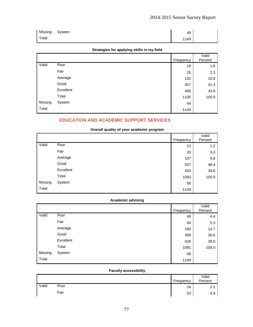| Missing | System | 49   |  |
|---------|--------|------|--|
| Total   |        | 1149 |  |

## **Strategies for applying skills in my field**

|         |           | Frequency | Valid<br>Percent |
|---------|-----------|-----------|------------------|
| Valid   | Poor      | 18        | 1.6              |
|         | Fair      | 25        | 2.3              |
|         | Average   | 120       | 10.9             |
|         | Good      | 457       | 41.4             |
|         | Excellent | 485       | 43.9             |
|         | Total     | 1105      | 100.0            |
| Missing | System    | 44        |                  |
| Total   |           | 1149      |                  |

## **EDUCATION AND ACADEMIC SUPPORT SERVICES**

## **Overall quality of your academic program**

|         |           | Frequency | Valid<br>Percent |
|---------|-----------|-----------|------------------|
| Valid   | Poor      | 13        | 1.2              |
|         | Fair      | 33        | 3.0              |
|         | Average   | 107       | 9.8              |
|         | Good      | 507       | 46.4             |
|         | Excellent | 433       | 39.6             |
|         | Total     | 1093      | 100.0            |
| Missing | System    | 56        |                  |
| Total   |           | 1149      |                  |

## **Academic advising**

|         |           | Frequency | Valid<br>Percent |
|---------|-----------|-----------|------------------|
| Valid   | Poor      | 48        | 4.4              |
|         | Fair      | 58        | 5.3              |
|         | Average   | 160       | 14.7             |
|         | Good      | 399       | 36.6             |
|         | Excellent | 426       | 39.0             |
|         | Total     | 1091      | 100.0            |
| Missing | System    | 58        |                  |
| Total   |           | 1149      |                  |

## **Faculty accessibility**

|       |      | Frequency | Valid<br>Percent               |
|-------|------|-----------|--------------------------------|
| Valid | Poor | 24        | ົດ<br>$\overline{\phantom{a}}$ |
|       | Fair | 53        | 4.9                            |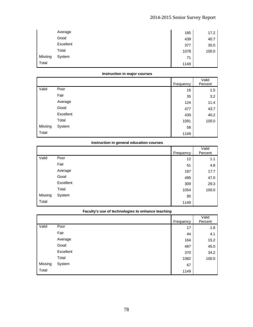|         | Average   | 185  | 17.2  |
|---------|-----------|------|-------|
|         | Good      | 439  | 40.7  |
|         | Excellent | 377  | 35.0  |
|         | Total     | 1078 | 100.0 |
| Missing | System    | 71   |       |
| Total   |           | 1149 |       |

### **Instruction in major courses**

|         |           | Frequency | Valid<br>Percent |
|---------|-----------|-----------|------------------|
| Valid   | Poor      | 16        | 1.5              |
|         | Fair      | 35        | 3.2              |
|         | Average   | 124       | 11.4             |
|         | Good      | 477       | 43.7             |
|         | Excellent | 439       | 40.2             |
|         | Total     | 1091      | 100.0            |
| Missing | System    | 58        |                  |
| Total   |           | 1149      |                  |

## **Instruction in general education courses**

|         |           | Frequency | Valid<br>Percent |
|---------|-----------|-----------|------------------|
| Valid   | Poor      | 12        | 1.1              |
|         | Fair      | 51        | 4.8              |
|         | Average   | 187       | 17.7             |
|         | Good      | 495       | 47.0             |
|         | Excellent | 309       | 29.3             |
|         | Total     | 1054      | 100.0            |
| Missing | System    | 95        |                  |
| Total   |           | 1149      |                  |

|         | Faculty's use of technologies to enhance teaching |           |                  |  |
|---------|---------------------------------------------------|-----------|------------------|--|
|         |                                                   | Frequency | Valid<br>Percent |  |
| Valid   | Poor                                              | 17        | 1.6              |  |
|         | Fair                                              | 44        | 4.1              |  |
|         | Average                                           | 164       | 15.2             |  |
|         | Good                                              | 487       | 45.0             |  |
|         | Excellent                                         | 370       | 34.2             |  |
|         | Total                                             | 1082      | 100.0            |  |
| Missing | System                                            | 67        |                  |  |

Total 1149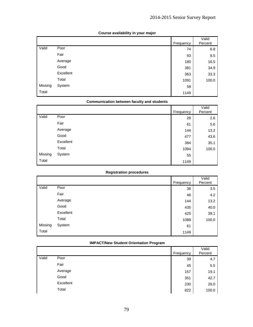|         |           | Frequency | Valid<br>Percent |
|---------|-----------|-----------|------------------|
| Valid   | Poor      | 74        | 6.8              |
|         | Fair      | 93        | 8.5              |
|         | Average   | 180       | 16.5             |
|         | Good      | 381       | 34.9             |
|         | Excellent | 363       | 33.3             |
|         | Total     | 1091      | 100.0            |
| Missing | System    | 58        |                  |
| Total   |           | 1149      |                  |

## **Course availability in your major**

### **Communication between faculty and students**

|         |           | Frequency | Valid<br>Percent |
|---------|-----------|-----------|------------------|
| Valid   | Poor      | 28        | 2.6              |
|         | Fair      | 61        | 5.6              |
|         | Average   | 144       | 13.2             |
|         | Good      | 477       | 43.6             |
|         | Excellent | 384       | 35.1             |
|         | Total     | 1094      | 100.0            |
| Missing | System    | 55        |                  |
| Total   |           | 1149      |                  |

#### **Registration procedures**

|         |           | Frequency | Valid<br>Percent |
|---------|-----------|-----------|------------------|
| Valid   | Poor      | 38        | 3.5              |
|         | Fair      | 46        | 4.2              |
|         | Average   | 144       | 13.2             |
|         | Good      | 435       | 40.0             |
|         | Excellent | 425       | 39.1             |
|         | Total     | 1088      | 100.0            |
| Missing | System    | 61        |                  |
| Total   |           | 1149      |                  |

## **IMPACT/New Student Orientation Program**

|       |           | Frequency | Valid<br>Percent |
|-------|-----------|-----------|------------------|
| Valid | Poor      | 39        | 4.7              |
|       | Fair      | 45        | 5.5              |
|       | Average   | 157       | 19.1             |
|       | Good      | 351       | 42.7             |
|       | Excellent | 230       | 28.0             |
|       | Total     | 822       | 100.0            |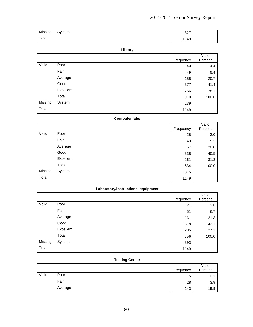| Missing | System | דרכ<br>، ےں |  |
|---------|--------|-------------|--|
| Total   |        | 1149        |  |

### **Library**

|         |           | Frequency | Valid<br>Percent |
|---------|-----------|-----------|------------------|
| Valid   | Poor      | 40        | 4.4              |
|         | Fair      | 49        | 5.4              |
|         | Average   | 188       | 20.7             |
|         | Good      | 377       | 41.4             |
|         | Excellent | 256       | 28.1             |
|         | Total     | 910       | 100.0            |
| Missing | System    | 239       |                  |
| Total   |           | 1149      |                  |

## **Computer labs**

|         |           |           | Valid   |
|---------|-----------|-----------|---------|
|         |           | Frequency | Percent |
| Valid   | Poor      | 25        | 3.0     |
|         | Fair      | 43        | 5.2     |
|         | Average   | 167       | 20.0    |
|         | Good      | 338       | 40.5    |
|         | Excellent | 261       | 31.3    |
|         | Total     | 834       | 100.0   |
| Missing | System    | 315       |         |
| Total   |           | 1149      |         |

## **Laboratory/instructional equipment**

|         |           | Frequency | Valid<br>Percent |
|---------|-----------|-----------|------------------|
| Valid   | Poor      | 21        | 2.8              |
|         | Fair      | 51        | 6.7              |
|         | Average   | 161       | 21.3             |
|         | Good      | 318       | 42.1             |
|         | Excellent | 205       | 27.1             |
|         | Total     | 756       | 100.0            |
| Missing | System    | 393       |                  |
| Total   |           | 1149      |                  |

### **Testing Center**

|       |         |           | Valid   |
|-------|---------|-----------|---------|
|       |         | Frequency | Percent |
| Valid | Poor    | 15        | 2.1     |
|       | Fair    | 28        | 3.9     |
|       | Average | 143       | 19.9    |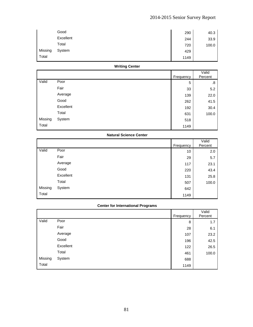|         | Good      | 290  | 40.3  |
|---------|-----------|------|-------|
|         | Excellent | 244  | 33.9  |
|         | Total     | 720  | 100.0 |
| Missing | System    | 429  |       |
| Total   |           | 1149 |       |

## **Writing Center**

|         |           | Frequency | Valid<br>Percent |
|---------|-----------|-----------|------------------|
| Valid   | Poor      | 5         | .8               |
|         | Fair      | 33        | 5.2              |
|         | Average   | 139       | 22.0             |
|         | Good      | 262       | 41.5             |
|         | Excellent | 192       | 30.4             |
|         | Total     | 631       | 100.0            |
| Missing | System    | 518       |                  |
| Total   |           | 1149      |                  |

## **Natural Science Center**

|         |           |           | Valid   |
|---------|-----------|-----------|---------|
|         |           | Frequency | Percent |
| Valid   | Poor      | 10        | 2.0     |
|         | Fair      | 29        | 5.7     |
|         | Average   | 117       | 23.1    |
|         | Good      | 220       | 43.4    |
|         | Excellent | 131       | 25.8    |
|         | Total     | 507       | 100.0   |
| Missing | System    | 642       |         |
| Total   |           | 1149      |         |

## **Center for International Programs**

|         |           | Frequency | Valid<br>Percent |
|---------|-----------|-----------|------------------|
| Valid   | Poor      | 8         | 1.7              |
|         | Fair      | 28        | 6.1              |
|         | Average   | 107       | 23.2             |
|         | Good      | 196       | 42.5             |
|         | Excellent | 122       | 26.5             |
|         | Total     | 461       | 100.0            |
| Missing | System    | 688       |                  |
| Total   |           | 1149      |                  |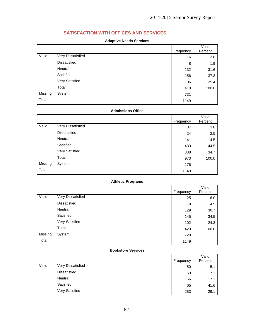# **SATISFACTION WITH OFFICES AND SERVICES**

### **Adaptive Needs Services**

|         |                     |           | Valid   |
|---------|---------------------|-----------|---------|
|         |                     | Frequency | Percent |
| Valid   | Very Dissatisfied   | 16        | 3.8     |
|         | <b>Dissatisfied</b> | 8         | 1.9     |
|         | Neutral             | 132       | 31.6    |
|         | Satisfied           | 156       | 37.3    |
|         | Very Satisfied      | 106       | 25.4    |
|         | Total               | 418       | 100.0   |
| Missing | System              | 731       |         |
| Total   |                     | 1149      |         |

#### **Admissions Office**

|         |                   |           | Valid   |
|---------|-------------------|-----------|---------|
|         |                   | Frequency | Percent |
| Valid   | Very Dissatisfied | 37        | 3.8     |
|         | Dissatisfied      | 24        | 2.5     |
|         | Neutral           | 141       | 14.5    |
|         | Satisfied         | 433       | 44.5    |
|         | Very Satisfied    | 338       | 34.7    |
|         | Total             | 973       | 100.0   |
| Missing | System            | 176       |         |
| Total   |                   | 1149      |         |

### **Athletic Programs**

|         |                   | Frequency | Valid<br>Percent |
|---------|-------------------|-----------|------------------|
| Valid   | Very Dissatisfied | 25        | 6.0              |
|         | Dissatisfied      | 19        | 4.5              |
|         | Neutral           | 129       | 30.7             |
|         | Satisfied         | 145       | 34.5             |
|         | Very Satisfied    | 102       | 24.3             |
|         | Total             | 420       | 100.0            |
| Missing | System            | 729       |                  |
| Total   |                   | 1149      |                  |

### **Bookstore Services**

|       |                     | Frequency | Valid<br>Percent |
|-------|---------------------|-----------|------------------|
| Valid | Very Dissatisfied   | 50        | 5.1              |
|       | <b>Dissatisfied</b> | 69        | 7.1              |
|       | Neutral             | 166       | 17.1             |
|       | Satisfied           | 405       | 41.6             |
|       | Very Satisfied      | 283       | 29.1             |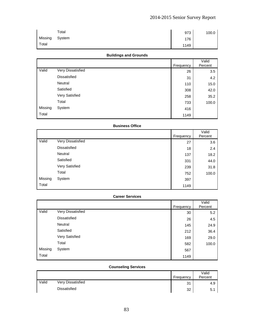|         | Total  | 973  | 100.0 |
|---------|--------|------|-------|
| Missing | System | 176  |       |
| Total   |        | 1149 |       |

## **Buildings and Grounds**

|         |                   | Frequency | Valid<br>Percent |
|---------|-------------------|-----------|------------------|
| Valid   | Very Dissatisfied | 26        | 3.5              |
|         | Dissatisfied      | 31        | 4.2              |
|         | Neutral           | 110       | 15.0             |
|         | Satisfied         | 308       | 42.0             |
|         | Very Satisfied    | 258       | 35.2             |
|         | Total             | 733       | 100.0            |
| Missing | System            | 416       |                  |
| Total   |                   | 1149      |                  |

## **Business Office**

|         |                   | Frequency | Valid<br>Percent |
|---------|-------------------|-----------|------------------|
| Valid   | Very Dissatisfied | 27        | 3.6              |
|         | Dissatisfied      | 18        | 2.4              |
|         | Neutral           | 137       | 18.2             |
|         | Satisfied         | 331       | 44.0             |
|         | Very Satisfied    | 239       | 31.8             |
|         | Total             | 752       | 100.0            |
| Missing | System            | 397       |                  |
| Total   |                   | 1149      |                  |

#### **Career Services**

|         |                   | Frequency | Valid<br>Percent |
|---------|-------------------|-----------|------------------|
| Valid   | Very Dissatisfied |           |                  |
|         |                   | 30        | 5.2              |
|         | Dissatisfied      | 26        | 4.5              |
|         | Neutral           | 145       | 24.9             |
|         | Satisfied         | 212       | 36.4             |
|         | Very Satisfied    | 169       | 29.0             |
|         | Total             | 582       | 100.0            |
| Missing | System            | 567       |                  |
| Total   |                   | 1149      |                  |

## **Counseling Services**

|       |                     | Frequency | Valid<br>Percent |
|-------|---------------------|-----------|------------------|
| Valid | Very Dissatisfied   | 31        | 4.9              |
|       | <b>Dissatisfied</b> | 32        | 5.5              |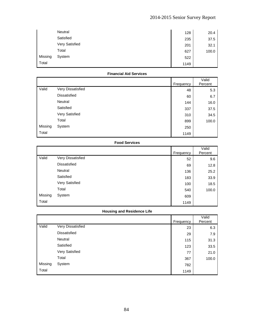|         | Neutral        | 128  | 20.4  |
|---------|----------------|------|-------|
|         | Satisfied      | 235  | 37.5  |
|         | Very Satisfied | 201  | 32.1  |
|         | Total          | 627  | 100.0 |
| Missing | System         | 522  |       |
| Total   |                | 1149 |       |

## **Financial Aid Services**

|         |                     | Frequency | Valid<br>Percent |
|---------|---------------------|-----------|------------------|
| Valid   | Very Dissatisfied   | 48        | 5.3              |
|         | <b>Dissatisfied</b> | 60        | 6.7              |
|         | Neutral             | 144       | 16.0             |
|         | Satisfied           | 337       | 37.5             |
|         | Very Satisfied      | 310       | 34.5             |
|         | Total               | 899       | 100.0            |
| Missing | System              | 250       |                  |
| Total   |                     | 1149      |                  |

## **Food Services**

|         |                     | Frequency | Valid<br>Percent |
|---------|---------------------|-----------|------------------|
| Valid   | Very Dissatisfied   | 52        | 9.6              |
|         | <b>Dissatisfied</b> | 69        | 12.8             |
|         | Neutral             | 136       | 25.2             |
|         | Satisfied           | 183       | 33.9             |
|         | Very Satisfied      | 100       | 18.5             |
|         | Total               | 540       | 100.0            |
| Missing | System              | 609       |                  |
| Total   |                     | 1149      |                  |

## **Housing and Residence Life**

|         |                     | Frequency | Valid<br>Percent |
|---------|---------------------|-----------|------------------|
| Valid   | Very Dissatisfied   | 23        | 6.3              |
|         | <b>Dissatisfied</b> | 29        | 7.9              |
|         | Neutral             | 115       | 31.3             |
|         | Satisfied           | 123       | 33.5             |
|         | Very Satisfied      | 77        | 21.0             |
|         | Total               | 367       | 100.0            |
| Missing | System              | 782       |                  |
| Total   |                     | 1149      |                  |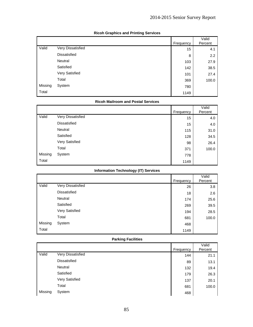|         |                     | Frequency | Valid<br>Percent |
|---------|---------------------|-----------|------------------|
| Valid   | Very Dissatisfied   | 15        | 4.1              |
|         | <b>Dissatisfied</b> | 8         | 2.2              |
|         | Neutral             | 103       | 27.9             |
|         | Satisfied           | 142       | 38.5             |
|         | Very Satisfied      | 101       | 27.4             |
|         | Total               | 369       | 100.0            |
| Missing | System              | 780       |                  |
| Total   |                     | 1149      |                  |

## **Ricoh Graphics and Printing Services**

## **Ricoh Mailroom and Postal Services**

|         |                       | Frequency | Valid<br>Percent |
|---------|-----------------------|-----------|------------------|
| Valid   | Very Dissatisfied     | 15        | 4.0              |
|         | <b>Dissatisfied</b>   | 15        | 4.0              |
|         | Neutral               | 115       | 31.0             |
|         | Satisfied             | 128       | 34.5             |
|         | <b>Very Satisfied</b> | 98        | 26.4             |
|         | Total                 | 371       | 100.0            |
| Missing | System                | 778       |                  |
| Total   |                       | 1149      |                  |

## **Information Technology (IT) Services**

|         |                   | Frequency | Valid<br>Percent |
|---------|-------------------|-----------|------------------|
| Valid   | Very Dissatisfied | 26        | 3.8              |
|         | Dissatisfied      | 18        | 2.6              |
|         | Neutral           | 174       | 25.6             |
|         | Satisfied         | 269       | 39.5             |
|         | Very Satisfied    | 194       | 28.5             |
|         | Total             | 681       | 100.0            |
| Missing | System            | 468       |                  |
| Total   |                   | 1149      |                  |

### **Parking Facilities**

|         |                     | Frequency | Valid<br>Percent |
|---------|---------------------|-----------|------------------|
| Valid   | Very Dissatisfied   | 144       | 21.1             |
|         | <b>Dissatisfied</b> | 89        | 13.1             |
|         | Neutral             | 132       | 19.4             |
|         | Satisfied           | 179       | 26.3             |
|         | Very Satisfied      | 137       | 20.1             |
|         | Total               | 681       | 100.0            |
| Missing | System              | 468       |                  |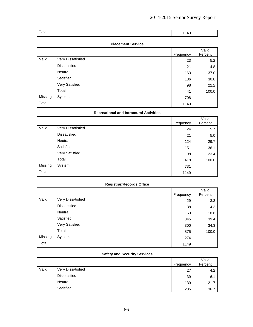| Total | $\begin{array}{ c c c c c } \hline \quad & 1149 \end{array}$ |  |
|-------|--------------------------------------------------------------|--|
|       |                                                              |  |

### **Placement Service**

|         |                   | Frequency | Valid<br>Percent |
|---------|-------------------|-----------|------------------|
| Valid   | Very Dissatisfied | 23        | 5.2              |
|         | Dissatisfied      | 21        | 4.8              |
|         | Neutral           | 163       | 37.0             |
|         | Satisfied         | 136       | 30.8             |
|         | Very Satisfied    | 98        | 22.2             |
|         | Total             | 441       | 100.0            |
| Missing | System            | 708       |                  |
| Total   |                   | 1149      |                  |

### **Recreational and Intramural Activities**

|         |                     | Frequency | Valid<br>Percent |
|---------|---------------------|-----------|------------------|
| Valid   | Very Dissatisfied   | 24        | 5.7              |
|         | <b>Dissatisfied</b> | 21        | 5.0              |
|         | Neutral             | 124       | 29.7             |
|         | Satisfied           | 151       | 36.1             |
|         | Very Satisfied      | 98        | 23.4             |
|         | Total               | 418       | 100.0            |
| Missing | System              | 731       |                  |
| Total   |                     | 1149      |                  |

## **Registrar/Records Office**

|         |                   |           | Valid   |
|---------|-------------------|-----------|---------|
|         |                   | Frequency | Percent |
| Valid   | Very Dissatisfied | 29        | 3.3     |
|         | Dissatisfied      | 38        | 4.3     |
|         | Neutral           | 163       | 18.6    |
|         | Satisfied         | 345       | 39.4    |
|         | Very Satisfied    | 300       | 34.3    |
|         | Total             | 875       | 100.0   |
| Missing | System            | 274       |         |
| Total   |                   | 1149      |         |

#### **Safety and Security Services**

|       |                   | Frequency | Valid<br>Percent |
|-------|-------------------|-----------|------------------|
| Valid | Very Dissatisfied | 27        | 4.2              |
|       | Dissatisfied      | 39        | 6.1              |
|       | Neutral           | 139       | 21.7             |
|       | Satisfied         | 235       | 36.7             |

86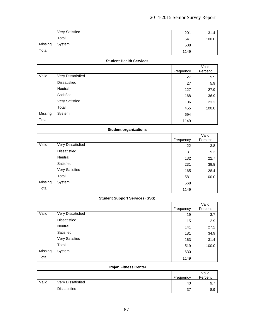|         | <b>Very Satisfied</b> | 201  | 31.4  |
|---------|-----------------------|------|-------|
|         | Total                 | 641  | 100.0 |
| Missing | System                | 508  |       |
| Total   |                       | 1149 |       |

#### **Student Health Services**

|         |                   |           | Valid   |
|---------|-------------------|-----------|---------|
|         |                   | Frequency | Percent |
| Valid   | Very Dissatisfied | 27        | 5.9     |
|         | Dissatisfied      | 27        | 5.9     |
|         | Neutral           | 127       | 27.9    |
|         | Satisfied         | 168       | 36.9    |
|         | Very Satisfied    | 106       | 23.3    |
|         | Total             | 455       | 100.0   |
| Missing | System            | 694       |         |
| Total   |                   | 1149      |         |

## **Student organizations**

|         |                     | Frequency | Valid<br>Percent |
|---------|---------------------|-----------|------------------|
| Valid   | Very Dissatisfied   | 22        | 3.8              |
|         | <b>Dissatisfied</b> | 31        | 5.3              |
|         | Neutral             | 132       | 22.7             |
|         | Satisfied           | 231       | 39.8             |
|         | Very Satisfied      | 165       | 28.4             |
|         | Total               | 581       | 100.0            |
| Missing | System              | 568       |                  |
| Total   |                     | 1149      |                  |

## **Student Support Services (SSS)**

|         |                   | Frequency | Valid<br>Percent |
|---------|-------------------|-----------|------------------|
| Valid   | Very Dissatisfied | 19        | 3.7              |
|         | Dissatisfied      | 15        | 2.9              |
|         | Neutral           | 141       | 27.2             |
|         | Satisfied         | 181       | 34.9             |
|         | Very Satisfied    | 163       | 31.4             |
|         | Total             | 519       | 100.0            |
| Missing | System            | 630       |                  |
| Total   |                   | 1149      |                  |

## **Trojan Fitness Center**

|       |                     | Frequency | Valid<br>Percent |
|-------|---------------------|-----------|------------------|
| Valid | Very Dissatisfied   | 40        | 9.7              |
|       | <b>Dissatisfied</b> | 37        | 8.9              |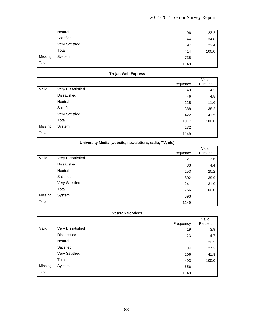|         | Neutral        | 96   | 23.2  |
|---------|----------------|------|-------|
|         | Satisfied      | 144  | 34.8  |
|         | Very Satisfied | 97   | 23.4  |
|         | Total          | 414  | 100.0 |
| Missing | System         | 735  |       |
| Total   |                | 1149 |       |

## **Trojan Web Express**

|         |                       | Frequency | Valid<br>Percent |
|---------|-----------------------|-----------|------------------|
| Valid   | Very Dissatisfied     | 43        | 4.2              |
|         | Dissatisfied          | 46        | 4.5              |
|         | Neutral               | 118       | 11.6             |
|         | Satisfied             | 388       | 38.2             |
|         | <b>Very Satisfied</b> | 422       | 41.5             |
|         | Total                 | 1017      | 100.0            |
| Missing | System                | 132       |                  |
| Total   |                       | 1149      |                  |

| University Media (website, newsletters, radio, TV, etc) |  |  |  |  |  |
|---------------------------------------------------------|--|--|--|--|--|
|---------------------------------------------------------|--|--|--|--|--|

|         |                   | Frequency | Valid<br>Percent |
|---------|-------------------|-----------|------------------|
| Valid   | Very Dissatisfied | 27        | 3.6              |
|         | Dissatisfied      | 33        | 4.4              |
|         | Neutral           | 153       | 20.2             |
|         | Satisfied         | 302       | 39.9             |
|         | Very Satisfied    | 241       | 31.9             |
|         | Total             | 756       | 100.0            |
| Missing | System            | 393       |                  |
| Total   |                   | 1149      |                  |

#### **Veteran Services**

|         |                   | Frequency | Valid<br>Percent |
|---------|-------------------|-----------|------------------|
| Valid   | Very Dissatisfied | 19        | 3.9              |
|         | Dissatisfied      | 23        | 4.7              |
|         | Neutral           | 111       | 22.5             |
|         | Satisfied         | 134       | 27.2             |
|         | Very Satisfied    | 206       | 41.8             |
|         | Total             | 493       | 100.0            |
| Missing | System            | 656       |                  |
| Total   |                   | 1149      |                  |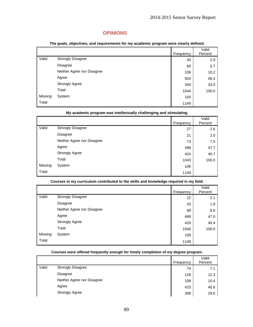## **OPINIONS**

|  |  | The goals, objectives, and requirements for my academic program were clearly defined. |  |
|--|--|---------------------------------------------------------------------------------------|--|
|--|--|---------------------------------------------------------------------------------------|--|

|         |                            | Frequency | Valid<br>Percent |
|---------|----------------------------|-----------|------------------|
| Valid   | <b>Strongly Disagree</b>   | 30        | 2.9              |
|         | Disagree                   | 60        | 5.7              |
|         | Neither Agree nor Disagree | 106       | 10.2             |
|         | Agree                      | 504       | 48.3             |
|         | <b>Strongly Agree</b>      | 344       | 33.0             |
|         | Total                      | 1044      | 100.0            |
| Missing | System                     | 105       |                  |
| Total   |                            | 1149      |                  |

|         | My academic program was intellectually challenging and stimulating. |           |         |  |
|---------|---------------------------------------------------------------------|-----------|---------|--|
|         |                                                                     |           | Valid   |  |
|         |                                                                     | Frequency | Percent |  |
| Valid   | <b>Strongly Disagree</b>                                            | 27        | 2.6     |  |
|         | Disagree                                                            | 21        | 2.0     |  |
|         | Neither Agree nor Disagree                                          | 73        | 7.0     |  |
|         | Agree                                                               | 498       | 47.7    |  |
|         | <b>Strongly Agree</b>                                               | 424       | 40.7    |  |
|         | Total                                                               | 1043      | 100.0   |  |
| Missing | System                                                              | 106       |         |  |
| Total   |                                                                     | 1149      |         |  |

**Courses in my curriculum contributed to the skills and knowledge required in my field.** 

|         |                            | Frequency | Valid<br>Percent |
|---------|----------------------------|-----------|------------------|
| Valid   | <b>Strongly Disagree</b>   | 22        | 2.1              |
|         | <b>Disagree</b>            | 20        | 1.9              |
|         | Neither Agree nor Disagree | 89        | 8.6              |
|         | Agree                      | 489       | 47.0             |
|         | <b>Strongly Agree</b>      | 420       | 40.4             |
|         | Total                      | 1040      | 100.0            |
| Missing | System                     | 109       |                  |
| Total   |                            | 1149      |                  |

|       |                            | Frequency | Valid<br>Percent |
|-------|----------------------------|-----------|------------------|
| Valid | <b>Strongly Disagree</b>   | 74        | 7.1              |
|       | Disagree                   | 128       | 12.3             |
|       | Neither Agree nor Disagree | 108       | 10.4             |
|       | Agree                      | 423       | 40.6             |
|       | <b>Strongly Agree</b>      | 308       | 29.6             |

**Courses were offered frequently enough for timely completion of my degree program.**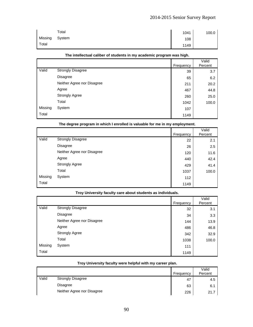|         | Total  | 1041 | 100.0 |
|---------|--------|------|-------|
| Missing | System | 108  |       |
| Total   |        | 1149 |       |

|         |                            | Frequency | Valid<br>Percent |
|---------|----------------------------|-----------|------------------|
| Valid   | <b>Strongly Disagree</b>   | 39        | 3.7              |
|         | Disagree                   | 65        | 6.2              |
|         | Neither Agree nor Disagree | 211       | 20.2             |
|         | Agree                      | 467       | 44.8             |
|         | <b>Strongly Agree</b>      | 260       | 25.0             |
|         | Total                      | 1042      | 100.0            |
| Missing | System                     | 107       |                  |
| Total   |                            | 1149      |                  |

#### **The intellectual caliber of students in my academic program was high.**

### **The degree program in which I enrolled is valuable for me in my employment.**

|         |                            | Frequency | Valid<br>Percent |
|---------|----------------------------|-----------|------------------|
| Valid   | <b>Strongly Disagree</b>   | 22        | 2.1              |
|         | <b>Disagree</b>            | 26        | 2.5              |
|         | Neither Agree nor Disagree | 120       | 11.6             |
|         | Agree                      | 440       | 42.4             |
|         | <b>Strongly Agree</b>      | 429       | 41.4             |
|         | Total                      | 1037      | 100.0            |
| Missing | System                     | 112       |                  |
| Total   |                            | 1149      |                  |

#### **Troy University faculty care about students as individuals.**

|         |                            | Frequency | Valid<br>Percent |
|---------|----------------------------|-----------|------------------|
| Valid   | <b>Strongly Disagree</b>   | 32        | 3.1              |
|         | <b>Disagree</b>            | 34        | 3.3              |
|         | Neither Agree nor Disagree | 144       | 13.9             |
|         | Agree                      | 486       | 46.8             |
|         | <b>Strongly Agree</b>      | 342       | 32.9             |
|         | Total                      | 1038      | 100.0            |
| Missing | System                     | 111       |                  |
| Total   |                            | 1149      |                  |

|       |                            | Frequency | Valid<br>Percent |
|-------|----------------------------|-----------|------------------|
| Valid | <b>Strongly Disagree</b>   | 47        | 4.5              |
|       | Disagree                   | 63        | 6.1              |
|       | Neither Agree nor Disagree | 226       | 21.7             |

#### **Troy University faculty were helpful with my career plan.**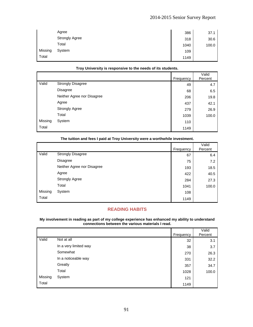|         | Agree                 | 386  | 37.1  |
|---------|-----------------------|------|-------|
|         | <b>Strongly Agree</b> | 318  | 30.6  |
|         | Total                 | 1040 | 100.0 |
| Missing | System                | 109  |       |
| Total   |                       | 1149 |       |

### **Troy University is responsive to the needs of its students.**

|         |                            | Frequency | Valid<br>Percent |
|---------|----------------------------|-----------|------------------|
| Valid   | <b>Strongly Disagree</b>   | 49        | 4.7              |
|         | Disagree                   | 68        | 6.5              |
|         | Neither Agree nor Disagree | 206       | 19.8             |
|         | Agree                      | 437       | 42.1             |
|         | <b>Strongly Agree</b>      | 279       | 26.9             |
|         | Total                      | 1039      | 100.0            |
| Missing | System                     | 110       |                  |
| Total   |                            | 1149      |                  |

|         |                            | Frequency | Valid<br>Percent |
|---------|----------------------------|-----------|------------------|
| Valid   | <b>Strongly Disagree</b>   | 67        | 6.4              |
|         | <b>Disagree</b>            | 75        | 7.2              |
|         | Neither Agree nor Disagree | 193       | 18.5             |
|         | Agree                      | 422       | 40.5             |
|         | <b>Strongly Agree</b>      | 284       | 27.3             |
|         | Total                      | 1041      | 100.0            |
| Missing | System                     | 108       |                  |
| Total   |                            | 1149      |                  |

### **The tuition and fees I paid at Troy University were a worthwhile investment.**

## **READING HABITS**

#### **My involvement in reading as part of my college experience has enhanced my ability to understand connections between the various materials I read.**

|         |                       | Frequency | Valid<br>Percent |
|---------|-----------------------|-----------|------------------|
| Valid   | Not at all            | 32        | 3.1              |
|         | In a very limited way | 38        | 3.7              |
|         | Somewhat              | 270       | 26.3             |
|         | In a noticeable way   | 331       | 32.2             |
|         | Greatly               | 357       | 34.7             |
|         | Total                 | 1028      | 100.0            |
| Missing | System                | 121       |                  |
| Total   |                       | 1149      |                  |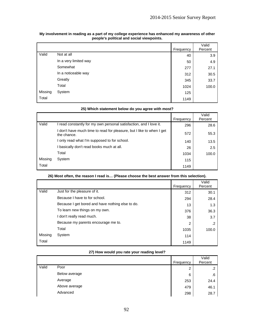|         |                       | Frequency | Valid<br>Percent |
|---------|-----------------------|-----------|------------------|
| Valid   | Not at all            | 40        | 3.9              |
|         | In a very limited way | 50        | 4.9              |
|         | Somewhat              | 277       | 27.1             |
|         | In a noticeable way   | 312       | 30.5             |
|         | Greatly               | 345       | 33.7             |
|         | Total                 | 1024      | 100.0            |
| Missing | System                | 125       |                  |
| Total   |                       | 1149      |                  |

| My involvement in reading as a part of my college experience has enhanced my awareness of other |
|-------------------------------------------------------------------------------------------------|
| people's political and social viewpoints.                                                       |

|         |                                                                                      |           | Valid   |
|---------|--------------------------------------------------------------------------------------|-----------|---------|
|         |                                                                                      | Frequency | Percent |
| Valid   | I read constantly for my own personal satisfaction, and I love it.                   | 296       | 28.6    |
|         | I don't have much time to read for pleasure, but I like to when I get<br>the chance. | 572       | 55.3    |
|         | I only read what I'm supposed to for school.                                         | 140       | 13.5    |
|         | I basically don't read books much at all.                                            | 26        | 2.5     |
|         | Total                                                                                | 1034      | 100.0   |
| Missing | System                                                                               | 115       |         |
| Total   |                                                                                      | 1149      |         |

### **25) Which statement below do you agree with most?**

## **26) Most often, the reason I read is… (Please choose the best answer from this selection).**

|         |                                                  | Frequency | Valid<br>Percent |
|---------|--------------------------------------------------|-----------|------------------|
| Valid   | Just for the pleasure of it.                     | 312       | 30.1             |
|         | Because I have to for school.                    | 294       | 28.4             |
|         | Because I get bored and have nothing else to do. | 13        | 1.3              |
|         | To learn new things on my own.                   | 376       | 36.3             |
|         | I don't really read much.                        | 38        | 3.7              |
|         | Because my parents encourage me to.              | 2         |                  |
|         | Total                                            | 1035      | 100.0            |
| Missing | System                                           | 114       |                  |
| Total   |                                                  | 1149      |                  |

### **27) How would you rate your reading level?**

|       |               | Frequency | Valid<br>Percent |
|-------|---------------|-----------|------------------|
| Valid | Poor          | っ<br>ے    | .2               |
|       | Below average | 6         | .6               |
|       | Average       | 253       | 24.4             |
|       | Above average | 479       | 46.1             |
|       | Advanced      | 298       | 28.7             |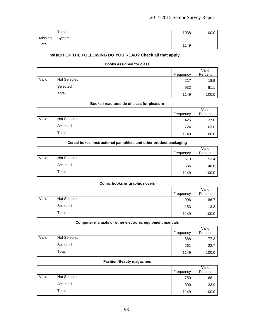|         | Total  | 1038 | 100.0 |
|---------|--------|------|-------|
| Missing | System | 111  |       |
| Total   |        | 1149 |       |

## **WHICH OF THE FOLLOWING DO YOU READ? Check all that apply**

#### **Books assigned for class**

|       |              | Frequency | Valid<br>Percent |
|-------|--------------|-----------|------------------|
| Valid | Not Selected | 217       | 18.9             |
|       | Selected     | 932       | 81.1             |
|       | Total        | 1149      | 100.0            |

|       | Books I read outside of class for pleasure |           |         |
|-------|--------------------------------------------|-----------|---------|
|       |                                            |           | Valid   |
|       |                                            | Frequency | Percent |
| Valid | Not Selected                               | 425       | 37.0    |
|       | Selected                                   | 724       | 63.0    |
|       | Total                                      | 1149      | 100.0   |

|                               | Cereal boxes, instructional pamphlets and other product packaging |      |       |  |
|-------------------------------|-------------------------------------------------------------------|------|-------|--|
| Valid<br>Percent<br>Frequency |                                                                   |      |       |  |
| Valid                         | Not Selected                                                      | 613  | 53.4  |  |
|                               | Selected                                                          | 536  | 46.6  |  |
|                               | Total                                                             | 1149 | 100.0 |  |

#### **Comic books or graphic novels**

|       |              |           | Valid   |
|-------|--------------|-----------|---------|
|       |              | Frequency | Percent |
| Valid | Not Selected | 996       | 86.7    |
|       | Selected     | 153       | 13.3    |
|       | Total        | 1149      | 100.0   |

|       | Computer manuals or other electronic equipment manuals |           |                  |  |
|-------|--------------------------------------------------------|-----------|------------------|--|
|       |                                                        | Frequency | Valid<br>Percent |  |
| Valid | Not Selected                                           | 888       | 77.3             |  |
|       | Selected                                               | 261       | 22.7             |  |
|       | Total                                                  | 1149      | 100.0            |  |

#### **Fashion/Beauty magazines**

|       |              | Frequency | Valid<br>Percent |
|-------|--------------|-----------|------------------|
| Valid | Not Selected | 759       | 66.1             |
|       | Selected     | 390       | 33.9             |
|       | Total        | 1149      | 100.0            |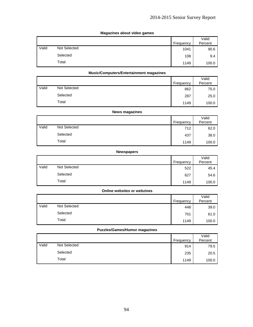### **Magazines about video games**

|       |              | Frequency | Valid<br>Percent |
|-------|--------------|-----------|------------------|
|       |              |           |                  |
| Valid | Not Selected | 1041      | 90.6             |
|       | Selected     | 108       | 9.4              |
|       | Total        | 1149      | 100.0            |

### **Music/Computers/Entertainment magazines**

|       |              | Frequency | Valid<br>Percent |
|-------|--------------|-----------|------------------|
| Valid | Not Selected | 862       | 75.0             |
|       | Selected     | 287       | 25.0             |
|       | Total        | 1149      | 100.0            |

|       | <b>News magazines</b> |           |                  |  |
|-------|-----------------------|-----------|------------------|--|
|       |                       | Frequency | Valid<br>Percent |  |
| Valid | Not Selected          | 712       | 62.0             |  |
|       | Selected              | 437       | 38.0             |  |
|       | Total                 | 1149      | 100.0            |  |

#### **Newspapers**

|       |              |           | Valid   |
|-------|--------------|-----------|---------|
|       |              | Frequency | Percent |
| Valid | Not Selected | 522       | 45.4    |
|       | Selected     | 627       | 54.6    |
|       | Total        | 1149      | 100.0   |

## **Online websites or webzines**

|       |              | Frequency | Valid<br>Percent |
|-------|--------------|-----------|------------------|
| Valid | Not Selected | 448       | 39.0             |
|       | Selected     | 701       | 61.0             |
|       | Total        | 1149      | 100.0            |

### **Puzzles/Games/Humor magazines**

|       |              | Frequency | Valid<br>Percent |
|-------|--------------|-----------|------------------|
|       |              |           |                  |
| Valid | Not Selected | 914       | 79.5             |
|       | Selected     | 235       | 20.5             |
|       | Total        | 1149      | 100.0            |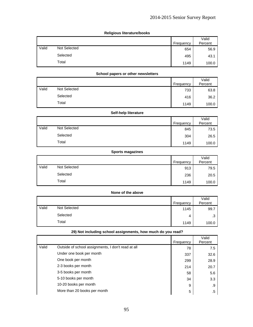### **Religious literature/books**

|       |              |           | Valid   |
|-------|--------------|-----------|---------|
|       |              | Frequency | Percent |
| Valid | Not Selected | 654       | 56.9    |
|       | Selected     | 495       | 43.1    |
|       | Total        | 1149      | 100.0   |

### **School papers or other newsletters**

|       |              |           | Valid   |
|-------|--------------|-----------|---------|
|       |              | Frequency | Percent |
| Valid | Not Selected | 733       | 63.8    |
|       | Selected     | 416       | 36.2    |
|       | Total        | 1149      | 100.0   |

| Self-help literature |              |           |                  |
|----------------------|--------------|-----------|------------------|
|                      |              | Frequency | Valid<br>Percent |
| Valid                | Not Selected | 845       | 73.5             |
|                      | Selected     | 304       | 26.5             |
|                      | Total        | 1149      | 100.0            |

#### **Sports magazines**

|       |              |           | Valid   |
|-------|--------------|-----------|---------|
|       |              | Frequency | Percent |
| Valid | Not Selected | 913       | 79.5    |
|       | Selected     | 236       | 20.5    |
|       | Total        | 1149      | 100.0   |

#### **None of the above**

|       |              | Frequency | Valid<br>Percent |
|-------|--------------|-----------|------------------|
| Valid | Not Selected | 1145      | 99.7             |
|       | Selected     |           | ◠<br>            |
|       | Total        | 1149      | 100.0            |

## **29) Not including school assignments, how much do you read?**

|       |                                                    | Frequency | Valid<br>Percent |
|-------|----------------------------------------------------|-----------|------------------|
| Valid | Outside of school assignments, I don't read at all | 78        | 7.5              |
|       | Under one book per month                           | 337       | 32.6             |
|       | One book per month                                 | 299       | 28.9             |
|       | 2-3 books per month                                | 214       | 20.7             |
|       | 3-5 books per month                                | 58        | 5.6              |
|       | 5-10 books per month                               | 34        | 3.3              |
|       | 10-20 books per month                              | 9         | .9               |
|       | More than 20 books per month                       | 5         | .5               |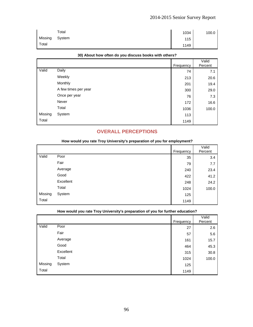|         | Total  | 1034 | 100.0 |
|---------|--------|------|-------|
| Missing | System | 115  |       |
| Total   |        | 1149 |       |

| <b>OUT ADONCTION ORGH UP YOU UISOUSS DOONS WILL ORIGIST</b> |                      |           |                  |
|-------------------------------------------------------------|----------------------|-----------|------------------|
|                                                             |                      | Frequency | Valid<br>Percent |
| Valid                                                       | Daily                | 74        | 7.1              |
|                                                             | Weekly               | 213       | 20.6             |
|                                                             | Monthly              | 201       | 19.4             |
|                                                             | A few times per year | 300       | 29.0             |
|                                                             | Once per year        | 76        | 7.3              |
|                                                             | Never                | 172       | 16.6             |
|                                                             | Total                | 1036      | 100.0            |
| Missing                                                     | System               | 113       |                  |
| Total                                                       |                      | 1149      |                  |

#### **30) About how often do you discuss books with others?**

## **OVERALL PERCEPTIONS**

|         | - -<br>$-$<br>$\sim$ $\sim$ | . .       |         |
|---------|-----------------------------|-----------|---------|
|         |                             |           | Valid   |
|         |                             | Frequency | Percent |
| Valid   | Poor                        | 35        | 3.4     |
|         | Fair                        | 79        | 7.7     |
|         | Average                     | 240       | 23.4    |
|         | Good                        | 422       | 41.2    |
|         | Excellent                   | 248       | 24.2    |
|         | Total                       | 1024      | 100.0   |
| Missing | System                      | 125       |         |
| Total   |                             | 1149      |         |

### **How would you rate Troy University's preparation of you for employment?**

|         | <b>Their include you have they winnerough opinionality of you for function cuttonship</b> |           |                  |
|---------|-------------------------------------------------------------------------------------------|-----------|------------------|
|         |                                                                                           | Frequency | Valid<br>Percent |
| Valid   | Poor                                                                                      | 27        | 2.6              |
|         | Fair                                                                                      | 57        | 5.6              |
|         | Average                                                                                   | 161       | 15.7             |
|         | Good                                                                                      | 464       | 45.3             |
|         | Excellent                                                                                 | 315       | 30.8             |
|         | Total                                                                                     | 1024      | 100.0            |
| Missing | System                                                                                    | 125       |                  |
| Total   |                                                                                           | 1149      |                  |
|         |                                                                                           |           |                  |

## **How would you rate Troy University's preparation of you for further education?**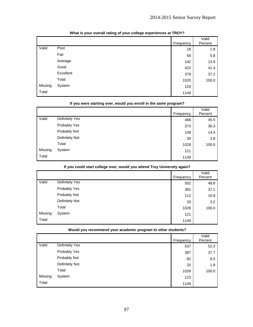|         |           | Frequency | Valid<br>Percent |
|---------|-----------|-----------|------------------|
| Valid   | Poor      | 18        | 1.8              |
|         | Fair      | 59        | 5.8              |
|         | Average   | 142       | 13.9             |
|         | Good      | 422       | 41.4             |
|         | Excellent | 379       | 37.2             |
|         | Total     | 1020      | 100.0            |
| Missing | System    | 129       |                  |
| Total   |           | 1149      |                  |

## **What is your overall rating of your college experiences at TROY?**

| if you were starting over, would you enroll in the same program? |                |           |                  |
|------------------------------------------------------------------|----------------|-----------|------------------|
|                                                                  |                | Frequency | Valid<br>Percent |
| Valid                                                            | Definitely Yes | 468       | 45.5             |
|                                                                  | Probably Yes   | 373       | 36.3             |
|                                                                  | Probably Not   | 148       | 14.4             |
|                                                                  | Definitely Not | 39        | 3.8              |
|                                                                  | Total          | 1028      | 100.0            |
| Missing                                                          | System         | 121       |                  |
| Total                                                            |                | 1149      |                  |

## **If you were starting over, would you enroll in the same program?**

| ii you could start college over, would you attend 110y Onliversity again r |                |           |                  |
|----------------------------------------------------------------------------|----------------|-----------|------------------|
|                                                                            |                |           | Valid<br>Percent |
|                                                                            |                | Frequency |                  |
| Valid                                                                      | Definitely Yes | 502       | 48.8             |
|                                                                            | Probably Yes   | 381       | 37.1             |
|                                                                            | Probably Not   | 112       | 10.9             |
|                                                                            | Definitely Not | 33        | 3.2              |
|                                                                            | Total          | 1028      | 100.0            |
| Missing                                                                    | System         | 121       |                  |
| Total                                                                      |                | 1149      |                  |

## **If you could start college over, would you attend Troy University again?**

|  | Would you recommend your academic program to other students? |  |
|--|--------------------------------------------------------------|--|
|--|--------------------------------------------------------------|--|

|         |                | Frequency | Valid<br>Percent |
|---------|----------------|-----------|------------------|
| Valid   | Definitely Yes | 537       | 52.3             |
|         | Probably Yes   | 387       | 37.7             |
|         | Probably Not   | 82        | 8.0              |
|         | Definitely Not | 20        | 1.9              |
|         | Total          | 1026      | 100.0            |
| Missing | System         | 123       |                  |
| Total   |                | 1149      |                  |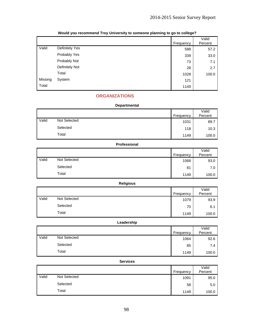|         |                       | Frequency | Valid<br>Percent |
|---------|-----------------------|-----------|------------------|
| Valid   | <b>Definitely Yes</b> | 588       | 57.2             |
|         | Probably Yes          | 339       | 33.0             |
|         | Probably Not          | 73        | 7.1              |
|         | Definitely Not        | 28        | 2.7              |
|         | Total                 | 1028      | 100.0            |
| Missing | System                | 121       |                  |
| Total   |                       | 1149      |                  |

## **Would you recommend Troy University to someone planning to go to college?**

## **ORGANIZATIONS**

|       | <b>Departmental</b> |           |                  |  |
|-------|---------------------|-----------|------------------|--|
|       |                     | Frequency | Valid<br>Percent |  |
| Valid | Not Selected        | 1031      | 89.7             |  |
|       | Selected            | 118       | 10.3             |  |
|       | Total               | 1149      | 100.0            |  |

|       | Professional        |           |                  |  |
|-------|---------------------|-----------|------------------|--|
|       |                     | Frequency | Valid<br>Percent |  |
| Valid | <b>Not Selected</b> | 1068      | 93.0             |  |
|       | Selected            | 81        | 7.0              |  |
|       | Total               | 1149      | 100.0            |  |

|       | <b>Religious</b> |           |                  |
|-------|------------------|-----------|------------------|
|       |                  | Frequency | Valid<br>Percent |
| Valid | Not Selected     | 1079      | 93.9             |
|       | Selected         | 70        | 6.1              |
|       | Total            | 1149      | 100.0            |

|       | Leadership          |           |                  |
|-------|---------------------|-----------|------------------|
|       |                     | Frequency | Valid<br>Percent |
| Valid | <b>Not Selected</b> | 1064      | 92.6             |
|       | Selected            | 85        | 7.4              |
|       | Total               | 1149      | 100.0            |

| <b>Services</b> |
|-----------------|
|-----------------|

|       |              | Frequency | Valid<br>Percent |
|-------|--------------|-----------|------------------|
| Valid | Not Selected | 1091      | 95.0             |
|       | Selected     | 58        | 5.0              |
|       | Total        | 1149      | 100.0            |
|       |              |           |                  |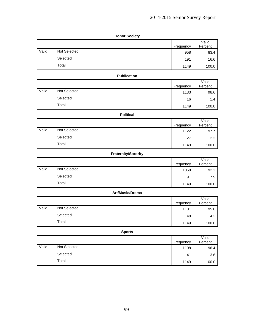| <b>Honor Society</b> |
|----------------------|
|                      |

|       |                     | Frequency | Valid<br>Percent |
|-------|---------------------|-----------|------------------|
| Valid | <b>Not Selected</b> | 958       | 83.4             |
|       | Selected            | 191       | 16.6             |
|       | Total               | 1149      | 100.0            |

### **Publication**

|       |              | Frequency | Valid<br>Percent |
|-------|--------------|-----------|------------------|
| Valid | Not Selected | 1133      | 98.6             |
|       | Selected     | 16        | 1.4              |
|       | Total        | 1149      | 100.0            |

#### **Political**

|       |              | Frequency | Valid<br>Percent |
|-------|--------------|-----------|------------------|
| Valid | Not Selected | 1122      | 97.7             |
|       |              |           |                  |
|       | Selected     | 27        | 2.3              |
|       | Total        | 1149      | 100.0            |

## **Fraternity/Sorority**

|       |                     | Frequency | Valid<br>Percent |
|-------|---------------------|-----------|------------------|
| Valid | <b>Not Selected</b> | 1058      | 92.1             |
|       | Selected            | 91        | 7.9              |
|       | Total               | 1149      | 100.0            |

#### **Art/Music/Drama**  Frequency Valid Percent Valid Not Selected 1101 95.8 Selected 48 4.2

### **Sports**

Total 1149  $\begin{array}{|c|c|c|c|c|}\n\hline\n\text{1149} & \text{100.0}\n\hline\n\end{array}$ 

|       |              | Frequency | Valid<br>Percent |
|-------|--------------|-----------|------------------|
| Valid | Not Selected | 1108      | 96.4             |
|       | Selected     | 41        | 3.6              |
|       | Total        | 1149      | 100.0            |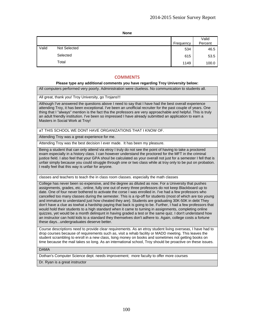|       |                     | Frequency | Valid<br>Percent |
|-------|---------------------|-----------|------------------|
| Valid | <b>Not Selected</b> | 534       | 46.5             |
|       | Selected            | 615       | 53.5             |
|       | Total               | 1149      | 100.0            |

### **COMMENTS**

#### **Please type any additional comments you have regarding Troy University below:**

All computers performed very poorly. Administration were clueless. No communication to students all.

All great, thank you! Troy University, go Trojans!!!

Although I've answered the questions above I need to say that I have had the best overall experience attending Troy, it has been exceptional. I've been an unofficial recruiter for the past couple of years. One thing that I "always" mention is the fact tha the professors are very approachable and helpful. This is truly an adult friendly institution. I've been so impressed I have already submitted an application to earn a Masters in Social Work at Troy!

aT THIS SCHOOL WE DONT HAVE ORGANIZATIONS THAT I KNOW OF.

Attending Troy was a great experience for me.

Attending Troy was the best decision I ever made. It has been my pleasure.

Being a student that can only attend via etroy I truly do not see the point of having to take a proctored exam especially in a history class. I can however understand the proctored for the MFT in the criminal justice field. I also feel that your GPA shoul be calculated as your overall not just for a semester I fell that is unfair simply because you could struggle through one or two class while at troy only to be put on probation. I really feel that this way is unfair for anyone.

classes and teachers to teach the in class room classes. especially the math classes

College has never been so expensive, and the degree as diluted as now. For a University that pushes assignments, grades, etc., online, fully one out of every three professors do not keep Blackboard up to date. One of four never bothered to activate the corse I was enrolled in. I've had a few professors who cancelled too many classes during the semester. This is a rip-off for students (most of which are too young and immature to understand just how cheated they are). Students are graduating 30K-50K in debt They don't have a clue as towhat a hardship paying that back is going to be. Further, I had a few professors that would hold their students to a high standard when it came to turning in assignments, completing online quizzes, yet would be a month delinqunt in having graded a test or the same quiz. I don't understand how an instructor can hold kids to a standard they themselves don't adhere to. Again, college costs a fortune these days...undergraduates deserve better.

Course descriptions need to provide clear requirements. As an etroy student living overseas, I have had to drop courses because of requirements such as, visit a rehab facility or MADD meeting. This leaves the student scrambling to enroll in a new class, lsing money on books and sometimes not getting books on time because the mail takes so long. As an international school, Troy should be proactive on these issues.

DAMA

Dothan's Computer Science dept. needs improvement; more faculty to offer more courses

Dr. Ryan is a great instructor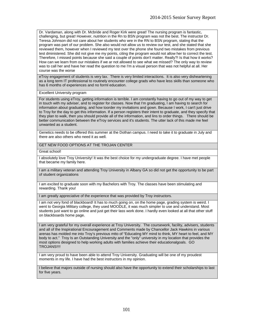Dr. Vardaman, along with Dr. Mcbride and Roger Kirk were great! The nursing program is fantastic, challenging, but great! However, nutrition in the Rn to BSN program was not the best. The instructor Dr. Teresa Johnson did not care about her students who wre in the RN to BSN program, stating that the program was part of our problem. She also would not allow us to review our test, and she stated that she reviewed them, however when I reviewed my test over the phone she found two mistakes from previous test dministered. She did not give me my points, citing the program would not allow her to correct the test. Therefore, I missed points because she said a couple of points don't matter. Really?! Is that how it works? How can we learn from our mistakes if we ar not allowed to see what we missed? The only way to review was to call her and have her read the question to me I'm a visual person that was not helpful at all. Her course was the worse

eTroy engagement of students is very lax. There is very limited interactions. It is also very disheartening as a long term IT professional to routinely encounter college grads who have less skills than someone who has 6 months of experiences and no forml education.

Excellent University program

For students using eTroy, getting information is terrible. I am constantly having to go out of my way to get in touch with my adviser, and to register for classes. Now that I'm graduating, I am having to search for information about graduating, and how toorder my invitations and gown. Because I work, I can't just drive to Troy for the day to get this information. If a person registers their intent to graduate, and they specify that they plan to walk, then you should provide all of the information, and lins to order things. There should be better communication between the eTroy services and it's students. The utter lack of this made me feel unwanted as a student.

Genetics needs to be offered this summer at the Dothan campus. I need to take it to graduate in July and there are also others who need it as well.

GET NEW FOOD OPTIONS AT THE TROJAN CENTER

Great school!

I absolutely love Troy University! It was the best choice for my undergraduate degree. I have met people that became my family here.

I am a military veteran and attending Troy University in Albany GA so did not get the opportunity to be part of student organizations

I am excited to graduate soon with my Bachelors with Troy. The classes have been stimulating and rewarding. Thank you!

I am greatly appreciative of the experience that was provided by Troy instructors.

I am not very fond of blackboard! It has to much going on, on the home page, grading system is weird. I went to Georgia Military college, they used MOODLE, it was much simpler to use and understand. Most students just want to go online and just get their lass work done. I hardly even looked at all that other stuff on blackboards home page.

I am very grateful for my overall experience at Troy University. The coursework, facility, advisers, students and all of the Inspirational Encouragement and Comments made by Chancellor Jack Hawkins in various arenas has molded me into Troy's previous mtto of "Educating MY mind to think, MY heart to feel, and MY body to act." Troy Is an Outstanding University and the "only" university in my location that provides the most options designed to help working adults with families achieve their educationalgoals. GO TROJANS!!!!

I am very proud to have been able to attend Troy University. Graduating will be one of my proudest moments in my life. I have had the best instructors in my opinion.

I believe that majors outside of nursing should also have the opportunity to extend their scholarships to last for five years.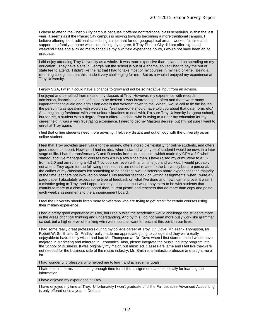I chose to attend the Phenix City campus because it offered nontraditional class schedules. Within the last year, it seems as if the Phenix City campus is moving towards becoming a more traditional campus. I believe offering nontraditional scheduling is mportant for our geographical area. I worked full time and supported a family at home while completing my degree. If Troy-Phenix City did not offer night and weekend class and allowed me to schedule my own field experience hours, I would not have been abl to graduate.

I did enjoy attending Troy University as a whole. It was more expensive than I planned on spending on my education. They have a site in Georgia but the school is out of Alabama, so I still had to pay the out of state fee to attend. I didn't like the fat that I had to take most of my courses in my field on-line. Being a returning college student this made it very challenging for me. But as a whole I enjoyed my experience at Troy University.

I enjoy SGA, I wish it could have a chance to grow and not be so negative input from an advisor.

I enjoyed and benefited from most of my classes at Troy. However, my experience with records, admission, financial aid, etc. left a lot to be desired. I was frustrated quite often and there were many important financial aid and admission details that werenot given to me. When I would call to fix the issues, the person I was speaking with would say, "well someone should have told you about that date, form, etc." As a beginning freshman with zero unique situations to deal with, I'm sure Troy University is agreat school, but for me, a student with a degree from a different school who is trying to further my education for my career field, it was a very frustrating experience. I need to get my Masters degree, but I'm not sure I want to enroll at Troy again.

i feel that online students need more advising. I felt very distant and out of loop with the university as an online student.

I feel that Troy provides great value for the money, offers incredible flexibility for online students, and offers good student support. However, I had no idea when I started what type of student I would be now, in a later stage of life. I had to transfermany C and D credits from older schools, which made my GPA a 2.0 when I started, and I've managed 22 courses with A's in a row since then. I have raised my cumulative to a 3.2 from a 2.0 and am running a 4.0 of Troy courses, even with a full-time job and wo kids. I would probably not attend Troy again for the following reasons that are not all related to the University but are personal: the caliber of my classmates left something to be desired; awful discussion board experiences the majority of the time. eachers not involved on boards. No teacher feedback on writing assignments; when I write a 9 page paper I absolutely expect some type of feedback on what I've done and how I can improve. It wasn't a mistake going to Troy, and I appreciate my education, bu I would pay extra to be with students that contribute more to a discussion board than, "Great post!!" and teachers that do more than copy and paste each week's assignments to the announcement board.

I feel the university should listen more to veterans who are trying to get credit for certain courses using their military experience.

I had a pretty good experience at Troy, but I really wish the academics would challenge the students more in the areas of critical thinking and understanding. And by this I do not mean more busy work like grammar school, but a higher level of thinking whih we should all want to reach at this point in our lives.

I had some really great professors during my college career at Troy. Dr. Dove, Mr. Frank Thompson, Mr. Robert W. Smith and Dr. Findley really made me appreciate going to college and they were really enjoyable to have. I only wish I had had Mr. Thompson an Dr. Dove when I first started, then I would have majored in Marketing and minored in Economics. Also, please integrate the Music Industry program into the School of Business. It was originally my major, but music ed. classes are lame and I felt like theywere not needed for the business side of the music industry. Mr. Smith is a fantastic professor and taught me a lot.

I had wonderful professors who helped me to learn and achieve my goals.

I hate the mini terms it is not long enough time for all the assignments and especially for learning the information.

I have enjoyed my experience at Troy.

I have enjoyed my time at Troy. U fortunately I won't graduate until the Fall because Advanced Accounting is only offered once a year in Dothan.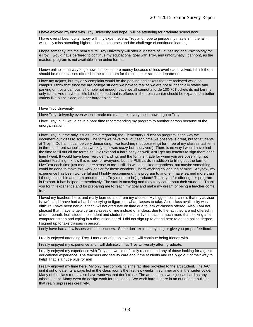I have enjoyed my time with Troy University and hope I will be attending for graduate school now.

I have overall been quite happy with my experinece at Troy and hope to pursue my masters in the fall. I will really miss attending higher education courses and the challenge of continued learning.

I hope someday into the near future Troy University will offer a Masters of Counseling and Psychology for eTroy. I would have perfered to continue my educational goal with Troy, and unfortunatly I cannont, as the masters program is not available in an onlne format.

I know online is the way to go now, it makes more money because of less overhead involved. I think there should be more classes offered in the classroom for the computer science department.

I love my trojans, but my only complaint would be the parking and tickets that are recieved while on campus. I thnk that since we are college student we have to realize we are not all financially stable and parking on troyts campus is horrible not enough pace we all cannot afforde 100-75\$ tickets its not fair my only issue. And maybe a little bit of the food that is offered in the trojan center should be expanded a better variety like pizza place, another burger place etc.

I love Troy University

I love Troy University even when it made me mad. I tell everyone I know to go to Troy.

I love Troy, but I would have a hard time recommending my program to another person because of the unorganization.

I love Troy, but the only issues I have regarding the Elementary Education program is the way we document our visits to schools. The form we have to fill out each time we observe is great, but for students at Troy in Dothan, it can be very demanding. I wa teaching (not observing) for three of my classes last term in three different schools each week (yes, it was crazy-but I survived!). There is no way I would have had the time to fill out all the forms on LiveText and a hard copy as well, AND get my teachrs to sign them each time I went. It would have been very demanding, and the form is made for when you are observing; not student teaching. I know this is new for everyone, but the PLE cards in addition to filling out the form on LiveText each time just mde more sense to me. I still do what is asked regardless, but maybe something could be done to make this work easier for these wonderful, hard-working colleagues of mine. Anyhow, my experience has been wonderful and I highly reccommend this program to anone. I have learned more than I thought possible and I am proud to be a Troy (soon-to-be) graduate! Thank you for offering this program in Dothan. It has helped tremendously. The staff is amazing and they truly care about their students. Thank you for thi experience and for preparing me to reach my goal and make my dream of being a teacher come true.

I loved my teachers here, and really learned a lot from my classes. My biggest complaint is that my advisor is awful and I have had a hard time trying to figure out what classes to take. Also, class availability was difficult. I have been nervous that I wll not graduate on time due to lack of classes offered. Also, I am not pleased that I have to take certain classes online instead of in class, due to the fact they are not offered in class. I benefit from student to student and student to teacher live intraction much more than looking at a computer screen and typing in a discussion board. I did not sign up to attend here to get an online degree, I signed up to take classes in person.

I only have had a few issues with the teachers. Some don't explain anything or give you proper feedback.

I really enjoyed attending Troy. I met a lot of people whom I will continue being friends with.

I really enjoyed my experience and I will definitely miss Troy University after I graduate.

I really enjoyed my experience with Troy and would definitely recommend any of those looking for a great educational experience. The teachers and faculty care about the students and really go out of their way to help! That is a huge plus for me!

I really enjoyed my time here. My only real complaint is the facilities provided to the art student. The A/C unit it out of date. Its always hot in the class rooms the first few weeks in summer and in the winter colder. Many of the class rooms also have wndows that don't close. The art students work just as hard as any other student. Many even do design work for the school. We work hard but are in an out of date building that really supresses creativity.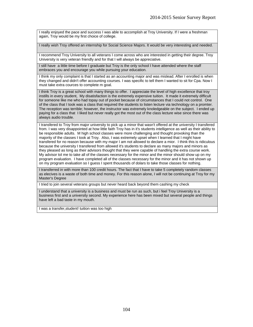I really enjoyed the pace and success I was able to accomplish at Troy University. If I were a freshman again, Troy would be my first choice of college.

I really wish Troy offered an internship for Social Science Majors. It would be very interesting and needed.

I recommend Troy University to all veterans I come across who are interested in getting their degree. Troy University is very veteran friendly and for that I will always be appreciative.

I still have a little time before I graduate but Troy is the only school I have attended where the staff embraces you and encourage you while pursuing your education.

I think my only complaint is that I started as an accounting major and was mislead. After I enrolled is when they changed and didn't offer accounting courses. I was specific to tell them I wanted to sit for Cpa. Now I must take extra cources to complete m goal.

I think Troy is a great school with many things to offer. I appreciate the level of high excellence that troy instills in every student, My disatisfaction is the extremely expensive tuition. It made it extremely difficult for someone like me who had topay out of pocket because of circumstances that I could not control. One of the class that I took was a class that required the students to listen lecture via technology on a promter. The reception was terrible; however, the instructor was extremely knoledgeable on the subject. I ended up paying for a class that I liked but never really got the most out of the class lecture wise since there was always audio trouble.

I transfered to Troy from major university to pick up a minor that wasn't offered at the university I transfered from. I was very disappointed at how little faith Troy has in it's students intelligence as well as their ability to be responsible adults. M high school classes were more challenging and thought provoking than the majority of the classes I took at Troy. Also, I was extremely upset when I learned that I might have transfered for no reason because with my major I am not allowed to declare a mior. I think this is ridiculous because the university I transfered from allowed it's students to declare as many majors and minors as they pleased as long as their advisors thought that they were capable of handling the extra course work. My advisor tol me to take all of the classes necessary for the minor and the minor should show up on my program evaluation. I have completed all of the classes necessary for the minor and it has not shown up on my program evaluation so I guess I spent thousands of dolars to take those classes for nothing.

I transferred in with more than 100 credit hours. The fact that I have to take 5 completely random classes as elecives is a waste of both time and money. For this reason alone, I will not be continuing at Troy for my Master's Degree

I tried to join several veterans groups but never heard back beyond them cashing my check

I understand that a university is a business and must be run as such, but i feel Troy University is a business first and a university second. My experience here has been mixed but several people and things have left a bad taste in my mouth.

I was a transfer,student! tuition was too high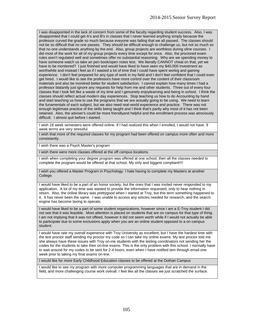I was disappointed in the lack of concern from some of the faculty regarding student success. Also, I was disappointed that I could get A's and B's in classes that I never learned anything simply because the professor curved the grade so much because eveyone was failing that we all passed. The classes should not be so difficult that no one passes. They should be difficult enough to challenge us, but not so much so that no one understands anything by the end. Also, group projects are worthless during oline courses. I did most of the work for all of my group projects every time except for once. Also, the proctored exam rules aren't regulated well and sometimes offer no substantial reasoning. Why are we spending money to have someone watch us take an pen book/open notes test. We literally CANNOT cheat on that, yet we have to be monitored? I just finished and would have liked to have seen my \$40,000 investment as worthwhile and instead I feel as if I wasted a lot of time that I could have spent workig and gaining experience. I don't feel prepared for any type of work in my field and I don't feel confident that I could even get hired. I would like to see the professors have more control over the content of their classroom materials and also be monitred better for student satisfaction. I cannot explain how many times I had a professor blatantly just ignore any requests for help from me and other students. Three out of every four classes that I took felt like a waste of my time and I genuinely enjoylearning and being in school. I think the classes should reflect actual modern day experiences. Stop teaching us how to do Accounting by hand and start teaching us how to use the programs that we are actually going to be using. We need to learn the funamentals of each subject, but we also need real-world experience and practice. There was not enough legitimate practice of the skills being taught and I think that's partly why most of it has not been retained. Also, the adviser's could be more friendlyand helpful and the enrollment process was atrociously difficult. I almost quit before I started.

I wish 18 week semesters were offered online. If I had realized this when I enrolled, I would not have. 9 week terms are very stressful.

I wish that more of the required classes for my program had been offered on campus more often and more consistantly.

I wish there was a Psych Master's program

I wish there were more classes offered at the off campus locations.

I wish when completing your degree program was offered at one school, then all the classes needed to complete the program would be offered at that school. My only and biggest compliant!!!!

I wish you offered a Master Program in Psychology. I hate having to complete my Masters at another College.

I would have liked to be a part of an honor society, but the ones that I was invited never responded to my application. A lot of my time was wasted to provide the information requested, only to hear nothing in return. Also, the online library was prettygood when I started at Troy, but this term something happened to it. It has never been the same. I was unable to access any articles needed for research, and the search engine has become taxing to operate.

I would have liked to be a part of some student organizations, however since I am a E-Troy student I did not see that it was feasible. Most attention is placed on students that are on campus for that type of thing. I am not implying that it was not offeed, however it did not seem worth while if I would not actually be able to participate due to some exclusions apply when you are an online student opposed to a on campus student.

I would have rate my overall experience with Troy University as excellent, but I have the hardest time with the test proctor staff sending my proctor my code so I can take my online exams. My test proctor told me she always have these issues with Troy on-ine students with the testing coordinators not sending her the codes for the students to take their on-line exams. This is the only problem with this school. I normally have to wait around for my codes to be sent for 2-4 hours, even when I have notified tem through email one week prior to taking my final exams on-line.

I would like for more Early Childhood Education classes to be offered at the Dothan Campus

I would like to see my program with more computer programming languages that are in demand in the field, and more challenging course work overall. I feel like all the classes we just scratched the surface.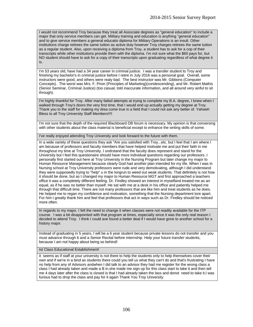I would not recommend Troy because they treat all Associate degrees as "general education" to include a major that only service members can get. Military training and education is anything "general education" and to give service members a general educatio diploma for Military Operations is an insult. Other institutions charge retirees the same tuition as active duty however Troy charges retirees the same tuition as a regular student. Also, upon receiving a diploma from Troy, a student has to ask for a cop of their transcripts while other institutions provide them with the diploma. I'm not sure what the \$60 pays for, but NO student should have to ask for a copy of their transcripts upon graduating regardless of what degree it is.

I'm 53 years old, have had a 34 year career in criminal justice. I was a transfer student to Troy and finishing my bachelor's in criminal justice before I retire in July 2016 was a personal goal. Overall, some instructors were good, and others were realy bad. The best instructor was Mr. Gibbons (Computer Concepts). The worst was Mrs. F. Piron (Principles of Marketing)(condescending), and Mr. Robert Mathis (Senior Seminar, Criminal Justice) (too casual, told inaccurate information, and all around very ainful to sit through).

I'm highly thankful for Troy. After many failed attempts at trying to complete my B.A. degree, I knew when I walked through Troy's doors the very first time, that I would end up actually getting my degree at Troy. Thank you to the staff for making my drea come true in a field that I could not ask any better of. Yahweh Bless to all Troy University Staff Members!!!!

I'm not sure that the depth of the required Blackboard DB forum is necessary. My opinion is that conversing with other students about the class material is beneficial except to enhance the writing skills of some.

I've really enjoyed attending Troy University and look forward to the future with them.

In a wide variety of these questions they ask "Are you satisfied with Troy...etc. but I feel that I am where I am because of professors and faculty members that have helped motivate me and put their faith in me throughout my time at Troy University. I undrstand that the faculty does represent and stand for the University but I feel this questionaire should have more individual questions regarding our professors. I personally first started out here at Troy University in the Nursing Program but later change my major to Human Resource Management because clearly God had another plan intended for my life. When I was in Nursing school at Troy University professors were rude and very demotivating, although I did understand they were supposedly trying to "help" u in the longrun to weed out weak students. That definitely is not how it should be done, but as I changed my major to Human Resource MGT and first approached a teachers office it was a completely different feeling. Dr. Findley showed an interest in myselfand treated me as an equal, as if he was no better than myself. He sat with me at a desk in his office and patiently helped me through that difficult time. There are not many professors that are like him and treat students as he does. He helped me to regan my confidence and motivation, something that the Nursing department tore apart. For him I greatly thank him and feel that professors that act in ways such as Dr. Findley should be noticed more often.

In regards to my major, I felt the need to change it when classes were not readily available for the ITP course. I was a bit disappointed with that program at times, especially since it was the only real reason I decided to attend Troy. I think I could ave found a better deal if I would have gone to another school for a history major.

Instead of graduating in 5 years, I will be a 6 year student because private lessons do not transfer and you must advance through 6 and a Senior Recital before internship. Help your future transfer students, because I am not happy about being so behind!

Ist Class Educational Establishment!

it seems as if staff at your university is not there to help the students only to help themselves cover their own and if we're in a bind as students there could you tell us what they can't do and that's frustrating I have no help from any of Advisors andwhen I did talk to an advisor they had me register for the wrong class a class I had already taken and made a B in.she made me sign up for this class start to take it and then tell me 4 days later after the class is closed is that I had already taken the lass and donot need to take it.I was furious had to drop the class and pay for it again Thank You Troy University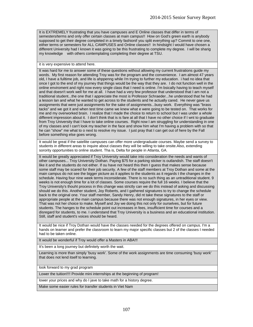It is EXTREMELY frustrating that you have campuses and E Online classes that differ in terms of semesters/terms and only offer certain classes at main campus!! How on God's green earth is anybody supposed to get their degree completed in a timely fashionif you split everything up? Commit to one one, either terms or semesters for ALL CAMPUSES and Online classes!! In hindsight I would have chosen a different University had I known it was going to be this frustrating to complete my degree. I will be sharig my knowledge with others contemplating completing their degree at TSU.

#### it is very expensive to attend here.

It was hard for me to answer some of these questions without allowing my current frustrations guide my words. My first reason for attending Troy was for the program and the convenience. I am almost 47 years old, I have a fulltime job, and life is ahppenng while i'm trying to further my education. i had no idea that once I got to the end of my journey that things would be the way that they are. I do not function well in the online enviroment and right now every single class that I need is online. I'm bsically having to teach myself and that doesn't work well for me at all. I have had a very few professor that understood that I am not a traditional student...the one that I appreciate the most is Professor Schraeder...he understood that he had a lesson lan and what he wanted to get across to the students and he actually cared. He never gave us assignments that were just assignments for the sake of assignments...busy work. Everything was "brass tacks" and we got it and when test time came we knew what e were going to be tested on. That works for me and my overworked brain. I realize that I made the choice to return to school but I was under a whole different impression about it. I don't think that is is fare at all that I have no other choice if I wnt to graduate from Troy University that I have to take online courses. Right now I am struggling for understanding in one of my classes and I can't look my teacher in the face and show him what I'm having a problem with so that he can "show" me what to o next to resolve my issue. I just pray that I can get out of here by the Fall before something else goes wrong.

It would be great if the satellite campuses can offer more undergraduate courses. Maybe send a survey to students in different areas to inquire about classes they will be willing to take onsite.Also, extending sorority opportunities to online student. Tha is, Delta for people in Atlanta, GA.

It would be greatly appreciated if Troy University would take into consideration the needs and wants of other campuses... Troy University Dothan. Paying \$75 for a parking sticker is outlandish. The staff doesn't like it and the students do not either. If ou have not heard this then I guess that makes sense because some staff may be scared for their job security. A few of the staff members at Troy Dothan and some at the main campus do not see the bigger picture as it applies to the students as it regards t the changes in the schedule. Having four nine week terms inconsiderate. There is no such thing as an untraditional student. 9 weeks is not enough time for a lot of classes. Some courses require the full 16 weeks. I believe that the Troy University's thouht process in this change was strictly can we do this instead of asking and discussing should we do this. Another student, Joy Roberts, and I gathered signatures to try to change the schedule back to the original one. Your staff member, Sandy Henry, did nt take these signatures to the staff or appropriate people at the main campus because there was not enough signatures, in her eyes or view. That was not her choice to make. Myself and Joy we doing this not only for ourselves, but for future students. The hanges to the schedule point out increases in fees, insufficient time for courses and a disregard for students, to me. I understand that Troy University is a business and an educational institution. Still, staff and student's voices should be heard.

It would be nice if Troy Dothan would have the classes needed for the degrees offered on campus. I'm a hands on learner and prefer the classroom to learn my major specific classes but 2 of the classes I needed had to be taken online.

It would be wonderful if Troy would offer a Masters in ABA!!!

It's been a long journey but definitely worth the wait.

Learning is more than simply 'busy work'. Some of the work assignments are time consuming 'busy work' that does not lend itself to learning.

look forward to my grad program

Lower the tuition!!!! Provide mini internships at the beginning of program!

lower your prices and why do I jave to take math for a history degree.

Make some easier rules for transfer students in Viet Nam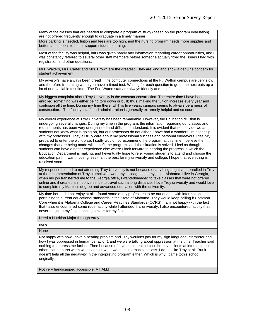Many of the classes that are needed to complete a program of study (based on the program evaluation) are not offered frequently enough to graduate in a timely manner.

More parking is needed, tuition and fees are too high, and the nursing program needs more supplies and better lab supplies to better support student learning.

Most of the faculty was helpful, but I was given hardly any information regarding career opportunities, and I was constantly referred to several other staff members before someone actually fixed the issues I had with registration and other questions.

Mrs. Walters, Mrs. Carter and Mrs. Brown are the greatest. They are kind and show a genuine concern for student achievement.

My advisor's have always been great! The computer connections at the Ft. Walton campus are very slow and therefore frustrating when you have a timed test. Waiting for each question to go to the next eats up a lot of our available test time. The Fort Waton staff are always friendly and helpful.

My biggest complaint about Troy University is the constant construction. The entire time I have been enrolled something was either being torn down or built; thus, making the tuition increase every year and confusion all the time. During my time there, whih is five years, campus seems to always be a mess of construction. The faculty, staff, and administration is generally extremely helpful and so courteous.

My overall experience at Troy University has been remarkable. However, the Education division is undergoing several changes. During my time in the program, the information regarding our classes and requirements has been very unorganized and difficult to uderstand. It is evident that not only do we as students not know what is going on, but our professors do not either. I have had a wonderful relationship with my professors. They all truly care about my professional success and personal endeavors. I feel vry prepared to enter the workforce. I sadly would not recommend the program at this time. I believe the changes that are being made will benefit the program. Until the situation is solved, I feel as though students can have a better experience else where.I look forward to hearing the progress in which the Education Department is making, and I eventually hope to refer young students to attend and choose the education path. I want nothing less than the best for my university and college, I hope that everythng is resolved soon.

My response related to not attending Troy University is not because of anything negative. I enrolled in Troy at the recommendation of Troy alumni who were my colleagues on my job in Alabama. I live in Georgia, when my job transferred me to the Georgia offce, I wanted/needed to take classes that were not offered online and it created an inconvenience to travel such a long distance. I love Troy university and would love to complete my Master's degree and advanced education with the university.

My time here I did not enjoy at all. I found some of my professors to be out of date with information pertaining to current educational standards in the State of Alabama. They would keep calling it Common Core when it is Alabama College and Career Readines Standards (CCRS). I am not happy with the fact that I also encountered some rude faculty while I attended this university. I also encountered faculty that never taught in my field teaching a class for my field.

Need a Nutrition Major through etroy.

none

None

Not happy with how I have a hearing problem and Troy wouldn't pay for my sign language interpreter and how I was oppressed in human behavior 1 and we were talking about oppression at the time. Teacher said nothing to oppress me further. Then because of mymental health I couldn't have clients at internship but others can. It hurts when we talk about what we do in internship in class. I do not like Troy at all. But it doesn't help all the negativity in the interpreting program either. Which is why I came tothis school originally.

Not very handicapped accessible, AT ALL!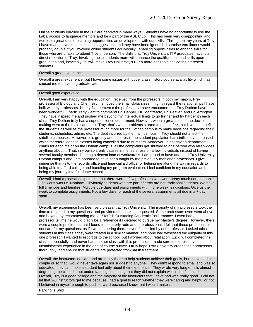Online students enrolled in the ITP are deprived in many ways. Students have no opportunity to use the Labs, access to language mentors and be a part of the ASL Club. This has been very disappointing and we lose a great deal of learning opportunities an development with our skills. Throughout my years at Troy I have made several inquiries and suggestions and they have been ignored. I surmise enrollment would probably double if you involved online students equivocally, enabling opportunities to enhanc skills for those who are unable to attend Troy in person. The skills that Troy University's ITP graduates have is a direct reflection of Troy. Involving these students more will enhance the qualifications and skills upon graduation and, inevitably, thiswill make Troy University's ITP a more desirable choice for interested students.

#### Overall a great experience

Overall a great experience, but I have some issues with upper class history course availability which has caused me to have to graduate late.

### Overall good experience

Overall, I am very happy with the education I received from the professors in both my majors, Preprofessional Biology and Chemistry. I enjoyed the small class sizes; I highly regard the relationships I have built with my professors. Ninety-five percent o the professors I have encountered at Troy Dothan have been wonderful. I particularly want to commend Dr. Dapper, Dr. Manfready, Dr. Beaver, and Dr. Arrington. They have inspired me and pushed me beyond my intellectual limits to go further and try harder ith each class. Troy Dothan truly has a superb science department. However, when a great deal of the decision making went to the main campus in Troy, that's when problems started to arise. I feel that it would benefit the students as well as the professor much more for the Dothan campus to make decisions regarding their students, schedules, admin, etc. The debt incurred by the main campus in Troy should not affect the satellite campuses. However, it is greatly and as a result the student population has sinificantly decreased which therefore leads to classes being cancelled due to numbers. Moreover, in not having department chairs for each major on the Dothan campus, all the complaints get shuffled to one person who rarely does anything about it. That, in y opinion, only causes immense stress on a few individuals instead of having several faculty members bearing a decent load of work/stress. I am proud to have attended Troy University Dothan campus and I am honored to have been taught by the previously menioned professors. I give immense thanks to the records office and financial aid office for helping me along the way in regards to being able to afford college and handling my program evaluation. I feel confident in my education as I being my journey into Graduate school.

Overall, I had a pleasant experience, but there were a few professors who were pretty much unreasonable. The worst was Dr. Northam. Obviously students who are part of etroy are not traditional students. We have full time jobs and families. Multiple due daes and assignments within one week is ridiculous. Give us the week to complete assignments. Not a few days for each of the several assignments all due in a 7 day span.

Overall, my experience has been very pleasant at Troy University. The majority of my professors took the time to respond to my questions, and provided feedback as requested. Some professors even went above and beyond by recommending me for Starfish Outstading Academic Performance. I even had one professor tell me he would gladly be a reference if I decided to pursue my Master's degree. However, there were a couple professors that I found to be utterly rude and unprofessional. I felt that these professors id not care for my questions; as if I was bothering them. I even felt bullied by one professor. I asked other students in this class if they were treated in a similar manner, and none had witnessed the vulgarity of this one professor. I wanted to report tis to the school, but I worried about retaliation. Luckily, I completed the class successfully, and never had another class with this professor. I made sure to express my unsatisfactory experience in the end of course survey. I truly hope Troy University creens their professors thoroughly, and ensure that students are protected from harsh treatment.

Overall, the instructors do care and are really there to help students achieve their goals, but I have had a couple or so that I would never take again nor suggest to anyone. They didn't respond to email and was so educated, they can make a student feel adly about their experience. They wrote very long emails almost degrading the class for not understanding something that they did not explain well in the first place. Overall, Troy is a good college and the majority of the instructors that I have had wee really good. I did not let that 2-3 instructors get to me because I had a goal to reach whether they were caring and helpful or not. I believed in myself enough to push forward because I knew that I would make it.

Parking is Shit!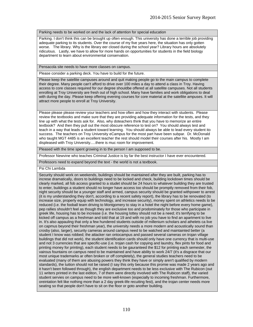#### Parking needs to be worked on and the lack of attention for special education

Parking. I don't think this can be brought up often enough. This university has done a terrible job providing adequate parking to its students. Over the course of my five years here, the situation has only gotten worse. The library. Why is the library eer closed during the school year? Library hours are absolutely ridiculous. Lastly, we have to allow for more hands on opportunities for students in the field biology department to learn about environmental conservation.

Pensacola site needs to have more classes on campus.

Please consider a parking deck. You have to build for the future.

Please keep the satellite campuses around and quit making people go to the main campus to complete their degree. Many people can't afford to drive over 100 miles a day to attend a class in Troy. Having access to core classes required for our degree shouldbe offered at all satellite campuses. Not all students enrolling at Troy University are fresh out of high school. Many have families and work obligations to deal with during the day. Please keep offering evening courses for core material at the satellite ampuses. It will attract more people to enroll at Troy University.

Please please please review your teachers and how often and how they interact with students. Please review the textbooks and make sure that they are providing adequate information for the tests, and they line up with what the tests ask for. Also, why doteachers think that you have to memorize an entire textbook? And then they pull out the most obscure reference to test on? You should always test and teach in a way that leads a student toward learning. You should always be able to lead every student ito success. The teachers on Troy University eCampus for the most part have been subpar. Dr. McDonald who taught MGT 4485 is an excellent teacher the rest should model their courses after his. Mostly I am displeased with Troy University.....there is muc room for improvement.

Pleased with the time spent growing in to the person I am supposed to be.

Professor Newvine who teaches Criminal Justice is by far the best instructor I have ever encountered.

Professors need to expand beyond the text - the world is not a textbook.

Psi Chi Lambda

Security should work on weekends, buildings should be maintained after they are built, parking has to increse dramatically, doors to buildings need to be locked and check, building lockdown times should be clearly marked, all fob access granted to a studet should be 24 hours to whatever building they are trusted to enter, buildings a student should no longer have access too should be promptly removed from their fob, night security should be a younger staff and armed, campus security should be granted withpower to arrest (it is my understanding they don't, according to a recent safety report), the library has to be renovated (to increase size, properly equip with technology, and increase security), money spent on athletics needs to be reduced (i.e. the fooball team driving to Montgomery to stay in a hotel the night before every home game), pep rallies shouldn't feel as though they are exclusive too and prodominately for those who participate in greek life, housing has to be increase (i.e. the housing lottey should not be a need; it's terrifying to be kicked off campus as a freshman and told that at 19 and with no job you have to find an apartment to live in. It's also appauling that only a few hundered students outside of millenium scholars and athelets ca live on capmus beyond their freshman year), the university needs a more modern and acoustically sound than crosby (also, larger), security cameras around campus need to be watched and maintainted better (a student I know was robbed; the attacker ran ontocampus and passed several cameras on trojan village buildings that did not work), the student identification cards should only have one currency that is multi-use and not 3 currencies that are specific-use (i.e. trojan cash for copying and laundry, flex pints for food and printing money for printing), each student needs to be gauranteed the \$12 for printing each semester, the vairous fountains on campus need to be maintained and have ability to work 24/7 (it's a disgrace that our most unique trademarks ar often broken or off completely), the general studies teachers need to be evaluated (many of them are abusing powers they think they have or simply aren't qualified by modern standards), the tuition should not be raised (I say this only because this promie was made 2 years ago and it hasn't been followed through), the english department needs to be less exclusive with The Rubicon (out 11 writers printed in the last eiditon, 7 of them were directly involved with The Rubicon staff), the varied student servies on campus need to be more well-known (especially to incoming freshman. Furthermore, oreintation felt like nothing more than a 2 day greek-life recuiting fest), and the trojan center needs more seating so that people don't have to sit on the floor or goto another building.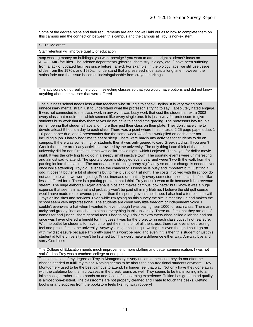Some of the degree plans and their requirements are and not well laid out as to how to complete them on this campus and the connection between this campus and the campus at Troy is non-existent...

#### SOTS Majorette

Staff retention will improve quality of education

stop wasting money on buildings. you want prestige? you want to attract bright students? focus on ACADEMIC facilities. The science departments (physics, chemistry, biology, etc...) have been suffering from a lack of updated facilities since before I arrivd. For example: in the biology labs, we still use tissue slides from the 1970's and 1980's. I understand that a preserved slide lasts a long time, however, the stains fade and the tissue becomes indistinguishable from crayon markings.

The advisors did not really help you in selecting classes so that you would have options and did not know anything about the classes that were offered.

The business school needs less Asian teachers who struggle to speak English. It is very taxing and unnecessary mental strain just to understand what the professor is trying to say. I absolutely hated engage. It was not connected to the class work in any wy. It was busy work that cost the student an extra 200\$ every class that required it, which seemed like every single one. It is just a way for professors to give students busy work that they themselves do not have to spend time grading. The professors hav trouble remembering that students have a lot more than just their class on their plate. They don't have time to devote atleast 5 hours a day to each class. There was a point where I had 4 tests, 2 25 page papers due, 1 10 page paper due, and 2 presentatins due the same week. All of this work piled on each other not including a job. I barely had time to eat or sleep. There were hardly any activities for students to do on campus. If there was something for students then it was only geared toward Greek studnts. If you aren't Greek then there aren't any activities provided by the university. The only thing I can think of that the university did for non Greek students was dollar movie night, which I enjoyed. Thank you for dollar movie night. It was the only ting to go do in a sleepy small inactive town. The sporting events were uninteresting and almost sad to attend. The sports programs struggled every year and weren't worth the walk from the parking lot into the stadium. The attendance is dropping pretty sigificantly so drastic change is needed. Not once while attending Troy did I ever see the chancellor. I know he is busy and important but I just find it odd. It doesn't bother a lot of students but to me it just didn't sit rIght. The costs involved with thi school do not add up to what we were getting. Prices increase dramatically every semester it seems and it feels like less is offered for it. There is a parking problem that I think Troy doesn't want to fix because it is a revenue stream. The huge elaborae Trojan arena is nice and makes campus look better but I know it was a huge expense that seems irrational and probably won't be paid off in my lifetime. I believe the old golf course would have made more revenue per year than the sporting events held thee. I also had a terrible time with Troys online sites and services. Even while I'm typing on this survey the site is messing up and makes the school seem very unprofessional. The students are given very little freedom or independent voice. I couldn't evenwear a hat when I wanted to, even though I was paying near 1000 for each class. There are tacky and greedy fines attached to almost everything in this university. There are fees that they ran out of names for and just call them general fees. I had to pay 0 dollars extra every class called a lab fee and not once was I ever offered a benefit for it. I guess it was for the projector in each class but still not real sure. With no outlet for students to have fun or get their mind off of all the stress, there i an overall depressing feel and prison feel to the university. Anyways I'm gonna just quit writing this even though I could go on with my displeasure because I'm pretty sure this won't be read and even if it is then this student or just this student id tothe university won't be listened to. This won't make a difference either way. Anyway bye and sorry God bless

The College of Education needs much improvement, more staffing and better communication. I was not satisfied as Troy was a teachers college at one point.

The completion of my degree at Troy in Montgomery is very uncertain because they do not offer the classes needed to fulfill my minor. Nothing seems to be about the non-traditional students anymore. Troy Montgomery used to be the best campus to attend. I n longer feel that way. Not only have they done away with the cafeteria but the microwaves in the break rooms as well. Troy seems to be transitioning into an inline college, rather than a hands on and face to face learning experience. Tuition has gone up ad quality is almost non-existent. The classrooms are not properly cleaned and I hate to touch the desks. Getting books or any supplies from the bookstore feels like highway robbery!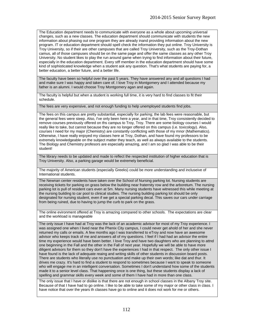The Education department needs to communicate with everyone as a whole about upcoming universal changes, such as a new classes. The education department should communicate with students the new information about phasing out one program they are already inand providing information about the new program. IT or education department should spell check the information they put online. Troy University is Troy University, so if their are other campuses that are called Troy University, such as the Troy-Dothan camus, all of those campuses should be on the same page and offer the same classes as any other Troy University. No student likes to play the run around game when trying to find information about their future, especially in the education department. Every stff member in the education department should have some kind of sophisticated knowledge when a student ask any question. That's what students are paying for, a better education, a better future, and a better life.

The faculty have been so helpful over the past 5 years. They have answered any and all questions I had and make sure I was happy and taken care of. I love Troy in Montgomery and I attended because my father is an alumni. I would choose Troy Montgomery agan and again.

The faculty is helpful but when a student is working full time, it is very hard to find classes to fit their schedule.

The fees are very expensive, and not enough funding to help unemployed students find jobs.

The fees on this campus are pretty substantial, especially for parking; the lab fees were reasonable, but the general fees were steep. Also, I've only been here a year, and in that time, Troy consistently decided to remove courses previously offered on ths campus to Troy, Troy. There are some biology courses I would really like to take, but cannot because they are no longer offered on this campus (i.e. toxicology). Also, courses I need for my major (Chemistry) are constantly conflicting with those of my mnor (Mathematics). Otherwise, I have really enjoyed my classes here at Troy, Dothan, and have found my professors to be extremely knowledgeable on the subject matter they teach, as well as always available to the students. The Biology and Chemistry profesors are especially amazing, and I am so glad I was able to be their student!

The library needs to be updated and made to reflect the respected institution of higher education that is Troy University. Also, a parking garage would be extremely beneficial.

The majority of American students (especially Greeks) could be more understanding and incluseive of International students.

The Newnan center residents have taken over the School of Nursing parking lot. Nursing students are receiving tickets for parking on grass below the building near fraternity row and the arboretum. The nursing parking lot is pull of resident cars even at 5m. Many nursing students have witnessed this while meeting at the nursing building to car pool to clinical studies. The nursing building parking lot should be only designated for nursing student, even if we get a special parking decal. This saves our cars under carriage from being ruined, due to having to jump the curb to park on the grass.

The online evironment offered at Troy is amazing compared to other schools. The expectations are clear and the workload is manageable

The only issue I have had at Troy was the lack of an academic advisor for most of my Troy experience. I was assigned one when I lived near the Phenix City campus, I could never get ahold of her and she never returned my calls or emails. A few months ago I was transferred to eTroy and now have an awesome advisor who keeps track of me and answers all of my questions. I feel if I had had an advisor the entire time my experience would have been better. I love Troy and have two daughters who are planning to attnd one beginning in the Fall and the other in the Fall of next year. Hopefully we will be able to have more diligent advisors for them so they don't have the experiences I had in that respect. The only other issue I have found is the lack of adequate reaing and writing skills of other students in discussion board posts. There are students who literally use no punctuation and make up their own words; like dat and thur. It drives me crazy. It's hard to find a student to respond to sometimes because I want to speak to someone who will engage me in an intelligent conversation. Sometimes I don't understand how some of the students made it to a senior level class. That happening once is one thing, but these students display a lack of spelling and grammar skills every week and some of them I have had in more than one class.

The only issue that I have or dislike is that there are not enough in school classes in the Albany Troy site. Because of that I have had to go online. I like to be able to take some of my major or other class in class. I have notice that over the years th classes have go to online and it does not work for me or others.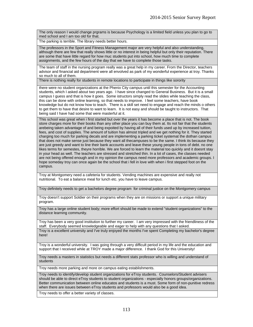The only reason I would change prgrams is because Psychology is a limited field unless you plan to go to med school and I am too old for that.

The parking is terrible. The library needs better hours.

The professors in the Sport and Fitness Management major are very helpful and also understanding, although there are few that really shows little or no interest in being helpful but only their reputation. There are some that have little regard for how muc students put into school, how much time to complete assignments, and the few hours of the day that we have to complete those tasks.

The team of staff in the nursing program really was a great help in my career. From the Director, teachers advisor and financial aid department were all envolved as park of my wonderful experience at troy. Thanks so much to all of them.

There is nothing really for students in remote locations to participate in things like sorority

there were no student organizations at the Phenix City campus until this semester for the Accounting students, which I asked about two years ago. I have since changed to General Business. But it is a small campus I guess and that is how it goes. Some istructors simply read the slides while teaching the class, this can be done with online learning, so that needs to improve. I feel some teachers, have book knowledge but do not know how to teach. There is a skill set need to engage and reach the minds o others to get them to have that desire to want to learn. It is not easy and should be taught to instructors. That being said I have had some that were masterful at it.

This school was great when i first started but over the years it has become a place that is not. The book store charges more for their books than any other place you can buy them at. Its not fair that the students arebeing taken advantage of and being expoited by having all of their funds used up by increased tuition, fees, and cost of supplies. The amount of tuition has almost tripled and we get nothing for it. They started charging too much for parking decals and are implementing a parking ticket systemat the dothan campus that does not make sense just because they want all thecampuses to be the same. I think its because they are just greedy and want to line their bank accounts and leave these young people in tons of debt. no one likes terms for semestes, theyre horrible. We are forced to learn the material too quickly and it doesnt stay in your head as well. The teachers are stressed and stretched thin. In a lot of cases, the classes needed are not being offered enough and in my opinion the campus need more professors and academic groups. I hope someday troy can once again be the school that i fell in love with when i first stepped foot on the campus.

Troy at Montgomery need a cafeteria for students. Vending machines are expensive and really not nutritional. To eat a balance meal for lunch etc. you have to leave campus.

Troy definitely needs to get a bachelors degree program for criminal justice on the Montgomery campus

Troy doesn't support Soldier on their programs when they are on missions or support a unique military program.

Troy has a large online student body; more effort should be made to extend "student organizations" to the distance learning community.

Troy has been a very good institution to further my career. I am very impressed with the friendliness of the staff. Everybody seemed knowledgeable and eager to help with any questions that I asked.

Troy is a excellent university and I've truly enjoyed the months I've spent Completing my bachelor's degree here!

Troy is a wonderful university. I was going through a very difficult period in my life and the education and support that I received while at TROY made a major difference. I thank God for this University!

Troy needs a masters in statistics but needs a different stats professor who is willing and understand of students

Troy needs more parking and more on campus eating establishments.

Troy needs to identify/develop student organizations for eTroy students. Counselors/Student advisers should be able to direct eTroy students to student organizations - especially honors groups/organizations. Better communication between online educatos and students is a must. Some form of non-punitive redress when there are issues between eTroy students and professors would also be a good idea.

Troy needs to offer a better variety of classes.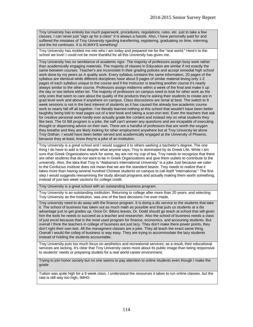Troy University has entirely too much paperwork, procedures, regulations, rules, etc. just to take a few classes. I can never just "sign up for a class" It is always a hassle. Also, I have personally paid for and suffered the mistakes of Troy University rgarding transferring, registering, graduating on time, interning, and the list continues. It is ALWAYS something!

Troy University has molded me into who I am today and prepared me for the "real world." Here's to the school we love! I could not be more thankful for all this University has given me.

Troy University has no semblance of academic rigor. The majority of professors assign busy work rather than academically engaging materials. The majority of classes in Education are similar if not exactly the same between courses. Teacher's are inconsistet in their grading policies and accept remedial high school work done by my peers as A quality work. Every syllabus contains the same information, 20 pages of the syllabus are identical while different disciplines have about 5 pages of similar material leving only 1-2 pages of each syllabus unique to the course and if the instructor is teaching another course it's nearly always similar to the other course. Professors assign midterms within a week of the final and make it up the day or two before either tet. The majority of professors on campus need to look for other work as the only ones that seem to care about the quality of the products they're asking their students to create are in grad level work and above if anywhere on campus. Class discussions are ismal at best. The switch to 9 week sessions is not in the best interest of students as it has caused the already low academic course work to nearly fall off all together. I've literally learned nothing at this school that wouldn't have been better taughtby being told to read pages out of a test book and taking a scan-tron test. Even the teachers that ask for creative personal work hardly ever actually grade the content and instead rely on what students they like best. The GI Bill program is a joke, the saff can't answer any questions and are incapable of executing thought or dispensing advice on their own. There are a handful of professors that are worth the oxygen they breathe and they are likely looking for other employment anywhere but at Troy Universty let alone Troy Dothan. I would have been better served and academically engaged at the University of Phoenix, because they at least, know they're a joke of an institution.

Troy University is a great school and I would suggest it to others seeking a bachelor's degree. The one thing I do have to add is that despite what anyone says, Troy is dominated by its Greek Life. While I am sure that Greek Organizations work for some, tey are not my cup of tea. Troy needs to recognize that there are other students that do not want to be in Greek Organizations and give them outlets to contribute to the university. Also, the idea that Troy is "Alabama's International Univeristy" is a joke Just because we cater to the Confucius Institute does not mean that we are the standard bearer. Troy needs to realize that it takes more than having several hundred Chinese students on campus to call itself "international." The first step I would suggestis reexamining the study abroad programs and actually making them worth something, instead of just two week vactions for college credit.

Troy University is a great school with an outstanding business program.

Troy University is an outstanding institution. Returning to college after more than 20 years, and selecting Troy University as the institution, was one of the best decisions I've ever made.

Troy university need to do away with the finance program. It is doing a dis service to the students that take it. The school of business has taken out as much math as possible and that puts us students at a dis advantage just to get grades up. Once Dr. Bibins leaves, Dr. Dodd should go teach at school that will given him the tools he needs to succeed as a teacher and researcher. Also the school of business needs a class of just excel because that is the most used program for finance, economics, and accouning students. But overall I think the teachers in college of business are just lazy. They don't make there power points, they don't right their own test. All the managment classes are a joke. They all teach the exact same thing. Overall I would the colleg of business is way easy. They are trying to accommodate the lazy students instead of holding the students accountable.

Troy University puts too much focus on aesthetics and recreational services; as a result, their educational services are lacking. It's clear that Troy University cares more about its public image than being responsive to students' needs or preparing studets for a real world career environment.

Trying to join honor society but no one seems to pay attention to online students even though I make the grade

Tuition was quite high for a 9 week class. I understand the resources it takes to run online classes, but the rate is still way too high, IMHO.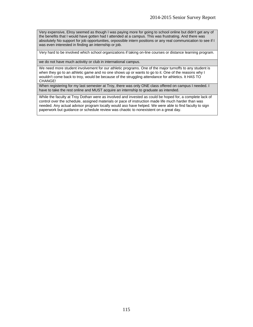Very expensive, Elroy seemed as though I was paying more for going to school online but didn't get any of the benefits that I would have gotten had I attended at a campus. This was frustrating. And there was absolutely No support for job opportunities, orpossible intern positions or any real communication to see if I was even interested in finding an internship or job.

Very hard to be involved which school organizations if taking on-line courses or distance learning program.

we do not have much activitiy or club in international campus.

We need more student involvement for our athletic programs. One of the major turnoffs to any student is when they go to an athletic game and no one shows up or wants to go to it. One of the reasons why I wouldn't come back to troy, would be because of the struggling attendance for athletics. It HAS TO CHANGE!

When registering for my last semester at Troy, there was only ONE class offered on campus I needed. I have to take the rest online and MUST acquire an internship to graduate as intended.

While the faculty at Troy Dothan were as involved and invested as could be hoped for, a complete lack of control over the schedule, assigned materials or pace of instruction made life much harder than was needed. Any actual advisor program locally would aso have helped. We were able to find faculty to sign paperwork but guidance or schedule review was chaotic to nonexistent on a great day.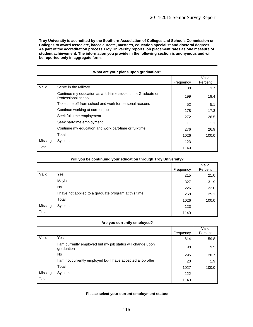**Troy University is accredited by the Southern Association of Colleges and Schools Commission on Colleges to award associate, baccalaureate, master's, education specialist and doctoral degrees. As part of the accreditation process Troy University reports job placement rates as one measure of student achievement. The information you provide in the following section is anonymous and will be reported only in aggregate form.** 

|         |                                                                                      | Frequency | Valid<br>Percent |
|---------|--------------------------------------------------------------------------------------|-----------|------------------|
| Valid   | Serve in the Military                                                                | 38        | 3.7              |
|         | Continue my education as a full-time student in a Graduate or<br>Professional school | 199       | 19.4             |
|         | Take time off from school and work for personal reasons                              | 52        | 5.1              |
|         | Continue working at current job                                                      | 178       | 17.3             |
|         | Seek full-time employment                                                            | 272       | 26.5             |
|         | Seek part-time employment                                                            | 11        | 1.1              |
|         | Continue my education and work part-time or full-time                                | 276       | 26.9             |
|         | Total                                                                                | 1026      | 100.0            |
| Missing | System                                                                               | 123       |                  |
| Total   |                                                                                      | 1149      |                  |

#### **What are your plans upon graduation?**

|         |                                                       |           | Valid<br>Percent |
|---------|-------------------------------------------------------|-----------|------------------|
|         |                                                       | Frequency |                  |
| Valid   | Yes                                                   | 215       | 21.0             |
|         | Maybe                                                 | 327       | 31.9             |
|         | No                                                    | 226       | 22.0             |
|         | I have not applied to a graduate program at this time | 258       | 25.1             |
|         | Total                                                 | 1026      | 100.0            |
| Missing | System                                                | 123       |                  |
| Total   |                                                       | 1149      |                  |

### **Will you be continuing your education through Troy University?**

### **Are you currently employed?**

|         |                                                                        | Frequency | Valid<br>Percent |
|---------|------------------------------------------------------------------------|-----------|------------------|
| Valid   | Yes                                                                    | 614       | 59.8             |
|         | am currently employed but my job status will change upon<br>graduation | 98        | 9.5              |
|         | No.                                                                    | 295       | 28.7             |
|         | am not currently employed but I have accepted a job offer              | 20        | 1.9              |
|         | Total                                                                  | 1027      | 100.0            |
| Missing | System                                                                 | 122       |                  |
| Total   |                                                                        | 1149      |                  |

### **Please select your current employment status:**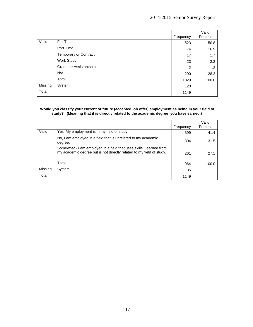|         |                              | Frequency | Valid<br>Percent |
|---------|------------------------------|-----------|------------------|
| Valid   | Full Time                    | 523       | 50.8             |
|         | Part Time                    | 174       | 16.9             |
|         | <b>Temporary or Contract</b> | 17        | 1.7              |
|         | Work Study                   | 23        | 2.2              |
|         | Graduate Assistantship       | 2         | $\cdot$          |
|         | N/A                          | 290       | 28.2             |
|         | Total                        | 1029      | 100.0            |
| Missing | System                       | 120       |                  |
| Total   |                              | 1149      |                  |

### **Would you classify your current or future (accepted job offer) employment as being in your field of study? (Meaning that it is directly related to the academic degree you have earned.)**

|         |                                                                                                                                             | Frequency | Valid<br>Percent |
|---------|---------------------------------------------------------------------------------------------------------------------------------------------|-----------|------------------|
| Valid   | Yes, My employment is in my field of study.                                                                                                 | 399       | 41.4             |
|         | No, I am employed in a field that is unrelated to my academic<br>degree.                                                                    | 304       | 31.5             |
|         | Somewhat - I am employed in a field that uses skills I learned from<br>my academic degree but is not directly related to my field of study. | 261       | 27.1             |
|         | Total                                                                                                                                       | 964       | 100.0            |
| Missing | System                                                                                                                                      | 185       |                  |
| Total   |                                                                                                                                             | 1149      |                  |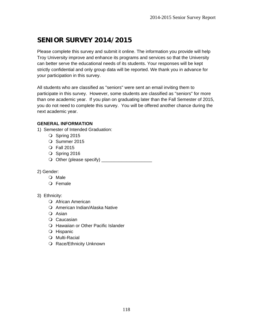# **SENIOR SURVEY 2014/2015**

Please complete this survey and submit it online. The information you provide will help Troy University improve and enhance its programs and services so that the University can better serve the educational needs of its students. Your responses will be kept strictly confidential and only group data will be reported. We thank you in advance for your participation in this survey.

All students who are classified as "seniors" were sent an email inviting them to participate in this survey. However, some students are classified as "seniors" for more than one academic year. If you plan on graduating later than the Fall Semester of 2015, you do not need to complete this survey. You will be offered another chance during the next academic year.

# **GENERAL INFORMATION**

- 1) Semester of Intended Graduation:
	- O Spring 2015
	- O Summer 2015
	- Fall 2015
	- O Spring 2016
	- Other (please specify) \_\_\_\_\_\_\_\_\_\_\_\_\_\_\_\_\_\_\_\_
- 2) Gender:
	- O Male
	- Female
- 3) Ethnicity:
	- African American
	- American Indian/Alaska Native
	- O Asian
	- O Caucasian
	- Hawaiian or Other Pacific Islander
	- O Hispanic
	- O Multi-Racial
	- O Race/Ethnicity Unknown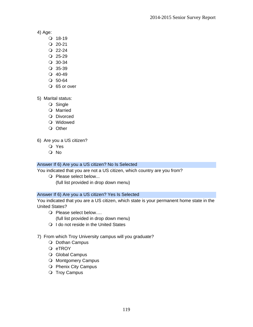4) Age:

- $Q$  18-19
- $Q$  20-21
- $Q$  22-24
- $Q$  25-29
- 30-34
- 35-39
- $Q$  40-49
- $O$  50-64
- O 65 or over

5) Marital status:

- O Single
- O Married
- O Divorced
- Widowed
- O Other

6) Are you a US citizen?

- Yes
- No

# Answer If 6) Are you a US citizen? No Is Selected

You indicated that you are not a US citizen, which country are you from?

O Please select below... (full list provided in drop down menu)

## Answer If 6) Are you a US citizen? Yes Is Selected

You indicated that you are a US citizen, which state is your permanent home state in the United States?

O Please select below....

(full list provided in drop down menu)

- O I do not reside in the United States
- 7) From which Troy University campus will you graduate?
	- O Dothan Campus
	- O eTROY
	- O Global Campus
	- O Montgomery Campus
	- O Phenix City Campus
	- O Troy Campus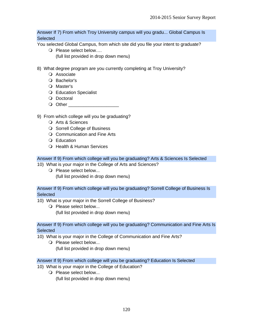Answer If 7) From which Troy University campus will you gradu... Global Campus Is **Selected** 

You selected Global Campus, from which site did you file your intent to graduate?

- O Please select below.... (full list provided in drop down menu)
- 8) What degree program are you currently completing at Troy University?
	- O Associate
	- O Bachelor's
	- O Master's
	- Education Specialist
	- O Doctoral
	- Q Other
- 9) From which college will you be graduating?
	- O Arts & Sciences
	- O Sorrell College of Business
	- O Communication and Fine Arts
	- Education
	- O Health & Human Services

Answer If 9) From which college will you be graduating? Arts & Sciences Is Selected

- 10) What is your major in the College of Arts and Sciences?
	- O Please select below... (full list provided in drop down menu)

Answer If 9) From which college will you be graduating? Sorrell College of Business Is **Selected** 

- 10) What is your major in the Sorrell College of Business?
	- O Please select below... (full list provided in drop down menu)

### Answer If 9) From which college will you be graduating? Communication and Fine Arts Is **Selected**

- 10) What is your major in the College of Communication and Fine Arts?
	- O Please select below... (full list provided in drop down menu)

### Answer If 9) From which college will you be graduating? Education Is Selected

- 10) What is your major in the College of Education?
	- O Please select below... (full list provided in drop down menu)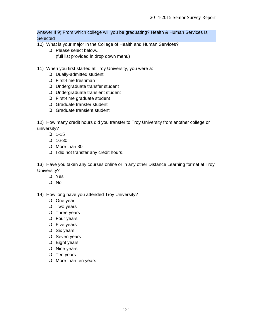Answer If 9) From which college will you be graduating? Health & Human Services Is **Selected** 

- 10) What is your major in the College of Health and Human Services?
	- O Please select below... (full list provided in drop down menu)
- 11) When you first started at Troy University, you were a:
	- O Dually-admitted student
	- First-time freshman
	- Undergraduate transfer student
	- Undergraduate transient student
	- First-time graduate student
	- Graduate transfer student
	- Graduate transient student

12) How many credit hours did you transfer to Troy University from another college or university?

- $Q$  1-15
- $Q$  16-30
- O More than 30
- O I did not transfer any credit hours.

13) Have you taken any courses online or in any other Distance Learning format at Troy University?

- Yes
- O No

14) How long have you attended Troy University?

- One year
- O Two years
- O Three years
- Four years
- O Five years
- $\bigcirc$  Six years
- O Seven years
- Eight years
- O Nine years
- $\bigcirc$  Ten years
- O More than ten years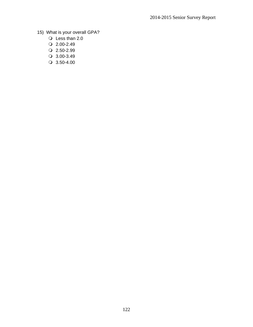- 15) What is your overall GPA?
	- Less than 2.0
	- $Q$  2.00-2.49
	- $Q$  2.50-2.99
	- 3.00-3.49
	- $\bigcirc$  3.50-4.00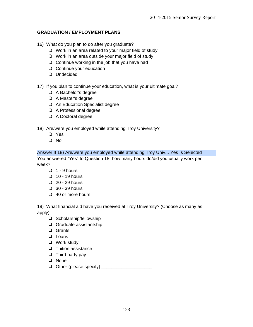## **GRADUATION / EMPLOYMENT PLANS**

- 16) What do you plan to do after you graduate?
	- Work in an area related to your major field of study
	- Work in an area outside your major field of study
	- $\bigcirc$  Continue working in the job that you have had
	- O Continue your education
	- Undecided
- 17) If you plan to continue your education, what is your ultimate goal?
	- A Bachelor's degree
	- A Master's degree
	- An Education Specialist degree
	- A Professional degree
	- A Doctoral degree
- 18) Are/were you employed while attending Troy University?
	- Yes
	- No

Answer If 18) Are/were you employed while attending Troy Univ... Yes Is Selected You answered "Yes" to Question 18, how many hours do/did you usually work per week?

- $\bigcirc$  1 9 hours
- $\bigcirc$  10 19 hours
- $Q$  20 29 hours
- 30 39 hours
- 40 or more hours

19) What financial aid have you received at Troy University? (Choose as many as apply)

- $\Box$  Scholarship/fellowship
- $\Box$  Graduate assistantship
- **Q** Grants
- **Loans**
- □ Work study
- $\Box$  Tuition assistance
- $\Box$  Third party pay
- **Q** None
- Other (please specify) \_\_\_\_\_\_\_\_\_\_\_\_\_\_\_\_\_\_\_\_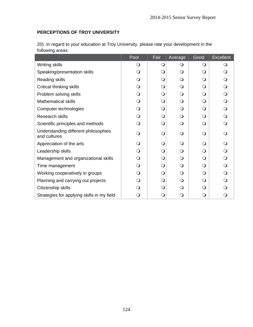# **PERCEPTIONS OF TROY UNIVERSITY**

| following areas:                                     |      |      |              |              |                  |
|------------------------------------------------------|------|------|--------------|--------------|------------------|
|                                                      | Poor | Fair | Average      | Good         | <b>Excellent</b> |
| Writing skills                                       | ( )  |      | O            | ∩            |                  |
| Speaking/presentation skills                         | ∩    | ( )  | O            | O            |                  |
| Reading skills                                       |      | ( )  | O            | O            |                  |
| Critical thinking skills                             |      | ∩    | O            | O            |                  |
| Problem solving skills                               | ∩    | ∩    | O            | O            |                  |
| <b>Mathematical skills</b>                           |      | ∩    | O            | O            |                  |
| Computer technologies                                |      | ∩    | $\mathsf{O}$ | $\mathsf{O}$ |                  |
| <b>Research skills</b>                               | ( )  | ∩    | Q            | $\bigcirc$   |                  |
| Scientific principles and methods                    | ∩    | Ω    | O            | $\Omega$     |                  |
| Understanding different philosophies<br>and cultures |      | ∩    | Q            | $\mathsf{O}$ |                  |

Appreciation of the arts  $\begin{vmatrix} 0 & 0 & 0 \end{vmatrix}$  of  $\begin{vmatrix} 0 & 0 & 0 \end{vmatrix}$  of  $\begin{vmatrix} 0 & 0 & 0 \end{vmatrix}$ Leadership skills **Leadership skills and the contract of the contract of the contract of contract of contract of contract of contract of contract of contract of contract of contract of contract of contract of contract of** Management and organizational skills  $\begin{vmatrix} 0 & 0 & 0 \end{vmatrix}$  o  $\begin{vmatrix} 0 & 0 & 0 \end{vmatrix}$ Time management  $\begin{vmatrix} 0 & 0 & 0 \\ 0 & 0 & 0 \end{vmatrix}$  of  $\begin{vmatrix} 0 & 0 & 0 \\ 0 & 0 & 0 \end{vmatrix}$ Working cooperatively in groups  $\begin{vmatrix} 0 & 0 & 0 \\ 0 & 0 & 0 \end{vmatrix}$  of  $\begin{vmatrix} 0 & 0 & 0 \\ 0 & 0 & 0 \end{vmatrix}$ Planning and carrying out projects  $\begin{vmatrix} 0 & 0 & 0 \\ 0 & 0 & 0 \end{vmatrix}$  of  $\begin{vmatrix} 0 & 0 & 0 \\ 0 & 0 & 0 \end{vmatrix}$ Citizenship skills **Citizenship skills** and a set of the set of the set of the set of the set of the set of the set of the set of the set of the set of the set of the set of the set of the set of the set of the set of the Strategies for applying skills in my field  $\begin{vmatrix} 0 & 0 & 0 \end{vmatrix}$  o  $\begin{vmatrix} 0 & 0 & 0 \end{vmatrix}$  o

20) In regard to your education at Troy University, please rate your development in the following areas: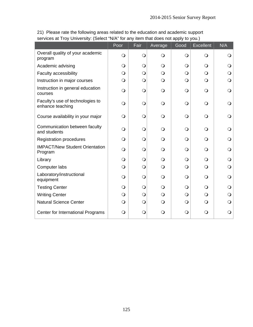|                                                      | Poor       | Fair           | Average        | Good       | <b>Excellent</b> | N/A        |
|------------------------------------------------------|------------|----------------|----------------|------------|------------------|------------|
| Overall quality of your academic<br>program          | $\bigcirc$ | $\bigcirc$     | $\bigcirc$     | $\bigcirc$ | $\bigcirc$       | Ő          |
| Academic advising                                    | $\bigcirc$ | $\bigcirc$     | $\bigcirc$     | $\bigcirc$ | $\circ$          |            |
| Faculty accessibility                                | $\bigcirc$ | $\bigcirc$     | $\bigcirc$     | $\bigcirc$ | $\circ$          |            |
| Instruction in major courses                         | $\bigcirc$ | $\bigcirc$     | $\bigcirc$     | $\bigcirc$ | $\circ$          | Q          |
| Instruction in general education<br>courses          | $\bigcirc$ | $\overline{O}$ | $\bigcirc$     | $\bigcirc$ | $\bigcirc$       | $\Omega$   |
| Faculty's use of technologies to<br>enhance teaching | $\bigcirc$ | $\bigcirc$     | $\bigcirc$     | $\bigcirc$ | $\bigcirc$       |            |
| Course availability in your major                    | $\bigcirc$ | $\bigcirc$     | $\bigcirc$     | $\bigcirc$ | $\bigcirc$       |            |
| Communication between faculty<br>and students        | $\bigcirc$ | $\bigcirc$     | $\bigcirc$     | $\bigcirc$ | $\Omega$         |            |
| <b>Registration procedures</b>                       | $\Omega$   | $\bigcirc$     | $\circ$        | $\bigcirc$ | $\Omega$         |            |
| <b>IMPACT/New Student Orientation</b><br>Program     | $\Omega$   | $\bigcirc$     | $\bigcirc$     | $\bigcirc$ | $\circ$          |            |
| Library                                              | $\bigcirc$ | $\overline{O}$ | $\overline{O}$ | $\bigcirc$ | $\bigcirc$       | Q          |
| Computer labs                                        | $\bigcirc$ | $\overline{O}$ | $\bigcirc$     | $\bigcirc$ | $\bigcirc$       | $\bigcirc$ |
| Laboratory/instructional<br>equipment                | $\bigcirc$ | $\bigcirc$     | $\bigcirc$     | $\bigcirc$ | $\circ$          | O          |
| <b>Testing Center</b>                                | $\bigcirc$ | $\bigcirc$     | $\bigcirc$     | $\bigcirc$ | $\bigcirc$       | O          |
| <b>Writing Center</b>                                | $\bigcirc$ | $\overline{O}$ | $\bigcirc$     | $\bigcirc$ | $\bigcirc$       |            |
| <b>Natural Science Center</b>                        | $\bigcirc$ | $\bigcirc$     | $\bigcirc$     | $\bigcirc$ | $\bigcirc$       | O          |
| Center for International Programs                    | $\Omega$   | $\bigcirc$     | $\bigcirc$     | $\bigcirc$ | $\mathsf{O}$     | O          |

21) Please rate the following areas related to the education and academic support services at Troy University: (Select "N/A" for any item that does not apply to you.)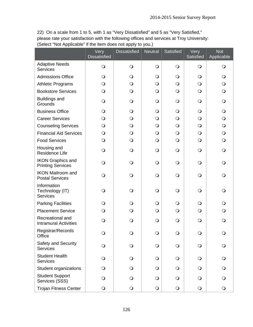22) On a scale from 1 to 5, with 1 as "Very Dissatisfied" and 5 as "Very Satisfied," please rate your satisfaction with the following offices and services at Troy University: (Select "Not Applicable" if the item does not apply to you.)

|                                                      | Very<br><b>Dissatisfied</b> | <b>Dissatisfied</b> | <b>Neutral</b> | Satisfied  | Very<br>Satisfied | <b>Not</b><br>Applicable |
|------------------------------------------------------|-----------------------------|---------------------|----------------|------------|-------------------|--------------------------|
| <b>Adaptive Needs</b><br><b>Services</b>             | $\bigcirc$                  | $\bigcirc$          | $\bigcirc$     | $\bigcirc$ | $\bigcirc$        | $\bigcirc$               |
| <b>Admissions Office</b>                             | $\bigcirc$                  | $\bigcirc$          | $\bigcirc$     | $\bigcirc$ | $\bigcirc$        | $\bigcirc$               |
| <b>Athletic Programs</b>                             | $\bigcirc$                  | $\bigcirc$          | $\bigcirc$     | $\bigcirc$ | $\bigcirc$        | $\bigcirc$               |
| <b>Bookstore Services</b>                            | $\bigcirc$                  | $\bigcirc$          | $\bigcirc$     | $\bigcirc$ | $\bigcirc$        | $\bigcirc$               |
| <b>Buildings and</b><br>Grounds                      | $\bigcirc$                  | $\bigcirc$          | $\bigcirc$     | $\bigcirc$ | $\bigcirc$        | $\bigcirc$               |
| <b>Business Office</b>                               | $\bigcirc$                  | $\bigcirc$          | $\bigcirc$     | $\bigcirc$ | $\bigcirc$        | $\bigcirc$               |
| <b>Career Services</b>                               | $\bigcirc$                  | $\circ$             | $\bigcirc$     | $\bigcirc$ | $\bigcirc$        | $\bigcirc$               |
| <b>Counseling Services</b>                           | $\bigcirc$                  | $\bigcirc$          | $\bigcirc$     | $\bigcirc$ | $\bigcirc$        | $\bigcirc$               |
| <b>Financial Aid Services</b>                        | $\bigcirc$                  | $\bigcirc$          | $\bigcirc$     | $\bigcirc$ | $\bigcirc$        | $\bigcirc$               |
| <b>Food Services</b>                                 | $\bigcirc$                  | $\bigcirc$          | $\bigcirc$     | $\bigcirc$ | $\bigcirc$        | $\bigcirc$               |
| Housing and<br>Residence Life                        | $\bigcirc$                  | $\bigcirc$          | $\bigcirc$     | $\bigcirc$ | $\bigcirc$        | $\bigcirc$               |
| <b>IKON Graphics and</b><br><b>Printing Services</b> | $\bigcirc$                  | $\bigcirc$          | $\bigcirc$     | $\bigcirc$ | $\bigcirc$        | $\bigcirc$               |
| <b>IKON Mailroom and</b><br><b>Postal Services</b>   | $\bigcirc$                  | $\bigcirc$          | $\bigcirc$     | $\bigcirc$ | $\bigcirc$        | $\bigcirc$               |
| Information<br>Technology (IT)<br><b>Services</b>    | $\bigcirc$                  | $\bigcirc$          | $\bigcirc$     | $\bigcirc$ | $\bigcirc$        | $\bigcirc$               |
| <b>Parking Facilities</b>                            | $\bigcirc$                  | $\bigcirc$          | $\bigcirc$     | $\bigcirc$ | $\bigcirc$        | $\bigcirc$               |
| <b>Placement Service</b>                             | $\bigcirc$                  | $\bigcirc$          | $\bigcirc$     | $\bigcirc$ | $\bigcirc$        | $\bigcirc$               |
| Recreational and<br><b>Intramural Activities</b>     | $\bigcirc$                  | $\bigcirc$          | $\bigcirc$     | $\bigcirc$ | $\bigcirc$        | $\bigcirc$               |
| Registrar/Records<br>Office                          | $\bigcirc$                  | $\Omega$            | $\bigcirc$     | $\bigcirc$ | $\bigcirc$        | $\Omega$                 |
| Safety and Security<br><b>Services</b>               | $\bigcirc$                  | $\bigcirc$          | $\bigcirc$     | $\bigcirc$ | $\bigcirc$        | $\bigcirc$               |
| <b>Student Health</b><br><b>Services</b>             | $\bigcirc$                  | $\bigcirc$          | $\bigcirc$     | $\bigcirc$ | $\bigcirc$        | $\bigcirc$               |
| Student organizations                                | $\circ$                     | $\Omega$            | $\bigcirc$     | $\bigcirc$ | $\bigcirc$        | $\bigcirc$               |
| <b>Student Support</b><br>Services (SSS)             | $\bigcirc$                  | $\Omega$            | $\bigcirc$     | $\bigcirc$ | $\bigcirc$        |                          |
| <b>Trojan Fitness Center</b>                         | $\bigcirc$                  | $\bigcirc$          | $\bigcirc$     | $\bigcirc$ | $\bigcirc$        | $\bigcirc$               |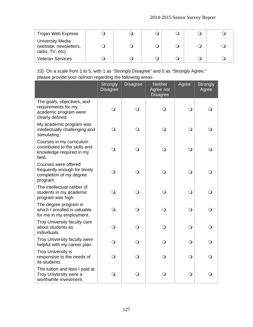| Trojan Web Express                                                   |  |  |  |
|----------------------------------------------------------------------|--|--|--|
| <b>University Media</b><br>(website, newsletters,<br>radio, TV, etc) |  |  |  |
| <b>Veteran Services</b>                                              |  |  |  |

23) On a scale from 1 to 5, with 1 as "Strongly Disagree" and 5 as "Strongly Agree," please provide your opinion regarding the following areas:

|                                                                                                 | <b>Strongly</b><br><b>Disagree</b> | <b>Disagree</b> | <b>Neither</b><br>Agree nor<br><b>Disagree</b> | Agree          | <b>Strongly</b><br>Agree |
|-------------------------------------------------------------------------------------------------|------------------------------------|-----------------|------------------------------------------------|----------------|--------------------------|
| The goals, objectives, and<br>requirements for my<br>academic program were<br>clearly defined.  | $\bigcirc$                         | $\circ$         | $\bigcirc$                                     | $\overline{O}$ | $\bigcirc$               |
| My academic program was<br>intellectually challenging and<br>stimulating.                       | $\bigcirc$                         | $\bigcirc$      | $\mathsf{O}$                                   | $\bigcirc$     | Q                        |
| Courses in my curriculum<br>contributed to the skills and<br>knowledge required in my<br>field. | $\mathsf{O}$                       | $\bigcirc$      | $\bigcirc$                                     | $\Omega$       | O                        |
| Courses were offered<br>frequently enough for timely<br>completion of my degree<br>program.     | $\overline{O}$                     | $\bigcirc$      | $\bigcirc$                                     | $\bigcirc$     | O                        |
| The intellectual caliber of<br>students in my academic<br>program was high.                     | $\bigcirc$                         | $\bigcirc$      | $\bigcirc$                                     | $\bigcirc$     | ∩                        |
| The degree program in<br>which I enrolled is valuable<br>for me in my employment.               | $\bigcirc$                         | $\overline{O}$  | $\bigcirc$                                     | $\bigcirc$     | $\overline{O}$           |
| Troy University faculty care<br>about students as<br>individuals.                               | $\bigcirc$                         | $\bigcirc$      | $\bigcirc$                                     | $\bigcirc$     | Q                        |
| Troy University faculty were<br>helpful with my career plan.                                    | $\overline{O}$                     | O               | $\bigcirc$                                     | $\bigcirc$     | $\overline{O}$           |
| <b>Troy University is</b><br>responsive to the needs of<br>its students.                        | O                                  | O               | O                                              | $\Omega$       | Q                        |
| The tuition and fees I paid at<br>Troy University were a<br>worthwhile investment.              | $\bigcirc$                         | $\bigcirc$      | $\bigcirc$                                     | $\bigcirc$     | $\bigcirc$               |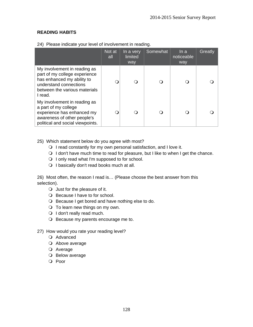# **READING HABITS**

|                                                                                                                                                                   | Not at<br>all | In a very<br>limited<br>way | Somewhat | In a<br>noticeable<br>way | Greatly |
|-------------------------------------------------------------------------------------------------------------------------------------------------------------------|---------------|-----------------------------|----------|---------------------------|---------|
| My involvement in reading as<br>part of my college experience<br>has enhanced my ability to<br>understand connections<br>between the various materials<br>I read. |               |                             |          |                           |         |
| My involvement in reading as<br>a part of my college<br>experience has enhanced my<br>awareness of other people's<br>political and social viewpoints.             |               |                             |          |                           |         |

24) Please indicate your level of involvement in reading.

- 25) Which statement below do you agree with most?
	- $\bigcirc$  I read constantly for my own personal satisfaction, and I love it.
	- $\bigcirc$  I don't have much time to read for pleasure, but I like to when I get the chance.
	- $\bigcirc$  I only read what I'm supposed to for school.
	- O I basically don't read books much at all.

26) Most often, the reason I read is… (Please choose the best answer from this selection).

- Just for the pleasure of it.
- O Because I have to for school.
- O Because I get bored and have nothing else to do.
- $\bigcirc$  To learn new things on my own.
- O I don't really read much.
- O Because my parents encourage me to.
- 27) How would you rate your reading level?
	- O Advanced
	- O Above average
	- Average
	- O Below average
	- O Poor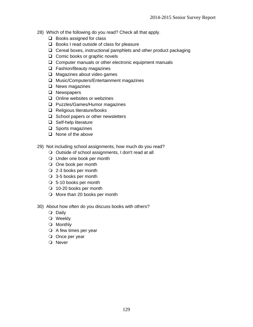- 28) Which of the following do you read? Check all that apply.
	- $\Box$  Books assigned for class
	- $\Box$  Books I read outside of class for pleasure
	- $\Box$  Cereal boxes, instructional pamphlets and other product packaging
	- $\Box$  Comic books or graphic novels
	- $\Box$  Computer manuals or other electronic equipment manuals
	- □ Fashion/Beauty magazines
	- $\Box$  Magazines about video games
	- □ Music/Computers/Entertainment magazines
	- $\Box$  News magazines
	- **Q** Newspapers
	- $\Box$  Online websites or webzines
	- **Q** Puzzles/Games/Humor magazines
	- □ Religious literature/books
	- $\Box$  School papers or other newsletters
	- □ Self-help literature
	- $\Box$  Sports magazines
	- $\Box$  None of the above
- 29) Not including school assignments, how much do you read?
	- O Outside of school assignments, I don't read at all
	- Under one book per month
	- O One book per month
	- 2-3 books per month
	- 3-5 books per month
	- 5-10 books per month
	- 10-20 books per month
	- O More than 20 books per month
- 30) About how often do you discuss books with others?
	- O Daily
	- Weekly
	- Monthly
	- $\bigcirc$  A few times per year
	- O Once per year
	- O Never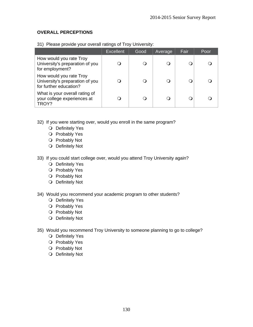# **OVERALL PERCEPTIONS**

|                                                                                      | <b>Excellent</b> | Good | Average  | Fair | Poor |
|--------------------------------------------------------------------------------------|------------------|------|----------|------|------|
| How would you rate Troy<br>University's preparation of you<br>for employment?        |                  |      |          |      |      |
| How would you rate Troy<br>University's preparation of you<br>for further education? |                  |      | $\Omega$ |      |      |
| What is your overall rating of<br>your college experiences at<br>TROY?               |                  |      |          |      |      |

31) Please provide your overall ratings of Troy University:

- 32) If you were starting over, would you enroll in the same program?
	- O Definitely Yes
	- O Probably Yes
	- O Probably Not
	- O Definitely Not
- 33) If you could start college over, would you attend Troy University again?
	- O Definitely Yes
	- O Probably Yes
	- O Probably Not
	- O Definitely Not
- 34) Would you recommend your academic program to other students?
	- O Definitely Yes
	- O Probably Yes
	- O Probably Not
	- O Definitely Not
- 35) Would you recommend Troy University to someone planning to go to college?
	- O Definitely Yes
	- O Probably Yes
	- O Probably Not
	- O Definitely Not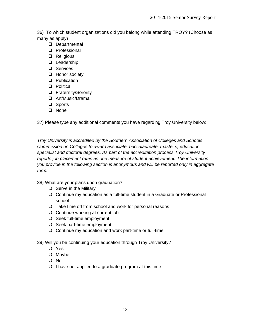36) To which student organizations did you belong while attending TROY? (Choose as many as apply)

- Departmental
- **Q** Professional
- **Q** Religious
- **Leadership**
- □ Services
- □ Honor society
- **Q** Publication
- **D** Political
- **Q** Fraternity/Sorority
- Art/Music/Drama
- □ Sports
- **Q** None

37) Please type any additional comments you have regarding Troy University below:

*Troy University is accredited by the Southern Association of Colleges and Schools Commission on Colleges to award associate, baccalaureate, master's, education specialist and doctoral degrees. As part of the accreditation process Troy University reports job placement rates as one measure of student achievement. The information you provide in the following section is anonymous and will be reported only in aggregate form.* 

38) What are your plans upon graduation?

- $\bigcirc$  Serve in the Military
- Continue my education as a full-time student in a Graduate or Professional school
- O Take time off from school and work for personal reasons
- O Continue working at current job
- O Seek full-time employment
- O Seek part-time employment
- $\bigcirc$  Continue my education and work part-time or full-time
- 39) Will you be continuing your education through Troy University?
	- Yes
	- O Maybe
	- No
	- $\bigcirc$  I have not applied to a graduate program at this time